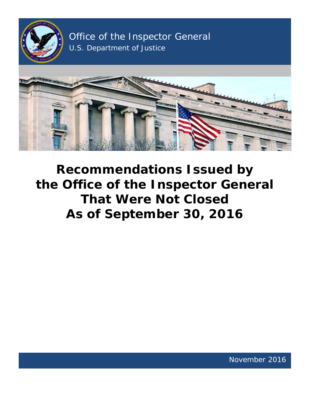

Office of the Inspector General U.S. Department of Justice



**Recommendations Issued by the Office of the Inspector General That Were Not Closed As of September 30, 2016**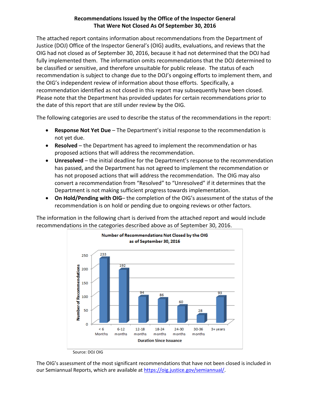# **Recommendations Issued by the Office of the Inspector General That Were Not Closed As Of September 30, 2016**

 The attached report contains information about recommendations from the Department of be classified or sensitive, and therefore unsuitable for public release. The status of each recommendation is subject to change due to the DOJ's ongoing efforts to implement them, and the OIG's independent review of information about those efforts. Specifically, a recommendation identified as not closed in this report may subsequently have been closed. recommendation identified as not closed in this report may subsequently have been closed.<br>Please note that the Department has provided updates for certain recommendations prior to the date of this report that are still under review by the OIG. Justice (DOJ) Office of the Inspector General's (OIG) audits, evaluations, and reviews that the OIG had not closed as of September 30, 2016, because it had not determined that the DOJ had fully implemented them. The information omits recommendations that the DOJ determined to

The following categories are used to describe the status of the recommendations in the report:

- • **Response Not Yet Due**  The Department's initial response to the recommendation is not yet due.
- **Resolved** the Department has agreed to implement the recommendation or has proposed actions that will address the recommendation.
- has not proposed actions that will address the recommendation. The OIG may also **• Unresolved** – the initial deadline for the Department's response to the recommendation has passed, and the Department has not agreed to implement the recommendation or convert a recommendation from "Resolved" to "Unresolved" if it determines that the Department is not making sufficient progress towards implementation.
- **On Hold/Pending with OIG-** the completion of the OIG's assessment of the status of the recommendation is on hold or pending due to ongoing reviews or other factors.

recommendations in the categories described above as of September 30, 2016. The information in the following chart is derived from the attached report and would include



 The OIG's assessment of the most significant recommendations that have not been closed is included in our Semiannual Reports, which are available at [https://oig.justice.gov/semiannual/.](https://oig.justice.gov/semiannual/)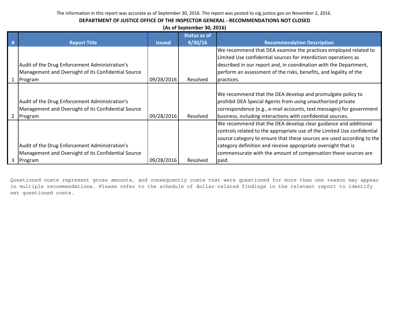# **DEPARTMENT OF JUSTICE OFFICE OF THE INSPECTOR GENERAL - RECOMMENDATIONS NOT CLOSED**

|    | (As of September 30, 2016)                          |               |                     |                                                                         |  |  |
|----|-----------------------------------------------------|---------------|---------------------|-------------------------------------------------------------------------|--|--|
|    |                                                     |               | <b>Status as of</b> |                                                                         |  |  |
| -# | <b>Report Title</b>                                 | <b>Issued</b> | 9/30/16             | <b>Recommendation Description</b>                                       |  |  |
|    |                                                     |               |                     | We recommend that DEA examine the practices employed related to         |  |  |
|    |                                                     |               |                     | Limited Use confidential sources for interdiction operations as         |  |  |
|    | Audit of the Drug Enforcement Administration's      |               |                     | described in our report and, in coordination with the Department,       |  |  |
|    | Management and Oversight of its Confidential Source |               |                     | perform an assessment of the risks, benefits, and legality of the       |  |  |
|    | 1 Program                                           | 09/28/2016    | Resolved            | practices.                                                              |  |  |
|    |                                                     |               |                     |                                                                         |  |  |
|    |                                                     |               |                     | We recommend that the DEA develop and promulgate policy to              |  |  |
|    | Audit of the Drug Enforcement Administration's      |               |                     | prohibit DEA Special Agents from using unauthorized private             |  |  |
|    | Management and Oversight of its Confidential Source |               |                     | correspondence (e.g., e-mail accounts, text messages) for government    |  |  |
|    | 2 Program                                           | 09/28/2016    | Resolved            | business, including interactions with confidential sources.             |  |  |
|    |                                                     |               |                     | We recommend that the DEA develop clear guidance and additional         |  |  |
|    |                                                     |               |                     | controls related to the appropriate use of the Limited Use confidential |  |  |
|    |                                                     |               |                     | source category to ensure that these sources are used according to the  |  |  |
|    | Audit of the Drug Enforcement Administration's      |               |                     | category definition and receive appropriate oversight that is           |  |  |
|    | Management and Oversight of its Confidential Source |               |                     | commensurate with the amount of compensation these sources are          |  |  |
|    | 3 Program                                           | 09/28/2016    | Resolved            | paid.                                                                   |  |  |

Questioned costs represent gross amounts, and consequently costs that were questioned for more than one reason may appear in multiple recommendations. Please refer to the schedule of dollar-related findings in the relevant report to identify net questioned costs.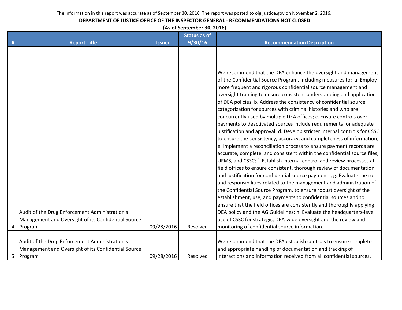# **DEPARTMENT OF JUSTICE OFFICE OF THE INSPECTOR GENERAL - RECOMMENDATIONS NOT CLOSED**

**(As of September 30, 2016)**

|   |                                                                                                                    |               | <b>Status as of</b> |                                                                                                                                                                                                                                                                                                                                                                                                                                                                                                                                                                                                                                                                                                                                                                                                                                                                                                                                                                                                                                                                                                                                                                                                                                                                                                                                                                                                                                                                                                                                                                                                      |
|---|--------------------------------------------------------------------------------------------------------------------|---------------|---------------------|------------------------------------------------------------------------------------------------------------------------------------------------------------------------------------------------------------------------------------------------------------------------------------------------------------------------------------------------------------------------------------------------------------------------------------------------------------------------------------------------------------------------------------------------------------------------------------------------------------------------------------------------------------------------------------------------------------------------------------------------------------------------------------------------------------------------------------------------------------------------------------------------------------------------------------------------------------------------------------------------------------------------------------------------------------------------------------------------------------------------------------------------------------------------------------------------------------------------------------------------------------------------------------------------------------------------------------------------------------------------------------------------------------------------------------------------------------------------------------------------------------------------------------------------------------------------------------------------------|
| # | <b>Report Title</b>                                                                                                | <b>Issued</b> | 9/30/16             | <b>Recommendation Description</b>                                                                                                                                                                                                                                                                                                                                                                                                                                                                                                                                                                                                                                                                                                                                                                                                                                                                                                                                                                                                                                                                                                                                                                                                                                                                                                                                                                                                                                                                                                                                                                    |
|   | Audit of the Drug Enforcement Administration's<br>Management and Oversight of its Confidential Source<br>4 Program | 09/28/2016    | Resolved            | We recommend that the DEA enhance the oversight and management<br>of the Confidential Source Program, including measures to: a. Employ<br>more frequent and rigorous confidential source management and<br>oversight training to ensure consistent understanding and application<br>of DEA policies; b. Address the consistency of confidential source<br>categorization for sources with criminal histories and who are<br>concurrently used by multiple DEA offices; c. Ensure controls over<br>payments to deactivated sources include requirements for adequate<br>justification and approval; d. Develop stricter internal controls for CSSC<br>to ensure the consistency, accuracy, and completeness of information;<br>e. Implement a reconciliation process to ensure payment records are<br>accurate, complete, and consistent within the confidential source files,<br>UFMS, and CSSC; f. Establish internal control and review processes at<br>field offices to ensure consistent, thorough review of documentation<br>and justification for confidential source payments; g. Evaluate the roles<br>and responsibilities related to the management and administration of<br>the Confidential Source Program, to ensure robust oversight of the<br>establishment, use, and payments to confidential sources and to<br>ensure that the field offices are consistently and thoroughly applying<br>DEA policy and the AG Guidelines; h. Evaluate the headquarters-level<br>use of CSSC for strategic, DEA-wide oversight and the review and<br>monitoring of confidential source information. |
|   | Audit of the Drug Enforcement Administration's                                                                     |               |                     | We recommend that the DEA establish controls to ensure complete                                                                                                                                                                                                                                                                                                                                                                                                                                                                                                                                                                                                                                                                                                                                                                                                                                                                                                                                                                                                                                                                                                                                                                                                                                                                                                                                                                                                                                                                                                                                      |
|   | Management and Oversight of its Confidential Source                                                                |               |                     | and appropriate handling of documentation and tracking of                                                                                                                                                                                                                                                                                                                                                                                                                                                                                                                                                                                                                                                                                                                                                                                                                                                                                                                                                                                                                                                                                                                                                                                                                                                                                                                                                                                                                                                                                                                                            |
| 5 | Program                                                                                                            | 09/28/2016    | Resolved            | interactions and information received from all confidential sources.                                                                                                                                                                                                                                                                                                                                                                                                                                                                                                                                                                                                                                                                                                                                                                                                                                                                                                                                                                                                                                                                                                                                                                                                                                                                                                                                                                                                                                                                                                                                 |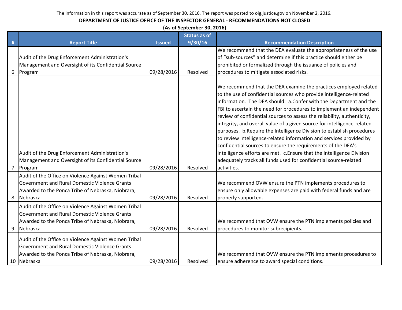|                | (As of September 30, 2016)                                                                                                                                                |               |                     |                                                                                                                                                                                                                                                                                                                                                                                                                                                                                                                                                                                                                                                                                                                                                                                                                          |  |  |
|----------------|---------------------------------------------------------------------------------------------------------------------------------------------------------------------------|---------------|---------------------|--------------------------------------------------------------------------------------------------------------------------------------------------------------------------------------------------------------------------------------------------------------------------------------------------------------------------------------------------------------------------------------------------------------------------------------------------------------------------------------------------------------------------------------------------------------------------------------------------------------------------------------------------------------------------------------------------------------------------------------------------------------------------------------------------------------------------|--|--|
|                |                                                                                                                                                                           |               | <b>Status as of</b> |                                                                                                                                                                                                                                                                                                                                                                                                                                                                                                                                                                                                                                                                                                                                                                                                                          |  |  |
| #              | <b>Report Title</b>                                                                                                                                                       | <b>Issued</b> | 9/30/16             | <b>Recommendation Description</b>                                                                                                                                                                                                                                                                                                                                                                                                                                                                                                                                                                                                                                                                                                                                                                                        |  |  |
|                | Audit of the Drug Enforcement Administration's<br>Management and Oversight of its Confidential Source<br>6 Program                                                        | 09/28/2016    | Resolved            | We recommend that the DEA evaluate the appropriateness of the use<br>of "sub-sources" and determine if this practice should either be<br>prohibited or formalized through the issuance of policies and<br>procedures to mitigate associated risks.                                                                                                                                                                                                                                                                                                                                                                                                                                                                                                                                                                       |  |  |
| $\overline{7}$ | Audit of the Drug Enforcement Administration's<br>Management and Oversight of its Confidential Source<br>Program                                                          | 09/28/2016    | Resolved            | We recommend that the DEA examine the practices employed related<br>to the use of confidential sources who provide intelligence-related<br>information. The DEA should: a.Confer with the Department and the<br>FBI to ascertain the need for procedures to implement an independent<br>review of confidential sources to assess the reliability, authenticity,<br>integrity, and overall value of a given source for intelligence-related<br>purposes. b. Require the Intelligence Division to establish procedures<br>to review intelligence-related information and services provided by<br>confidential sources to ensure the requirements of the DEA's<br>intelligence efforts are met. c. Ensure that the Intelligence Division<br>adequately tracks all funds used for confidential source-related<br>activities. |  |  |
|                | Audit of the Office on Violence Against Women Tribal<br>Government and Rural Domestic Violence Grants<br>Awarded to the Ponca Tribe of Nebraska, Niobrara,<br>8 Nebraska  | 09/28/2016    | Resolved            | We recommend OVW ensure the PTN implements procedures to<br>ensure only allowable expenses are paid with federal funds and are<br>properly supported.                                                                                                                                                                                                                                                                                                                                                                                                                                                                                                                                                                                                                                                                    |  |  |
|                | Audit of the Office on Violence Against Women Tribal<br>Government and Rural Domestic Violence Grants<br>Awarded to the Ponca Tribe of Nebraska, Niobrara,<br>9 Nebraska  | 09/28/2016    | Resolved            | We recommend that OVW ensure the PTN implements policies and<br>procedures to monitor subrecipients.                                                                                                                                                                                                                                                                                                                                                                                                                                                                                                                                                                                                                                                                                                                     |  |  |
|                | Audit of the Office on Violence Against Women Tribal<br>Government and Rural Domestic Violence Grants<br>Awarded to the Ponca Tribe of Nebraska, Niobrara,<br>10 Nebraska | 09/28/2016    | Resolved            | We recommend that OVW ensure the PTN implements procedures to<br>ensure adherence to award special conditions.                                                                                                                                                                                                                                                                                                                                                                                                                                                                                                                                                                                                                                                                                                           |  |  |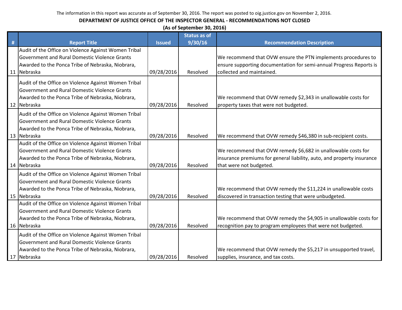|   | (As of September 30, 2016)                                                                                                                                                       |               |                                |                                                                                                                                                                    |  |  |
|---|----------------------------------------------------------------------------------------------------------------------------------------------------------------------------------|---------------|--------------------------------|--------------------------------------------------------------------------------------------------------------------------------------------------------------------|--|--|
| # | <b>Report Title</b>                                                                                                                                                              | <b>Issued</b> | <b>Status as of</b><br>9/30/16 | <b>Recommendation Description</b>                                                                                                                                  |  |  |
|   | Audit of the Office on Violence Against Women Tribal<br>Government and Rural Domestic Violence Grants<br>Awarded to the Ponca Tribe of Nebraska, Niobrara,<br>11 Nebraska        | 09/28/2016    | Resolved                       | We recommend that OVW ensure the PTN implements procedures to<br>ensure supporting documentation for semi-annual Progress Reports is<br>collected and maintained.  |  |  |
|   | Audit of the Office on Violence Against Women Tribal<br><b>Government and Rural Domestic Violence Grants</b><br>Awarded to the Ponca Tribe of Nebraska, Niobrara,<br>12 Nebraska | 09/28/2016    | Resolved                       | We recommend that OVW remedy \$2,343 in unallowable costs for<br>property taxes that were not budgeted.                                                            |  |  |
|   | Audit of the Office on Violence Against Women Tribal<br>Government and Rural Domestic Violence Grants<br>Awarded to the Ponca Tribe of Nebraska, Niobrara,<br>13 Nebraska        | 09/28/2016    | Resolved                       | We recommend that OVW remedy \$46,380 in sub-recipient costs.                                                                                                      |  |  |
|   | Audit of the Office on Violence Against Women Tribal<br><b>Government and Rural Domestic Violence Grants</b><br>Awarded to the Ponca Tribe of Nebraska, Niobrara,<br>14 Nebraska | 09/28/2016    | Resolved                       | We recommend that OVW remedy \$6,682 in unallowable costs for<br>insurance premiums for general liability, auto, and property insurance<br>that were not budgeted. |  |  |
|   | Audit of the Office on Violence Against Women Tribal<br><b>Government and Rural Domestic Violence Grants</b><br>Awarded to the Ponca Tribe of Nebraska, Niobrara,<br>15 Nebraska | 09/28/2016    | Resolved                       | We recommend that OVW remedy the \$11,224 in unallowable costs<br>discovered in transaction testing that were unbudgeted.                                          |  |  |
|   | Audit of the Office on Violence Against Women Tribal<br>Government and Rural Domestic Violence Grants<br>Awarded to the Ponca Tribe of Nebraska, Niobrara,<br>16 Nebraska        | 09/28/2016    | Resolved                       | We recommend that OVW remedy the \$4,905 in unallowable costs for<br>recognition pay to program employees that were not budgeted.                                  |  |  |
|   | Audit of the Office on Violence Against Women Tribal<br><b>Government and Rural Domestic Violence Grants</b><br>Awarded to the Ponca Tribe of Nebraska, Niobrara,<br>17 Nebraska | 09/28/2016    | Resolved                       | We recommend that OVW remedy the \$5,217 in unsupported travel,<br>supplies, insurance, and tax costs.                                                             |  |  |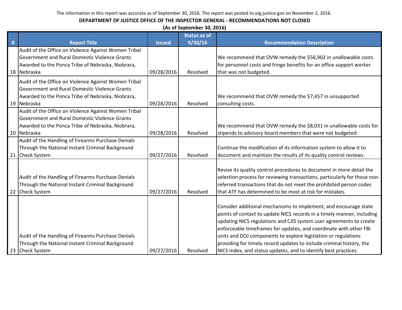|    | (As of September 30, 2016)                           |               |                     |                                                                           |  |  |
|----|------------------------------------------------------|---------------|---------------------|---------------------------------------------------------------------------|--|--|
|    |                                                      |               | <b>Status as of</b> |                                                                           |  |  |
| #  | <b>Report Title</b>                                  | <b>Issued</b> | 9/30/16             | <b>Recommendation Description</b>                                         |  |  |
|    | Audit of the Office on Violence Against Women Tribal |               |                     |                                                                           |  |  |
|    | Government and Rural Domestic Violence Grants        |               |                     | We recommend that OVW remedy the \$56,902 in unallowable costs            |  |  |
|    | Awarded to the Ponca Tribe of Nebraska, Niobrara,    |               |                     | for personnel costs and fringe benefits for an office support worker      |  |  |
|    | 18 Nebraska                                          | 09/28/2016    | Resolved            | that was not budgeted.                                                    |  |  |
|    | Audit of the Office on Violence Against Women Tribal |               |                     |                                                                           |  |  |
|    | Government and Rural Domestic Violence Grants        |               |                     |                                                                           |  |  |
|    | Awarded to the Ponca Tribe of Nebraska, Niobrara,    |               |                     | We recommend that OVW remedy the \$7,457 in unsupported                   |  |  |
|    | 19 Nebraska                                          | 09/28/2016    | Resolved            | consulting costs.                                                         |  |  |
|    | Audit of the Office on Violence Against Women Tribal |               |                     |                                                                           |  |  |
|    | Government and Rural Domestic Violence Grants        |               |                     |                                                                           |  |  |
|    | Awarded to the Ponca Tribe of Nebraska, Niobrara,    |               |                     | We recommend that OVW remedy the \$8,031 in unallowable costs for         |  |  |
|    | 20 Nebraska                                          | 09/28/2016    | Resolved            | stipends to advisory board members that were not budgeted.                |  |  |
|    | Audit of the Handling of Firearms Purchase Denials   |               |                     |                                                                           |  |  |
|    | Through the National Instant Criminal Background     |               |                     | Continue the modification of its information system to allow it to        |  |  |
|    | 21 Check System                                      | 09/27/2016    | Resolved            | document and maintain the results of its quality control reviews.         |  |  |
|    |                                                      |               |                     |                                                                           |  |  |
|    |                                                      |               |                     | Revise its quality control procedures to document in more detail the      |  |  |
|    | Audit of the Handling of Firearms Purchase Denials   |               |                     | selection process for reviewing transactions, particularly for those non- |  |  |
|    | Through the National Instant Criminal Background     |               |                     | referred transactions that do not meet the prohibited person codes        |  |  |
| 22 | <b>Check System</b>                                  | 09/27/2016    | Resolved            | that ATF has determined to be most at risk for mistakes.                  |  |  |
|    |                                                      |               |                     |                                                                           |  |  |
|    |                                                      |               |                     | Consider additional mechanisms to implement, and encourage state          |  |  |
|    |                                                      |               |                     | points of contact to update NICS records in a timely manner, including    |  |  |
|    |                                                      |               |                     | updating NICS regulations and CJIS system user agreements to create       |  |  |
|    |                                                      |               |                     | enforceable timeframes for updates, and coordinate with other FBI         |  |  |
|    | Audit of the Handling of Firearms Purchase Denials   |               |                     | units and DOJ components to explore legislation or regulations            |  |  |
|    | Through the National Instant Criminal Background     |               |                     | providing for timely record updates to include criminal history, the      |  |  |
|    | 23 Check System                                      | 09/27/2016    | Resolved            | NICS Index, and status updates, and to identify best practices.           |  |  |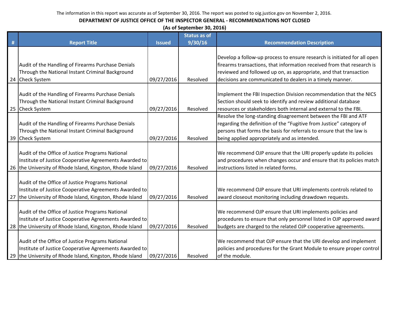|   | (As of September 30, 2016)                                                                                                                                              |               |                     |                                                                                                                                                                                                                                                               |  |
|---|-------------------------------------------------------------------------------------------------------------------------------------------------------------------------|---------------|---------------------|---------------------------------------------------------------------------------------------------------------------------------------------------------------------------------------------------------------------------------------------------------------|--|
|   |                                                                                                                                                                         |               | <b>Status as of</b> |                                                                                                                                                                                                                                                               |  |
| # | <b>Report Title</b>                                                                                                                                                     | <b>Issued</b> | 9/30/16             | <b>Recommendation Description</b>                                                                                                                                                                                                                             |  |
|   | Audit of the Handling of Firearms Purchase Denials                                                                                                                      |               |                     | Develop a follow-up process to ensure research is initiated for all open<br>firearms transactions, that information received from that research is                                                                                                            |  |
|   | Through the National Instant Criminal Background                                                                                                                        |               |                     | reviewed and followed up on, as appropriate, and that transaction                                                                                                                                                                                             |  |
|   | 24 Check System                                                                                                                                                         | 09/27/2016    | Resolved            | decisions are communicated to dealers in a timely manner.                                                                                                                                                                                                     |  |
|   | Audit of the Handling of Firearms Purchase Denials<br>Through the National Instant Criminal Background<br>25 Check System                                               | 09/27/2016    | Resolved            | Implement the FBI Inspection Division recommendation that the NICS<br>Section should seek to identify and review additional database<br>resources or stakeholders both internal and external to the FBI.                                                      |  |
|   | Audit of the Handling of Firearms Purchase Denials<br>Through the National Instant Criminal Background<br>39 Check System                                               | 09/27/2016    | Resolved            | Resolve the long-standing disagreement between the FBI and ATF<br>regarding the definition of the "Fugitive from Justice" category of<br>persons that forms the basis for referrals to ensure that the law is<br>being applied appropriately and as intended. |  |
|   | Audit of the Office of Justice Programs National<br>Institute of Justice Cooperative Agreements Awarded to<br>26 the University of Rhode Island, Kingston, Rhode Island | 09/27/2016    | Resolved            | We recommend OJP ensure that the URI properly update its policies<br>and procedures when changes occur and ensure that its policies match<br>instructions listed in related forms.                                                                            |  |
|   | Audit of the Office of Justice Programs National<br>Institute of Justice Cooperative Agreements Awarded to<br>27 the University of Rhode Island, Kingston, Rhode Island | 09/27/2016    | Resolved            | We recommend OJP ensure that URI implements controls related to<br>award closeout monitoring including drawdown requests.                                                                                                                                     |  |
|   | Audit of the Office of Justice Programs National<br>Institute of Justice Cooperative Agreements Awarded to<br>28 the University of Rhode Island, Kingston, Rhode Island | 09/27/2016    | Resolved            | We recommend OJP ensure that URI implements policies and<br>procedures to ensure that only personnel listed in OJP approved award<br>budgets are charged to the related OJP cooperative agreements.                                                           |  |
|   | Audit of the Office of Justice Programs National<br>Institute of Justice Cooperative Agreements Awarded to<br>29 the University of Rhode Island, Kingston, Rhode Island | 09/27/2016    | Resolved            | We recommend that OJP ensure that the URI develop and implement<br>policies and procedures for the Grant Module to ensure proper control<br>of the module.                                                                                                    |  |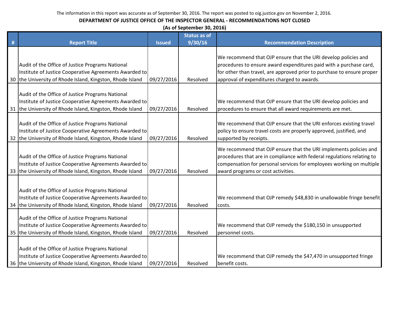| (As of September 30, 2016) |  |
|----------------------------|--|
|----------------------------|--|

|   |                                                                                                                                                                         |               | <b>Status as of</b> |                                                                                                                                                                                                                     |
|---|-------------------------------------------------------------------------------------------------------------------------------------------------------------------------|---------------|---------------------|---------------------------------------------------------------------------------------------------------------------------------------------------------------------------------------------------------------------|
| # | <b>Report Title</b>                                                                                                                                                     | <b>Issued</b> | 9/30/16             | <b>Recommendation Description</b>                                                                                                                                                                                   |
|   |                                                                                                                                                                         |               |                     | We recommend that OJP ensure that the URI develop policies and                                                                                                                                                      |
|   | Audit of the Office of Justice Programs National                                                                                                                        |               |                     | procedures to ensure award expenditures paid with a purchase card,                                                                                                                                                  |
|   | Institute of Justice Cooperative Agreements Awarded to                                                                                                                  |               |                     | for other than travel, are approved prior to purchase to ensure proper                                                                                                                                              |
|   | 30 the University of Rhode Island, Kingston, Rhode Island                                                                                                               | 09/27/2016    | Resolved            | approval of expenditures charged to awards.                                                                                                                                                                         |
|   |                                                                                                                                                                         |               |                     |                                                                                                                                                                                                                     |
|   | Audit of the Office of Justice Programs National                                                                                                                        |               |                     |                                                                                                                                                                                                                     |
|   | Institute of Justice Cooperative Agreements Awarded to                                                                                                                  |               |                     | We recommend that OJP ensure that the URI develop policies and                                                                                                                                                      |
|   | 31 the University of Rhode Island, Kingston, Rhode Island                                                                                                               | 09/27/2016    | Resolved            | procedures to ensure that all award requirements are met.                                                                                                                                                           |
|   |                                                                                                                                                                         |               |                     |                                                                                                                                                                                                                     |
|   | Audit of the Office of Justice Programs National                                                                                                                        |               |                     | We recommend that OJP ensure that the URI enforces existing travel                                                                                                                                                  |
|   | Institute of Justice Cooperative Agreements Awarded to                                                                                                                  |               |                     | policy to ensure travel costs are properly approved, justified, and                                                                                                                                                 |
|   | 32 the University of Rhode Island, Kingston, Rhode Island                                                                                                               | 09/27/2016    | Resolved            | supported by receipts.                                                                                                                                                                                              |
|   | Audit of the Office of Justice Programs National<br>Institute of Justice Cooperative Agreements Awarded to                                                              |               |                     | We recommend that OJP ensure that the URI implements policies and<br>procedures that are in compliance with federal regulations relating to<br>compensation for personal services for employees working on multiple |
|   | 33 the University of Rhode Island, Kingston, Rhode Island                                                                                                               | 09/27/2016    | Resolved            | award programs or cost activities.                                                                                                                                                                                  |
|   | Audit of the Office of Justice Programs National<br>Institute of Justice Cooperative Agreements Awarded to<br>34 the University of Rhode Island, Kingston, Rhode Island | 09/27/2016    | Resolved            | We recommend that OJP remedy \$48,830 in unallowable fringe benefit<br>costs.                                                                                                                                       |
|   | Audit of the Office of Justice Programs National<br>Institute of Justice Cooperative Agreements Awarded to<br>35 the University of Rhode Island, Kingston, Rhode Island | 09/27/2016    | Resolved            | We recommend that OJP remedy the \$180,150 in unsupported<br>personnel costs.                                                                                                                                       |
|   | Audit of the Office of Justice Programs National<br>Institute of Justice Cooperative Agreements Awarded to<br>36 the University of Rhode Island, Kingston, Rhode Island | 09/27/2016    | Resolved            | We recommend that OJP remedy the \$47,470 in unsupported fringe<br>benefit costs.                                                                                                                                   |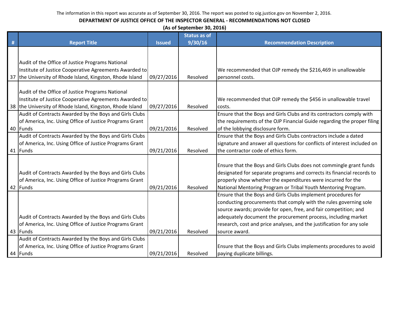|    | (As of September 30, 2016)                                |               |                     |                                                                          |  |  |
|----|-----------------------------------------------------------|---------------|---------------------|--------------------------------------------------------------------------|--|--|
|    |                                                           |               | <b>Status as of</b> |                                                                          |  |  |
| #  | <b>Report Title</b>                                       | <b>Issued</b> | 9/30/16             | <b>Recommendation Description</b>                                        |  |  |
|    |                                                           |               |                     |                                                                          |  |  |
|    |                                                           |               |                     |                                                                          |  |  |
|    | Audit of the Office of Justice Programs National          |               |                     |                                                                          |  |  |
|    | Institute of Justice Cooperative Agreements Awarded to    |               |                     | We recommended that OJP remedy the \$216,469 in unallowable              |  |  |
|    | 37 the University of Rhode Island, Kingston, Rhode Island | 09/27/2016    | Resolved            | personnel costs.                                                         |  |  |
|    |                                                           |               |                     |                                                                          |  |  |
|    | Audit of the Office of Justice Programs National          |               |                     |                                                                          |  |  |
|    | Institute of Justice Cooperative Agreements Awarded to    |               |                     | We recommended that OJP remedy the \$456 in unallowable travel           |  |  |
|    | 38 the University of Rhode Island, Kingston, Rhode Island | 09/27/2016    | Resolved            | costs.                                                                   |  |  |
|    | Audit of Contracts Awarded by the Boys and Girls Clubs    |               |                     | Ensure that the Boys and Girls Clubs and its contractors comply with     |  |  |
|    | of America, Inc. Using Office of Justice Programs Grant   |               |                     | the requirements of the OJP Financial Guide regarding the proper filing  |  |  |
|    | 40 Funds                                                  | 09/21/2016    | Resolved            | of the lobbying disclosure form.                                         |  |  |
|    | Audit of Contracts Awarded by the Boys and Girls Clubs    |               |                     | Ensure that the Boys and Girls Clubs contractors include a dated         |  |  |
|    | of America, Inc. Using Office of Justice Programs Grant   |               |                     | signature and answer all questions for conflicts of interest included on |  |  |
| 41 | Funds                                                     | 09/21/2016    | Resolved            | the contractor code of ethics form.                                      |  |  |
|    |                                                           |               |                     |                                                                          |  |  |
|    |                                                           |               |                     | Ensure that the Boys and Girls Clubs does not commingle grant funds      |  |  |
|    | Audit of Contracts Awarded by the Boys and Girls Clubs    |               |                     | designated for separate programs and corrects its financial records to   |  |  |
|    | of America, Inc. Using Office of Justice Programs Grant   |               |                     | properly show whether the expenditures were incurred for the             |  |  |
|    | 42 Funds                                                  | 09/21/2016    | Resolved            | National Mentoring Program or Tribal Youth Mentoring Program.            |  |  |
|    |                                                           |               |                     | Ensure that the Boys and Girls Clubs implement procedures for            |  |  |
|    |                                                           |               |                     | conducting procurements that comply with the rules governing sole        |  |  |
|    |                                                           |               |                     | source awards; provide for open, free, and fair competition; and         |  |  |
|    | Audit of Contracts Awarded by the Boys and Girls Clubs    |               |                     | adequately document the procurement process, including market            |  |  |
|    | of America, Inc. Using Office of Justice Programs Grant   |               |                     | research, cost and price analyses, and the justification for any sole    |  |  |
|    | 43 Funds                                                  | 09/21/2016    | Resolved            | source award.                                                            |  |  |
|    | Audit of Contracts Awarded by the Boys and Girls Clubs    |               |                     |                                                                          |  |  |
|    | of America, Inc. Using Office of Justice Programs Grant   |               |                     | Ensure that the Boys and Girls Clubs implements procedures to avoid      |  |  |
|    | 44 Funds                                                  | 09/21/2016    | Resolved            | paying duplicate billings.                                               |  |  |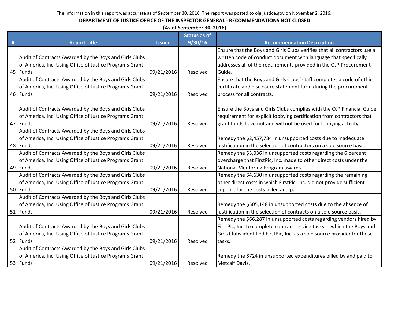| (As of September 30, 2016)                              |               |                     |                                                                           |  |
|---------------------------------------------------------|---------------|---------------------|---------------------------------------------------------------------------|--|
|                                                         |               | <b>Status as of</b> |                                                                           |  |
| <b>Report Title</b>                                     | <b>Issued</b> | 9/30/16             | <b>Recommendation Description</b>                                         |  |
|                                                         |               |                     | Ensure that the Boys and Girls Clubs verifies that all contractors use a  |  |
| Audit of Contracts Awarded by the Boys and Girls Clubs  |               |                     | written code of conduct document with language that specifically          |  |
| of America, Inc. Using Office of Justice Programs Grant |               |                     | addresses all of the requirements provided in the OJP Procurement         |  |
| 45 Funds                                                | 09/21/2016    | Resolved            | Guide.                                                                    |  |
| Audit of Contracts Awarded by the Boys and Girls Clubs  |               |                     | Ensure that the Boys and Girls Clubs' staff completes a code of ethics    |  |
| of America, Inc. Using Office of Justice Programs Grant |               |                     | certificate and disclosure statement form during the procurement          |  |
| 46 Funds                                                | 09/21/2016    | Resolved            | process for all contracts.                                                |  |
|                                                         |               |                     |                                                                           |  |
| Audit of Contracts Awarded by the Boys and Girls Clubs  |               |                     | Ensure the Boys and Girls Clubs complies with the OJP Financial Guide     |  |
| of America, Inc. Using Office of Justice Programs Grant |               |                     | requirement for explicit lobbying certification from contractors that     |  |
| 47 Funds                                                | 09/21/2016    | Resolved            | grant funds have not and will not be used for lobbying activity.          |  |
| Audit of Contracts Awarded by the Boys and Girls Clubs  |               |                     |                                                                           |  |
| of America, Inc. Using Office of Justice Programs Grant |               |                     | Remedy the \$2,457,784 in unsupported costs due to inadequate             |  |
| 48 Funds                                                | 09/21/2016    | Resolved            | justification in the selection of contractors on a sole source basis.     |  |
| Audit of Contracts Awarded by the Boys and Girls Clubs  |               |                     | Remedy the \$3,036 in unsupported costs regarding the 6 percent           |  |
| of America, Inc. Using Office of Justice Programs Grant |               |                     | overcharge that FirstPic, Inc. made to other direct costs under the       |  |
| 49 Funds                                                | 09/21/2016    | Resolved            | National Mentoring Program awards.                                        |  |
| Audit of Contracts Awarded by the Boys and Girls Clubs  |               |                     | Remedy the \$4,630 in unsupported costs regarding the remaining           |  |
| of America, Inc. Using Office of Justice Programs Grant |               |                     | other direct costs in which FirstPic, Inc. did not provide sufficient     |  |
| 50 Funds                                                | 09/21/2016    | Resolved            | support for the costs billed and paid.                                    |  |
| Audit of Contracts Awarded by the Boys and Girls Clubs  |               |                     |                                                                           |  |
| of America, Inc. Using Office of Justice Programs Grant |               |                     | Remedy the \$505,148 in unsupported costs due to the absence of           |  |
| 51 Funds                                                | 09/21/2016    | Resolved            | justification in the selection of contracts on a sole source basis.       |  |
|                                                         |               |                     | Remedy the \$66,287 in unsupported costs regarding vendors hired by       |  |
| Audit of Contracts Awarded by the Boys and Girls Clubs  |               |                     | FirstPic, Inc. to complete contract service tasks in which the Boys and   |  |
| of America, Inc. Using Office of Justice Programs Grant |               |                     | Girls Clubs identified FirstPic, Inc. as a sole source provider for those |  |
| 52 Funds                                                | 09/21/2016    | Resolved            | tasks.                                                                    |  |
| Audit of Contracts Awarded by the Boys and Girls Clubs  |               |                     |                                                                           |  |
| of America, Inc. Using Office of Justice Programs Grant |               |                     | Remedy the \$724 in unsupported expenditures billed by and paid to        |  |
| 53 Funds                                                | 09/21/2016    | Resolved            | <b>Metcalf Davis.</b>                                                     |  |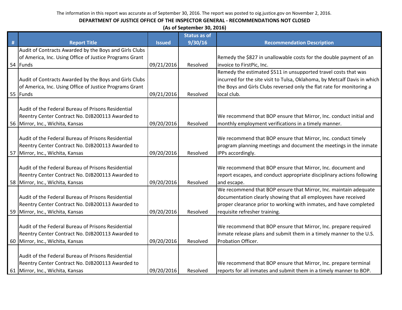|      | (As of September 30, 2016)                              |               |                     |                                                                           |  |  |
|------|---------------------------------------------------------|---------------|---------------------|---------------------------------------------------------------------------|--|--|
|      |                                                         |               | <b>Status as of</b> |                                                                           |  |  |
| $\#$ | <b>Report Title</b>                                     | <b>Issued</b> | 9/30/16             | <b>Recommendation Description</b>                                         |  |  |
|      | Audit of Contracts Awarded by the Boys and Girls Clubs  |               |                     |                                                                           |  |  |
|      | of America, Inc. Using Office of Justice Programs Grant |               |                     | Remedy the \$827 in unallowable costs for the double payment of an        |  |  |
|      | 54 Funds                                                | 09/21/2016    | Resolved            | invoice to FirstPic, Inc.                                                 |  |  |
|      |                                                         |               |                     | Remedy the estimated \$511 in unsupported travel costs that was           |  |  |
|      | Audit of Contracts Awarded by the Boys and Girls Clubs  |               |                     | incurred for the site visit to Tulsa, Oklahoma, by Metcalf Davis in which |  |  |
|      | of America, Inc. Using Office of Justice Programs Grant |               |                     | the Boys and Girls Clubs reversed only the flat rate for monitoring a     |  |  |
|      | 55 Funds                                                | 09/21/2016    | Resolved            | local club.                                                               |  |  |
|      |                                                         |               |                     |                                                                           |  |  |
|      | Audit of the Federal Bureau of Prisons Residential      |               |                     |                                                                           |  |  |
|      | Reentry Center Contract No. DJB200113 Awarded to        |               |                     | We recommend that BOP ensure that Mirror, Inc. conduct initial and        |  |  |
|      | 56   Mirror, Inc., Wichita, Kansas                      | 09/20/2016    | Resolved            | monthly employment verifications in a timely manner.                      |  |  |
|      |                                                         |               |                     |                                                                           |  |  |
|      | Audit of the Federal Bureau of Prisons Residential      |               |                     | We recommend that BOP ensure that Mirror, Inc. conduct timely             |  |  |
|      | Reentry Center Contract No. DJB200113 Awarded to        |               |                     | program planning meetings and document the meetings in the inmate         |  |  |
|      | 57 Mirror, Inc., Wichita, Kansas                        | 09/20/2016    | Resolved            | IPPs accordingly.                                                         |  |  |
|      |                                                         |               |                     |                                                                           |  |  |
|      | Audit of the Federal Bureau of Prisons Residential      |               |                     | We recommend that BOP ensure that Mirror, Inc. document and               |  |  |
|      | Reentry Center Contract No. DJB200113 Awarded to        |               |                     | report escapes, and conduct appropriate disciplinary actions following    |  |  |
|      | 58 Mirror, Inc., Wichita, Kansas                        | 09/20/2016    | Resolved            | and escape.                                                               |  |  |
|      |                                                         |               |                     | We recommend that BOP ensure that Mirror, Inc. maintain adequate          |  |  |
|      | Audit of the Federal Bureau of Prisons Residential      |               |                     | documentation clearly showing that all employees have received            |  |  |
|      | Reentry Center Contract No. DJB200113 Awarded to        |               |                     | proper clearance prior to working with inmates, and have completed        |  |  |
|      | 59 Mirror, Inc., Wichita, Kansas                        | 09/20/2016    | Resolved            | requisite refresher training.                                             |  |  |
|      |                                                         |               |                     |                                                                           |  |  |
|      | Audit of the Federal Bureau of Prisons Residential      |               |                     | We recommend that BOP ensure that Mirror, Inc. prepare required           |  |  |
|      | Reentry Center Contract No. DJB200113 Awarded to        |               |                     | inmate release plans and submit them in a timely manner to the U.S.       |  |  |
|      | 60 Mirror, Inc., Wichita, Kansas                        | 09/20/2016    | Resolved            | Probation Officer.                                                        |  |  |
|      |                                                         |               |                     |                                                                           |  |  |
|      | Audit of the Federal Bureau of Prisons Residential      |               |                     |                                                                           |  |  |
|      | Reentry Center Contract No. DJB200113 Awarded to        |               |                     | We recommend that BOP ensure that Mirror, Inc. prepare terminal           |  |  |
|      | 61 Mirror, Inc., Wichita, Kansas                        | 09/20/2016    | Resolved            | reports for all inmates and submit them in a timely manner to BOP.        |  |  |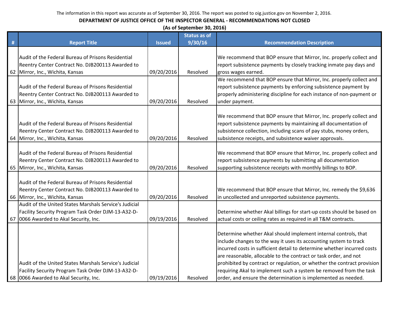|   | (As of September 30, 2016)                                                                                                                             |               |                     |                                                                                                                                                                                                                                                                                                                                                                                                                                                                                                       |  |
|---|--------------------------------------------------------------------------------------------------------------------------------------------------------|---------------|---------------------|-------------------------------------------------------------------------------------------------------------------------------------------------------------------------------------------------------------------------------------------------------------------------------------------------------------------------------------------------------------------------------------------------------------------------------------------------------------------------------------------------------|--|
|   |                                                                                                                                                        |               | <b>Status as of</b> |                                                                                                                                                                                                                                                                                                                                                                                                                                                                                                       |  |
| # | <b>Report Title</b>                                                                                                                                    | <b>Issued</b> | 9/30/16             | <b>Recommendation Description</b>                                                                                                                                                                                                                                                                                                                                                                                                                                                                     |  |
|   | Audit of the Federal Bureau of Prisons Residential<br>Reentry Center Contract No. DJB200113 Awarded to<br>62 Mirror, Inc., Wichita, Kansas             | 09/20/2016    | Resolved            | We recommend that BOP ensure that Mirror, Inc. properly collect and<br>report subsistence payments by closely tracking inmate pay days and<br>gross wages earned.                                                                                                                                                                                                                                                                                                                                     |  |
|   | Audit of the Federal Bureau of Prisons Residential<br>Reentry Center Contract No. DJB200113 Awarded to<br>63 Mirror, Inc., Wichita, Kansas             | 09/20/2016    | Resolved            | We recommend that BOP ensure that Mirror, Inc. properly collect and<br>report subsistence payments by enforcing subsistence payment by<br>properly administering discipline for each instance of non-payment or<br>under payment.                                                                                                                                                                                                                                                                     |  |
|   | Audit of the Federal Bureau of Prisons Residential<br>Reentry Center Contract No. DJB200113 Awarded to<br>64 Mirror, Inc., Wichita, Kansas             | 09/20/2016    | Resolved            | We recommend that BOP ensure that Mirror, Inc. properly collect and<br>report subsistence payments by maintaining all documentation of<br>subsistence collection, including scans of pay stubs, money orders,<br>subsistence receipts, and subsistence waiver approvals.                                                                                                                                                                                                                              |  |
|   | Audit of the Federal Bureau of Prisons Residential<br>Reentry Center Contract No. DJB200113 Awarded to<br>65 Mirror, Inc., Wichita, Kansas             | 09/20/2016    | Resolved            | We recommend that BOP ensure that Mirror, Inc. properly collect and<br>report subsistence payments by submitting all documentation<br>supporting subsistence receipts with monthly billings to BOP.                                                                                                                                                                                                                                                                                                   |  |
|   | Audit of the Federal Bureau of Prisons Residential<br>Reentry Center Contract No. DJB200113 Awarded to<br>66 Mirror, Inc., Wichita, Kansas             | 09/20/2016    | Resolved            | We recommend that BOP ensure that Mirror, Inc. remedy the \$9,636<br>in uncollected and unreported subsistence payments.                                                                                                                                                                                                                                                                                                                                                                              |  |
|   | Audit of the United States Marshals Service's Judicial<br>Facility Security Program Task Order DJM-13-A32-D-<br>67 0066 Awarded to Akal Security, Inc. | 09/19/2016    | Resolved            | Determine whether Akal billings for start-up costs should be based on<br>actual costs or ceiling rates as required in all T&M contracts.                                                                                                                                                                                                                                                                                                                                                              |  |
|   | Audit of the United States Marshals Service's Judicial<br>Facility Security Program Task Order DJM-13-A32-D-<br>68 0066 Awarded to Akal Security, Inc. | 09/19/2016    | Resolved            | Determine whether Akal should implement internal controls, that<br>include changes to the way it uses its accounting system to track<br>incurred costs in sufficient detail to determine whether incurred costs<br>are reasonable, allocable to the contract or task order, and not<br>prohibited by contract or regulation, or whether the contract provision<br>requiring Akal to implement such a system be removed from the task<br>order, and ensure the determination is implemented as needed. |  |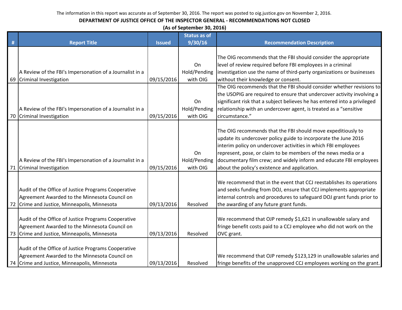|   | (As of September 30, 2016)                                                                                                                           |               |                                |                                                                                                                                                                                                                                                                                                                                                                                            |  |  |  |
|---|------------------------------------------------------------------------------------------------------------------------------------------------------|---------------|--------------------------------|--------------------------------------------------------------------------------------------------------------------------------------------------------------------------------------------------------------------------------------------------------------------------------------------------------------------------------------------------------------------------------------------|--|--|--|
|   |                                                                                                                                                      |               | <b>Status as of</b>            |                                                                                                                                                                                                                                                                                                                                                                                            |  |  |  |
| # | <b>Report Title</b>                                                                                                                                  | <b>Issued</b> | 9/30/16                        | <b>Recommendation Description</b>                                                                                                                                                                                                                                                                                                                                                          |  |  |  |
|   |                                                                                                                                                      |               |                                | The OIG recommends that the FBI should consider the appropriate                                                                                                                                                                                                                                                                                                                            |  |  |  |
|   |                                                                                                                                                      |               | On                             | level of review required before FBI employees in a criminal                                                                                                                                                                                                                                                                                                                                |  |  |  |
|   | A Review of the FBI's Impersonation of a Journalist in a                                                                                             |               | Hold/Pending                   | investigation use the name of third-party organizations or businesses                                                                                                                                                                                                                                                                                                                      |  |  |  |
|   | 69 Criminal Investigation                                                                                                                            | 09/15/2016    | with OIG                       | without their knowledge or consent.                                                                                                                                                                                                                                                                                                                                                        |  |  |  |
|   |                                                                                                                                                      |               |                                | The OIG recommends that the FBI should consider whether revisions to<br>the USOPIG are required to ensure that undercover activity involving a                                                                                                                                                                                                                                             |  |  |  |
|   |                                                                                                                                                      |               | On                             | significant risk that a subject believes he has entered into a privileged                                                                                                                                                                                                                                                                                                                  |  |  |  |
|   | A Review of the FBI's Impersonation of a Journalist in a                                                                                             |               | Hold/Pending                   | relationship with an undercover agent, is treated as a "sensitive                                                                                                                                                                                                                                                                                                                          |  |  |  |
|   | 70 Criminal Investigation                                                                                                                            | 09/15/2016    | with OIG                       | circumstance."                                                                                                                                                                                                                                                                                                                                                                             |  |  |  |
|   | A Review of the FBI's Impersonation of a Journalist in a<br>71 Criminal Investigation                                                                | 09/15/2016    | On<br>Hold/Pending<br>with OIG | The OIG recommends that the FBI should move expeditiously to<br>update its undercover policy guide to incorporate the June 2016<br>interim policy on undercover activities in which FBI employees<br>represent, pose, or claim to be members of the news media or a<br>documentary film crew; and widely inform and educate FBI employees<br>about the policy's existence and application. |  |  |  |
|   | Audit of the Office of Justice Programs Cooperative<br>Agreement Awarded to the Minnesota Council on<br>72 Crime and Justice, Minneapolis, Minnesota | 09/13/2016    | Resolved                       | We recommend that in the event that CCJ reestablishes its operations<br>and seeks funding from DOJ, ensure that CCJ implements appropriate<br>internal controls and procedures to safeguard DOJ grant funds prior to<br>the awarding of any future grant funds.                                                                                                                            |  |  |  |
|   | Audit of the Office of Justice Programs Cooperative<br>Agreement Awarded to the Minnesota Council on<br>73 Crime and Justice, Minneapolis, Minnesota | 09/13/2016    | Resolved                       | We recommend that OJP remedy \$1,621 in unallowable salary and<br>fringe benefit costs paid to a CCJ employee who did not work on the<br>OVC grant.                                                                                                                                                                                                                                        |  |  |  |
|   | Audit of the Office of Justice Programs Cooperative<br>Agreement Awarded to the Minnesota Council on<br>74 Crime and Justice, Minneapolis, Minnesota | 09/13/2016    | Resolved                       | We recommend that OJP remedy \$123,129 in unallowable salaries and<br>fringe benefits of the unapproved CCJ employees working on the grant.                                                                                                                                                                                                                                                |  |  |  |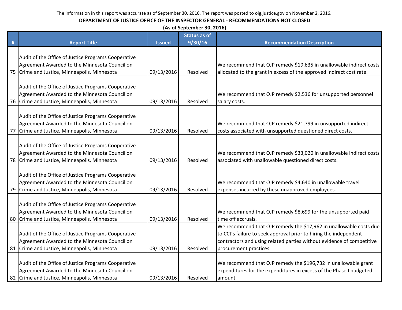|    | (As of September 30, 2016)                          |               |                     |                                                                       |  |  |
|----|-----------------------------------------------------|---------------|---------------------|-----------------------------------------------------------------------|--|--|
|    |                                                     |               | <b>Status as of</b> |                                                                       |  |  |
| #  | <b>Report Title</b>                                 | <b>Issued</b> | 9/30/16             | <b>Recommendation Description</b>                                     |  |  |
|    |                                                     |               |                     |                                                                       |  |  |
|    | Audit of the Office of Justice Programs Cooperative |               |                     |                                                                       |  |  |
|    | Agreement Awarded to the Minnesota Council on       |               |                     | We recommend that OJP remedy \$19,635 in unallowable indirect costs   |  |  |
|    | 75 Crime and Justice, Minneapolis, Minnesota        | 09/13/2016    | Resolved            | allocated to the grant in excess of the approved indirect cost rate.  |  |  |
|    | Audit of the Office of Justice Programs Cooperative |               |                     |                                                                       |  |  |
|    | Agreement Awarded to the Minnesota Council on       |               |                     | We recommend that OJP remedy \$2,536 for unsupported personnel        |  |  |
|    | 76 Crime and Justice, Minneapolis, Minnesota        | 09/13/2016    | Resolved            | salary costs.                                                         |  |  |
|    |                                                     |               |                     |                                                                       |  |  |
|    | Audit of the Office of Justice Programs Cooperative |               |                     |                                                                       |  |  |
|    | Agreement Awarded to the Minnesota Council on       |               |                     | We recommend that OJP remedy \$21,799 in unsupported indirect         |  |  |
| 77 | Crime and Justice, Minneapolis, Minnesota           | 09/13/2016    | Resolved            | costs associated with unsupported questioned direct costs.            |  |  |
|    |                                                     |               |                     |                                                                       |  |  |
|    | Audit of the Office of Justice Programs Cooperative |               |                     |                                                                       |  |  |
|    | Agreement Awarded to the Minnesota Council on       |               |                     | We recommend that OJP remedy \$33,020 in unallowable indirect costs   |  |  |
|    | 78 Crime and Justice, Minneapolis, Minnesota        | 09/13/2016    | Resolved            | associated with unallowable questioned direct costs.                  |  |  |
|    |                                                     |               |                     |                                                                       |  |  |
|    | Audit of the Office of Justice Programs Cooperative |               |                     |                                                                       |  |  |
|    | Agreement Awarded to the Minnesota Council on       |               |                     | We recommend that OJP remedy \$4,640 in unallowable travel            |  |  |
|    | 79 Crime and Justice, Minneapolis, Minnesota        | 09/13/2016    | Resolved            | expenses incurred by these unapproved employees.                      |  |  |
|    |                                                     |               |                     |                                                                       |  |  |
|    | Audit of the Office of Justice Programs Cooperative |               |                     |                                                                       |  |  |
|    | Agreement Awarded to the Minnesota Council on       |               |                     | We recommend that OJP remedy \$8,699 for the unsupported paid         |  |  |
|    | 80 Crime and Justice, Minneapolis, Minnesota        | 09/13/2016    | Resolved            | time off accruals.                                                    |  |  |
|    |                                                     |               |                     | We recommend that OJP remedy the \$17,962 in unallowable costs due    |  |  |
|    | Audit of the Office of Justice Programs Cooperative |               |                     | to CCJ's failure to seek approval prior to hiring the independent     |  |  |
|    | Agreement Awarded to the Minnesota Council on       |               |                     | contractors and using related parties without evidence of competitive |  |  |
|    | 81 Crime and Justice, Minneapolis, Minnesota        | 09/13/2016    | Resolved            | procurement practices.                                                |  |  |
|    |                                                     |               |                     |                                                                       |  |  |
|    | Audit of the Office of Justice Programs Cooperative |               |                     | We recommend that OJP remedy the \$196,732 in unallowable grant       |  |  |
|    | Agreement Awarded to the Minnesota Council on       |               |                     | expenditures for the expenditures in excess of the Phase I budgeted   |  |  |
|    | 82 Crime and Justice, Minneapolis, Minnesota        | 09/13/2016    | Resolved            | amount.                                                               |  |  |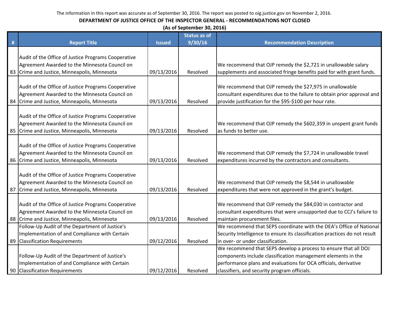|   | (As of September 30, 2016)                          |               |                     |                                                                            |  |  |
|---|-----------------------------------------------------|---------------|---------------------|----------------------------------------------------------------------------|--|--|
|   |                                                     |               | <b>Status as of</b> |                                                                            |  |  |
| # | <b>Report Title</b>                                 | <b>Issued</b> | 9/30/16             | <b>Recommendation Description</b>                                          |  |  |
|   |                                                     |               |                     |                                                                            |  |  |
|   | Audit of the Office of Justice Programs Cooperative |               |                     |                                                                            |  |  |
|   | Agreement Awarded to the Minnesota Council on       |               |                     | We recommend that OJP remedy the \$2,721 in unallowable salary             |  |  |
|   | 83 Crime and Justice, Minneapolis, Minnesota        | 09/13/2016    | Resolved            | supplements and associated fringe benefits paid for with grant funds.      |  |  |
|   |                                                     |               |                     |                                                                            |  |  |
|   | Audit of the Office of Justice Programs Cooperative |               |                     | We recommend that OJP remedy the \$27,975 in unallowable                   |  |  |
|   | Agreement Awarded to the Minnesota Council on       |               |                     | consultant expenditures due to the failure to obtain prior approval and    |  |  |
|   | 84 Crime and Justice, Minneapolis, Minnesota        | 09/13/2016    | Resolved            | provide justification for the \$95-\$100 per hour rate.                    |  |  |
|   |                                                     |               |                     |                                                                            |  |  |
|   | Audit of the Office of Justice Programs Cooperative |               |                     |                                                                            |  |  |
|   | Agreement Awarded to the Minnesota Council on       |               |                     | We recommend that OJP remedy the \$602,359 in unspent grant funds          |  |  |
|   | 85 Crime and Justice, Minneapolis, Minnesota        | 09/13/2016    | Resolved            | as funds to better use.                                                    |  |  |
|   |                                                     |               |                     |                                                                            |  |  |
|   | Audit of the Office of Justice Programs Cooperative |               |                     |                                                                            |  |  |
|   | Agreement Awarded to the Minnesota Council on       |               |                     | We recommend that OJP remedy the \$7,724 in unallowable travel             |  |  |
|   | 86 Crime and Justice, Minneapolis, Minnesota        | 09/13/2016    | Resolved            | expenditures incurred by the contractors and consultants.                  |  |  |
|   |                                                     |               |                     |                                                                            |  |  |
|   | Audit of the Office of Justice Programs Cooperative |               |                     |                                                                            |  |  |
|   | Agreement Awarded to the Minnesota Council on       |               |                     | We recommend that OJP remedy the \$8,544 in unallowable                    |  |  |
|   | 87 Crime and Justice, Minneapolis, Minnesota        | 09/13/2016    | Resolved            | expenditures that were not approved in the grant's budget.                 |  |  |
|   |                                                     |               |                     |                                                                            |  |  |
|   | Audit of the Office of Justice Programs Cooperative |               |                     | We recommend that OJP remedy the \$84,030 in contractor and                |  |  |
|   | Agreement Awarded to the Minnesota Council on       |               |                     | consultant expenditures that were unsupported due to CCJ's failure to      |  |  |
|   | 88 Crime and Justice, Minneapolis, Minnesota        | 09/13/2016    | Resolved            | maintain procurement files.                                                |  |  |
|   | Follow-Up Audit of the Department of Justice's      |               |                     | We recommend that SEPS coordinate with the DEA's Office of National        |  |  |
|   | Implementation of and Compliance with Certain       |               |                     | Security Intelligence to ensure its classification practices do not result |  |  |
|   | 89 Classification Requirements                      | 09/12/2016    | Resolved            | in over- or under classification.                                          |  |  |
|   |                                                     |               |                     | We recommend that SEPS develop a process to ensure that all DOJ            |  |  |
|   | Follow-Up Audit of the Department of Justice's      |               |                     | components include classification management elements in the               |  |  |
|   | Implementation of and Compliance with Certain       |               |                     | performance plans and evaluations for OCA officials, derivative            |  |  |
|   | 90 Classification Requirements                      | 09/12/2016    | Resolved            | classifiers, and security program officials.                               |  |  |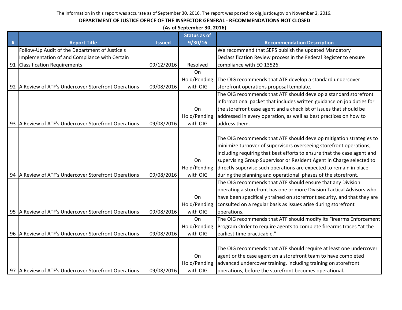|   | (As of September 30, 2016)                            |               |                     |                                                                          |  |
|---|-------------------------------------------------------|---------------|---------------------|--------------------------------------------------------------------------|--|
|   |                                                       |               | <b>Status as of</b> |                                                                          |  |
| # | <b>Report Title</b>                                   | <b>Issued</b> | 9/30/16             | <b>Recommendation Description</b>                                        |  |
|   | Follow-Up Audit of the Department of Justice's        |               |                     | We recommend that SEPS publish the updated Mandatory                     |  |
|   | Implementation of and Compliance with Certain         |               |                     | Declassification Review process in the Federal Register to ensure        |  |
|   | 91 Classification Requirements                        | 09/12/2016    | Resolved            | compliance with EO 13526.                                                |  |
|   |                                                       |               | On                  |                                                                          |  |
|   |                                                       |               | Hold/Pending        | The OIG recommends that ATF develop a standard undercover                |  |
|   | 92 A Review of ATF's Undercover Storefront Operations | 09/08/2016    | with OIG            | storefront operations proposal template.                                 |  |
|   |                                                       |               |                     | The OIG recommends that ATF should develop a standard storefront         |  |
|   |                                                       |               |                     | informational packet that includes written guidance on job duties for    |  |
|   |                                                       |               | On                  | the storefront case agent and a checklist of issues that should be       |  |
|   |                                                       |               | Hold/Pending        | addressed in every operation, as well as best practices on how to        |  |
|   | 93 A Review of ATF's Undercover Storefront Operations | 09/08/2016    | with OIG            | address them.                                                            |  |
|   |                                                       |               |                     |                                                                          |  |
|   |                                                       |               |                     | The OIG recommends that ATF should develop mitigation strategies to      |  |
|   |                                                       |               |                     | minimize turnover of supervisors overseeing storefront operations,       |  |
|   |                                                       |               |                     | including requiring that best efforts to ensure that the case agent and  |  |
|   |                                                       |               | On                  | supervising Group Supervisor or Resident Agent in Charge selected to     |  |
|   |                                                       |               | Hold/Pending        | directly supervise such operations are expected to remain in place       |  |
|   | 94 A Review of ATF's Undercover Storefront Operations | 09/08/2016    | with OIG            | during the planning and operational phases of the storefront.            |  |
|   |                                                       |               |                     | The OIG recommends that ATF should ensure that any Division              |  |
|   |                                                       |               |                     | operating a storefront has one or more Division Tactical Advisors who    |  |
|   |                                                       |               | On                  | have been specifically trained on storefront security, and that they are |  |
|   |                                                       |               | Hold/Pending        | consulted on a regular basis as issues arise during storefront           |  |
|   | 95 A Review of ATF's Undercover Storefront Operations | 09/08/2016    | with OIG            | operations.                                                              |  |
|   |                                                       |               | On                  | The OIG recommends that ATF should modify its Firearms Enforcement       |  |
|   |                                                       |               | Hold/Pending        | Program Order to require agents to complete firearms traces "at the      |  |
|   | 96 A Review of ATF's Undercover Storefront Operations | 09/08/2016    | with OIG            | earliest time practicable."                                              |  |
|   |                                                       |               |                     |                                                                          |  |
|   |                                                       |               |                     | The OIG recommends that ATF should require at least one undercover       |  |
|   |                                                       |               | On                  | agent or the case agent on a storefront team to have completed           |  |
|   |                                                       |               | Hold/Pending        | advanced undercover training, including training on storefront           |  |
|   | 97 A Review of ATF's Undercover Storefront Operations | 09/08/2016    | with OIG            | operations, before the storefront becomes operational.                   |  |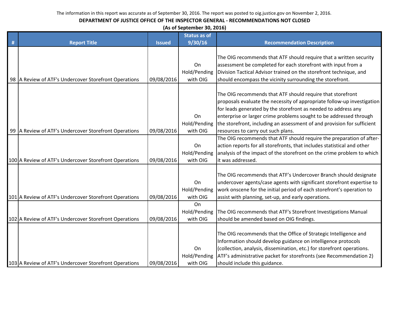|   | (As of September 30, 2016)                             |               |                     |                                                                         |  |  |  |
|---|--------------------------------------------------------|---------------|---------------------|-------------------------------------------------------------------------|--|--|--|
|   |                                                        |               | <b>Status as of</b> |                                                                         |  |  |  |
| # | <b>Report Title</b>                                    | <b>Issued</b> | 9/30/16             | <b>Recommendation Description</b>                                       |  |  |  |
|   |                                                        |               |                     |                                                                         |  |  |  |
|   |                                                        |               |                     | The OIG recommends that ATF should require that a written security      |  |  |  |
|   |                                                        |               | On                  | assessment be completed for each storefront with input from a           |  |  |  |
|   |                                                        |               | Hold/Pending        | Division Tactical Advisor trained on the storefront technique, and      |  |  |  |
|   | 98 A Review of ATF's Undercover Storefront Operations  | 09/08/2016    | with OIG            | should encompass the vicinity surrounding the storefront.               |  |  |  |
|   |                                                        |               |                     |                                                                         |  |  |  |
|   |                                                        |               |                     | The OIG recommends that ATF should require that storefront              |  |  |  |
|   |                                                        |               |                     | proposals evaluate the necessity of appropriate follow-up investigation |  |  |  |
|   |                                                        |               |                     | for leads generated by the storefront as needed to address any          |  |  |  |
|   |                                                        |               | On                  | enterprise or larger crime problems sought to be addressed through      |  |  |  |
|   |                                                        |               | Hold/Pending        | the storefront, including an assessment of and provision for sufficient |  |  |  |
|   | 99 A Review of ATF's Undercover Storefront Operations  | 09/08/2016    | with OIG            | resources to carry out such plans.                                      |  |  |  |
|   |                                                        |               |                     | The OIG recommends that ATF should require the preparation of after-    |  |  |  |
|   |                                                        |               | On                  | action reports for all storefronts, that includes statistical and other |  |  |  |
|   |                                                        |               | Hold/Pending        | analysis of the impact of the storefront on the crime problem to which  |  |  |  |
|   | 100 A Review of ATF's Undercover Storefront Operations | 09/08/2016    | with OIG            | it was addressed.                                                       |  |  |  |
|   |                                                        |               |                     |                                                                         |  |  |  |
|   |                                                        |               |                     | The OIG recommends that ATF's Undercover Branch should designate        |  |  |  |
|   |                                                        |               | On                  | undercover agents/case agents with significant storefront expertise to  |  |  |  |
|   |                                                        |               | Hold/Pending        | work onscene for the initial period of each storefront's operation to   |  |  |  |
|   | 101 A Review of ATF's Undercover Storefront Operations | 09/08/2016    | with OIG            | assist with planning, set-up, and early operations.                     |  |  |  |
|   |                                                        |               | On                  |                                                                         |  |  |  |
|   |                                                        |               | Hold/Pending        | The OIG recommends that ATF's Storefront Investigations Manual          |  |  |  |
|   | 102 A Review of ATF's Undercover Storefront Operations | 09/08/2016    | with OIG            | should be amended based on OIG findings.                                |  |  |  |
|   |                                                        |               |                     |                                                                         |  |  |  |
|   |                                                        |               |                     | The OIG recommends that the Office of Strategic Intelligence and        |  |  |  |
|   |                                                        |               |                     | Information should develop guidance on intelligence protocols           |  |  |  |
|   |                                                        |               | On                  | (collection, analysis, dissemination, etc.) for storefront operations.  |  |  |  |
|   |                                                        |               | Hold/Pending        | ATF's administrative packet for storefronts (see Recommendation 2)      |  |  |  |
|   | 103 A Review of ATF's Undercover Storefront Operations | 09/08/2016    | with OIG            | should include this guidance.                                           |  |  |  |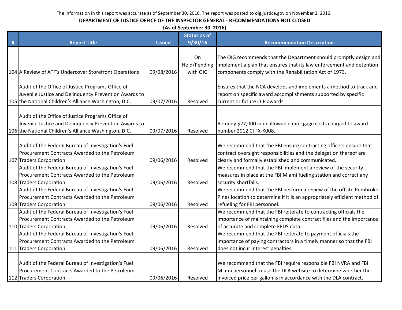|   | (As of September 30, 2016)                                                     |               |                     |                                                                                                                                   |  |  |
|---|--------------------------------------------------------------------------------|---------------|---------------------|-----------------------------------------------------------------------------------------------------------------------------------|--|--|
|   |                                                                                |               | <b>Status as of</b> |                                                                                                                                   |  |  |
| # | <b>Report Title</b>                                                            | <b>Issued</b> | 9/30/16             | <b>Recommendation Description</b>                                                                                                 |  |  |
|   |                                                                                |               |                     |                                                                                                                                   |  |  |
|   |                                                                                |               | On                  | The OIG recommends that the Department should promptly design and                                                                 |  |  |
|   |                                                                                |               | Hold/Pending        | implement a plan that ensures that its law enforcement and detention                                                              |  |  |
|   | 104 A Review of ATF's Undercover Storefront Operations                         | 09/08/2016    | with OIG            | components comply with the Rehabilitation Act of 1973.                                                                            |  |  |
|   |                                                                                |               |                     |                                                                                                                                   |  |  |
|   | Audit of the Office of Justice Programs Office of                              |               |                     | Ensures that the NCA develops and implements a method to track and                                                                |  |  |
|   | Juvenile Justice and Delinquency Prevention Awards to                          |               |                     | report on specific award accomplishments supported by specific                                                                    |  |  |
|   | 105 the National Children's Alliance Washington, D.C.                          | 09/07/2016    | Resolved            | current or future OJP awards.                                                                                                     |  |  |
|   |                                                                                |               |                     |                                                                                                                                   |  |  |
|   | Audit of the Office of Justice Programs Office of                              |               |                     |                                                                                                                                   |  |  |
|   | Juvenile Justice and Delinquency Prevention Awards to                          |               |                     | Remedy \$27,000 in unallowable mortgage costs charged to award                                                                    |  |  |
|   | 106 the National Children's Alliance Washington, D.C.                          | 09/07/2016    | Resolved            | number 2012 CI FX-K008.                                                                                                           |  |  |
|   | Audit of the Federal Bureau of Investigation's Fuel                            |               |                     | We recommend that the FBI ensure contracting officers ensure that                                                                 |  |  |
|   | Procurement Contracts Awarded to the Petroleum                                 |               |                     | contract oversight responsibilities and the delegation thereof are                                                                |  |  |
|   | 107 Traders Corporation                                                        | 09/06/2016    | Resolved            | clearly and formally established and communicated.                                                                                |  |  |
|   | Audit of the Federal Bureau of Investigation's Fuel                            |               |                     | We recommend that the FBI implement a review of the security                                                                      |  |  |
|   | Procurement Contracts Awarded to the Petroleum                                 |               |                     | measures in place at the FBI Miami fueling station and correct any                                                                |  |  |
|   | 108 Traders Corporation                                                        | 09/06/2016    | Resolved            | security shortfalls.                                                                                                              |  |  |
|   | Audit of the Federal Bureau of Investigation's Fuel                            |               |                     | We recommend that the FBI perform a review of the offsite Pembroke                                                                |  |  |
|   | Procurement Contracts Awarded to the Petroleum                                 |               |                     | Pines location to determine if it is an appropriately efficient method of                                                         |  |  |
|   |                                                                                |               | Resolved            |                                                                                                                                   |  |  |
|   | 109 Traders Corporation<br>Audit of the Federal Bureau of Investigation's Fuel | 09/06/2016    |                     | refueling for FBI personnel.<br>We recommend that the FBI reiterate to contracting officials the                                  |  |  |
|   | Procurement Contracts Awarded to the Petroleum                                 |               |                     |                                                                                                                                   |  |  |
|   |                                                                                |               |                     | importance of maintaining complete contract files and the importance                                                              |  |  |
|   | 110 Traders Corporation                                                        | 09/06/2016    | Resolved            | of accurate and complete FPDS data.                                                                                               |  |  |
|   | Audit of the Federal Bureau of Investigation's Fuel                            |               |                     | We recommend that the FBI reiterate to payment officials the                                                                      |  |  |
|   | Procurement Contracts Awarded to the Petroleum                                 |               |                     | importance of paying contractors in a timely manner so that the FBI                                                               |  |  |
|   | 111 Traders Corporation                                                        | 09/06/2016    | Resolved            | does not incur interest penalties.                                                                                                |  |  |
|   | Audit of the Federal Bureau of Investigation's Fuel                            |               |                     |                                                                                                                                   |  |  |
|   | Procurement Contracts Awarded to the Petroleum                                 |               |                     | We recommend that the FBI require responsible FBI NVRA and FBI<br>Miami personnel to use the DLA website to determine whether the |  |  |
|   |                                                                                |               |                     |                                                                                                                                   |  |  |
|   | 112 Traders Corporation                                                        | 09/06/2016    | Resolved            | invoiced price per gallon is in accordance with the DLA contract.                                                                 |  |  |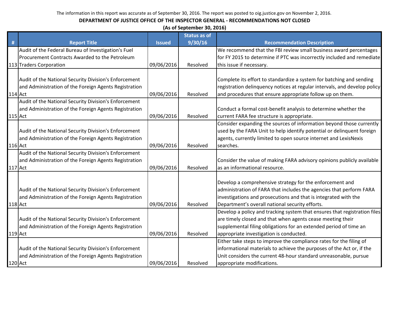|                |                                                       |               | (As of September 30, 2016) |                                                                           |
|----------------|-------------------------------------------------------|---------------|----------------------------|---------------------------------------------------------------------------|
|                |                                                       |               | <b>Status as of</b>        |                                                                           |
| #              | <b>Report Title</b>                                   | <b>Issued</b> | 9/30/16                    | <b>Recommendation Description</b>                                         |
|                | Audit of the Federal Bureau of Investigation's Fuel   |               |                            | We recommend that the FBI review small business award percentages         |
|                | Procurement Contracts Awarded to the Petroleum        |               |                            | for FY 2015 to determine if PTC was incorrectly included and remediate    |
|                | 113 Traders Corporation                               | 09/06/2016    | Resolved                   | this issue if necessary.                                                  |
|                |                                                       |               |                            |                                                                           |
|                | Audit of the National Security Division's Enforcement |               |                            | Complete its effort to standardize a system for batching and sending      |
|                | and Administration of the Foreign Agents Registration |               |                            | registration delinquency notices at regular intervals, and develop policy |
|                | $114$ Act                                             | 09/06/2016    | Resolved                   | and procedures that ensure appropriate follow up on them.                 |
|                | Audit of the National Security Division's Enforcement |               |                            |                                                                           |
|                | and Administration of the Foreign Agents Registration |               |                            | Conduct a formal cost-benefit analysis to determine whether the           |
| <b>115</b> Act |                                                       | 09/06/2016    | Resolved                   | current FARA fee structure is appropriate.                                |
|                |                                                       |               |                            | Consider expanding the sources of information beyond those currently      |
|                | Audit of the National Security Division's Enforcement |               |                            | used by the FARA Unit to help identify potential or delinquent foreign    |
|                | and Administration of the Foreign Agents Registration |               |                            | agents, currently limited to open source internet and LexisNexis          |
| <b>116</b> Act |                                                       | 09/06/2016    | Resolved                   | searches.                                                                 |
|                | Audit of the National Security Division's Enforcement |               |                            |                                                                           |
|                | and Administration of the Foreign Agents Registration |               |                            | Consider the value of making FARA advisory opinions publicly available    |
| 117 Act        |                                                       | 09/06/2016    | Resolved                   | as an informational resource.                                             |
|                |                                                       |               |                            | Develop a comprehensive strategy for the enforcement and                  |
|                | Audit of the National Security Division's Enforcement |               |                            | administration of FARA that includes the agencies that perform FARA       |
|                | and Administration of the Foreign Agents Registration |               |                            | investigations and prosecutions and that is integrated with the           |
|                | 118 Act                                               | 09/06/2016    | Resolved                   | Department's overall national security efforts.                           |
|                |                                                       |               |                            |                                                                           |
|                |                                                       |               |                            | Develop a policy and tracking system that ensures that registration files |
|                | Audit of the National Security Division's Enforcement |               |                            | are timely closed and that when agents cease meeting their                |
|                | and Administration of the Foreign Agents Registration |               |                            | supplemental filing obligations for an extended period of time an         |
| 119 Act        |                                                       | 09/06/2016    | Resolved                   | appropriate investigation is conducted.                                   |
|                |                                                       |               |                            | Either take steps to improve the compliance rates for the filing of       |
|                | Audit of the National Security Division's Enforcement |               |                            | informational materials to achieve the purposes of the Act or, if the     |
|                | and Administration of the Foreign Agents Registration |               |                            | Unit considers the current 48-hour standard unreasonable, pursue          |
|                | 120 Act                                               | 09/06/2016    | Resolved                   | appropriate modifications.                                                |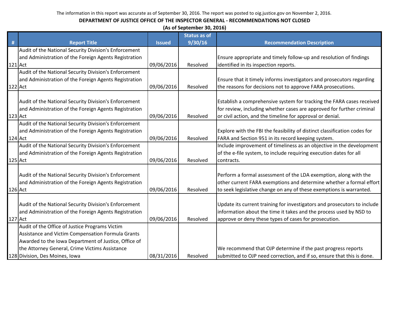|                | (As of September 30, 2016)                            |               |                     |                                                                           |  |  |
|----------------|-------------------------------------------------------|---------------|---------------------|---------------------------------------------------------------------------|--|--|
|                |                                                       |               | <b>Status as of</b> |                                                                           |  |  |
| #              | <b>Report Title</b>                                   | <b>Issued</b> | 9/30/16             | <b>Recommendation Description</b>                                         |  |  |
|                | Audit of the National Security Division's Enforcement |               |                     |                                                                           |  |  |
|                | and Administration of the Foreign Agents Registration |               |                     | Ensure appropriate and timely follow-up and resolution of findings        |  |  |
| 121 Act        |                                                       | 09/06/2016    | Resolved            | identified in its inspection reports.                                     |  |  |
|                | Audit of the National Security Division's Enforcement |               |                     |                                                                           |  |  |
|                | and Administration of the Foreign Agents Registration |               |                     | Ensure that it timely informs investigators and prosecutors regarding     |  |  |
| $122$ Act      |                                                       | 09/06/2016    | Resolved            | the reasons for decisions not to approve FARA prosecutions.               |  |  |
|                |                                                       |               |                     |                                                                           |  |  |
|                | Audit of the National Security Division's Enforcement |               |                     | Establish a comprehensive system for tracking the FARA cases received     |  |  |
|                | and Administration of the Foreign Agents Registration |               |                     | for review, including whether cases are approved for further criminal     |  |  |
| 123 Act        |                                                       | 09/06/2016    | Resolved            | or civil action, and the timeline for approval or denial.                 |  |  |
|                | Audit of the National Security Division's Enforcement |               |                     |                                                                           |  |  |
|                | and Administration of the Foreign Agents Registration |               |                     | Explore with the FBI the feasibility of distinct classification codes for |  |  |
| 124 Act        |                                                       | 09/06/2016    | Resolved            | FARA and Section 951 in its record keeping system.                        |  |  |
|                | Audit of the National Security Division's Enforcement |               |                     | Include improvement of timeliness as an objective in the development      |  |  |
|                | and Administration of the Foreign Agents Registration |               |                     | of the e-file system, to include requiring execution dates for all        |  |  |
| $125$ Act      |                                                       | 09/06/2016    | Resolved            | contracts.                                                                |  |  |
|                |                                                       |               |                     |                                                                           |  |  |
|                | Audit of the National Security Division's Enforcement |               |                     | Perform a formal assessment of the LDA exemption, along with the          |  |  |
|                | and Administration of the Foreign Agents Registration |               |                     | other current FARA exemptions and determine whether a formal effort       |  |  |
| 126 Act        |                                                       | 09/06/2016    | Resolved            | to seek legislative change on any of these exemptions is warranted.       |  |  |
|                | Audit of the National Security Division's Enforcement |               |                     | Update its current training for investigators and prosecutors to include  |  |  |
|                | and Administration of the Foreign Agents Registration |               |                     | information about the time it takes and the process used by NSD to        |  |  |
| <b>127</b> Act |                                                       | 09/06/2016    | Resolved            | approve or deny these types of cases for prosecution.                     |  |  |
|                | Audit of the Office of Justice Programs Victim        |               |                     |                                                                           |  |  |
|                | Assistance and Victim Compensation Formula Grants     |               |                     |                                                                           |  |  |
|                | Awarded to the Iowa Department of Justice, Office of  |               |                     |                                                                           |  |  |
|                | the Attorney General, Crime Victims Assistance        |               |                     | We recommend that OJP determine if the past progress reports              |  |  |
|                | 128 Division, Des Moines, Iowa                        | 08/31/2016    | Resolved            | submitted to OJP need correction, and if so, ensure that this is done.    |  |  |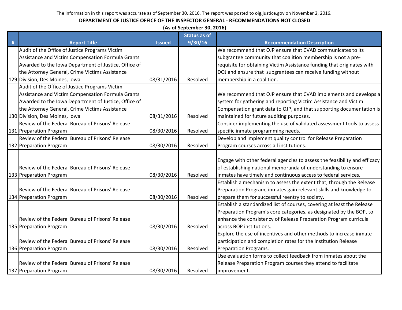# **DEPARTMENT OF JUSTICE OFFICE OF THE INSPECTOR GENERAL - RECOMMENDATIONS NOT CLOSED**

**(As of September 30, 2016)**

|   |                                                      |               | <b>Status as of</b> |                                                                           |
|---|------------------------------------------------------|---------------|---------------------|---------------------------------------------------------------------------|
| # | <b>Report Title</b>                                  | <b>Issued</b> | 9/30/16             | <b>Recommendation Description</b>                                         |
|   | Audit of the Office of Justice Programs Victim       |               |                     | We recommend that OJP ensure that CVAD communicates to its                |
|   | Assistance and Victim Compensation Formula Grants    |               |                     | subgrantee community that coalition membership is not a pre-              |
|   | Awarded to the Iowa Department of Justice, Office of |               |                     | requisite for obtaining Victim Assistance funding that originates with    |
|   | the Attorney General, Crime Victims Assistance       |               |                     | DOJ and ensure that subgrantees can receive funding without               |
|   | 129 Division, Des Moines, Iowa                       | 08/31/2016    | Resolved            | membership in a coalition.                                                |
|   | Audit of the Office of Justice Programs Victim       |               |                     |                                                                           |
|   | Assistance and Victim Compensation Formula Grants    |               |                     | We recommend that OJP ensure that CVAD implements and develops a          |
|   | Awarded to the Iowa Department of Justice, Office of |               |                     | system for gathering and reporting Victim Assistance and Victim           |
|   | the Attorney General, Crime Victims Assistance       |               |                     | Compensation grant data to OJP, and that supporting documentation is      |
|   | 130 Division, Des Moines, Iowa                       | 08/31/2016    | Resolved            | maintained for future auditing purposes.                                  |
|   | Review of the Federal Bureau of Prisons' Release     |               |                     | Consider implementing the use of validated assessment tools to assess     |
|   | 131 Preparation Program                              | 08/30/2016    | Resolved            | specific inmate programming needs.                                        |
|   | Review of the Federal Bureau of Prisons' Release     |               |                     | Develop and implement quality control for Release Preparation             |
|   | 132 Preparation Program                              | 08/30/2016    | Resolved            | Program courses across all institutions.                                  |
|   |                                                      |               |                     |                                                                           |
|   |                                                      |               |                     | Engage with other federal agencies to assess the feasibility and efficacy |
|   | Review of the Federal Bureau of Prisons' Release     |               |                     | of establishing national memoranda of understanding to ensure             |
|   | 133 Preparation Program                              | 08/30/2016    | Resolved            | inmates have timely and continuous access to federal services.            |
|   |                                                      |               |                     | Establish a mechanism to assess the extent that, through the Release      |
|   | Review of the Federal Bureau of Prisons' Release     |               |                     | Preparation Program, inmates gain relevant skills and knowledge to        |
|   | 134 Preparation Program                              | 08/30/2016    | Resolved            | prepare them for successful reentry to society.                           |
|   |                                                      |               |                     | Establish a standardized list of courses, covering at least the Release   |
|   |                                                      |               |                     | Preparation Program's core categories, as designated by the BOP, to       |
|   | Review of the Federal Bureau of Prisons' Release     |               |                     | enhance the consistency of Release Preparation Program curricula          |
|   | 135 Preparation Program                              | 08/30/2016    | Resolved            | across BOP institutions.                                                  |
|   |                                                      |               |                     | Explore the use of incentives and other methods to increase inmate        |
|   | Review of the Federal Bureau of Prisons' Release     |               |                     | participation and completion rates for the Institution Release            |
|   | 136 Preparation Program                              | 08/30/2016    | Resolved            | Preparation Programs.                                                     |
|   |                                                      |               |                     | Use evaluation forms to collect feedback from inmates about the           |
|   | Review of the Federal Bureau of Prisons' Release     |               |                     | Release Preparation Program courses they attend to facilitate             |
|   | 137 Preparation Program                              | 08/30/2016    | Resolved            | improvement.                                                              |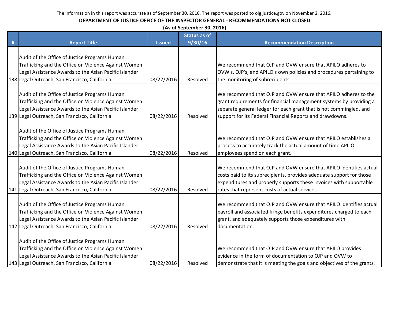|   | (As of September 30, 2016)                                                                                                                                                                                      |               |                     |                                                                                                                                                                                                                                                                        |  |  |
|---|-----------------------------------------------------------------------------------------------------------------------------------------------------------------------------------------------------------------|---------------|---------------------|------------------------------------------------------------------------------------------------------------------------------------------------------------------------------------------------------------------------------------------------------------------------|--|--|
|   |                                                                                                                                                                                                                 |               | <b>Status as of</b> |                                                                                                                                                                                                                                                                        |  |  |
| # | <b>Report Title</b>                                                                                                                                                                                             | <b>Issued</b> | 9/30/16             | <b>Recommendation Description</b>                                                                                                                                                                                                                                      |  |  |
|   | Audit of the Office of Justice Programs Human                                                                                                                                                                   |               |                     |                                                                                                                                                                                                                                                                        |  |  |
|   | Trafficking and the Office on Violence Against Women                                                                                                                                                            |               |                     | We recommend that OJP and OVW ensure that APILO adheres to                                                                                                                                                                                                             |  |  |
|   | Legal Assistance Awards to the Asian Pacific Islander                                                                                                                                                           |               |                     | OVW's, OJP's, and APILO's own policies and procedures pertaining to                                                                                                                                                                                                    |  |  |
|   | 138 Legal Outreach, San Francisco, California                                                                                                                                                                   | 08/22/2016    | Resolved            | the monitoring of subrecipients.                                                                                                                                                                                                                                       |  |  |
|   | Audit of the Office of Justice Programs Human<br>Trafficking and the Office on Violence Against Women<br>Legal Assistance Awards to the Asian Pacific Islander<br>139 Legal Outreach, San Francisco, California | 08/22/2016    | Resolved            | We recommend that OJP and OVW ensure that APILO adheres to the<br>grant requirements for financial management systems by providing a<br>separate general ledger for each grant that is not commingled, and<br>support for its Federal Financial Reports and drawdowns. |  |  |
|   | Audit of the Office of Justice Programs Human<br>Trafficking and the Office on Violence Against Women<br>Legal Assistance Awards to the Asian Pacific Islander<br>140 Legal Outreach, San Francisco, California | 08/22/2016    | Resolved            | We recommend that OJP and OVW ensure that APILO establishes a<br>process to accurately track the actual amount of time APILO<br>employees spend on each grant.                                                                                                         |  |  |
|   | Audit of the Office of Justice Programs Human<br>Trafficking and the Office on Violence Against Women<br>Legal Assistance Awards to the Asian Pacific Islander<br>141 Legal Outreach, San Francisco, California | 08/22/2016    | Resolved            | We recommend that OJP and OVW ensure that APILO identifies actual<br>costs paid to its subrecipients, provides adequate support for those<br>expenditures and properly supports these invoices with supportable<br>rates that represent costs of actual services.      |  |  |
|   | Audit of the Office of Justice Programs Human<br>Trafficking and the Office on Violence Against Women<br>Legal Assistance Awards to the Asian Pacific Islander<br>142 Legal Outreach, San Francisco, California | 08/22/2016    | Resolved            | We recommend that OJP and OVW ensure that APILO identifies actual<br>payroll and associated fringe benefits expenditures charged to each<br>grant, and adequately supports those expenditures with<br>documentation.                                                   |  |  |
|   | Audit of the Office of Justice Programs Human<br>Trafficking and the Office on Violence Against Women<br>Legal Assistance Awards to the Asian Pacific Islander<br>143 Legal Outreach, San Francisco, California | 08/22/2016    | Resolved            | We recommend that OJP and OVW ensure that APILO provides<br>evidence in the form of documentation to OJP and OVW to<br>demonstrate that it is meeting the goals and objectives of the grants.                                                                          |  |  |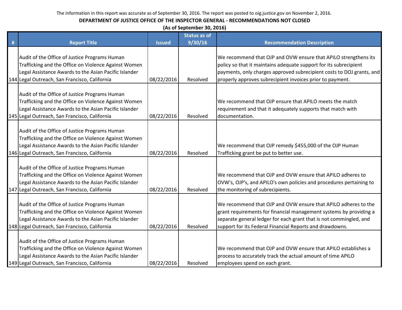|   | (As of September 30, 2016)                                                                                                                                                                                      |               |                     |                                                                                                                                                                                                                                                                            |  |  |  |
|---|-----------------------------------------------------------------------------------------------------------------------------------------------------------------------------------------------------------------|---------------|---------------------|----------------------------------------------------------------------------------------------------------------------------------------------------------------------------------------------------------------------------------------------------------------------------|--|--|--|
|   |                                                                                                                                                                                                                 |               | <b>Status as of</b> |                                                                                                                                                                                                                                                                            |  |  |  |
| # | <b>Report Title</b>                                                                                                                                                                                             | <b>Issued</b> | 9/30/16             | <b>Recommendation Description</b>                                                                                                                                                                                                                                          |  |  |  |
|   | Audit of the Office of Justice Programs Human<br>Trafficking and the Office on Violence Against Women<br>Legal Assistance Awards to the Asian Pacific Islander<br>144 Legal Outreach, San Francisco, California | 08/22/2016    | Resolved            | We recommend that OJP and OVW ensure that APILO strengthens its<br>policy so that it maintains adequate support for its subrecipient<br>payments, only charges approved subrecipient costs to DOJ grants, and<br>properly approves subrecipient invoices prior to payment. |  |  |  |
|   | Audit of the Office of Justice Programs Human<br>Trafficking and the Office on Violence Against Women<br>Legal Assistance Awards to the Asian Pacific Islander<br>145 Legal Outreach, San Francisco, California | 08/22/2016    | Resolved            | We recommend that OJP ensure that APILO meets the match<br>requirement and that it adequately supports that match with<br>documentation.                                                                                                                                   |  |  |  |
|   | Audit of the Office of Justice Programs Human<br>Trafficking and the Office on Violence Against Women<br>Legal Assistance Awards to the Asian Pacific Islander<br>146 Legal Outreach, San Francisco, California | 08/22/2016    | Resolved            | We recommend that OJP remedy \$455,000 of the OJP Human<br>Trafficking grant be put to better use.                                                                                                                                                                         |  |  |  |
|   | Audit of the Office of Justice Programs Human<br>Trafficking and the Office on Violence Against Women<br>Legal Assistance Awards to the Asian Pacific Islander<br>147 Legal Outreach, San Francisco, California | 08/22/2016    | Resolved            | We recommend that OJP and OVW ensure that APILO adheres to<br>OVW's, OJP's, and APILO's own policies and procedures pertaining to<br>the monitoring of subrecipients.                                                                                                      |  |  |  |
|   | Audit of the Office of Justice Programs Human<br>Trafficking and the Office on Violence Against Women<br>Legal Assistance Awards to the Asian Pacific Islander<br>148 Legal Outreach, San Francisco, California | 08/22/2016    | Resolved            | We recommend that OJP and OVW ensure that APILO adheres to the<br>grant requirements for financial management systems by providing a<br>separate general ledger for each grant that is not commingled, and<br>support for its Federal Financial Reports and drawdowns.     |  |  |  |
|   | Audit of the Office of Justice Programs Human<br>Trafficking and the Office on Violence Against Women<br>Legal Assistance Awards to the Asian Pacific Islander<br>149 Legal Outreach, San Francisco, California | 08/22/2016    | Resolved            | We recommend that OJP and OVW ensure that APILO establishes a<br>process to accurately track the actual amount of time APILO<br>employees spend on each grant.                                                                                                             |  |  |  |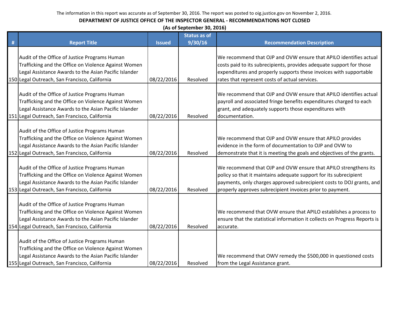|   | (As of September 30, 2016)                            |               |                     |                                                                            |  |  |  |
|---|-------------------------------------------------------|---------------|---------------------|----------------------------------------------------------------------------|--|--|--|
|   |                                                       |               | <b>Status as of</b> |                                                                            |  |  |  |
| # | <b>Report Title</b>                                   | <b>Issued</b> | 9/30/16             | <b>Recommendation Description</b>                                          |  |  |  |
|   | Audit of the Office of Justice Programs Human         |               |                     | We recommend that OJP and OVW ensure that APILO identifies actual          |  |  |  |
|   | Trafficking and the Office on Violence Against Women  |               |                     | costs paid to its subrecipients, provides adequate support for those       |  |  |  |
|   | Legal Assistance Awards to the Asian Pacific Islander |               |                     | expenditures and properly supports these invoices with supportable         |  |  |  |
|   | 150 Legal Outreach, San Francisco, California         | 08/22/2016    | Resolved            | rates that represent costs of actual services.                             |  |  |  |
|   |                                                       |               |                     |                                                                            |  |  |  |
|   | Audit of the Office of Justice Programs Human         |               |                     | We recommend that OJP and OVW ensure that APILO identifies actual          |  |  |  |
|   | Trafficking and the Office on Violence Against Women  |               |                     | payroll and associated fringe benefits expenditures charged to each        |  |  |  |
|   | Legal Assistance Awards to the Asian Pacific Islander |               |                     | grant, and adequately supports those expenditures with                     |  |  |  |
|   | 151 Legal Outreach, San Francisco, California         | 08/22/2016    | Resolved            | documentation.                                                             |  |  |  |
|   |                                                       |               |                     |                                                                            |  |  |  |
|   | Audit of the Office of Justice Programs Human         |               |                     |                                                                            |  |  |  |
|   | Trafficking and the Office on Violence Against Women  |               |                     | We recommend that OJP and OVW ensure that APILO provides                   |  |  |  |
|   | Legal Assistance Awards to the Asian Pacific Islander |               |                     | evidence in the form of documentation to OJP and OVW to                    |  |  |  |
|   | 152 Legal Outreach, San Francisco, California         | 08/22/2016    | Resolved            | demonstrate that it is meeting the goals and objectives of the grants.     |  |  |  |
|   |                                                       |               |                     |                                                                            |  |  |  |
|   | Audit of the Office of Justice Programs Human         |               |                     | We recommend that OJP and OVW ensure that APILO strengthens its            |  |  |  |
|   | Trafficking and the Office on Violence Against Women  |               |                     | policy so that it maintains adequate support for its subrecipient          |  |  |  |
|   | Legal Assistance Awards to the Asian Pacific Islander |               |                     | payments, only charges approved subrecipient costs to DOJ grants, and      |  |  |  |
|   | 153 Legal Outreach, San Francisco, California         | 08/22/2016    | Resolved            | properly approves subrecipient invoices prior to payment.                  |  |  |  |
|   | Audit of the Office of Justice Programs Human         |               |                     |                                                                            |  |  |  |
|   | Trafficking and the Office on Violence Against Women  |               |                     | We recommend that OVW ensure that APILO establishes a process to           |  |  |  |
|   | Legal Assistance Awards to the Asian Pacific Islander |               |                     | ensure that the statistical information it collects on Progress Reports is |  |  |  |
|   | 154 Legal Outreach, San Francisco, California         | 08/22/2016    | Resolved            | accurate.                                                                  |  |  |  |
|   |                                                       |               |                     |                                                                            |  |  |  |
|   | Audit of the Office of Justice Programs Human         |               |                     |                                                                            |  |  |  |
|   | Trafficking and the Office on Violence Against Women  |               |                     |                                                                            |  |  |  |
|   | Legal Assistance Awards to the Asian Pacific Islander |               |                     | We recommend that OWV remedy the \$500,000 in questioned costs             |  |  |  |
|   | 155 Legal Outreach, San Francisco, California         | 08/22/2016    | Resolved            | from the Legal Assistance grant.                                           |  |  |  |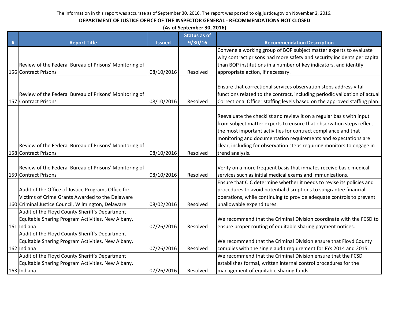|   | (As of September 30, 2016)                             |               |                     |                                                                            |  |  |
|---|--------------------------------------------------------|---------------|---------------------|----------------------------------------------------------------------------|--|--|
|   |                                                        |               | <b>Status as of</b> |                                                                            |  |  |
| # | <b>Report Title</b>                                    | <b>Issued</b> | 9/30/16             | <b>Recommendation Description</b>                                          |  |  |
|   |                                                        |               |                     | Convene a working group of BOP subject matter experts to evaluate          |  |  |
|   |                                                        |               |                     | why contract prisons had more safety and security incidents per capita     |  |  |
|   | Review of the Federal Bureau of Prisons' Monitoring of |               |                     | than BOP institutions in a number of key indicators, and identify          |  |  |
|   | 156 Contract Prisons                                   | 08/10/2016    | Resolved            | appropriate action, if necessary.                                          |  |  |
|   |                                                        |               |                     |                                                                            |  |  |
|   |                                                        |               |                     | Ensure that correctional services observation steps address vital          |  |  |
|   | Review of the Federal Bureau of Prisons' Monitoring of |               |                     | functions related to the contract, including periodic validation of actual |  |  |
|   | 157 Contract Prisons                                   | 08/10/2016    | Resolved            | Correctional Officer staffing levels based on the approved staffing plan.  |  |  |
|   |                                                        |               |                     |                                                                            |  |  |
|   |                                                        |               |                     | Reevaluate the checklist and review it on a regular basis with input       |  |  |
|   |                                                        |               |                     | from subject matter experts to ensure that observation steps reflect       |  |  |
|   |                                                        |               |                     | the most important activities for contract compliance and that             |  |  |
|   |                                                        |               |                     | monitoring and documentation requirements and expectations are             |  |  |
|   | Review of the Federal Bureau of Prisons' Monitoring of |               |                     | clear, including for observation steps requiring monitors to engage in     |  |  |
|   | 158 Contract Prisons                                   | 08/10/2016    | Resolved            | trend analysis.                                                            |  |  |
|   |                                                        |               |                     |                                                                            |  |  |
|   | Review of the Federal Bureau of Prisons' Monitoring of |               |                     | Verify on a more frequent basis that inmates receive basic medical         |  |  |
|   | 159 Contract Prisons                                   | 08/10/2016    | Resolved            | services such as initial medical exams and immunizations.                  |  |  |
|   |                                                        |               |                     | Ensure that CJC determine whether it needs to revise its policies and      |  |  |
|   | Audit of the Office of Justice Programs Office for     |               |                     | procedures to avoid potential disruptions to subgrantee financial          |  |  |
|   | Victims of Crime Grants Awarded to the Delaware        |               |                     | operations, while continuing to provide adequate controls to prevent       |  |  |
|   | 160 Criminal Justice Council, Wilmington, Delaware     | 08/02/2016    | Resolved            | unallowable expenditures.                                                  |  |  |
|   | Audit of the Floyd County Sheriff's Department         |               |                     |                                                                            |  |  |
|   | Equitable Sharing Program Activities, New Albany,      |               |                     | We recommend that the Criminal Division coordinate with the FCSD to        |  |  |
|   | 161 Indiana                                            | 07/26/2016    | Resolved            | ensure proper routing of equitable sharing payment notices.                |  |  |
|   | Audit of the Floyd County Sheriff's Department         |               |                     |                                                                            |  |  |
|   | Equitable Sharing Program Activities, New Albany,      |               |                     | We recommend that the Criminal Division ensure that Floyd County           |  |  |
|   | 162 Indiana                                            | 07/26/2016    | Resolved            | complies with the single audit requirement for FYs 2014 and 2015.          |  |  |
|   | Audit of the Floyd County Sheriff's Department         |               |                     | We recommend that the Criminal Division ensure that the FCSD               |  |  |
|   | Equitable Sharing Program Activities, New Albany,      |               |                     | establishes formal, written internal control procedures for the            |  |  |
|   | 163 Indiana                                            | 07/26/2016    | Resolved            | management of equitable sharing funds.                                     |  |  |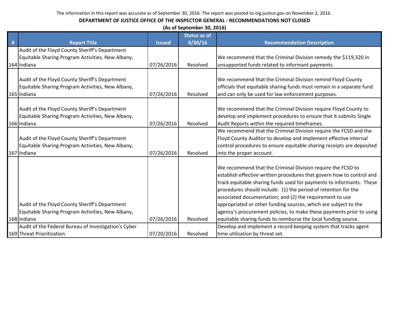|   | (As of September 30, 2016)                                                                                         |               |                     |                                                                                                                                                                                                                                                                                                                                                                                                                                                                                                                                                         |  |  |
|---|--------------------------------------------------------------------------------------------------------------------|---------------|---------------------|---------------------------------------------------------------------------------------------------------------------------------------------------------------------------------------------------------------------------------------------------------------------------------------------------------------------------------------------------------------------------------------------------------------------------------------------------------------------------------------------------------------------------------------------------------|--|--|
|   |                                                                                                                    |               | <b>Status as of</b> |                                                                                                                                                                                                                                                                                                                                                                                                                                                                                                                                                         |  |  |
| # | <b>Report Title</b>                                                                                                | <b>Issued</b> | 9/30/16             | <b>Recommendation Description</b>                                                                                                                                                                                                                                                                                                                                                                                                                                                                                                                       |  |  |
|   | Audit of the Floyd County Sheriff's Department                                                                     |               |                     |                                                                                                                                                                                                                                                                                                                                                                                                                                                                                                                                                         |  |  |
|   | Equitable Sharing Program Activities, New Albany,                                                                  |               |                     | We recommend that the Criminal Division remedy the \$119,320 in                                                                                                                                                                                                                                                                                                                                                                                                                                                                                         |  |  |
|   | 164 Indiana                                                                                                        | 07/26/2016    | Resolved            | unsupported funds related to informant payments.                                                                                                                                                                                                                                                                                                                                                                                                                                                                                                        |  |  |
|   | Audit of the Floyd County Sheriff's Department                                                                     |               |                     | We recommend that the Criminal Division remind Floyd County                                                                                                                                                                                                                                                                                                                                                                                                                                                                                             |  |  |
|   | Equitable Sharing Program Activities, New Albany,                                                                  |               |                     | officials that equitable sharing funds must remain in a separate fund                                                                                                                                                                                                                                                                                                                                                                                                                                                                                   |  |  |
|   | 165 Indiana                                                                                                        | 07/26/2016    | Resolved            | and can only be used for law enforcement purposes.                                                                                                                                                                                                                                                                                                                                                                                                                                                                                                      |  |  |
|   | Audit of the Floyd County Sheriff's Department<br>Equitable Sharing Program Activities, New Albany,<br>166 Indiana | 07/26/2016    | Resolved            | We recommend that the Criminal Division require Floyd County to<br>develop and implement procedures to ensure that it submits Single<br>Audit Reports within the required timeframes.                                                                                                                                                                                                                                                                                                                                                                   |  |  |
|   |                                                                                                                    |               |                     | We recommend that the Criminal Division require the FCSD and the                                                                                                                                                                                                                                                                                                                                                                                                                                                                                        |  |  |
|   | Audit of the Floyd County Sheriff's Department                                                                     |               |                     | Floyd County Auditor to develop and implement effective internal                                                                                                                                                                                                                                                                                                                                                                                                                                                                                        |  |  |
|   | Equitable Sharing Program Activities, New Albany,                                                                  |               |                     | control procedures to ensure equitable sharing receipts are deposited                                                                                                                                                                                                                                                                                                                                                                                                                                                                                   |  |  |
|   | 167 Indiana                                                                                                        | 07/26/2016    | Resolved            | into the proper account.                                                                                                                                                                                                                                                                                                                                                                                                                                                                                                                                |  |  |
|   | Audit of the Floyd County Sheriff's Department<br>Equitable Sharing Program Activities, New Albany,<br>168 Indiana | 07/26/2016    | Resolved            | We recommend that the Criminal Division require the FCSD to<br>establish effective written procedures that govern how to control and<br>track equitable sharing funds used for payments to informants. These<br>procedures should include: (1) the period of retention for the<br>associated documentation; and (2) the requirement to use<br>appropriated or other funding sources, which are subject to the<br>agency's procurement policies, to make these payments prior to using<br>equitable sharing funds to reimburse the local funding source. |  |  |
|   | Audit of the Federal Bureau of Investigation's Cyber                                                               |               |                     | Develop and implement a record keeping system that tracks agent                                                                                                                                                                                                                                                                                                                                                                                                                                                                                         |  |  |
|   | 169 Threat Prioritization                                                                                          | 07/20/2016    | Resolved            | time utilization by threat set.                                                                                                                                                                                                                                                                                                                                                                                                                                                                                                                         |  |  |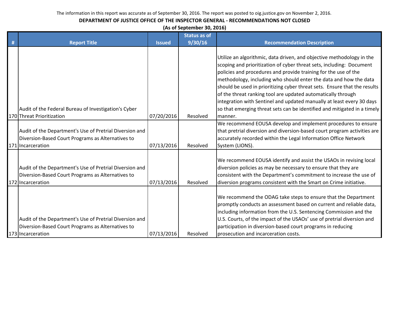## **DEPARTMENT OF JUSTICE OFFICE OF THE INSPECTOR GENERAL - RECOMMENDATIONS NOT CLOSED**

**(As of September 30, 2016)**

| # | <b>Report Title</b>                                                                                                               | <b>Issued</b> | <b>Status as of</b><br>9/30/16 | <b>Recommendation Description</b>                                                                                                                                                                                                                                                                                                                                                                                                                                                                           |
|---|-----------------------------------------------------------------------------------------------------------------------------------|---------------|--------------------------------|-------------------------------------------------------------------------------------------------------------------------------------------------------------------------------------------------------------------------------------------------------------------------------------------------------------------------------------------------------------------------------------------------------------------------------------------------------------------------------------------------------------|
|   |                                                                                                                                   |               |                                |                                                                                                                                                                                                                                                                                                                                                                                                                                                                                                             |
|   |                                                                                                                                   |               |                                | Utilize an algorithmic, data driven, and objective methodology in the<br>scoping and prioritization of cyber threat sets, including: Document<br>policies and procedures and provide training for the use of the<br>methodology, including who should enter the data and how the data<br>should be used in prioritizing cyber threat sets. Ensure that the results<br>of the threat ranking tool are updated automatically through<br>integration with Sentinel and updated manually at least every 30 days |
|   | Audit of the Federal Bureau of Investigation's Cyber                                                                              |               |                                | so that emerging threat sets can be identified and mitigated in a timely                                                                                                                                                                                                                                                                                                                                                                                                                                    |
|   | 170 Threat Prioritization                                                                                                         | 07/20/2016    | Resolved                       | manner.                                                                                                                                                                                                                                                                                                                                                                                                                                                                                                     |
|   | Audit of the Department's Use of Pretrial Diversion and<br>Diversion-Based Court Programs as Alternatives to<br>171 Incarceration | 07/13/2016    | Resolved                       | We recommend EOUSA develop and implement procedures to ensure<br>that pretrial diversion and diversion-based court program activities are<br>accurately recorded within the Legal Information Office Network<br>System (LIONS).                                                                                                                                                                                                                                                                             |
|   | Audit of the Department's Use of Pretrial Diversion and<br>Diversion-Based Court Programs as Alternatives to<br>172 Incarceration | 07/13/2016    | Resolved                       | We recommend EOUSA identify and assist the USAOs in revising local<br>diversion policies as may be necessary to ensure that they are<br>consistent with the Department's commitment to increase the use of<br>diversion programs consistent with the Smart on Crime initiative.                                                                                                                                                                                                                             |
|   | Audit of the Department's Use of Pretrial Diversion and<br>Diversion-Based Court Programs as Alternatives to<br>173 Incarceration | 07/13/2016    | Resolved                       | We recommend the ODAG take steps to ensure that the Department<br>promptly conducts an assessment based on current and reliable data,<br>including information from the U.S. Sentencing Commission and the<br>U.S. Courts, of the impact of the USAOs' use of pretrial diversion and<br>participation in diversion-based court programs in reducing<br>prosecution and incarceration costs.                                                                                                                 |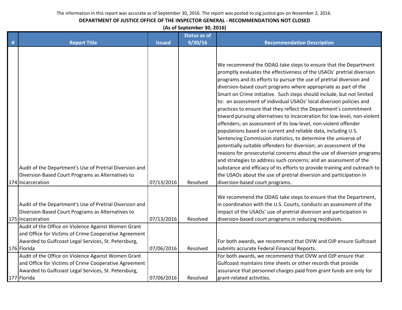## **DEPARTMENT OF JUSTICE OFFICE OF THE INSPECTOR GENERAL - RECOMMENDATIONS NOT CLOSED**

**(As of September 30, 2016)**

|   |                                                                                                                                                                                     |               | <b>Status as of</b> |                                                                                                                                                                                                                                                                                                                                                                                                                                                                                                                                                                                                                                                                                                                                                                                                                                                                                                                                                                                                                                                                                                                                                                                                       |
|---|-------------------------------------------------------------------------------------------------------------------------------------------------------------------------------------|---------------|---------------------|-------------------------------------------------------------------------------------------------------------------------------------------------------------------------------------------------------------------------------------------------------------------------------------------------------------------------------------------------------------------------------------------------------------------------------------------------------------------------------------------------------------------------------------------------------------------------------------------------------------------------------------------------------------------------------------------------------------------------------------------------------------------------------------------------------------------------------------------------------------------------------------------------------------------------------------------------------------------------------------------------------------------------------------------------------------------------------------------------------------------------------------------------------------------------------------------------------|
| # | <b>Report Title</b>                                                                                                                                                                 | <b>Issued</b> | 9/30/16             | <b>Recommendation Description</b>                                                                                                                                                                                                                                                                                                                                                                                                                                                                                                                                                                                                                                                                                                                                                                                                                                                                                                                                                                                                                                                                                                                                                                     |
|   | Audit of the Department's Use of Pretrial Diversion and<br>Diversion-Based Court Programs as Alternatives to<br>174 Incarceration                                                   | 07/13/2016    | Resolved            | We recommend the ODAG take steps to ensure that the Department<br>promptly evaluates the effectiveness of the USAOs' pretrial diversion<br>programs and its efforts to pursue the use of pretrial diversion and<br>diversion-based court programs where appropriate as part of the<br>Smart on Crime initiative. Such steps should include, but not limited<br>to: an assessment of individual USAOs' local diversion policies and<br>practices to ensure that they reflect the Department's commitment<br>toward pursuing alternatives to incarceration for low-level, non-violent<br>offenders; an assessment of its low-level, non-violent offender<br>populations based on current and reliable data, including U.S.<br>Sentencing Commission statistics, to determine the universe of<br>potentially suitable offenders for diversion; an assessment of the<br>reasons for prosecutorial concerns about the use of diversion programs<br>and strategies to address such concerns; and an assessment of the<br>substance and efficacy of its efforts to provide training and outreach to<br>the USAOs about the use of pretrial diversion and participation in<br>diversion-based court programs. |
|   | Audit of the Department's Use of Pretrial Diversion and<br>Diversion-Based Court Programs as Alternatives to<br>175 Incarceration                                                   | 07/13/2016    | Resolved            | We recommend the ODAG take steps to ensure that the Department,<br>in coordination with the U.S. Courts, conducts an assessment of the<br>impact of the USAOs' use of pretrial diversion and participation in<br>diversion-based court programs in reducing recidivism.                                                                                                                                                                                                                                                                                                                                                                                                                                                                                                                                                                                                                                                                                                                                                                                                                                                                                                                               |
|   | Audit of the Office on Violence Against Women Grant<br>and Office for Victims of Crime Cooperative Agreement<br>Awarded to Gulfcoast Legal Services, St. Petersburg,<br>176 Florida | 07/06/2016    | Resolved            | For both awards, we recommend that OVW and OJP ensure Gulfcoast<br>submits accurate Federal Financial Reports.                                                                                                                                                                                                                                                                                                                                                                                                                                                                                                                                                                                                                                                                                                                                                                                                                                                                                                                                                                                                                                                                                        |
|   | Audit of the Office on Violence Against Women Grant<br>and Office for Victims of Crime Cooperative Agreement<br>Awarded to Gulfcoast Legal Services, St. Petersburg,<br>177 Florida | 07/06/2016    | Resolved            | For both awards, we recommend that OVW and OJP ensure that<br>Gulfcoast maintains time sheets or other records that provide<br>assurance that personnel charges paid from grant funds are only for<br>grant-related activities.                                                                                                                                                                                                                                                                                                                                                                                                                                                                                                                                                                                                                                                                                                                                                                                                                                                                                                                                                                       |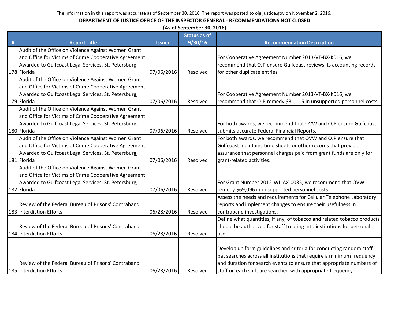| (As of September 30, 2016)                            |               |                     |                                                                         |  |  |
|-------------------------------------------------------|---------------|---------------------|-------------------------------------------------------------------------|--|--|
|                                                       |               | <b>Status as of</b> |                                                                         |  |  |
| <b>Report Title</b>                                   | <b>Issued</b> | 9/30/16             | <b>Recommendation Description</b>                                       |  |  |
| Audit of the Office on Violence Against Women Grant   |               |                     |                                                                         |  |  |
| and Office for Victims of Crime Cooperative Agreement |               |                     | For Cooperative Agreement Number 2013-VT-BX-K016, we                    |  |  |
| Awarded to Gulfcoast Legal Services, St. Petersburg,  |               |                     | recommend that OJP ensure Gulfcoast reviews its accounting records      |  |  |
| 178 Florida                                           | 07/06/2016    | Resolved            | for other duplicate entries.                                            |  |  |
| Audit of the Office on Violence Against Women Grant   |               |                     |                                                                         |  |  |
| and Office for Victims of Crime Cooperative Agreement |               |                     |                                                                         |  |  |
| Awarded to Gulfcoast Legal Services, St. Petersburg,  |               |                     | For Cooperative Agreement Number 2013-VT-BX-K016, we                    |  |  |
| 179 Florida                                           | 07/06/2016    | Resolved            | recommend that OJP remedy \$31,115 in unsupported personnel costs.      |  |  |
| Audit of the Office on Violence Against Women Grant   |               |                     |                                                                         |  |  |
| and Office for Victims of Crime Cooperative Agreement |               |                     |                                                                         |  |  |
| Awarded to Gulfcoast Legal Services, St. Petersburg,  |               |                     | For both awards, we recommend that OVW and OJP ensure Gulfcoast         |  |  |
| 180 Florida                                           | 07/06/2016    | Resolved            | submits accurate Federal Financial Reports.                             |  |  |
| Audit of the Office on Violence Against Women Grant   |               |                     | For both awards, we recommend that OVW and OJP ensure that              |  |  |
| and Office for Victims of Crime Cooperative Agreement |               |                     | Gulfcoast maintains time sheets or other records that provide           |  |  |
| Awarded to Gulfcoast Legal Services, St. Petersburg,  |               |                     | assurance that personnel charges paid from grant funds are only for     |  |  |
| 181 Florida                                           | 07/06/2016    | Resolved            | grant-related activities.                                               |  |  |
| Audit of the Office on Violence Against Women Grant   |               |                     |                                                                         |  |  |
| and Office for Victims of Crime Cooperative Agreement |               |                     |                                                                         |  |  |
| Awarded to Gulfcoast Legal Services, St. Petersburg,  |               |                     | For Grant Number 2012-WL-AX-0035, we recommend that OVW                 |  |  |
| 182 Florida                                           | 07/06/2016    | Resolved            | remedy \$69,096 in unsupported personnel costs.                         |  |  |
|                                                       |               |                     | Assess the needs and requirements for Cellular Telephone Laboratory     |  |  |
| Review of the Federal Bureau of Prisons' Contraband   |               |                     | reports and implement changes to ensure their usefulness in             |  |  |
| 183 Interdiction Efforts                              | 06/28/2016    | Resolved            | contraband investigations.                                              |  |  |
|                                                       |               |                     | Define what quantities, if any, of tobacco and related tobacco products |  |  |
| Review of the Federal Bureau of Prisons' Contraband   |               |                     | should be authorized for staff to bring into institutions for personal  |  |  |
| 184 Interdiction Efforts                              | 06/28/2016    | Resolved            | use.                                                                    |  |  |
|                                                       |               |                     |                                                                         |  |  |
|                                                       |               |                     | Develop uniform guidelines and criteria for conducting random staff     |  |  |
|                                                       |               |                     | pat searches across all institutions that require a minimum frequency   |  |  |
| Review of the Federal Bureau of Prisons' Contraband   |               |                     | and duration for search events to ensure that appropriate numbers of    |  |  |
| 185 Interdiction Efforts                              | 06/28/2016    | Resolved            | staff on each shift are searched with appropriate frequency.            |  |  |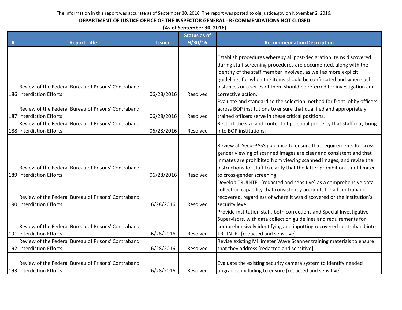| (As of September 30, 2016) |  |
|----------------------------|--|
|----------------------------|--|

|   |                                                     |               | <b>Status as of</b> |                                                                              |
|---|-----------------------------------------------------|---------------|---------------------|------------------------------------------------------------------------------|
| # | <b>Report Title</b>                                 | <b>Issued</b> | 9/30/16             | <b>Recommendation Description</b>                                            |
|   |                                                     |               |                     |                                                                              |
|   |                                                     |               |                     | Establish procedures whereby all post-declaration items discovered           |
|   |                                                     |               |                     | during staff screening procedures are documented, along with the             |
|   |                                                     |               |                     | identity of the staff member involved, as well as more explicit              |
|   |                                                     |               |                     | guidelines for when the items should be confiscated and when such            |
|   | Review of the Federal Bureau of Prisons' Contraband |               |                     | instances or a series of them should be referred for investigation and       |
|   | 186 Interdiction Efforts                            | 06/28/2016    | Resolved            | corrective action.                                                           |
|   |                                                     |               |                     | Evaluate and standardize the selection method for front lobby officers       |
|   | Review of the Federal Bureau of Prisons' Contraband |               |                     | across BOP institutions to ensure that qualified and appropriately           |
|   | 187 Interdiction Efforts                            | 06/28/2016    | Resolved            | trained officers serve in these critical positions.                          |
|   | Review of the Federal Bureau of Prisons' Contraband |               |                     | Restrict the size and content of personal property that staff may bring      |
|   | 188 Interdiction Efforts                            | 06/28/2016    | Resolved            | into BOP institutions.                                                       |
|   |                                                     |               |                     |                                                                              |
|   |                                                     |               |                     | Review all SecurPASS guidance to ensure that requirements for cross-         |
|   |                                                     |               |                     | gender viewing of scanned images are clear and consistent and that           |
|   |                                                     |               |                     | inmates are prohibited from viewing scanned images, and revise the           |
|   | Review of the Federal Bureau of Prisons' Contraband |               |                     | instructions for staff to clarify that the latter prohibition is not limited |
|   | 189 Interdiction Efforts                            | 06/28/2016    | Resolved            | to cross-gender screening.                                                   |
|   |                                                     |               |                     | Develop TRUINTEL [redacted and sensitive] as a comprehensive data            |
|   |                                                     |               |                     | collection capability that consistently accounts for all contraband          |
|   | Review of the Federal Bureau of Prisons' Contraband |               |                     | recovered, regardless of where it was discovered or the institution's        |
|   | 190 Interdiction Efforts                            | 6/28/2016     | Resolved            | security level.                                                              |
|   |                                                     |               |                     | Provide institution staff, both corrections and Special Investigative        |
|   |                                                     |               |                     | Supervisors, with data collection guidelines and requirements for            |
|   | Review of the Federal Bureau of Prisons' Contraband |               |                     | comprehensively identifying and inputting recovered contraband into          |
|   | 191 Interdiction Efforts                            | 6/28/2016     | Resolved            | TRUINTEL [redacted and sensitive].                                           |
|   | Review of the Federal Bureau of Prisons' Contraband |               |                     | Revise existing Millimeter Wave Scanner training materials to ensure         |
|   | 192 Interdiction Efforts                            | 6/28/2016     | Resolved            | that they address [redacted and sensitive].                                  |
|   |                                                     |               |                     |                                                                              |
|   | Review of the Federal Bureau of Prisons' Contraband |               |                     | Evaluate the existing security camera system to identify needed              |
|   | 193 Interdiction Efforts                            | 6/28/2016     | Resolved            | upgrades, including to ensure [redacted and sensitive].                      |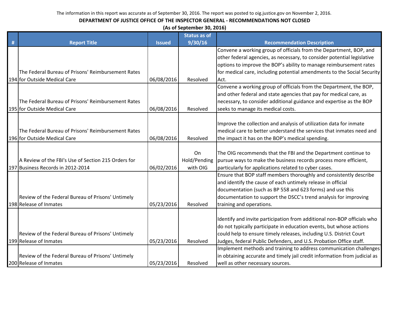| (As of September 30, 2016) |  |
|----------------------------|--|
|----------------------------|--|

|   |                                                     |               | <b>Status as of</b> |                                                                           |
|---|-----------------------------------------------------|---------------|---------------------|---------------------------------------------------------------------------|
| # | <b>Report Title</b>                                 | <b>Issued</b> | 9/30/16             | <b>Recommendation Description</b>                                         |
|   |                                                     |               |                     | Convene a working group of officials from the Department, BOP, and        |
|   |                                                     |               |                     | other federal agencies, as necessary, to consider potential legislative   |
|   |                                                     |               |                     | options to improve the BOP's ability to manage reimbursement rates        |
|   | The Federal Bureau of Prisons' Reimbursement Rates  |               |                     | for medical care, including potential amendments to the Social Security   |
|   | 194 for Outside Medical Care                        | 06/08/2016    | Resolved            | Act.                                                                      |
|   |                                                     |               |                     | Convene a working group of officials from the Department, the BOP,        |
|   |                                                     |               |                     | and other federal and state agencies that pay for medical care, as        |
|   | The Federal Bureau of Prisons' Reimbursement Rates  |               |                     | necessary, to consider additional guidance and expertise as the BOP       |
|   | 195 for Outside Medical Care                        | 06/08/2016    | Resolved            | seeks to manage its medical costs.                                        |
|   |                                                     |               |                     |                                                                           |
|   |                                                     |               |                     | Improve the collection and analysis of utilization data for inmate        |
|   | The Federal Bureau of Prisons' Reimbursement Rates  |               |                     | medical care to better understand the services that inmates need and      |
|   | 196 for Outside Medical Care                        | 06/08/2016    | Resolved            | the impact it has on the BOP's medical spending.                          |
|   |                                                     |               |                     |                                                                           |
|   |                                                     |               | On                  | The OIG recommends that the FBI and the Department continue to            |
|   | A Review of the FBI's Use of Section 215 Orders for |               | Hold/Pending        | pursue ways to make the business records process more efficient,          |
|   | 197 Business Records in 2012-2014                   | 06/02/2016    | with OIG            | particularly for applications related to cyber cases.                     |
|   |                                                     |               |                     | Ensure that BOP staff members thoroughly and consistently describe        |
|   |                                                     |               |                     | and identify the cause of each untimely release in official               |
|   |                                                     |               |                     | documentation (such as BP 558 and 623 forms) and use this                 |
|   | Review of the Federal Bureau of Prisons' Untimely   |               |                     | documentation to support the DSCC's trend analysis for improving          |
|   | 198 Release of Inmates                              | 05/23/2016    | Resolved            | training and operations.                                                  |
|   |                                                     |               |                     |                                                                           |
|   |                                                     |               |                     | Identify and invite participation from additional non-BOP officials who   |
|   |                                                     |               |                     | do not typically participate in education events, but whose actions       |
|   | Review of the Federal Bureau of Prisons' Untimely   |               |                     | could help to ensure timely releases, including U.S. District Court       |
|   | 199 Release of Inmates                              | 05/23/2016    | Resolved            | Judges, federal Public Defenders, and U.S. Probation Office staff.        |
|   |                                                     |               |                     | Implement methods and training to address communication challenges        |
|   | Review of the Federal Bureau of Prisons' Untimely   |               |                     | in obtaining accurate and timely jail credit information from judicial as |
|   | 200 Release of Inmates                              | 05/23/2016    | Resolved            | well as other necessary sources.                                          |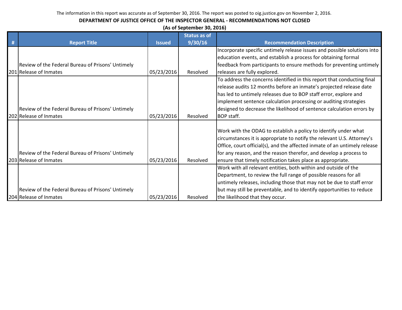|   | (As of September 30, 2016)                        |               |                     |                                                                           |  |  |
|---|---------------------------------------------------|---------------|---------------------|---------------------------------------------------------------------------|--|--|
|   |                                                   |               | <b>Status as of</b> |                                                                           |  |  |
| # | <b>Report Title</b>                               | <b>Issued</b> | 9/30/16             | <b>Recommendation Description</b>                                         |  |  |
|   |                                                   |               |                     | Incorporate specific untimely release issues and possible solutions into  |  |  |
|   |                                                   |               |                     | education events, and establish a process for obtaining formal            |  |  |
|   | Review of the Federal Bureau of Prisons' Untimely |               |                     | feedback from participants to ensure methods for preventing untimely      |  |  |
|   | 201 Release of Inmates                            | 05/23/2016    | Resolved            | releases are fully explored.                                              |  |  |
|   |                                                   |               |                     | To address the concerns identified in this report that conducting final   |  |  |
|   |                                                   |               |                     | release audits 12 months before an inmate's projected release date        |  |  |
|   |                                                   |               |                     | has led to untimely releases due to BOP staff error, explore and          |  |  |
|   |                                                   |               |                     | implement sentence calculation processing or auditing strategies          |  |  |
|   | Review of the Federal Bureau of Prisons' Untimely |               |                     | designed to decrease the likelihood of sentence calculation errors by     |  |  |
|   | 202 Release of Inmates                            | 05/23/2016    | Resolved            | <b>BOP staff.</b>                                                         |  |  |
|   |                                                   |               |                     |                                                                           |  |  |
|   |                                                   |               |                     | Work with the ODAG to establish a policy to identify under what           |  |  |
|   |                                                   |               |                     | circumstances it is appropriate to notify the relevant U.S. Attorney's    |  |  |
|   |                                                   |               |                     | Office, court official(s), and the affected inmate of an untimely release |  |  |
|   | Review of the Federal Bureau of Prisons' Untimely |               |                     | for any reason, and the reason therefor, and develop a process to         |  |  |
|   | 203 Release of Inmates                            | 05/23/2016    | Resolved            | ensure that timely notification takes place as appropriate.               |  |  |
|   |                                                   |               |                     | Work with all relevant entities, both within and outside of the           |  |  |
|   |                                                   |               |                     | Department, to review the full range of possible reasons for all          |  |  |
|   |                                                   |               |                     | untimely releases, including those that may not be due to staff error     |  |  |
|   | Review of the Federal Bureau of Prisons' Untimely |               |                     | but may still be preventable, and to identify opportunities to reduce     |  |  |
|   | 204 Release of Inmates                            | 05/23/2016    | Resolved            | the likelihood that they occur.                                           |  |  |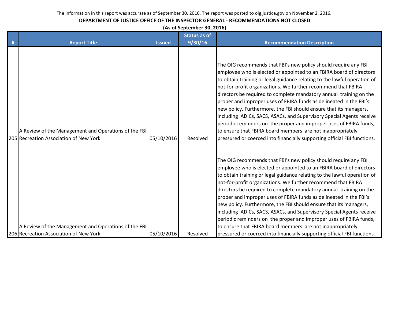## **DEPARTMENT OF JUSTICE OFFICE OF THE INSPECTOR GENERAL - RECOMMENDATIONS NOT CLOSED**

**(As of September 30, 2016)**

|   |                                                                                                |               | <b>Status as of</b> |                                                                                                                                                                                                                                                                                                                                                                                                                                                                                                                                                                                                                                                                                                                                                                                              |
|---|------------------------------------------------------------------------------------------------|---------------|---------------------|----------------------------------------------------------------------------------------------------------------------------------------------------------------------------------------------------------------------------------------------------------------------------------------------------------------------------------------------------------------------------------------------------------------------------------------------------------------------------------------------------------------------------------------------------------------------------------------------------------------------------------------------------------------------------------------------------------------------------------------------------------------------------------------------|
| # | <b>Report Title</b>                                                                            | <b>Issued</b> | 9/30/16             | <b>Recommendation Description</b>                                                                                                                                                                                                                                                                                                                                                                                                                                                                                                                                                                                                                                                                                                                                                            |
|   | A Review of the Management and Operations of the FBI<br>205 Recreation Association of New York | 05/10/2016    | Resolved            | The OIG recommends that FBI's new policy should require any FBI<br>employee who is elected or appointed to an FBIRA board of directors<br>to obtain training or legal guidance relating to the lawful operation of<br>not-for-profit organizations. We further recommend that FBIRA<br>directors be required to complete mandatory annual training on the<br>proper and improper uses of FBIRA funds as delineated in the FBI's<br>new policy. Furthermore, the FBI should ensure that its managers,<br>including ADICs, SACS, ASACs, and Supervisory Special Agents receive<br>periodic reminders on the proper and improper uses of FBIRA funds,<br>to ensure that FBIRA board members are not inappropriately<br>pressured or coerced into financially supporting official FBI functions. |
|   | A Review of the Management and Operations of the FBI<br>206 Recreation Association of New York | 05/10/2016    | Resolved            | The OIG recommends that FBI's new policy should require any FBI<br>employee who is elected or appointed to an FBIRA board of directors<br>to obtain training or legal guidance relating to the lawful operation of<br>not-for-profit organizations. We further recommend that FBIRA<br>directors be required to complete mandatory annual training on the<br>proper and improper uses of FBIRA funds as delineated in the FBI's<br>new policy. Furthermore, the FBI should ensure that its managers,<br>including ADICs, SACS, ASACs, and Supervisory Special Agents receive<br>periodic reminders on the proper and improper uses of FBIRA funds,<br>to ensure that FBIRA board members are not inappropriately<br>pressured or coerced into financially supporting official FBI functions. |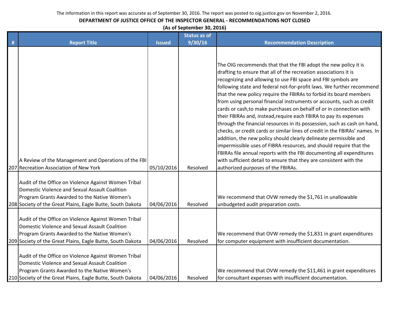## **DEPARTMENT OF JUSTICE OFFICE OF THE INSPECTOR GENERAL - RECOMMENDATIONS NOT CLOSED**

**(As of September 30, 2016)**

|   |                                                                                                                                                                                                                      |               | <b>Status as of</b> |                                                                                                                                                                                                                                                                                                                                                                                                                                                                                                                                                                                                                                                                                                                                                                                                                                                                                                                                                                                                                                                                    |
|---|----------------------------------------------------------------------------------------------------------------------------------------------------------------------------------------------------------------------|---------------|---------------------|--------------------------------------------------------------------------------------------------------------------------------------------------------------------------------------------------------------------------------------------------------------------------------------------------------------------------------------------------------------------------------------------------------------------------------------------------------------------------------------------------------------------------------------------------------------------------------------------------------------------------------------------------------------------------------------------------------------------------------------------------------------------------------------------------------------------------------------------------------------------------------------------------------------------------------------------------------------------------------------------------------------------------------------------------------------------|
| # | <b>Report Title</b>                                                                                                                                                                                                  | <b>Issued</b> | 9/30/16             | <b>Recommendation Description</b>                                                                                                                                                                                                                                                                                                                                                                                                                                                                                                                                                                                                                                                                                                                                                                                                                                                                                                                                                                                                                                  |
|   | A Review of the Management and Operations of the FBI<br>207 Recreation Association of New York                                                                                                                       | 05/10/2016    | Resolved            | The OIG recommends that that the FBI adopt the new policy it is<br>drafting to ensure that all of the recreation associations it is<br>recognizing and allowing to use FBI space and FBI symbols are<br>following state and federal not-for-profit laws. We further recommend<br>that the new policy require the FBIRAs to forbid its board members<br>from using personal financial instruments or accounts, such as credit<br>cards or cash, to make purchases on behalf of or in connection with<br>their FBIRAs and, instead, require each FBIRA to pay its expenses<br>through the financial resources in its possession, such as cash on hand,<br>checks, or credit cards or similar lines of credit in the FBIRAs' names. In<br>addition, the new policy should clearly delineate permissible and<br>impermissible uses of FIBRA resources, and should require that the<br>FBIRAs file annual reports with the FBI documenting all expenditures<br>with sufficient detail to ensure that they are consistent with the<br>authorized purposes of the FBIRAs. |
|   | Audit of the Office on Violence Against Women Tribal<br>Domestic Violence and Sexual Assault Coalition<br>Program Grants Awarded to the Native Women's<br>208 Society of the Great Plains, Eagle Butte, South Dakota | 04/06/2016    | Resolved            | We recommend that OVW remedy the \$1,761 in unallowable<br>unbudgeted audit preparation costs.                                                                                                                                                                                                                                                                                                                                                                                                                                                                                                                                                                                                                                                                                                                                                                                                                                                                                                                                                                     |
|   | Audit of the Office on Violence Against Women Tribal<br>Domestic Violence and Sexual Assault Coalition<br>Program Grants Awarded to the Native Women's<br>209 Society of the Great Plains, Eagle Butte, South Dakota | 04/06/2016    | Resolved            | We recommend that OVW remedy the \$1,831 in grant expenditures<br>for computer equipment with insufficient documentation.                                                                                                                                                                                                                                                                                                                                                                                                                                                                                                                                                                                                                                                                                                                                                                                                                                                                                                                                          |
|   | Audit of the Office on Violence Against Women Tribal<br>Domestic Violence and Sexual Assault Coalition<br>Program Grants Awarded to the Native Women's<br>210 Society of the Great Plains, Eagle Butte, South Dakota | 04/06/2016    | Resolved            | We recommend that OVW remedy the \$11,461 in grant expenditures<br>for consultant expenses with insufficient documentation.                                                                                                                                                                                                                                                                                                                                                                                                                                                                                                                                                                                                                                                                                                                                                                                                                                                                                                                                        |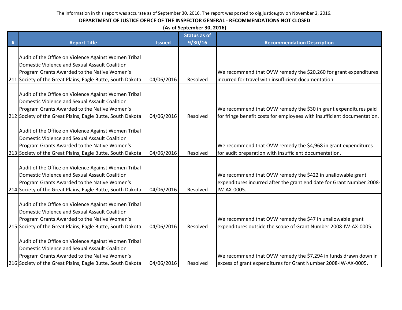| (As of September 30, 2016) |                                                            |               |                     |                                                                         |
|----------------------------|------------------------------------------------------------|---------------|---------------------|-------------------------------------------------------------------------|
|                            |                                                            |               | <b>Status as of</b> |                                                                         |
| #                          | <b>Report Title</b>                                        | <b>Issued</b> | 9/30/16             | <b>Recommendation Description</b>                                       |
|                            |                                                            |               |                     |                                                                         |
|                            | Audit of the Office on Violence Against Women Tribal       |               |                     |                                                                         |
|                            | Domestic Violence and Sexual Assault Coalition             |               |                     |                                                                         |
|                            | Program Grants Awarded to the Native Women's               |               |                     | We recommend that OVW remedy the \$20,260 for grant expenditures        |
|                            | 211 Society of the Great Plains, Eagle Butte, South Dakota | 04/06/2016    | Resolved            | incurred for travel with insufficient documentation.                    |
|                            |                                                            |               |                     |                                                                         |
|                            | Audit of the Office on Violence Against Women Tribal       |               |                     |                                                                         |
|                            | Domestic Violence and Sexual Assault Coalition             |               |                     |                                                                         |
|                            | Program Grants Awarded to the Native Women's               |               |                     | We recommend that OVW remedy the \$30 in grant expenditures paid        |
|                            | 212 Society of the Great Plains, Eagle Butte, South Dakota | 04/06/2016    | Resolved            | for fringe benefit costs for employees with insufficient documentation. |
|                            | Audit of the Office on Violence Against Women Tribal       |               |                     |                                                                         |
|                            | Domestic Violence and Sexual Assault Coalition             |               |                     |                                                                         |
|                            | Program Grants Awarded to the Native Women's               |               |                     | We recommend that OVW remedy the \$4,968 in grant expenditures          |
|                            | 213 Society of the Great Plains, Eagle Butte, South Dakota | 04/06/2016    | Resolved            | for audit preparation with insufficient documentation.                  |
|                            |                                                            |               |                     |                                                                         |
|                            | Audit of the Office on Violence Against Women Tribal       |               |                     |                                                                         |
|                            | Domestic Violence and Sexual Assault Coalition             |               |                     | We recommend that OVW remedy the \$422 in unallowable grant             |
|                            | Program Grants Awarded to the Native Women's               |               |                     | expenditures incurred after the grant end date for Grant Number 2008-   |
|                            | 214 Society of the Great Plains, Eagle Butte, South Dakota | 04/06/2016    | Resolved            | IW-AX-0005.                                                             |
|                            |                                                            |               |                     |                                                                         |
|                            | Audit of the Office on Violence Against Women Tribal       |               |                     |                                                                         |
|                            | Domestic Violence and Sexual Assault Coalition             |               |                     |                                                                         |
|                            | Program Grants Awarded to the Native Women's               |               |                     | We recommend that OVW remedy the \$47 in unallowable grant              |
|                            | 215 Society of the Great Plains, Eagle Butte, South Dakota | 04/06/2016    | Resolved            | expenditures outside the scope of Grant Number 2008-IW-AX-0005.         |
|                            |                                                            |               |                     |                                                                         |
|                            | Audit of the Office on Violence Against Women Tribal       |               |                     |                                                                         |
|                            | Domestic Violence and Sexual Assault Coalition             |               |                     |                                                                         |
|                            | Program Grants Awarded to the Native Women's               |               |                     | We recommend that OVW remedy the \$7,294 in funds drawn down in         |
|                            | 216 Society of the Great Plains, Eagle Butte, South Dakota | 04/06/2016    | Resolved            | excess of grant expenditures for Grant Number 2008-IW-AX-0005.          |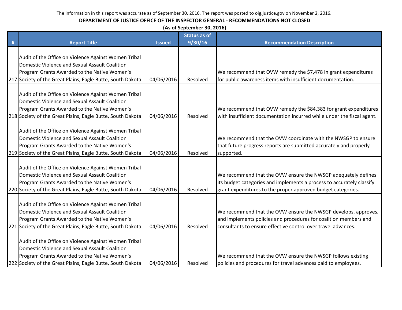|   | (As of September 30, 2016)                                 |               |                     |                                                                        |  |  |
|---|------------------------------------------------------------|---------------|---------------------|------------------------------------------------------------------------|--|--|
|   |                                                            |               | <b>Status as of</b> |                                                                        |  |  |
| # | <b>Report Title</b>                                        | <b>Issued</b> | 9/30/16             | <b>Recommendation Description</b>                                      |  |  |
|   |                                                            |               |                     |                                                                        |  |  |
|   | Audit of the Office on Violence Against Women Tribal       |               |                     |                                                                        |  |  |
|   | Domestic Violence and Sexual Assault Coalition             |               |                     |                                                                        |  |  |
|   | Program Grants Awarded to the Native Women's               |               |                     | We recommend that OVW remedy the \$7,478 in grant expenditures         |  |  |
|   | 217 Society of the Great Plains, Eagle Butte, South Dakota | 04/06/2016    | Resolved            | for public awareness items with insufficient documentation.            |  |  |
|   |                                                            |               |                     |                                                                        |  |  |
|   | Audit of the Office on Violence Against Women Tribal       |               |                     |                                                                        |  |  |
|   | Domestic Violence and Sexual Assault Coalition             |               |                     |                                                                        |  |  |
|   | Program Grants Awarded to the Native Women's               |               |                     | We recommend that OVW remedy the \$84,383 for grant expenditures       |  |  |
|   | 218 Society of the Great Plains, Eagle Butte, South Dakota | 04/06/2016    | Resolved            | with insufficient documentation incurred while under the fiscal agent. |  |  |
|   |                                                            |               |                     |                                                                        |  |  |
|   | Audit of the Office on Violence Against Women Tribal       |               |                     |                                                                        |  |  |
|   | Domestic Violence and Sexual Assault Coalition             |               |                     | We recommend that the OVW coordinate with the NWSGP to ensure          |  |  |
|   | Program Grants Awarded to the Native Women's               |               |                     | that future progress reports are submitted accurately and properly     |  |  |
|   | 219 Society of the Great Plains, Eagle Butte, South Dakota | 04/06/2016    | Resolved            | supported.                                                             |  |  |
|   |                                                            |               |                     |                                                                        |  |  |
|   | Audit of the Office on Violence Against Women Tribal       |               |                     |                                                                        |  |  |
|   | Domestic Violence and Sexual Assault Coalition             |               |                     | We recommend that the OVW ensure the NWSGP adequately defines          |  |  |
|   | Program Grants Awarded to the Native Women's               |               |                     | its budget categories and implements a process to accurately classify  |  |  |
|   | 220 Society of the Great Plains, Eagle Butte, South Dakota | 04/06/2016    | Resolved            | grant expenditures to the proper approved budget categories.           |  |  |
|   |                                                            |               |                     |                                                                        |  |  |
|   | Audit of the Office on Violence Against Women Tribal       |               |                     |                                                                        |  |  |
|   | Domestic Violence and Sexual Assault Coalition             |               |                     | We recommend that the OVW ensure the NWSGP develops, approves,         |  |  |
|   | Program Grants Awarded to the Native Women's               |               |                     | and implements policies and procedures for coalition members and       |  |  |
|   | 221 Society of the Great Plains, Eagle Butte, South Dakota | 04/06/2016    | Resolved            | consultants to ensure effective control over travel advances.          |  |  |
|   |                                                            |               |                     |                                                                        |  |  |
|   | Audit of the Office on Violence Against Women Tribal       |               |                     |                                                                        |  |  |
|   | Domestic Violence and Sexual Assault Coalition             |               |                     |                                                                        |  |  |
|   | Program Grants Awarded to the Native Women's               |               |                     | We recommend that the OVW ensure the NWSGP follows existing            |  |  |
|   | 222 Society of the Great Plains, Eagle Butte, South Dakota | 04/06/2016    | Resolved            | policies and procedures for travel advances paid to employees.         |  |  |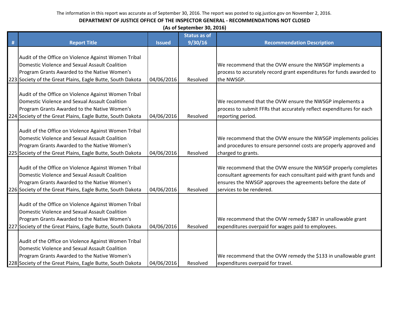| (As of September 30, 2016) |  |
|----------------------------|--|
|----------------------------|--|

|   |                                                                                                                                                                                                                      |               | <b>Status as of</b> |                                                                                                                                                                                                                                  |
|---|----------------------------------------------------------------------------------------------------------------------------------------------------------------------------------------------------------------------|---------------|---------------------|----------------------------------------------------------------------------------------------------------------------------------------------------------------------------------------------------------------------------------|
| # | <b>Report Title</b>                                                                                                                                                                                                  | <b>Issued</b> | 9/30/16             | <b>Recommendation Description</b>                                                                                                                                                                                                |
|   | Audit of the Office on Violence Against Women Tribal<br>Domestic Violence and Sexual Assault Coalition<br>Program Grants Awarded to the Native Women's<br>223 Society of the Great Plains, Eagle Butte, South Dakota | 04/06/2016    | Resolved            | We recommend that the OVW ensure the NWSGP implements a<br>process to accurately record grant expenditures for funds awarded to<br>the NWSGP.                                                                                    |
|   | Audit of the Office on Violence Against Women Tribal<br>Domestic Violence and Sexual Assault Coalition<br>Program Grants Awarded to the Native Women's<br>224 Society of the Great Plains, Eagle Butte, South Dakota | 04/06/2016    | Resolved            | We recommend that the OVW ensure the NWSGP implements a<br>process to submit FFRs that accurately reflect expenditures for each<br>reporting period.                                                                             |
|   | Audit of the Office on Violence Against Women Tribal<br>Domestic Violence and Sexual Assault Coalition<br>Program Grants Awarded to the Native Women's<br>225 Society of the Great Plains, Eagle Butte, South Dakota | 04/06/2016    | Resolved            | We recommend that the OVW ensure the NWSGP implements policies<br>and procedures to ensure personnel costs are properly approved and<br>charged to grants.                                                                       |
|   | Audit of the Office on Violence Against Women Tribal<br>Domestic Violence and Sexual Assault Coalition<br>Program Grants Awarded to the Native Women's<br>226 Society of the Great Plains, Eagle Butte, South Dakota | 04/06/2016    | Resolved            | We recommend that the OVW ensure the NWSGP properly completes<br>consultant agreements for each consultant paid with grant funds and<br>ensures the NWSGP approves the agreements before the date of<br>services to be rendered. |
|   | Audit of the Office on Violence Against Women Tribal<br>Domestic Violence and Sexual Assault Coalition<br>Program Grants Awarded to the Native Women's<br>227 Society of the Great Plains, Eagle Butte, South Dakota | 04/06/2016    | Resolved            | We recommend that the OVW remedy \$387 in unallowable grant<br>expenditures overpaid for wages paid to employees.                                                                                                                |
|   | Audit of the Office on Violence Against Women Tribal<br>Domestic Violence and Sexual Assault Coalition<br>Program Grants Awarded to the Native Women's<br>228 Society of the Great Plains, Eagle Butte, South Dakota | 04/06/2016    | Resolved            | We recommend that the OVW remedy the \$133 in unallowable grant<br>expenditures overpaid for travel.                                                                                                                             |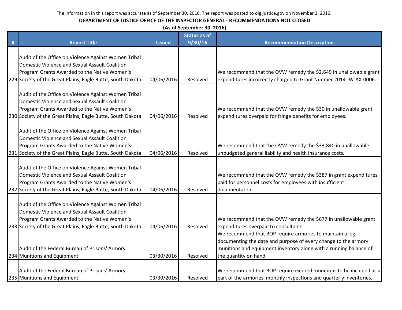|   | (As of September 30, 2016)                                 |               |                     |                                                                      |  |
|---|------------------------------------------------------------|---------------|---------------------|----------------------------------------------------------------------|--|
|   |                                                            |               | <b>Status as of</b> |                                                                      |  |
| # | <b>Report Title</b>                                        | <b>Issued</b> | 9/30/16             | <b>Recommendation Description</b>                                    |  |
|   | Audit of the Office on Violence Against Women Tribal       |               |                     |                                                                      |  |
|   | Domestic Violence and Sexual Assault Coalition             |               |                     |                                                                      |  |
|   | Program Grants Awarded to the Native Women's               |               |                     | We recommend that the OVW remedy the \$2,649 in unallowable grant    |  |
|   | 229 Society of the Great Plains, Eagle Butte, South Dakota | 04/06/2016    | Resolved            | expenditures incorrectly charged to Grant Number 2014-IW-AX-0006.    |  |
|   | Audit of the Office on Violence Against Women Tribal       |               |                     |                                                                      |  |
|   | Domestic Violence and Sexual Assault Coalition             |               |                     |                                                                      |  |
|   | Program Grants Awarded to the Native Women's               |               |                     | We recommend that the OVW remedy the \$30 in unallowable grant       |  |
|   | 230 Society of the Great Plains, Eagle Butte, South Dakota | 04/06/2016    | Resolved            | expenditures overpaid for fringe benefits for employees.             |  |
|   |                                                            |               |                     |                                                                      |  |
|   | Audit of the Office on Violence Against Women Tribal       |               |                     |                                                                      |  |
|   | Domestic Violence and Sexual Assault Coalition             |               |                     |                                                                      |  |
|   | Program Grants Awarded to the Native Women's               |               |                     | We recommend that the OVW remedy the \$33,840 in unallowable         |  |
|   | 231 Society of the Great Plains, Eagle Butte, South Dakota | 04/06/2016    | Resolved            | unbudgeted general liability and health insurance costs.             |  |
|   |                                                            |               |                     |                                                                      |  |
|   | Audit of the Office on Violence Against Women Tribal       |               |                     |                                                                      |  |
|   | Domestic Violence and Sexual Assault Coalition             |               |                     | We recommend that the OVW remedy the \$387 in grant expenditures     |  |
|   | Program Grants Awarded to the Native Women's               |               |                     | paid for personnel costs for employees with insufficient             |  |
|   | 232 Society of the Great Plains, Eagle Butte, South Dakota | 04/06/2016    | Resolved            | documentation.                                                       |  |
|   |                                                            |               |                     |                                                                      |  |
|   | Audit of the Office on Violence Against Women Tribal       |               |                     |                                                                      |  |
|   | Domestic Violence and Sexual Assault Coalition             |               |                     |                                                                      |  |
|   | Program Grants Awarded to the Native Women's               |               |                     | We recommend that the OVW remedy the \$677 in unallowable grant      |  |
|   | 233 Society of the Great Plains, Eagle Butte, South Dakota | 04/06/2016    | Resolved            | expenditures overpaid to consultants.                                |  |
|   |                                                            |               |                     | We recommend that BOP require armories to maintain a log             |  |
|   |                                                            |               |                     | documenting the date and purpose of every change to the armory       |  |
|   | Audit of the Federal Bureau of Prisons' Armory             |               |                     | munitions and equipment inventory along with a running balance of    |  |
|   | 234 Munitions and Equipment                                | 03/30/2016    | Resolved            | the quantity on hand.                                                |  |
|   |                                                            |               |                     |                                                                      |  |
|   | Audit of the Federal Bureau of Prisons' Armory             |               |                     | We recommend that BOP require expired munitions to be included as a  |  |
|   | 235 Munitions and Equipment                                | 03/30/2016    | Resolved            | part of the armories' monthly inspections and quarterly inventories. |  |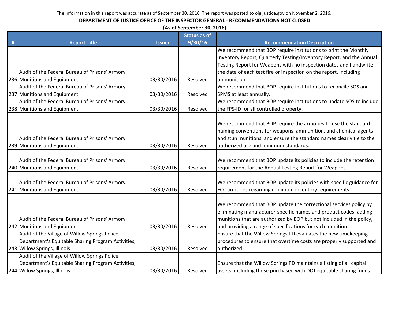| (As of September 30, 2016) |  |
|----------------------------|--|
|----------------------------|--|

|   |                                                    |               | <b>Status as of</b> |                                                                      |
|---|----------------------------------------------------|---------------|---------------------|----------------------------------------------------------------------|
| # | <b>Report Title</b>                                | <b>Issued</b> | 9/30/16             | <b>Recommendation Description</b>                                    |
|   |                                                    |               |                     | We recommend that BOP require institutions to print the Monthly      |
|   |                                                    |               |                     | Inventory Report, Quarterly Testing/Inventory Report, and the Annual |
|   |                                                    |               |                     | Testing Report for Weapons with no inspection dates and handwrite    |
|   | Audit of the Federal Bureau of Prisons' Armory     |               |                     | the date of each test fire or inspection on the report, including    |
|   | 236 Munitions and Equipment                        | 03/30/2016    | Resolved            | ammunition.                                                          |
|   | Audit of the Federal Bureau of Prisons' Armory     |               |                     | We recommend that BOP require institutions to reconcile SOS and      |
|   | 237 Munitions and Equipment                        | 03/30/2016    | Resolved            | SPMS at least annually.                                              |
|   | Audit of the Federal Bureau of Prisons' Armory     |               |                     | We recommend that BOP require institutions to update SOS to include  |
|   | 238 Munitions and Equipment                        | 03/30/2016    | Resolved            | the FPS-ID for all controlled property.                              |
|   |                                                    |               |                     |                                                                      |
|   |                                                    |               |                     | We recommend that BOP require the armories to use the standard       |
|   |                                                    |               |                     | naming conventions for weapons, ammunition, and chemical agents      |
|   | Audit of the Federal Bureau of Prisons' Armory     |               |                     | and stun munitions, and ensure the standard names clearly tie to the |
|   | 239 Munitions and Equipment                        | 03/30/2016    | Resolved            | authorized use and minimum standards.                                |
|   |                                                    |               |                     |                                                                      |
|   | Audit of the Federal Bureau of Prisons' Armory     |               |                     | We recommend that BOP update its policies to include the retention   |
|   | 240 Munitions and Equipment                        | 03/30/2016    | Resolved            | requirement for the Annual Testing Report for Weapons.               |
|   |                                                    |               |                     |                                                                      |
|   | Audit of the Federal Bureau of Prisons' Armory     |               |                     | We recommend that BOP update its policies with specific guidance for |
|   | 241 Munitions and Equipment                        | 03/30/2016    | Resolved            | FCC armories regarding minimum inventory requirements.               |
|   |                                                    |               |                     | We recommend that BOP update the correctional services policy by     |
|   |                                                    |               |                     | eliminating manufacturer-specific names and product codes, adding    |
|   | Audit of the Federal Bureau of Prisons' Armory     |               |                     | munitions that are authorized by BOP but not included in the policy, |
|   | 242 Munitions and Equipment                        | 03/30/2016    | Resolved            | and providing a range of specifications for each munition.           |
|   | Audit of the Village of Willow Springs Police      |               |                     | Ensure that the Willow Springs PD evaluates the new timekeeping      |
|   | Department's Equitable Sharing Program Activities, |               |                     | procedures to ensure that overtime costs are properly supported and  |
|   | 243 Willow Springs, Illinois                       | 03/30/2016    | Resolved            | authorized.                                                          |
|   | Audit of the Village of Willow Springs Police      |               |                     |                                                                      |
|   | Department's Equitable Sharing Program Activities, |               |                     | Ensure that the Willow Springs PD maintains a listing of all capital |
|   |                                                    |               |                     |                                                                      |
|   | 244 Willow Springs, Illinois                       | 03/30/2016    | Resolved            | assets, including those purchased with DOJ equitable sharing funds.  |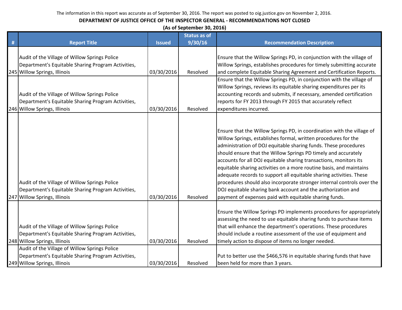|   | (As of September 30, 2016)                                                                                                                                                           |               |                     |                                                                                                                                                                                                                                                                                                                                                                                                                                                                                                                                                                                                                                                                                                      |  |  |
|---|--------------------------------------------------------------------------------------------------------------------------------------------------------------------------------------|---------------|---------------------|------------------------------------------------------------------------------------------------------------------------------------------------------------------------------------------------------------------------------------------------------------------------------------------------------------------------------------------------------------------------------------------------------------------------------------------------------------------------------------------------------------------------------------------------------------------------------------------------------------------------------------------------------------------------------------------------------|--|--|
|   |                                                                                                                                                                                      |               | <b>Status as of</b> |                                                                                                                                                                                                                                                                                                                                                                                                                                                                                                                                                                                                                                                                                                      |  |  |
| # | <b>Report Title</b>                                                                                                                                                                  | <b>Issued</b> | 9/30/16             | <b>Recommendation Description</b>                                                                                                                                                                                                                                                                                                                                                                                                                                                                                                                                                                                                                                                                    |  |  |
|   | Audit of the Village of Willow Springs Police<br>Department's Equitable Sharing Program Activities,<br>245 Willow Springs, Illinois                                                  | 03/30/2016    | Resolved            | Ensure that the Willow Springs PD, in conjunction with the village of<br>Willow Springs, establishes procedures for timely submitting accurate<br>and complete Equitable Sharing Agreement and Certification Reports.                                                                                                                                                                                                                                                                                                                                                                                                                                                                                |  |  |
|   | Audit of the Village of Willow Springs Police<br>Department's Equitable Sharing Program Activities,<br>246 Willow Springs, Illinois                                                  | 03/30/2016    | Resolved            | Ensure that the Willow Springs PD, in conjunction with the village of<br>Willow Springs, reviews its equitable sharing expenditures per its<br>accounting records and submits, if necessary, amended certification<br>reports for FY 2013 through FY 2015 that accurately reflect<br>expenditures incurred.                                                                                                                                                                                                                                                                                                                                                                                          |  |  |
|   | Audit of the Village of Willow Springs Police<br>Department's Equitable Sharing Program Activities,<br>247 Willow Springs, Illinois                                                  | 03/30/2016    | Resolved            | Ensure that the Willow Springs PD, in coordination with the village of<br>Willow Springs, establishes formal, written procedures for the<br>administration of DOJ equitable sharing funds. These procedures<br>should ensure that the Willow Springs PD timely and accurately<br>accounts for all DOJ equitable sharing transactions, monitors its<br>equitable sharing activities on a more routine basis, and maintains<br>adequate records to support all equitable sharing activities. These<br>procedures should also incorporate stronger internal controls over the<br>DOJ equitable sharing bank account and the authorization and<br>payment of expenses paid with equitable sharing funds. |  |  |
|   | Audit of the Village of Willow Springs Police<br>Department's Equitable Sharing Program Activities,<br>248 Willow Springs, Illinois<br>Audit of the Village of Willow Springs Police | 03/30/2016    | Resolved            | Ensure the Willow Springs PD implements procedures for appropriately<br>assessing the need to use equitable sharing funds to purchase items<br>that will enhance the department's operations. These procedures<br>should include a routine assessment of the use of equipment and<br>timely action to dispose of items no longer needed.                                                                                                                                                                                                                                                                                                                                                             |  |  |
|   | Department's Equitable Sharing Program Activities,<br>249 Willow Springs, Illinois                                                                                                   | 03/30/2016    | Resolved            | Put to better use the \$466,576 in equitable sharing funds that have<br>been held for more than 3 years.                                                                                                                                                                                                                                                                                                                                                                                                                                                                                                                                                                                             |  |  |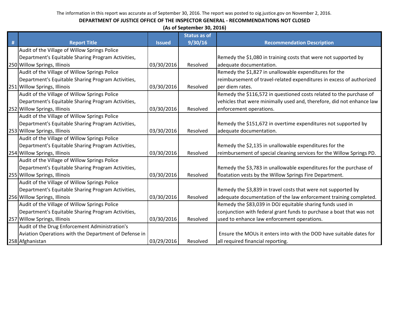|   | (As of September 30, 2016)                            |               |                     |                                                                       |  |  |
|---|-------------------------------------------------------|---------------|---------------------|-----------------------------------------------------------------------|--|--|
|   |                                                       |               | <b>Status as of</b> |                                                                       |  |  |
| # | <b>Report Title</b>                                   | <b>Issued</b> | 9/30/16             | <b>Recommendation Description</b>                                     |  |  |
|   | Audit of the Village of Willow Springs Police         |               |                     |                                                                       |  |  |
|   | Department's Equitable Sharing Program Activities,    |               |                     | Remedy the \$1,080 in training costs that were not supported by       |  |  |
|   | 250 Willow Springs, Illinois                          | 03/30/2016    | Resolved            | adequate documentation.                                               |  |  |
|   | Audit of the Village of Willow Springs Police         |               |                     | Remedy the \$1,827 in unallowable expenditures for the                |  |  |
|   | Department's Equitable Sharing Program Activities,    |               |                     | reimbursement of travel-related expenditures in excess of authorized  |  |  |
|   | 251 Willow Springs, Illinois                          | 03/30/2016    | Resolved            | per diem rates.                                                       |  |  |
|   | Audit of the Village of Willow Springs Police         |               |                     | Remedy the \$116,572 in questioned costs related to the purchase of   |  |  |
|   | Department's Equitable Sharing Program Activities,    |               |                     | vehicles that were minimally used and, therefore, did not enhance law |  |  |
|   | 252 Willow Springs, Illinois                          | 03/30/2016    | Resolved            | enforcement operations.                                               |  |  |
|   | Audit of the Village of Willow Springs Police         |               |                     |                                                                       |  |  |
|   | Department's Equitable Sharing Program Activities,    |               |                     | Remedy the \$151,672 in overtime expenditures not supported by        |  |  |
|   | 253 Willow Springs, Illinois                          | 03/30/2016    | Resolved            | adequate documentation.                                               |  |  |
|   | Audit of the Village of Willow Springs Police         |               |                     |                                                                       |  |  |
|   | Department's Equitable Sharing Program Activities,    |               |                     | Remedy the \$2,135 in unallowable expenditures for the                |  |  |
|   | 254 Willow Springs, Illinois                          | 03/30/2016    | Resolved            | reimbursement of special cleaning services for the Willow Springs PD. |  |  |
|   | Audit of the Village of Willow Springs Police         |               |                     |                                                                       |  |  |
|   | Department's Equitable Sharing Program Activities,    |               |                     | Remedy the \$3,783 in unallowable expenditures for the purchase of    |  |  |
|   | 255 Willow Springs, Illinois                          | 03/30/2016    | Resolved            | floatation vests by the Willow Springs Fire Department.               |  |  |
|   | Audit of the Village of Willow Springs Police         |               |                     |                                                                       |  |  |
|   | Department's Equitable Sharing Program Activities,    |               |                     | Remedy the \$3,839 in travel costs that were not supported by         |  |  |
|   | 256 Willow Springs, Illinois                          | 03/30/2016    | Resolved            | adequate documentation of the law enforcement training completed.     |  |  |
|   | Audit of the Village of Willow Springs Police         |               |                     | Remedy the \$83,039 in DOJ equitable sharing funds used in            |  |  |
|   | Department's Equitable Sharing Program Activities,    |               |                     | conjunction with federal grant funds to purchase a boat that was not  |  |  |
|   | 257 Willow Springs, Illinois                          | 03/30/2016    | Resolved            | used to enhance law enforcement operations.                           |  |  |
|   | Audit of the Drug Enforcement Administration's        |               |                     |                                                                       |  |  |
|   | Aviation Operations with the Department of Defense in |               |                     | Ensure the MOUs it enters into with the DOD have suitable dates for   |  |  |
|   | 258 Afghanistan                                       | 03/29/2016    | Resolved            | all required financial reporting.                                     |  |  |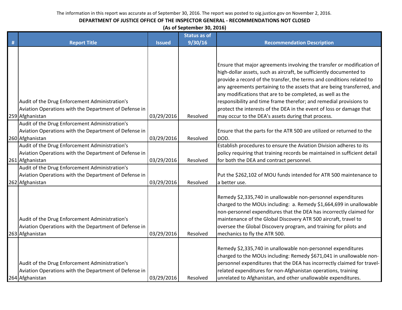#### **DEPARTMENT OF JUSTICE OFFICE OF THE INSPECTOR GENERAL - RECOMMENDATIONS NOT CLOSED**

**(As of September 30, 2016)**

|   |                                                                                                                            |               | <b>Status as of</b> |                                                                                                                                                                                                                                                                                                                                                                                                                                                                                                               |
|---|----------------------------------------------------------------------------------------------------------------------------|---------------|---------------------|---------------------------------------------------------------------------------------------------------------------------------------------------------------------------------------------------------------------------------------------------------------------------------------------------------------------------------------------------------------------------------------------------------------------------------------------------------------------------------------------------------------|
| # | <b>Report Title</b>                                                                                                        | <b>Issued</b> | 9/30/16             | <b>Recommendation Description</b>                                                                                                                                                                                                                                                                                                                                                                                                                                                                             |
|   | Audit of the Drug Enforcement Administration's<br>Aviation Operations with the Department of Defense in                    |               |                     | Ensure that major agreements involving the transfer or modification of<br>high-dollar assets, such as aircraft, be sufficiently documented to<br>provide a record of the transfer, the terms and conditions related to<br>any agreements pertaining to the assets that are being transferred, and<br>any modifications that are to be completed, as well as the<br>responsibility and time frame therefor; and remedial provisions to<br>protect the interests of the DEA in the event of loss or damage that |
|   | 259 Afghanistan                                                                                                            | 03/29/2016    | Resolved            | may occur to the DEA's assets during that process.                                                                                                                                                                                                                                                                                                                                                                                                                                                            |
|   | Audit of the Drug Enforcement Administration's<br>Aviation Operations with the Department of Defense in<br>260 Afghanistan | 03/29/2016    | Resolved            | Ensure that the parts for the ATR 500 are utilized or returned to the<br>DOD.                                                                                                                                                                                                                                                                                                                                                                                                                                 |
|   | Audit of the Drug Enforcement Administration's<br>Aviation Operations with the Department of Defense in<br>261 Afghanistan | 03/29/2016    | Resolved            | Establish procedures to ensure the Aviation Division adheres to its<br>policy requiring that training records be maintained in sufficient detail<br>for both the DEA and contract personnel.                                                                                                                                                                                                                                                                                                                  |
|   | Audit of the Drug Enforcement Administration's<br>Aviation Operations with the Department of Defense in<br>262 Afghanistan | 03/29/2016    | Resolved            | Put the \$262,102 of MOU funds intended for ATR 500 maintenance to<br>a better use.                                                                                                                                                                                                                                                                                                                                                                                                                           |
|   | Audit of the Drug Enforcement Administration's<br>Aviation Operations with the Department of Defense in<br>263 Afghanistan | 03/29/2016    | Resolved            | Remedy \$2,335,740 in unallowable non-personnel expenditures<br>charged to the MOUs including: a. Remedy \$1,664,699 in unallowable<br>non-personnel expenditures that the DEA has incorrectly claimed for<br>maintenance of the Global Discovery ATR 500 aircraft, travel to<br>oversee the Global Discovery program, and training for pilots and<br>mechanics to fly the ATR 500.                                                                                                                           |
|   | Audit of the Drug Enforcement Administration's<br>Aviation Operations with the Department of Defense in<br>264 Afghanistan | 03/29/2016    | Resolved            | Remedy \$2,335,740 in unallowable non-personnel expenditures<br>charged to the MOUs including: Remedy \$671,041 in unallowable non-<br>personnel expenditures that the DEA has incorrectly claimed for travel-<br>related expenditures for non-Afghanistan operations, training<br>unrelated to Afghanistan, and other unallowable expenditures.                                                                                                                                                              |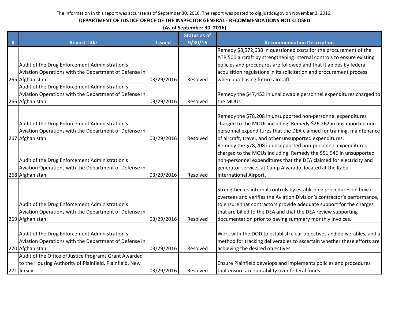| (As of September 30, 2016) |  |
|----------------------------|--|
|----------------------------|--|

|   |                                                         |               | <b>Status as of</b> |                                                                                                                                                  |
|---|---------------------------------------------------------|---------------|---------------------|--------------------------------------------------------------------------------------------------------------------------------------------------|
| # | <b>Report Title</b>                                     | <b>Issued</b> | 9/30/16             | <b>Recommendation Description</b>                                                                                                                |
|   |                                                         |               |                     | Remedy \$8,572,638 in questioned costs for the procurement of the                                                                                |
|   |                                                         |               |                     | ATR 500 aircraft by strengthening internal controls to ensure existing                                                                           |
|   | Audit of the Drug Enforcement Administration's          |               |                     | policies and procedures are followed and that it abides by federal                                                                               |
|   | Aviation Operations with the Department of Defense in   |               |                     | acquisition regulations in its solicitation and procurement process                                                                              |
|   | 265 Afghanistan                                         | 03/29/2016    | Resolved            | when purchasing future aircraft.                                                                                                                 |
|   | Audit of the Drug Enforcement Administration's          |               |                     |                                                                                                                                                  |
|   | Aviation Operations with the Department of Defense in   |               |                     | Remedy the \$47,453 in unallowable personnel expenditures charged to                                                                             |
|   | 266 Afghanistan                                         | 03/29/2016    | Resolved            | the MOUs.                                                                                                                                        |
|   |                                                         |               |                     |                                                                                                                                                  |
|   |                                                         |               |                     | Remedy the \$78,208 in unsupported non-personnel expenditures                                                                                    |
|   | Audit of the Drug Enforcement Administration's          |               |                     | charged to the MOUs including: Remedy \$26,262 in unsupported non-                                                                               |
|   | Aviation Operations with the Department of Defense in   |               |                     | personnel expenditures that the DEA claimed for training, maintenance                                                                            |
|   | 267 Afghanistan                                         | 03/29/2016    | Resolved            | of aircraft, travel, and other unsupported expenditures.                                                                                         |
|   |                                                         |               |                     | Remedy the \$78,208 in unsupported non-personnel expenditures                                                                                    |
|   |                                                         |               |                     | charged to the MOUs including: Remedy the \$51,946 in unsupported                                                                                |
|   | Audit of the Drug Enforcement Administration's          |               |                     | non-personnel expenditures that the DEA claimed for electricity and                                                                              |
|   | Aviation Operations with the Department of Defense in   |               |                     | generator services at Camp Alvarado, located at the Kabul                                                                                        |
|   | 268 Afghanistan                                         | 03/29/2016    | Resolved            | International Airport.                                                                                                                           |
|   |                                                         |               |                     |                                                                                                                                                  |
|   |                                                         |               |                     | Strengthen its internal controls by establishing procedures on how it<br>oversees and verifies the Aviation Division's contractor's performance, |
|   | Audit of the Drug Enforcement Administration's          |               |                     | to ensure that contractors provide adequate support for the charges                                                                              |
|   | Aviation Operations with the Department of Defense in   |               |                     | that are billed to the DEA and that the DEA review supporting                                                                                    |
|   | 269 Afghanistan                                         | 03/29/2016    | Resolved            | documentation prior to paying summary monthly invoices.                                                                                          |
|   |                                                         |               |                     |                                                                                                                                                  |
|   | Audit of the Drug Enforcement Administration's          |               |                     | Work with the DOD to establish clear objectives and deliverables, and a                                                                          |
|   | Aviation Operations with the Department of Defense in   |               |                     | method for tracking deliverables to ascertain whether these efforts are                                                                          |
|   | 270 Afghanistan                                         | 03/29/2016    | Resolved            | achieving the desired objectives.                                                                                                                |
|   | Audit of the Office of Justice Programs Grant Awarded   |               |                     |                                                                                                                                                  |
|   | to the Housing Authority of Plainfield, Plainfield, New |               |                     | Ensure Plainfield develops and implements policies and procedures                                                                                |
|   | 271 Jersey                                              | 03/29/2016    | Resolved            | that ensure accountability over federal funds.                                                                                                   |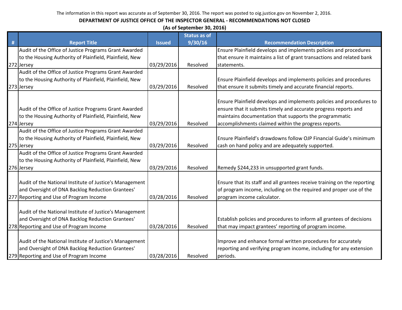| <b>Status as of</b><br>#<br>9/30/16<br><b>Report Title</b><br><b>Recommendation Description</b><br><b>Issued</b><br>Audit of the Office of Justice Programs Grant Awarded<br>Ensure Plainfield develops and implements policies and procedures<br>to the Housing Authority of Plainfield, Plainfield, New<br>that ensure it maintains a list of grant transactions and related bank<br>272 Jersey<br>03/29/2016<br>Resolved<br>statements.<br>Audit of the Office of Justice Programs Grant Awarded<br>to the Housing Authority of Plainfield, Plainfield, New<br>Ensure Plainfield develops and implements policies and procedures<br>that ensure it submits timely and accurate financial reports.<br>273 Jersey<br>03/29/2016<br>Resolved<br>Ensure Plainfield develops and implements policies and procedures to | (As of September 30, 2016) |  |  |  |  |  |
|----------------------------------------------------------------------------------------------------------------------------------------------------------------------------------------------------------------------------------------------------------------------------------------------------------------------------------------------------------------------------------------------------------------------------------------------------------------------------------------------------------------------------------------------------------------------------------------------------------------------------------------------------------------------------------------------------------------------------------------------------------------------------------------------------------------------|----------------------------|--|--|--|--|--|
|                                                                                                                                                                                                                                                                                                                                                                                                                                                                                                                                                                                                                                                                                                                                                                                                                      |                            |  |  |  |  |  |
|                                                                                                                                                                                                                                                                                                                                                                                                                                                                                                                                                                                                                                                                                                                                                                                                                      |                            |  |  |  |  |  |
|                                                                                                                                                                                                                                                                                                                                                                                                                                                                                                                                                                                                                                                                                                                                                                                                                      |                            |  |  |  |  |  |
|                                                                                                                                                                                                                                                                                                                                                                                                                                                                                                                                                                                                                                                                                                                                                                                                                      |                            |  |  |  |  |  |
|                                                                                                                                                                                                                                                                                                                                                                                                                                                                                                                                                                                                                                                                                                                                                                                                                      |                            |  |  |  |  |  |
|                                                                                                                                                                                                                                                                                                                                                                                                                                                                                                                                                                                                                                                                                                                                                                                                                      |                            |  |  |  |  |  |
|                                                                                                                                                                                                                                                                                                                                                                                                                                                                                                                                                                                                                                                                                                                                                                                                                      |                            |  |  |  |  |  |
|                                                                                                                                                                                                                                                                                                                                                                                                                                                                                                                                                                                                                                                                                                                                                                                                                      |                            |  |  |  |  |  |
|                                                                                                                                                                                                                                                                                                                                                                                                                                                                                                                                                                                                                                                                                                                                                                                                                      |                            |  |  |  |  |  |
|                                                                                                                                                                                                                                                                                                                                                                                                                                                                                                                                                                                                                                                                                                                                                                                                                      |                            |  |  |  |  |  |
| ensure that it submits timely and accurate progress reports and<br>Audit of the Office of Justice Programs Grant Awarded                                                                                                                                                                                                                                                                                                                                                                                                                                                                                                                                                                                                                                                                                             |                            |  |  |  |  |  |
| maintains documentation that supports the programmatic<br>to the Housing Authority of Plainfield, Plainfield, New                                                                                                                                                                                                                                                                                                                                                                                                                                                                                                                                                                                                                                                                                                    |                            |  |  |  |  |  |
| 274 Jersey<br>accomplishments claimed within the progress reports.<br>03/29/2016<br>Resolved                                                                                                                                                                                                                                                                                                                                                                                                                                                                                                                                                                                                                                                                                                                         |                            |  |  |  |  |  |
| Audit of the Office of Justice Programs Grant Awarded                                                                                                                                                                                                                                                                                                                                                                                                                                                                                                                                                                                                                                                                                                                                                                |                            |  |  |  |  |  |
| Ensure Plainfield's drawdowns follow OJP Financial Guide's minimum<br>to the Housing Authority of Plainfield, Plainfield, New                                                                                                                                                                                                                                                                                                                                                                                                                                                                                                                                                                                                                                                                                        |                            |  |  |  |  |  |
| 275 Jersey<br>03/29/2016<br>cash on hand policy and are adequately supported.<br>Resolved                                                                                                                                                                                                                                                                                                                                                                                                                                                                                                                                                                                                                                                                                                                            |                            |  |  |  |  |  |
| Audit of the Office of Justice Programs Grant Awarded                                                                                                                                                                                                                                                                                                                                                                                                                                                                                                                                                                                                                                                                                                                                                                |                            |  |  |  |  |  |
| to the Housing Authority of Plainfield, Plainfield, New                                                                                                                                                                                                                                                                                                                                                                                                                                                                                                                                                                                                                                                                                                                                                              |                            |  |  |  |  |  |
| Remedy \$244,233 in unsupported grant funds.<br>276 Jersey<br>03/29/2016<br>Resolved                                                                                                                                                                                                                                                                                                                                                                                                                                                                                                                                                                                                                                                                                                                                 |                            |  |  |  |  |  |
|                                                                                                                                                                                                                                                                                                                                                                                                                                                                                                                                                                                                                                                                                                                                                                                                                      |                            |  |  |  |  |  |
| Ensure that its staff and all grantees receive training on the reporting<br>Audit of the National Institute of Justice's Management                                                                                                                                                                                                                                                                                                                                                                                                                                                                                                                                                                                                                                                                                  |                            |  |  |  |  |  |
| and Oversight of DNA Backlog Reduction Grantees'<br>of program income, including on the required and proper use of the                                                                                                                                                                                                                                                                                                                                                                                                                                                                                                                                                                                                                                                                                               |                            |  |  |  |  |  |
| 277 Reporting and Use of Program Income<br>03/28/2016<br>Resolved<br>program income calculator.                                                                                                                                                                                                                                                                                                                                                                                                                                                                                                                                                                                                                                                                                                                      |                            |  |  |  |  |  |
| Audit of the National Institute of Justice's Management                                                                                                                                                                                                                                                                                                                                                                                                                                                                                                                                                                                                                                                                                                                                                              |                            |  |  |  |  |  |
| and Oversight of DNA Backlog Reduction Grantees'                                                                                                                                                                                                                                                                                                                                                                                                                                                                                                                                                                                                                                                                                                                                                                     |                            |  |  |  |  |  |
| Establish policies and procedures to inform all grantees of decisions                                                                                                                                                                                                                                                                                                                                                                                                                                                                                                                                                                                                                                                                                                                                                |                            |  |  |  |  |  |
| 278 Reporting and Use of Program Income<br>03/28/2016<br>that may impact grantees' reporting of program income.<br>Resolved                                                                                                                                                                                                                                                                                                                                                                                                                                                                                                                                                                                                                                                                                          |                            |  |  |  |  |  |
| Audit of the National Institute of Justice's Management<br>Improve and enhance formal written procedures for accurately                                                                                                                                                                                                                                                                                                                                                                                                                                                                                                                                                                                                                                                                                              |                            |  |  |  |  |  |
| and Oversight of DNA Backlog Reduction Grantees'<br>reporting and verifying program income, including for any extension                                                                                                                                                                                                                                                                                                                                                                                                                                                                                                                                                                                                                                                                                              |                            |  |  |  |  |  |
| 279 Reporting and Use of Program Income<br>03/28/2016<br>Resolved<br>periods.                                                                                                                                                                                                                                                                                                                                                                                                                                                                                                                                                                                                                                                                                                                                        |                            |  |  |  |  |  |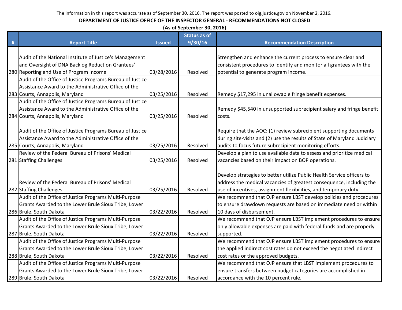|   |                                                           |               |                     | (As of September 30, 2016)                                                |  |  |  |  |  |
|---|-----------------------------------------------------------|---------------|---------------------|---------------------------------------------------------------------------|--|--|--|--|--|
|   |                                                           |               | <b>Status as of</b> |                                                                           |  |  |  |  |  |
| # | <b>Report Title</b>                                       | <b>Issued</b> | 9/30/16             | <b>Recommendation Description</b>                                         |  |  |  |  |  |
|   |                                                           |               |                     |                                                                           |  |  |  |  |  |
|   | Audit of the National Institute of Justice's Management   |               |                     | Strengthen and enhance the current process to ensure clear and            |  |  |  |  |  |
|   | and Oversight of DNA Backlog Reduction Grantees'          |               |                     | consistent procedures to identify and monitor all grantees with the       |  |  |  |  |  |
|   | 280 Reporting and Use of Program Income                   | 03/28/2016    | Resolved            | potential to generate program income.                                     |  |  |  |  |  |
|   | Audit of the Office of Justice Programs Bureau of Justice |               |                     |                                                                           |  |  |  |  |  |
|   | Assistance Award to the Administrative Office of the      |               |                     |                                                                           |  |  |  |  |  |
|   | 283 Courts, Annapolis, Maryland                           | 03/25/2016    | Resolved            | Remedy \$17,295 in unallowable fringe benefit expenses.                   |  |  |  |  |  |
|   | Audit of the Office of Justice Programs Bureau of Justice |               |                     |                                                                           |  |  |  |  |  |
|   | Assistance Award to the Administrative Office of the      |               |                     | Remedy \$45,540 in unsupported subrecipient salary and fringe benefit     |  |  |  |  |  |
|   | 284 Courts, Annapolis, Maryland                           | 03/25/2016    | Resolved            | costs.                                                                    |  |  |  |  |  |
|   |                                                           |               |                     |                                                                           |  |  |  |  |  |
|   | Audit of the Office of Justice Programs Bureau of Justice |               |                     | Require that the AOC: (1) review subrecipient supporting documents        |  |  |  |  |  |
|   | Assistance Award to the Administrative Office of the      |               |                     | during site-visits and (2) use the results of State of Maryland Judiciary |  |  |  |  |  |
|   | 285 Courts, Annapolis, Maryland                           | 03/25/2016    | Resolved            | audits to focus future subrecipient monitoring efforts.                   |  |  |  |  |  |
|   | Review of the Federal Bureau of Prisons' Medical          |               |                     | Develop a plan to use available data to assess and prioritize medical     |  |  |  |  |  |
|   | 281 Staffing Challenges                                   | 03/25/2016    | Resolved            | vacancies based on their impact on BOP operations.                        |  |  |  |  |  |
|   |                                                           |               |                     |                                                                           |  |  |  |  |  |
|   |                                                           |               |                     | Develop strategies to better utilize Public Health Service officers to    |  |  |  |  |  |
|   | Review of the Federal Bureau of Prisons' Medical          |               |                     | address the medical vacancies of greatest consequence, including the      |  |  |  |  |  |
|   | 282 Staffing Challenges                                   | 03/25/2016    | Resolved            | use of incentives, assignment flexibilities, and temporary duty.          |  |  |  |  |  |
|   | Audit of the Office of Justice Programs Multi-Purpose     |               |                     | We recommend that OJP ensure LBST develop policies and procedures         |  |  |  |  |  |
|   | Grants Awarded to the Lower Brule Sioux Tribe, Lower      |               |                     | to ensure drawdown requests are based on immediate need or within         |  |  |  |  |  |
|   | 286 Brule, South Dakota                                   | 03/22/2016    | Resolved            | 10 days of disbursement.                                                  |  |  |  |  |  |
|   | Audit of the Office of Justice Programs Multi-Purpose     |               |                     | We recommend that OJP ensure LBST implement procedures to ensure          |  |  |  |  |  |
|   | Grants Awarded to the Lower Brule Sioux Tribe, Lower      |               |                     | only allowable expenses are paid with federal funds and are properly      |  |  |  |  |  |
|   | 287 Brule, South Dakota                                   | 03/22/2016    | Resolved            | supported.                                                                |  |  |  |  |  |
|   | Audit of the Office of Justice Programs Multi-Purpose     |               |                     | We recommend that OJP ensure LBST implement procedures to ensure          |  |  |  |  |  |
|   | Grants Awarded to the Lower Brule Sioux Tribe, Lower      |               |                     | the applied indirect cost rates do not exceed the negotiated indirect     |  |  |  |  |  |
|   | 288 Brule, South Dakota                                   | 03/22/2016    | Resolved            | cost rates or the approved budgets.                                       |  |  |  |  |  |
|   | Audit of the Office of Justice Programs Multi-Purpose     |               |                     | We recommend that OJP ensure that LBST implement procedures to            |  |  |  |  |  |
|   | Grants Awarded to the Lower Brule Sioux Tribe, Lower      |               |                     | ensure transfers between budget categories are accomplished in            |  |  |  |  |  |
|   | 289 Brule, South Dakota                                   | 03/22/2016    | Resolved            | accordance with the 10 percent rule.                                      |  |  |  |  |  |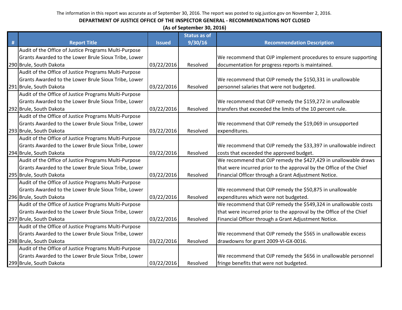|   | (As of September 30, 2016)                            |               |                     |                                                                     |  |  |
|---|-------------------------------------------------------|---------------|---------------------|---------------------------------------------------------------------|--|--|
|   |                                                       |               | <b>Status as of</b> |                                                                     |  |  |
| # | <b>Report Title</b>                                   | <b>Issued</b> | 9/30/16             | <b>Recommendation Description</b>                                   |  |  |
|   | Audit of the Office of Justice Programs Multi-Purpose |               |                     |                                                                     |  |  |
|   | Grants Awarded to the Lower Brule Sioux Tribe, Lower  |               |                     | We recommend that OJP implement procedures to ensure supporting     |  |  |
|   | 290 Brule, South Dakota                               | 03/22/2016    | Resolved            | documentation for progress reports is maintained.                   |  |  |
|   | Audit of the Office of Justice Programs Multi-Purpose |               |                     |                                                                     |  |  |
|   | Grants Awarded to the Lower Brule Sioux Tribe, Lower  |               |                     | We recommend that OJP remedy the \$150,331 in unallowable           |  |  |
|   | 291 Brule, South Dakota                               | 03/22/2016    | Resolved            | personnel salaries that were not budgeted.                          |  |  |
|   | Audit of the Office of Justice Programs Multi-Purpose |               |                     |                                                                     |  |  |
|   | Grants Awarded to the Lower Brule Sioux Tribe, Lower  |               |                     | We recommend that OJP remedy the \$159,272 in unallowable           |  |  |
|   | 292 Brule, South Dakota                               | 03/22/2016    | Resolved            | transfers that exceeded the limits of the 10 percent rule.          |  |  |
|   | Audit of the Office of Justice Programs Multi-Purpose |               |                     |                                                                     |  |  |
|   | Grants Awarded to the Lower Brule Sioux Tribe, Lower  |               |                     | We recommend that OJP remedy the \$19,069 in unsupported            |  |  |
|   | 293 Brule, South Dakota                               | 03/22/2016    | Resolved            | expenditures.                                                       |  |  |
|   | Audit of the Office of Justice Programs Multi-Purpose |               |                     |                                                                     |  |  |
|   | Grants Awarded to the Lower Brule Sioux Tribe, Lower  |               |                     | We recommend that OJP remedy the \$33,397 in unallowable indirect   |  |  |
|   | 294 Brule, South Dakota                               | 03/22/2016    | Resolved            | costs that exceeded the approved budget.                            |  |  |
|   | Audit of the Office of Justice Programs Multi-Purpose |               |                     | We recommend that OJP remedy the \$427,429 in unallowable draws     |  |  |
|   | Grants Awarded to the Lower Brule Sioux Tribe, Lower  |               |                     | that were incurred prior to the approval by the Office of the Chief |  |  |
|   | 295 Brule, South Dakota                               | 03/22/2016    | Resolved            | Financial Officer through a Grant Adjustment Notice.                |  |  |
|   | Audit of the Office of Justice Programs Multi-Purpose |               |                     |                                                                     |  |  |
|   | Grants Awarded to the Lower Brule Sioux Tribe, Lower  |               |                     | We recommend that OJP remedy the \$50,875 in unallowable            |  |  |
|   | 296 Brule, South Dakota                               | 03/22/2016    | Resolved            | expenditures which were not budgeted.                               |  |  |
|   | Audit of the Office of Justice Programs Multi-Purpose |               |                     | We recommend that OJP remedy the \$549,324 in unallowable costs     |  |  |
|   | Grants Awarded to the Lower Brule Sioux Tribe, Lower  |               |                     | that were incurred prior to the approval by the Office of the Chief |  |  |
|   | 297 Brule, South Dakota                               | 03/22/2016    | Resolved            | Financial Officer through a Grant Adjustment Notice.                |  |  |
|   | Audit of the Office of Justice Programs Multi-Purpose |               |                     |                                                                     |  |  |
|   | Grants Awarded to the Lower Brule Sioux Tribe, Lower  |               |                     | We recommend that OJP remedy the \$565 in unallowable excess        |  |  |
|   | 298 Brule, South Dakota                               | 03/22/2016    | Resolved            | drawdowns for grant 2009-VI-GX-0016.                                |  |  |
|   | Audit of the Office of Justice Programs Multi-Purpose |               |                     |                                                                     |  |  |
|   | Grants Awarded to the Lower Brule Sioux Tribe, Lower  |               |                     | We recommend that OJP remedy the \$656 in unallowable personnel     |  |  |
|   | 299 Brule, South Dakota                               | 03/22/2016    | Resolved            | fringe benefits that were not budgeted.                             |  |  |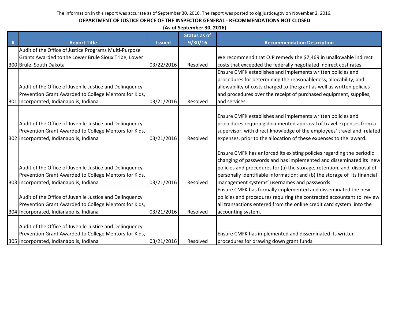|   | (As of September 30, 2016)                              |               |                     |                                                                           |  |  |
|---|---------------------------------------------------------|---------------|---------------------|---------------------------------------------------------------------------|--|--|
|   |                                                         |               | <b>Status as of</b> |                                                                           |  |  |
| # | <b>Report Title</b>                                     | <b>Issued</b> | 9/30/16             | <b>Recommendation Description</b>                                         |  |  |
|   | Audit of the Office of Justice Programs Multi-Purpose   |               |                     |                                                                           |  |  |
|   | Grants Awarded to the Lower Brule Sioux Tribe, Lower    |               |                     | We recommend that OJP remedy the \$7,469 in unallowable indirect          |  |  |
|   | 300 Brule, South Dakota                                 | 03/22/2016    | Resolved            | costs that exceeded the federally negotiated indirect cost rates.         |  |  |
|   |                                                         |               |                     | Ensure CMFK establishes and implements written policies and               |  |  |
|   |                                                         |               |                     | procedures for determining the reasonableness, allocability, and          |  |  |
|   | Audit of the Office of Juvenile Justice and Delinguency |               |                     | allowability of costs charged to the grant as well as written policies    |  |  |
|   | Prevention Grant Awarded to College Mentors for Kids,   |               |                     | and procedures over the receipt of purchased equipment, supplies,         |  |  |
|   | 301 Incorporated, Indianapolis, Indiana                 | 03/21/2016    | Resolved            | and services.                                                             |  |  |
|   |                                                         |               |                     |                                                                           |  |  |
|   |                                                         |               |                     | Ensure CMFK establishes and implements written policies and               |  |  |
|   | Audit of the Office of Juvenile Justice and Delinquency |               |                     | procedures requiring documented approval of travel expenses from a        |  |  |
|   | Prevention Grant Awarded to College Mentors for Kids,   |               |                     | supervisor, with direct knowledge of the employees' travel and related    |  |  |
|   | 302 Incorporated, Indianapolis, Indiana                 | 03/21/2016    | Resolved            | expenses, prior to the allocation of these expenses to the award.         |  |  |
|   |                                                         |               |                     |                                                                           |  |  |
|   |                                                         |               |                     | Ensure CMFK has enforced its existing policies regarding the periodic     |  |  |
|   |                                                         |               |                     | changing of passwords and has implemented and disseminated its new        |  |  |
|   | Audit of the Office of Juvenile Justice and Delinquency |               |                     | policies and procedures for (a) the storage, retention, and disposal of   |  |  |
|   | Prevention Grant Awarded to College Mentors for Kids,   |               |                     | personally identifiable information; and (b) the storage of its financial |  |  |
|   | 303 Incorporated, Indianapolis, Indiana                 | 03/21/2016    | Resolved            | management systems' usernames and passwords.                              |  |  |
|   |                                                         |               |                     | Ensure CMFK has formally implemented and disseminated the new             |  |  |
|   | Audit of the Office of Juvenile Justice and Delinquency |               |                     | policies and procedures requiring the contracted accountant to review     |  |  |
|   | Prevention Grant Awarded to College Mentors for Kids,   |               |                     | all transactions entered from the online credit card system into the      |  |  |
|   | 304 Incorporated, Indianapolis, Indiana                 | 03/21/2016    | Resolved            | accounting system.                                                        |  |  |
|   |                                                         |               |                     |                                                                           |  |  |
|   | Audit of the Office of Juvenile Justice and Delinquency |               |                     |                                                                           |  |  |
|   | Prevention Grant Awarded to College Mentors for Kids,   |               |                     | Ensure CMFK has implemented and disseminated its written                  |  |  |
|   | 305 Incorporated, Indianapolis, Indiana                 | 03/21/2016    | Resolved            | procedures for drawing down grant funds.                                  |  |  |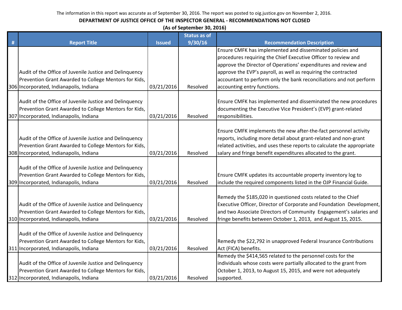| (As of September 30, 2016) |  |
|----------------------------|--|
|----------------------------|--|

|   |                                                                                                                                                             |               | <b>Status as of</b> |                                                                                                                                                                                                                                                                                   |
|---|-------------------------------------------------------------------------------------------------------------------------------------------------------------|---------------|---------------------|-----------------------------------------------------------------------------------------------------------------------------------------------------------------------------------------------------------------------------------------------------------------------------------|
| # | <b>Report Title</b>                                                                                                                                         | <b>Issued</b> | 9/30/16             | <b>Recommendation Description</b>                                                                                                                                                                                                                                                 |
|   | Audit of the Office of Juvenile Justice and Delinquency                                                                                                     |               |                     | Ensure CMFK has implemented and disseminated policies and<br>procedures requiring the Chief Executive Officer to review and<br>approve the Director of Operations' expenditures and review and<br>approve the EVP's payroll, as well as requiring the contracted                  |
|   | Prevention Grant Awarded to College Mentors for Kids,                                                                                                       |               |                     | accountant to perform only the bank reconciliations and not perform                                                                                                                                                                                                               |
|   | 306 Incorporated, Indianapolis, Indiana                                                                                                                     | 03/21/2016    | Resolved            | accounting entry functions.                                                                                                                                                                                                                                                       |
|   | Audit of the Office of Juvenile Justice and Delinquency<br>Prevention Grant Awarded to College Mentors for Kids,<br>307 Incorporated, Indianapolis, Indiana | 03/21/2016    | Resolved            | Ensure CMFK has implemented and disseminated the new procedures<br>documenting the Executive Vice President's (EVP) grant-related<br>responsibilities.                                                                                                                            |
|   | Audit of the Office of Juvenile Justice and Delinquency<br>Prevention Grant Awarded to College Mentors for Kids,<br>308 Incorporated, Indianapolis, Indiana | 03/21/2016    | Resolved            | Ensure CMFK implements the new after-the-fact personnel activity<br>reports, including more detail about grant-related and non-grant<br>related activities, and uses these reports to calculate the appropriate<br>salary and fringe benefit expenditures allocated to the grant. |
|   | Audit of the Office of Juvenile Justice and Delinquency<br>Prevention Grant Awarded to College Mentors for Kids,<br>309 Incorporated, Indianapolis, Indiana | 03/21/2016    | Resolved            | Ensure CMFK updates its accountable property inventory log to<br>include the required components listed in the OJP Financial Guide.                                                                                                                                               |
|   | Audit of the Office of Juvenile Justice and Delinquency<br>Prevention Grant Awarded to College Mentors for Kids,<br>310 Incorporated, Indianapolis, Indiana | 03/21/2016    | Resolved            | Remedy the \$185,020 in questioned costs related to the Chief<br>Executive Officer, Director of Corporate and Foundation Development,<br>and two Associate Directors of Community Engagement's salaries and<br>fringe benefits between October 1, 2013, and August 15, 2015.      |
|   | Audit of the Office of Juvenile Justice and Delinquency<br>Prevention Grant Awarded to College Mentors for Kids,<br>311 Incorporated, Indianapolis, Indiana | 03/21/2016    | Resolved            | Remedy the \$22,792 in unapproved Federal Insurance Contributions<br>Act (FICA) benefits.                                                                                                                                                                                         |
|   | Audit of the Office of Juvenile Justice and Delinquency<br>Prevention Grant Awarded to College Mentors for Kids,<br>312 Incorporated, Indianapolis, Indiana | 03/21/2016    | Resolved            | Remedy the \$414,565 related to the personnel costs for the<br>individuals whose costs were partially allocated to the grant from<br>October 1, 2013, to August 15, 2015, and were not adequately<br>supported.                                                                   |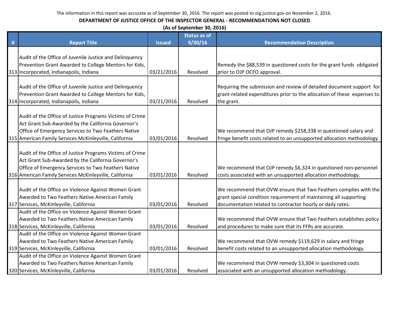|   | (As of September 30, 2016)                               |               |                     |                                                                         |  |  |  |
|---|----------------------------------------------------------|---------------|---------------------|-------------------------------------------------------------------------|--|--|--|
|   |                                                          |               | <b>Status as of</b> |                                                                         |  |  |  |
| # | <b>Report Title</b>                                      | <b>Issued</b> | 9/30/16             | <b>Recommendation Description</b>                                       |  |  |  |
|   |                                                          |               |                     |                                                                         |  |  |  |
|   | Audit of the Office of Juvenile Justice and Delinquency  |               |                     |                                                                         |  |  |  |
|   | Prevention Grant Awarded to College Mentors for Kids,    |               |                     | Remedy the \$88,539 in questioned costs for the grant funds obligated   |  |  |  |
|   | 313 Incorporated, Indianapolis, Indiana                  | 03/21/2016    | Resolved            | prior to OJP OCFO approval.                                             |  |  |  |
|   |                                                          |               |                     |                                                                         |  |  |  |
|   | Audit of the Office of Juvenile Justice and Delinquency  |               |                     | Requiring the submission and review of detailed document support for    |  |  |  |
|   | Prevention Grant Awarded to College Mentors for Kids,    |               |                     | grant-related expenditures prior to the allocation of these expenses to |  |  |  |
|   | 314 Incorporated, Indianapolis, Indiana                  | 03/21/2016    | Resolved            | the grant.                                                              |  |  |  |
|   |                                                          |               |                     |                                                                         |  |  |  |
|   | Audit of the Office of Justice Programs Victims of Crime |               |                     |                                                                         |  |  |  |
|   | Act Grant Sub-Awarded by the California Governor's       |               |                     |                                                                         |  |  |  |
|   | Office of Emergency Services to Two Feathers Native      |               |                     | We recommend that OJP remedy \$258,338 in questioned salary and         |  |  |  |
|   | 315 American Family Services McKinleyville, California   | 03/01/2016    | Resolved            | fringe benefit costs related to an unsupported allocation methodology.  |  |  |  |
|   |                                                          |               |                     |                                                                         |  |  |  |
|   | Audit of the Office of Justice Programs Victims of Crime |               |                     |                                                                         |  |  |  |
|   | Act Grant Sub-Awarded by the California Governor's       |               |                     |                                                                         |  |  |  |
|   | Office of Emergency Services to Two Feathers Native      |               |                     | We recommend that OJP remedy \$6,324 in questioned non-personnel        |  |  |  |
|   | 316 American Family Services McKinleyville, California   | 03/01/2016    | Resolved            | costs associated with an unsupported allocation methodology.            |  |  |  |
|   |                                                          |               |                     |                                                                         |  |  |  |
|   | Audit of the Office on Violence Against Women Grant      |               |                     | We recommend that OVW ensure that Two Feathers complies with the        |  |  |  |
|   | Awarded to Two Feathers Native American Family           |               |                     | grant special condition requirement of maintaining all supporting       |  |  |  |
|   | 317 Services, McKinleyville, California                  | 03/01/2016    | Resolved            | documentation related to contractor hourly or daily rates.              |  |  |  |
|   | Audit of the Office on Violence Against Women Grant      |               |                     |                                                                         |  |  |  |
|   | Awarded to Two Feathers Native American Family           |               |                     | We recommend that OVW ensure that Two Feathers establishes policy       |  |  |  |
|   | 318 Services, McKinleyville, California                  | 03/01/2016    | Resolved            | and procedures to make sure that its FFRs are accurate.                 |  |  |  |
|   | Audit of the Office on Violence Against Women Grant      |               |                     |                                                                         |  |  |  |
|   | Awarded to Two Feathers Native American Family           |               |                     | We recommend that OVW remedy \$119,629 in salary and fringe             |  |  |  |
|   | 319 Services, McKinleyville, California                  | 03/01/2016    | Resolved            | benefit costs related to an unsupported allocation methodology.         |  |  |  |
|   | Audit of the Office on Violence Against Women Grant      |               |                     |                                                                         |  |  |  |
|   | Awarded to Two Feathers Native American Family           |               |                     | We recommend that OVW remedy \$3,304 in questioned costs                |  |  |  |
|   | 320 Services, McKinleyville, California                  | 03/01/2016    | Resolved            | associated with an unsupported allocation methodology.                  |  |  |  |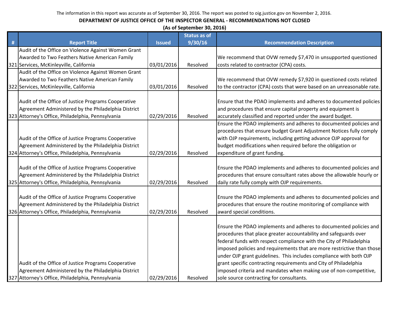|   | (As of September 30, 2016)                          |               |                     |                                                                        |  |
|---|-----------------------------------------------------|---------------|---------------------|------------------------------------------------------------------------|--|
|   |                                                     |               | <b>Status as of</b> |                                                                        |  |
| # | <b>Report Title</b>                                 | <b>Issued</b> | 9/30/16             | <b>Recommendation Description</b>                                      |  |
|   | Audit of the Office on Violence Against Women Grant |               |                     |                                                                        |  |
|   | Awarded to Two Feathers Native American Family      |               |                     | We recommend that OVW remedy \$7,470 in unsupported questioned         |  |
|   | 321 Services, McKinleyville, California             | 03/01/2016    | Resolved            | costs related to contractor (CPA) costs.                               |  |
|   | Audit of the Office on Violence Against Women Grant |               |                     |                                                                        |  |
|   | Awarded to Two Feathers Native American Family      |               |                     | We recommend that OVW remedy \$7,920 in questioned costs related       |  |
|   | 322 Services, McKinleyville, California             | 03/01/2016    | Resolved            | to the contractor (CPA) costs that were based on an unreasonable rate. |  |
|   |                                                     |               |                     |                                                                        |  |
|   | Audit of the Office of Justice Programs Cooperative |               |                     | Ensure that the PDAO implements and adheres to documented policies     |  |
|   | Agreement Administered by the Philadelphia District |               |                     | and procedures that ensure capital property and equipment is           |  |
|   | 323 Attorney's Office, Philadelphia, Pennsylvania   | 02/29/2016    | Resolved            | accurately classified and reported under the award budget.             |  |
|   |                                                     |               |                     | Ensure the PDAO implements and adheres to documented policies and      |  |
|   |                                                     |               |                     | procedures that ensure budget Grant Adjustment Notices fully comply    |  |
|   | Audit of the Office of Justice Programs Cooperative |               |                     | with OJP requirements, including getting advance OJP approval for      |  |
|   | Agreement Administered by the Philadelphia District |               |                     | budget modifications when required before the obligation or            |  |
|   | 324 Attorney's Office, Philadelphia, Pennsylvania   | 02/29/2016    | Resolved            | expenditure of grant funding.                                          |  |
|   |                                                     |               |                     |                                                                        |  |
|   | Audit of the Office of Justice Programs Cooperative |               |                     | Ensure the PDAO implements and adheres to documented policies and      |  |
|   | Agreement Administered by the Philadelphia District |               |                     | procedures that ensure consultant rates above the allowable hourly or  |  |
|   | 325 Attorney's Office, Philadelphia, Pennsylvania   | 02/29/2016    | Resolved            | daily rate fully comply with OJP requirements.                         |  |
|   |                                                     |               |                     |                                                                        |  |
|   | Audit of the Office of Justice Programs Cooperative |               |                     | Ensure the PDAO implements and adheres to documented policies and      |  |
|   | Agreement Administered by the Philadelphia District |               |                     | procedures that ensure the routine monitoring of compliance with       |  |
|   | 326 Attorney's Office, Philadelphia, Pennsylvania   | 02/29/2016    | Resolved            | award special conditions.                                              |  |
|   |                                                     |               |                     |                                                                        |  |
|   |                                                     |               |                     | Ensure the PDAO implements and adheres to documented policies and      |  |
|   |                                                     |               |                     | procedures that place greater accountability and safeguards over       |  |
|   |                                                     |               |                     | federal funds with respect compliance with the City of Philadelphia    |  |
|   |                                                     |               |                     | imposed policies and requirements that are more restrictive than those |  |
|   |                                                     |               |                     | under OJP grant guidelines. This includes compliance with both OJP     |  |
|   | Audit of the Office of Justice Programs Cooperative |               |                     | grant specific contracting requirements and City of Philadelphia       |  |
|   | Agreement Administered by the Philadelphia District |               |                     | imposed criteria and mandates when making use of non-competitive,      |  |
|   | 327 Attorney's Office, Philadelphia, Pennsylvania   | 02/29/2016    | Resolved            | sole source contracting for consultants.                               |  |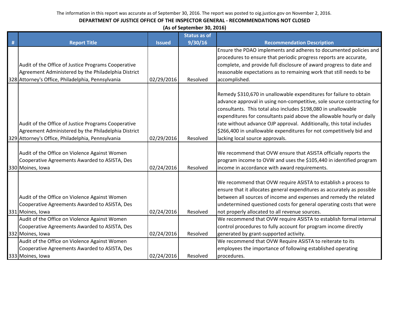|   | (As of September 30, 2016)                          |               |                     |                                                                         |  |  |  |
|---|-----------------------------------------------------|---------------|---------------------|-------------------------------------------------------------------------|--|--|--|
|   |                                                     |               | <b>Status as of</b> |                                                                         |  |  |  |
| # | <b>Report Title</b>                                 | <b>Issued</b> | 9/30/16             | <b>Recommendation Description</b>                                       |  |  |  |
|   |                                                     |               |                     | Ensure the PDAO implements and adheres to documented policies and       |  |  |  |
|   |                                                     |               |                     | procedures to ensure that periodic progress reports are accurate,       |  |  |  |
|   | Audit of the Office of Justice Programs Cooperative |               |                     | complete, and provide full disclosure of award progress to date and     |  |  |  |
|   | Agreement Administered by the Philadelphia District |               |                     | reasonable expectations as to remaining work that still needs to be     |  |  |  |
|   | 328 Attorney's Office, Philadelphia, Pennsylvania   | 02/29/2016    | Resolved            | accomplished.                                                           |  |  |  |
|   |                                                     |               |                     |                                                                         |  |  |  |
|   |                                                     |               |                     | Remedy \$310,670 in unallowable expenditures for failure to obtain      |  |  |  |
|   |                                                     |               |                     | advance approval in using non-competitive, sole source contracting for  |  |  |  |
|   |                                                     |               |                     | consultants. This total also includes \$198,080 in unallowable          |  |  |  |
|   |                                                     |               |                     | expenditures for consultants paid above the allowable hourly or daily   |  |  |  |
|   | Audit of the Office of Justice Programs Cooperative |               |                     | rate without advance OJP approval. Additionally, this total includes    |  |  |  |
|   | Agreement Administered by the Philadelphia District |               |                     | \$266,400 in unallowable expenditures for not competitively bid and     |  |  |  |
|   | 329 Attorney's Office, Philadelphia, Pennsylvania   | 02/29/2016    | Resolved            | lacking local source approvals.                                         |  |  |  |
|   |                                                     |               |                     |                                                                         |  |  |  |
|   | Audit of the Office on Violence Against Women       |               |                     | We recommend that OVW ensure that ASISTA officially reports the         |  |  |  |
|   | Cooperative Agreements Awarded to ASISTA, Des       |               |                     | program income to OVW and uses the \$105,440 in identified program      |  |  |  |
|   | 330 Moines, Iowa                                    | 02/24/2016    | Resolved            | income in accordance with award requirements.                           |  |  |  |
|   |                                                     |               |                     | We recommend that OVW require ASISTA to establish a process to          |  |  |  |
|   |                                                     |               |                     | ensure that it allocates general expenditures as accurately as possible |  |  |  |
|   | Audit of the Office on Violence Against Women       |               |                     | between all sources of income and expenses and remedy the related       |  |  |  |
|   | Cooperative Agreements Awarded to ASISTA, Des       |               |                     | undetermined questioned costs for general operating costs that were     |  |  |  |
|   | 331 Moines, Iowa                                    | 02/24/2016    | Resolved            | not properly allocated to all revenue sources.                          |  |  |  |
|   | Audit of the Office on Violence Against Women       |               |                     | We recommend that OVW require ASISTA to establish formal internal       |  |  |  |
|   |                                                     |               |                     |                                                                         |  |  |  |
|   | Cooperative Agreements Awarded to ASISTA, Des       |               | Resolved            | control procedures to fully account for program income directly         |  |  |  |
|   | 332 Moines, Iowa                                    | 02/24/2016    |                     | generated by grant-supported activity.                                  |  |  |  |
|   | Audit of the Office on Violence Against Women       |               |                     | We recommend that OVW Require ASISTA to reiterate to its                |  |  |  |
|   | Cooperative Agreements Awarded to ASISTA, Des       |               |                     | employees the importance of following established operating             |  |  |  |
|   | 333 Moines, Iowa                                    | 02/24/2016    | Resolved            | procedures.                                                             |  |  |  |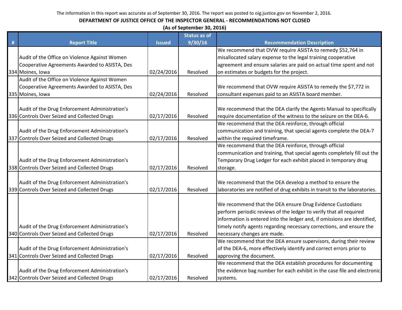|   | (As of September 30, 2016)                     |               |                     |                                                                            |  |  |
|---|------------------------------------------------|---------------|---------------------|----------------------------------------------------------------------------|--|--|
|   |                                                |               | <b>Status as of</b> |                                                                            |  |  |
| # | <b>Report Title</b>                            | <b>Issued</b> | 9/30/16             | <b>Recommendation Description</b>                                          |  |  |
|   |                                                |               |                     | We recommend that OVW require ASISTA to remedy \$52,764 in                 |  |  |
|   | Audit of the Office on Violence Against Women  |               |                     | misallocated salary expense to the legal training cooperative              |  |  |
|   | Cooperative Agreements Awarded to ASISTA, Des  |               |                     | agreement and ensure salaries are paid on actual time spent and not        |  |  |
|   | 334 Moines, Iowa                               | 02/24/2016    | Resolved            | on estimates or budgets for the project.                                   |  |  |
|   | Audit of the Office on Violence Against Women  |               |                     |                                                                            |  |  |
|   | Cooperative Agreements Awarded to ASISTA, Des  |               |                     | We recommend that OVW require ASISTA to remedy the \$7,772 in              |  |  |
|   | 335 Moines, Iowa                               | 02/24/2016    | Resolved            | consultant expenses paid to an ASISTA board member.                        |  |  |
|   |                                                |               |                     |                                                                            |  |  |
|   | Audit of the Drug Enforcement Administration's |               |                     | We recommend that the DEA clarify the Agents Manual to specifically        |  |  |
|   | 336 Controls Over Seized and Collected Drugs   | 02/17/2016    | Resolved            | require documentation of the witness to the seizure on the DEA-6.          |  |  |
|   |                                                |               |                     | We recommend that the DEA reinforce, through official                      |  |  |
|   | Audit of the Drug Enforcement Administration's |               |                     | communication and training, that special agents complete the DEA-7         |  |  |
|   | 337 Controls Over Seized and Collected Drugs   | 02/17/2016    | Resolved            | within the required timeframe.                                             |  |  |
|   |                                                |               |                     | We recommend that the DEA reinforce, through official                      |  |  |
|   |                                                |               |                     | communication and training, that special agents completely fill out the    |  |  |
|   | Audit of the Drug Enforcement Administration's |               |                     | Temporary Drug Ledger for each exhibit placed in temporary drug            |  |  |
|   | 338 Controls Over Seized and Collected Drugs   | 02/17/2016    | Resolved            | storage.                                                                   |  |  |
|   |                                                |               |                     |                                                                            |  |  |
|   | Audit of the Drug Enforcement Administration's |               |                     | We recommend that the DEA develop a method to ensure the                   |  |  |
|   | 339 Controls Over Seized and Collected Drugs   | 02/17/2016    | Resolved            | laboratories are notified of drug exhibits in transit to the laboratories. |  |  |
|   |                                                |               |                     |                                                                            |  |  |
|   |                                                |               |                     | We recommend that the DEA ensure Drug Evidence Custodians                  |  |  |
|   |                                                |               |                     | perform periodic reviews of the ledger to verify that all required         |  |  |
|   |                                                |               |                     | information is entered into the ledger and, if omissions are identified,   |  |  |
|   | Audit of the Drug Enforcement Administration's |               |                     | timely notify agents regarding necessary corrections, and ensure the       |  |  |
|   | 340 Controls Over Seized and Collected Drugs   | 02/17/2016    | Resolved            | necessary changes are made.                                                |  |  |
|   |                                                |               |                     | We recommend that the DEA ensure supervisors, during their review          |  |  |
|   | Audit of the Drug Enforcement Administration's |               |                     | of the DEA-6, more effectively identify and correct errors prior to        |  |  |
|   | 341 Controls Over Seized and Collected Drugs   | 02/17/2016    | Resolved            | approving the document.                                                    |  |  |
|   |                                                |               |                     | We recommend that the DEA establish procedures for documenting             |  |  |
|   | Audit of the Drug Enforcement Administration's |               |                     | the evidence bag number for each exhibit in the case file and electronic   |  |  |
|   | 342 Controls Over Seized and Collected Drugs   | 02/17/2016    | Resolved            | systems.                                                                   |  |  |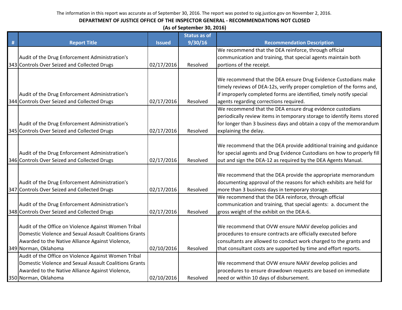|   |                                                        |               | (As of September 30, 2016) |                                                                                                                                               |  |  |  |  |
|---|--------------------------------------------------------|---------------|----------------------------|-----------------------------------------------------------------------------------------------------------------------------------------------|--|--|--|--|
|   |                                                        |               | <b>Status as of</b>        |                                                                                                                                               |  |  |  |  |
| # | <b>Report Title</b>                                    | <b>Issued</b> | 9/30/16                    | <b>Recommendation Description</b>                                                                                                             |  |  |  |  |
|   |                                                        |               |                            | We recommend that the DEA reinforce, through official                                                                                         |  |  |  |  |
|   | Audit of the Drug Enforcement Administration's         |               |                            | communication and training, that special agents maintain both                                                                                 |  |  |  |  |
|   | 343 Controls Over Seized and Collected Drugs           | 02/17/2016    | Resolved                   | portions of the receipt.                                                                                                                      |  |  |  |  |
|   |                                                        |               |                            | We recommend that the DEA ensure Drug Evidence Custodians make                                                                                |  |  |  |  |
|   |                                                        |               |                            | timely reviews of DEA-12s, verify proper completion of the forms and,                                                                         |  |  |  |  |
|   | Audit of the Drug Enforcement Administration's         |               |                            | if improperly completed forms are identified, timely notify special                                                                           |  |  |  |  |
|   | 344 Controls Over Seized and Collected Drugs           | 02/17/2016    | Resolved                   | agents regarding corrections required.                                                                                                        |  |  |  |  |
|   |                                                        |               |                            | We recommend that the DEA ensure drug evidence custodians                                                                                     |  |  |  |  |
|   |                                                        |               |                            | periodically review items in temporary storage to identify items stored                                                                       |  |  |  |  |
|   | Audit of the Drug Enforcement Administration's         |               |                            | for longer than 3 business days and obtain a copy of the memorandum                                                                           |  |  |  |  |
|   | 345 Controls Over Seized and Collected Drugs           | 02/17/2016    | Resolved                   | explaining the delay.                                                                                                                         |  |  |  |  |
|   | Audit of the Drug Enforcement Administration's         |               |                            | We recommend that the DEA provide additional training and guidance<br>for special agents and Drug Evidence Custodians on how to properly fill |  |  |  |  |
|   | 346 Controls Over Seized and Collected Drugs           | 02/17/2016    | Resolved                   | out and sign the DEA-12 as required by the DEA Agents Manual.                                                                                 |  |  |  |  |
|   |                                                        |               |                            |                                                                                                                                               |  |  |  |  |
|   |                                                        |               |                            | We recommend that the DEA provide the appropriate memorandum                                                                                  |  |  |  |  |
|   | Audit of the Drug Enforcement Administration's         |               |                            | documenting approval of the reasons for which exhibits are held for                                                                           |  |  |  |  |
|   | 347 Controls Over Seized and Collected Drugs           | 02/17/2016    | Resolved                   | more than 3 business days in temporary storage.                                                                                               |  |  |  |  |
|   |                                                        |               |                            | We recommend that the DEA reinforce, through official                                                                                         |  |  |  |  |
|   | Audit of the Drug Enforcement Administration's         |               |                            | communication and training, that special agents: a. document the                                                                              |  |  |  |  |
|   | 348 Controls Over Seized and Collected Drugs           | 02/17/2016    | Resolved                   | gross weight of the exhibit on the DEA-6.                                                                                                     |  |  |  |  |
|   | Audit of the Office on Violence Against Women Tribal   |               |                            | We recommend that OVW ensure NAAV develop policies and                                                                                        |  |  |  |  |
|   | Domestic Violence and Sexual Assault Coalitions Grants |               |                            | procedures to ensure contracts are officially executed before                                                                                 |  |  |  |  |
|   | Awarded to the Native Alliance Against Violence,       |               |                            | consultants are allowed to conduct work charged to the grants and                                                                             |  |  |  |  |
|   | 349 Norman, Oklahoma                                   | 02/10/2016    | Resolved                   | that consultant costs are supported by time and effort reports.                                                                               |  |  |  |  |
|   | Audit of the Office on Violence Against Women Tribal   |               |                            |                                                                                                                                               |  |  |  |  |
|   | Domestic Violence and Sexual Assault Coalitions Grants |               |                            | We recommend that OVW ensure NAAV develop policies and                                                                                        |  |  |  |  |
|   | Awarded to the Native Alliance Against Violence,       |               |                            | procedures to ensure drawdown requests are based on immediate                                                                                 |  |  |  |  |
|   | 350 Norman, Oklahoma                                   | 02/10/2016    | Resolved                   | need or within 10 days of disbursement.                                                                                                       |  |  |  |  |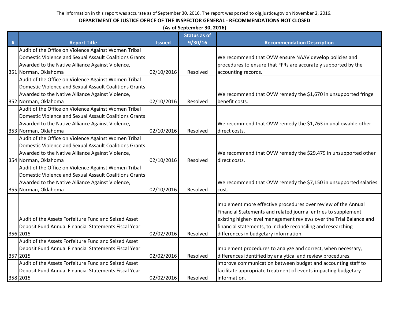|   | (As of September 30, 2016)                             |               |                     |                                                                     |  |  |
|---|--------------------------------------------------------|---------------|---------------------|---------------------------------------------------------------------|--|--|
|   |                                                        |               | <b>Status as of</b> |                                                                     |  |  |
| # | <b>Report Title</b>                                    | <b>Issued</b> | 9/30/16             | <b>Recommendation Description</b>                                   |  |  |
|   | Audit of the Office on Violence Against Women Tribal   |               |                     |                                                                     |  |  |
|   | Domestic Violence and Sexual Assault Coalitions Grants |               |                     | We recommend that OVW ensure NAAV develop policies and              |  |  |
|   | Awarded to the Native Alliance Against Violence,       |               |                     | procedures to ensure that FFRs are accurately supported by the      |  |  |
|   | 351 Norman, Oklahoma                                   | 02/10/2016    | Resolved            | accounting records.                                                 |  |  |
|   | Audit of the Office on Violence Against Women Tribal   |               |                     |                                                                     |  |  |
|   | Domestic Violence and Sexual Assault Coalitions Grants |               |                     |                                                                     |  |  |
|   | Awarded to the Native Alliance Against Violence,       |               |                     | We recommend that OVW remedy the \$1,670 in unsupported fringe      |  |  |
|   | 352 Norman, Oklahoma                                   | 02/10/2016    | Resolved            | benefit costs.                                                      |  |  |
|   | Audit of the Office on Violence Against Women Tribal   |               |                     |                                                                     |  |  |
|   | Domestic Violence and Sexual Assault Coalitions Grants |               |                     |                                                                     |  |  |
|   | Awarded to the Native Alliance Against Violence,       |               |                     | We recommend that OVW remedy the \$1,763 in unallowable other       |  |  |
|   | 353 Norman, Oklahoma                                   | 02/10/2016    | Resolved            | direct costs.                                                       |  |  |
|   | Audit of the Office on Violence Against Women Tribal   |               |                     |                                                                     |  |  |
|   | Domestic Violence and Sexual Assault Coalitions Grants |               |                     |                                                                     |  |  |
|   | Awarded to the Native Alliance Against Violence,       |               |                     | We recommend that OVW remedy the \$29,479 in unsupported other      |  |  |
|   | 354 Norman, Oklahoma                                   | 02/10/2016    | Resolved            | direct costs.                                                       |  |  |
|   | Audit of the Office on Violence Against Women Tribal   |               |                     |                                                                     |  |  |
|   | Domestic Violence and Sexual Assault Coalitions Grants |               |                     |                                                                     |  |  |
|   | Awarded to the Native Alliance Against Violence,       |               |                     | We recommend that OVW remedy the \$7,150 in unsupported salaries    |  |  |
|   | 355 Norman, Oklahoma                                   | 02/10/2016    | Resolved            | cost.                                                               |  |  |
|   |                                                        |               |                     |                                                                     |  |  |
|   |                                                        |               |                     | Implement more effective procedures over review of the Annual       |  |  |
|   |                                                        |               |                     | Financial Statements and related journal entries to supplement      |  |  |
|   | Audit of the Assets Forfeiture Fund and Seized Asset   |               |                     | existing higher-level management reviews over the Trial Balance and |  |  |
|   | Deposit Fund Annual Financial Statements Fiscal Year   |               |                     | financial statements, to include reconciling and researching        |  |  |
|   | 356 2015                                               | 02/02/2016    | Resolved            | differences in budgetary information.                               |  |  |
|   | Audit of the Assets Forfeiture Fund and Seized Asset   |               |                     |                                                                     |  |  |
|   | Deposit Fund Annual Financial Statements Fiscal Year   |               |                     | Implement procedures to analyze and correct, when necessary,        |  |  |
|   | 357 2015                                               | 02/02/2016    | Resolved            | differences identified by analytical and review procedures.         |  |  |
|   | Audit of the Assets Forfeiture Fund and Seized Asset   |               |                     | Improve communication between budget and accounting staff to        |  |  |
|   | Deposit Fund Annual Financial Statements Fiscal Year   |               |                     | facilitate appropriate treatment of events impacting budgetary      |  |  |
|   | 358 2015                                               | 02/02/2016    | Resolved            | information.                                                        |  |  |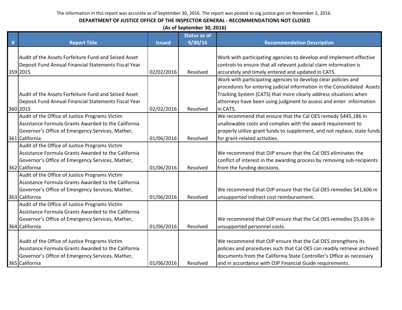|   | (As of September 30, 2016)                           |               |                     |                                                                          |  |  |  |
|---|------------------------------------------------------|---------------|---------------------|--------------------------------------------------------------------------|--|--|--|
|   |                                                      |               | <b>Status as of</b> |                                                                          |  |  |  |
| # | <b>Report Title</b>                                  | <b>Issued</b> | 9/30/16             | <b>Recommendation Description</b>                                        |  |  |  |
|   |                                                      |               |                     |                                                                          |  |  |  |
|   | Audit of the Assets Forfeiture Fund and Seized Asset |               |                     | Work with participating agencies to develop and implement effective      |  |  |  |
|   | Deposit Fund Annual Financial Statements Fiscal Year |               |                     | controls to ensure that all relevant judicial claim information is       |  |  |  |
|   | 359 2015                                             | 02/02/2016    | Resolved            | accurately and timely entered and updated in CATS.                       |  |  |  |
|   |                                                      |               |                     | Work with participating agencies to develop clear policies and           |  |  |  |
|   |                                                      |               |                     | procedures for entering judicial information in the Consolidated Assets  |  |  |  |
|   | Audit of the Assets Forfeiture Fund and Seized Asset |               |                     | Tracking System (CATS) that more clearly address situations when         |  |  |  |
|   | Deposit Fund Annual Financial Statements Fiscal Year |               |                     | attorneys have been using judgment to assess and enter information       |  |  |  |
|   | 360 2015                                             | 02/02/2016    | Resolved            | in CATS.                                                                 |  |  |  |
|   | Audit of the Office of Justice Programs Victim       |               |                     | We recommend that ensure that the Cal OES remedy \$445,186 in            |  |  |  |
|   | Assistance Formula Grants Awarded to the California  |               |                     | unallowable costs and complies with the award requirement to             |  |  |  |
|   | Governor's Office of Emergency Services, Mather,     |               |                     | properly utilize grant funds to supplement, and not replace, state funds |  |  |  |
|   | 361 California                                       | 01/06/2016    | Resolved            | for grant-related activities.                                            |  |  |  |
|   | Audit of the Office of Justice Programs Victim       |               |                     |                                                                          |  |  |  |
|   | Assistance Formula Grants Awarded to the California  |               |                     | We recommend that OJP ensure that the Cal OES eliminates the             |  |  |  |
|   | Governor's Office of Emergency Services, Mather,     |               |                     | conflict of interest in the awarding process by removing sub-recipients  |  |  |  |
|   | 362 California                                       | 01/06/2016    | Resolved            | from the funding decisions.                                              |  |  |  |
|   | Audit of the Office of Justice Programs Victim       |               |                     |                                                                          |  |  |  |
|   | Assistance Formula Grants Awarded to the California  |               |                     |                                                                          |  |  |  |
|   | Governor's Office of Emergency Services, Mather,     |               |                     | We recommend that OJP ensure that the Cal OES remedies \$41,606 in       |  |  |  |
|   | 363 California                                       | 01/06/2016    | Resolved            | unsupported indirect cost reimbursement.                                 |  |  |  |
|   | Audit of the Office of Justice Programs Victim       |               |                     |                                                                          |  |  |  |
|   | Assistance Formula Grants Awarded to the California  |               |                     |                                                                          |  |  |  |
|   | Governor's Office of Emergency Services, Mather,     |               |                     | We recommend that OJP ensure that the Cal OES remedies \$5,636 in        |  |  |  |
|   | 364 California                                       | 01/06/2016    | Resolved            | unsupported personnel costs.                                             |  |  |  |
|   |                                                      |               |                     |                                                                          |  |  |  |
|   | Audit of the Office of Justice Programs Victim       |               |                     | We recommend that OJP ensure that the Cal OES strengthens its            |  |  |  |
|   | Assistance Formula Grants Awarded to the California  |               |                     | policies and procedures such that Cal OES can readily retrieve archived  |  |  |  |
|   | Governor's Office of Emergency Services, Mather,     |               |                     | documents from the California State Controller's Office as necessary     |  |  |  |
|   | 365 California                                       | 01/06/2016    | Resolved            | and in accordance with OJP Financial Guide requirements.                 |  |  |  |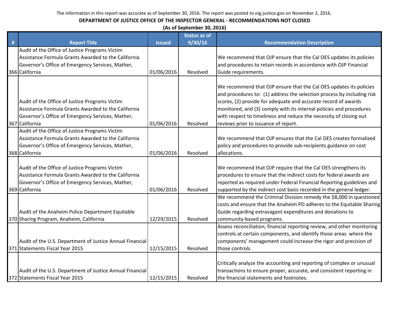|   | (As of September 30, 2016)                                                                            |               |                     |                                                                                                                                                                                                                |  |  |
|---|-------------------------------------------------------------------------------------------------------|---------------|---------------------|----------------------------------------------------------------------------------------------------------------------------------------------------------------------------------------------------------------|--|--|
|   |                                                                                                       |               | <b>Status as of</b> |                                                                                                                                                                                                                |  |  |
| # | <b>Report Title</b>                                                                                   | <b>Issued</b> | 9/30/16             | <b>Recommendation Description</b>                                                                                                                                                                              |  |  |
|   | Audit of the Office of Justice Programs Victim<br>Assistance Formula Grants Awarded to the California |               |                     | We recommend that OJP ensure that the Cal OES updates its policies                                                                                                                                             |  |  |
|   | Governor's Office of Emergency Services, Mather,                                                      |               |                     | and procedures to retain records in accordance with OJP Financial                                                                                                                                              |  |  |
|   | 366 California                                                                                        | 01/06/2016    | Resolved            | Guide requirements.                                                                                                                                                                                            |  |  |
|   |                                                                                                       |               |                     |                                                                                                                                                                                                                |  |  |
|   | Audit of the Office of Justice Programs Victim                                                        |               |                     | We recommend that OJP ensure that the Cal OES updates its policies<br>and procedures to: (1) address the selection process by including risk<br>scores, (2) provide for adequate and accurate record of awards |  |  |
|   | Assistance Formula Grants Awarded to the California                                                   |               |                     | monitored, and (3) comply with its internal policies and procedures                                                                                                                                            |  |  |
|   | Governor's Office of Emergency Services, Mather,                                                      |               |                     | with respect to timeliness and reduce the necessity of closing out                                                                                                                                             |  |  |
|   | 367 California                                                                                        | 01/06/2016    | Resolved            | reviews prior to issuance of report.                                                                                                                                                                           |  |  |
|   | Audit of the Office of Justice Programs Victim                                                        |               |                     |                                                                                                                                                                                                                |  |  |
|   | Assistance Formula Grants Awarded to the California                                                   |               |                     | We recommend that OJP ensures that the Cal OES creates formalized                                                                                                                                              |  |  |
|   | Governor's Office of Emergency Services, Mather,                                                      |               |                     | policy and procedures to provide sub-recipients guidance on cost                                                                                                                                               |  |  |
|   | 368 California                                                                                        | 01/06/2016    | Resolved            | allocations.                                                                                                                                                                                                   |  |  |
|   |                                                                                                       |               |                     |                                                                                                                                                                                                                |  |  |
|   | Audit of the Office of Justice Programs Victim                                                        |               |                     | We recommend that OJP require that the Cal OES strengthens its                                                                                                                                                 |  |  |
|   | Assistance Formula Grants Awarded to the California                                                   |               |                     | procedures to ensure that the indirect costs for federal awards are                                                                                                                                            |  |  |
|   | Governor's Office of Emergency Services, Mather,                                                      |               |                     | reported as required under Federal Financial Reporting guidelines and                                                                                                                                          |  |  |
|   | 369 California                                                                                        | 01/06/2016    | Resolved            | supported by the indirect cost basis recorded in the general ledger.                                                                                                                                           |  |  |
|   |                                                                                                       |               |                     | We recommend the Criminal Division remedy the \$8,000 in questioned<br>costs and ensure that the Anaheim PD adheres to the Equitable Sharing                                                                   |  |  |
|   | Audit of the Anaheim Police Department Equitable                                                      |               |                     | Guide regarding extravagant expenditures and donations to                                                                                                                                                      |  |  |
|   | 370 Sharing Program, Anaheim, California                                                              | 12/29/2015    | Resolved            | community-based programs.                                                                                                                                                                                      |  |  |
|   |                                                                                                       |               |                     | Assess reconciliation, financial reporting review, and other monitoring                                                                                                                                        |  |  |
|   |                                                                                                       |               |                     | controls at certain components, and identify those areas where the                                                                                                                                             |  |  |
|   | Audit of the U.S. Department of Justice Annual Financial                                              |               |                     | components' management could increase the rigor and precision of                                                                                                                                               |  |  |
|   | 371 Statements Fiscal Year 2015                                                                       | 12/15/2015    | Resolved            | those controls.                                                                                                                                                                                                |  |  |
|   |                                                                                                       |               |                     |                                                                                                                                                                                                                |  |  |
|   |                                                                                                       |               |                     | Critically analyze the accounting and reporting of complex or unusual                                                                                                                                          |  |  |
|   | Audit of the U.S. Department of Justice Annual Financial                                              |               |                     | transactions to ensure proper, accurate, and consistent reporting in                                                                                                                                           |  |  |
|   | 372 Statements Fiscal Year 2015                                                                       | 12/15/2015    | Resolved            | the financial statements and footnotes.                                                                                                                                                                        |  |  |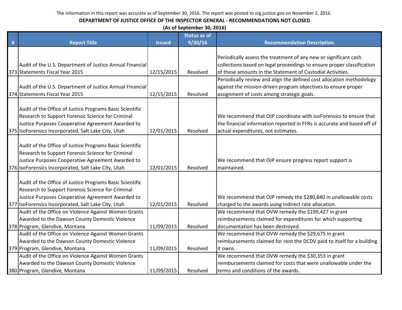|   | (As of September 30, 2016)                               |               |                     |                                                                         |  |  |  |
|---|----------------------------------------------------------|---------------|---------------------|-------------------------------------------------------------------------|--|--|--|
|   |                                                          |               | <b>Status as of</b> |                                                                         |  |  |  |
| # | <b>Report Title</b>                                      | <b>Issued</b> | 9/30/16             | <b>Recommendation Description</b>                                       |  |  |  |
|   |                                                          |               |                     |                                                                         |  |  |  |
|   |                                                          |               |                     | Periodically assess the treatment of any new or significant cash        |  |  |  |
|   | Audit of the U.S. Department of Justice Annual Financial |               |                     | collections based on legal proceedings to ensure proper classification  |  |  |  |
|   | 373 Statements Fiscal Year 2015                          | 12/15/2015    | Resolved            | of these amounts in the Statement of Custodial Activities.              |  |  |  |
|   |                                                          |               |                     | Periodically review and align the defined cost allocation methodology   |  |  |  |
|   | Audit of the U.S. Department of Justice Annual Financial |               |                     | against the mission-driven program objectives to ensure proper          |  |  |  |
|   | 374 Statements Fiscal Year 2015                          | 12/15/2015    | Resolved            | assignment of costs among strategic goals.                              |  |  |  |
|   |                                                          |               |                     |                                                                         |  |  |  |
|   | Audit of the Office of Justice Programs Basic Scientific |               |                     |                                                                         |  |  |  |
|   | Research to Support Forensic Science for Criminal        |               |                     | We recommend that OJP coordinate with IsoForensics to ensure that       |  |  |  |
|   | Justice Purposes Cooperative Agreement Awarded to        |               |                     | the financial information reported in FFRs is accurate and based off of |  |  |  |
|   | 375 IsoForensics Incorporated, Salt Lake City, Utah      | 12/01/2015    | Resolved            | actual expenditures, not estimates.                                     |  |  |  |
|   |                                                          |               |                     |                                                                         |  |  |  |
|   | Audit of the Office of Justice Programs Basic Scientific |               |                     |                                                                         |  |  |  |
|   | Research to Support Forensic Science for Criminal        |               |                     |                                                                         |  |  |  |
|   | Justice Purposes Cooperative Agreement Awarded to        |               |                     | We recommend that OJP ensure progress report support is                 |  |  |  |
|   | 376 IsoForensics Incorporated, Salt Lake City, Utah      | 12/01/2015    | Resolved            | maintained.                                                             |  |  |  |
|   |                                                          |               |                     |                                                                         |  |  |  |
|   | Audit of the Office of Justice Programs Basic Scientific |               |                     |                                                                         |  |  |  |
|   | Research to Support Forensic Science for Criminal        |               |                     |                                                                         |  |  |  |
|   | Justice Purposes Cooperative Agreement Awarded to        |               |                     | We recommend that OJP remedy the \$280,840 in unallowable costs         |  |  |  |
|   | 377 IsoForensics Incorporated, Salt Lake City, Utah      | 12/01/2015    | Resolved            | charged to the awards using indirect rate allocation.                   |  |  |  |
|   | Audit of the Office on Violence Against Women Grants     |               |                     | We recommend that OVW remedy the \$199,427 in grant                     |  |  |  |
|   | Awarded to the Dawson County Domestic Violence           |               |                     | reimbursements claimed for expenditures for which supporting            |  |  |  |
|   | 378 Program, Glendive, Montana                           | 11/09/2015    | Resolved            | documentation has been destroyed.                                       |  |  |  |
|   | Audit of the Office on Violence Against Women Grants     |               |                     | We recommend that OVW remedy the \$29,675 in grant                      |  |  |  |
|   | Awarded to the Dawson County Domestic Violence           |               |                     | reimbursements claimed for rent the DCDV paid to itself for a building  |  |  |  |
|   | 379 Program, Glendive, Montana                           | 11/09/2015    | Resolved            | lit owns.                                                               |  |  |  |
|   | Audit of the Office on Violence Against Women Grants     |               |                     | We recommend that OVW remedy the \$30,353 in grant                      |  |  |  |
|   | Awarded to the Dawson County Domestic Violence           |               |                     | reimbursements claimed for costs that were unallowable under the        |  |  |  |
|   | 380 Program, Glendive, Montana                           | 11/09/2015    | Resolved            | terms and conditions of the awards.                                     |  |  |  |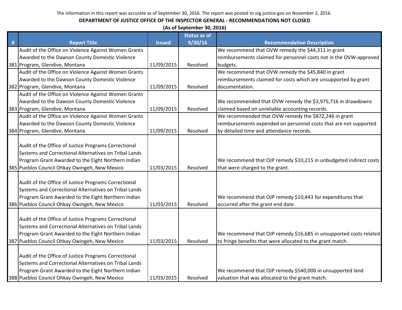|   | (As of September 30, 2016)                            |               |                     |                                                                    |  |  |
|---|-------------------------------------------------------|---------------|---------------------|--------------------------------------------------------------------|--|--|
|   |                                                       |               | <b>Status as of</b> |                                                                    |  |  |
| # | <b>Report Title</b>                                   | <b>Issued</b> | 9/30/16             | <b>Recommendation Description</b>                                  |  |  |
|   | Audit of the Office on Violence Against Women Grants  |               |                     | We recommend that OVW remedy the \$44,311 in grant                 |  |  |
|   | Awarded to the Dawson County Domestic Violence        |               |                     | reimbursements claimed for personnel costs not in the OVW-approved |  |  |
|   | 381 Program, Glendive, Montana                        | 11/09/2015    | Resolved            | budgets.                                                           |  |  |
|   | Audit of the Office on Violence Against Women Grants  |               |                     | We recommend that OVW remedy the \$45,840 in grant                 |  |  |
|   | Awarded to the Dawson County Domestic Violence        |               |                     | reimbursements claimed for costs which are unsupported by grant    |  |  |
|   | 382 Program, Glendive, Montana                        | 11/09/2015    | Resolved            | documentation.                                                     |  |  |
|   | Audit of the Office on Violence Against Women Grants  |               |                     |                                                                    |  |  |
|   | Awarded to the Dawson County Domestic Violence        |               |                     | We recommended that OVW remedy the \$3,975,716 in drawdowns        |  |  |
|   | 383 Program, Glendive, Montana                        | 11/09/2015    | Resolved            | claimed based on unreliable accounting records.                    |  |  |
|   | Audit of the Office on Violence Against Women Grants  |               |                     | We recommended that OVW remedy the \$872,246 in grant              |  |  |
|   | Awarded to the Dawson County Domestic Violence        |               |                     | reimbursements expended on personnel costs that are not supported  |  |  |
|   | 384 Program, Glendive, Montana                        | 11/09/2015    | Resolved            | by detailed time and attendance records.                           |  |  |
|   |                                                       |               |                     |                                                                    |  |  |
|   | Audit of the Office of Justice Programs Correctional  |               |                     |                                                                    |  |  |
|   | Systems and Correctional Alternatives on Tribal Lands |               |                     |                                                                    |  |  |
|   | Program Grant Awarded to the Eight Northern Indian    |               |                     | We recommend that OJP remedy \$10,215 in unbudgeted indirect costs |  |  |
|   | 385 Pueblos Council Ohkay Owingeh, New Mexico         | 11/03/2015    | Resolved            | that were charged to the grant.                                    |  |  |
|   |                                                       |               |                     |                                                                    |  |  |
|   | Audit of the Office of Justice Programs Correctional  |               |                     |                                                                    |  |  |
|   | Systems and Correctional Alternatives on Tribal Lands |               |                     |                                                                    |  |  |
|   | Program Grant Awarded to the Eight Northern Indian    |               |                     | We recommend that OJP remedy \$10,443 for expenditures that        |  |  |
|   | 386 Pueblos Council Ohkay Owingeh, New Mexico         | 11/03/2015    | Resolved            | occurred after the grant end date.                                 |  |  |
|   |                                                       |               |                     |                                                                    |  |  |
|   | Audit of the Office of Justice Programs Correctional  |               |                     |                                                                    |  |  |
|   | Systems and Correctional Alternatives on Tribal Lands |               |                     |                                                                    |  |  |
|   | Program Grant Awarded to the Eight Northern Indian    |               |                     | We recommend that OJP remedy \$16,685 in unsupported costs related |  |  |
|   | 387 Pueblos Council Ohkay Owingeh, New Mexico         | 11/03/2015    | Resolved            | to fringe benefits that were allocated to the grant match.         |  |  |
|   |                                                       |               |                     |                                                                    |  |  |
|   | Audit of the Office of Justice Programs Correctional  |               |                     |                                                                    |  |  |
|   | Systems and Correctional Alternatives on Tribal Lands |               |                     |                                                                    |  |  |
|   | Program Grant Awarded to the Eight Northern Indian    |               |                     | We recommend that OJP remedy \$540,000 in unsupported land         |  |  |
|   | 388 Pueblos Council Ohkay Owingeh, New Mexico         | 11/03/2015    | Resolved            | valuation that was allocated to the grant match.                   |  |  |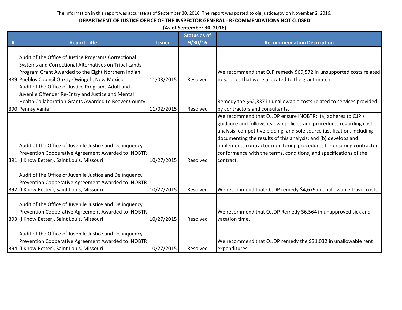|   | (As of September 30, 2016)                              |               |                     |                                                                         |  |  |  |
|---|---------------------------------------------------------|---------------|---------------------|-------------------------------------------------------------------------|--|--|--|
|   |                                                         |               | <b>Status as of</b> |                                                                         |  |  |  |
| # | <b>Report Title</b>                                     | <b>Issued</b> | 9/30/16             | <b>Recommendation Description</b>                                       |  |  |  |
|   |                                                         |               |                     |                                                                         |  |  |  |
|   | Audit of the Office of Justice Programs Correctional    |               |                     |                                                                         |  |  |  |
|   | Systems and Correctional Alternatives on Tribal Lands   |               |                     |                                                                         |  |  |  |
|   | Program Grant Awarded to the Eight Northern Indian      |               |                     | We recommend that OJP remedy \$69,572 in unsupported costs related      |  |  |  |
|   | 389 Pueblos Council Ohkay Owingeh, New Mexico           | 11/03/2015    | Resolved            | to salaries that were allocated to the grant match.                     |  |  |  |
|   | Audit of the Office of Justice Programs Adult and       |               |                     |                                                                         |  |  |  |
|   | Juvenile Offender Re-Entry and Justice and Mental       |               |                     |                                                                         |  |  |  |
|   | Health Collaboration Grants Awarded to Beaver County,   |               |                     | Remedy the \$62,337 in unallowable costs related to services provided   |  |  |  |
|   | 390 Pennsylvania                                        | 11/02/2015    | Resolved            | by contractors and consultants.                                         |  |  |  |
|   |                                                         |               |                     | We recommend that OJJDP ensure INOBTR: (a) adheres to OJP's             |  |  |  |
|   |                                                         |               |                     | guidance and follows its own policies and procedures regarding cost     |  |  |  |
|   |                                                         |               |                     | analysis, competitive bidding, and sole source justification, including |  |  |  |
|   |                                                         |               |                     | documenting the results of this analysis; and (b) develops and          |  |  |  |
|   | Audit of the Office of Juvenile Justice and Delinquency |               |                     | implements contractor monitoring procedures for ensuring contractor     |  |  |  |
|   | Prevention Cooperative Agreement Awarded to INOBTR      |               |                     | conformance with the terms, conditions, and specifications of the       |  |  |  |
|   | 391 (I Know Better), Saint Louis, Missouri              | 10/27/2015    | Resolved            | contract.                                                               |  |  |  |
|   |                                                         |               |                     |                                                                         |  |  |  |
|   | Audit of the Office of Juvenile Justice and Delinquency |               |                     |                                                                         |  |  |  |
|   | Prevention Cooperative Agreement Awarded to INOBTR      |               |                     |                                                                         |  |  |  |
|   | 392 (I Know Better), Saint Louis, Missouri              | 10/27/2015    | Resolved            | We recommend that OJJDP remedy \$4,679 in unallowable travel costs.     |  |  |  |
|   |                                                         |               |                     |                                                                         |  |  |  |
|   | Audit of the Office of Juvenile Justice and Delinquency |               |                     |                                                                         |  |  |  |
|   | Prevention Cooperative Agreement Awarded to INOBTR      |               |                     | We recommend that OJJDP Remedy \$6,564 in unapproved sick and           |  |  |  |
|   | 393 (I Know Better), Saint Louis, Missouri              | 10/27/2015    | Resolved            | vacation time.                                                          |  |  |  |
|   |                                                         |               |                     |                                                                         |  |  |  |
|   | Audit of the Office of Juvenile Justice and Delinquency |               |                     |                                                                         |  |  |  |
|   | Prevention Cooperative Agreement Awarded to INOBTR      |               |                     | We recommend that OJJDP remedy the \$31,032 in unallowable rent         |  |  |  |
|   | 394 (I Know Better), Saint Louis, Missouri              | 10/27/2015    | Resolved            | expenditures.                                                           |  |  |  |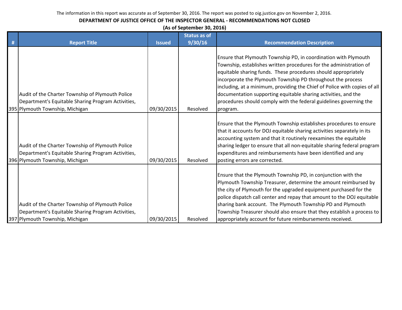| (As of September 30, 2016) |  |
|----------------------------|--|
|----------------------------|--|

|   |                                                                                                                                           |               | <b>Status as of</b> |                                                                                                                                                                                                                                                                                                                                                                                                                                                                                                         |
|---|-------------------------------------------------------------------------------------------------------------------------------------------|---------------|---------------------|---------------------------------------------------------------------------------------------------------------------------------------------------------------------------------------------------------------------------------------------------------------------------------------------------------------------------------------------------------------------------------------------------------------------------------------------------------------------------------------------------------|
| # | <b>Report Title</b>                                                                                                                       | <b>Issued</b> | 9/30/16             | <b>Recommendation Description</b>                                                                                                                                                                                                                                                                                                                                                                                                                                                                       |
|   | Audit of the Charter Township of Plymouth Police<br>Department's Equitable Sharing Program Activities,<br>395 Plymouth Township, Michigan | 09/30/2015    | Resolved            | Ensure that Plymouth Township PD, in coordination with Plymouth<br>Township, establishes written procedures for the administration of<br>equitable sharing funds. These procedures should appropriately<br>incorporate the Plymouth Township PD throughout the process<br>including, at a minimum, providing the Chief of Police with copies of all<br>documentation supporting equitable sharing activities, and the<br>procedures should comply with the federal guidelines governing the<br>program. |
|   | Audit of the Charter Township of Plymouth Police<br>Department's Equitable Sharing Program Activities,<br>396 Plymouth Township, Michigan | 09/30/2015    | Resolved            | Ensure that the Plymouth Township establishes procedures to ensure<br>that it accounts for DOJ equitable sharing activities separately in its<br>accounting system and that it routinely reexamines the equitable<br>sharing ledger to ensure that all non-equitable sharing federal program<br>expenditures and reimbursements have been identified and any<br>posting errors are corrected.                                                                                                           |
|   | Audit of the Charter Township of Plymouth Police<br>Department's Equitable Sharing Program Activities,<br>397 Plymouth Township, Michigan | 09/30/2015    | Resolved            | Ensure that the Plymouth Township PD, in conjunction with the<br>Plymouth Township Treasurer, determine the amount reimbursed by<br>the city of Plymouth for the upgraded equipment purchased for the<br>police dispatch call center and repay that amount to the DOJ equitable<br>sharing bank account. The Plymouth Township PD and Plymouth<br>Township Treasurer should also ensure that they establish a process to<br>appropriately account for future reimbursements received.                   |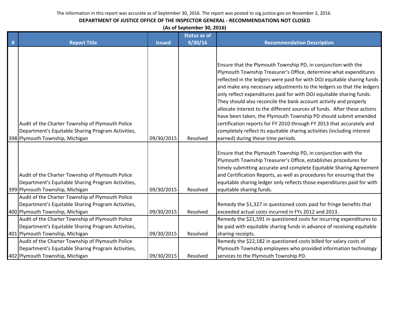#### **DEPARTMENT OF JUSTICE OFFICE OF THE INSPECTOR GENERAL - RECOMMENDATIONS NOT CLOSED**

**(As of September 30, 2016)**

|   |                                                                                                                                           |               | <b>Status as of</b> |                                                                                                                                                                                                                                                                                                                                                                                                                                                                                                                                                                                                                                                                                                                                                                              |
|---|-------------------------------------------------------------------------------------------------------------------------------------------|---------------|---------------------|------------------------------------------------------------------------------------------------------------------------------------------------------------------------------------------------------------------------------------------------------------------------------------------------------------------------------------------------------------------------------------------------------------------------------------------------------------------------------------------------------------------------------------------------------------------------------------------------------------------------------------------------------------------------------------------------------------------------------------------------------------------------------|
| # | <b>Report Title</b>                                                                                                                       | <b>Issued</b> | 9/30/16             | <b>Recommendation Description</b>                                                                                                                                                                                                                                                                                                                                                                                                                                                                                                                                                                                                                                                                                                                                            |
|   | Audit of the Charter Township of Plymouth Police<br>Department's Equitable Sharing Program Activities,<br>398 Plymouth Township, Michigan | 09/30/2015    | Resolved            | Ensure that the Plymouth Township PD, in conjunction with the<br>Plymouth Township Treasurer's Office, determine what expenditures<br>reflected in the ledgers were paid for with DOJ equitable sharing funds<br>and make any necessary adjustments to the ledgers so that the ledgers<br>only reflect expenditures paid for with DOJ equitable sharing funds.<br>They should also reconcile the bank account activity and properly<br>allocate interest to the different sources of funds. After these actions<br>have been taken, the Plymouth Township PD should submit amended<br>certification reports for FY 2010 through FY 2013 that accurately and<br>completely reflect its equitable sharing activities (including interest<br>earned) during these time periods. |
|   | Audit of the Charter Township of Plymouth Police<br>Department's Equitable Sharing Program Activities,<br>399 Plymouth Township, Michigan | 09/30/2015    | Resolved            | Ensure that the Plymouth Township PD, in conjunction with the<br>Plymouth Township Treasurer's Office, establishes procedures for<br>timely submitting accurate and complete Equitable Sharing Agreement<br>and Certification Reports, as well as procedures for ensuring that the<br>equitable sharing ledger only reflects those expenditures paid for with<br>equitable sharing funds.                                                                                                                                                                                                                                                                                                                                                                                    |
|   | Audit of the Charter Township of Plymouth Police<br>Department's Equitable Sharing Program Activities,<br>400 Plymouth Township, Michigan | 09/30/2015    | Resolved            | Remedy the \$1,327 in questioned costs paid for fringe benefits that<br>exceeded actual costs incurred in FYs 2012 and 2013.                                                                                                                                                                                                                                                                                                                                                                                                                                                                                                                                                                                                                                                 |
|   | Audit of the Charter Township of Plymouth Police<br>Department's Equitable Sharing Program Activities,<br>401 Plymouth Township, Michigan | 09/30/2015    | Resolved            | Remedy the \$21,591 in questioned costs for incurring expenditures to<br>be paid with equitable sharing funds in advance of receiving equitable<br>sharing receipts.                                                                                                                                                                                                                                                                                                                                                                                                                                                                                                                                                                                                         |
|   | Audit of the Charter Township of Plymouth Police<br>Department's Equitable Sharing Program Activities,<br>402 Plymouth Township, Michigan | 09/30/2015    | Resolved            | Remedy the \$22,182 in questioned costs billed for salary costs of<br>Plymouth Township employees who provided information technology<br>services to the Plymouth Township PD.                                                                                                                                                                                                                                                                                                                                                                                                                                                                                                                                                                                               |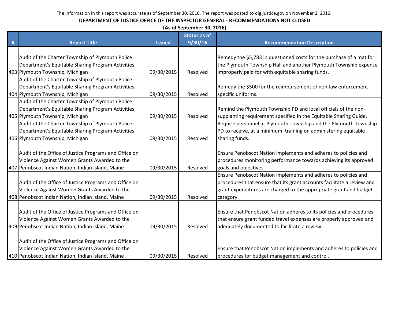|   | (As of September 30, 2016)                            |               |                     |                                                                        |  |  |  |
|---|-------------------------------------------------------|---------------|---------------------|------------------------------------------------------------------------|--|--|--|
|   |                                                       |               | <b>Status as of</b> |                                                                        |  |  |  |
| # | <b>Report Title</b>                                   | <b>Issued</b> | 9/30/16             | <b>Recommendation Description</b>                                      |  |  |  |
|   |                                                       |               |                     |                                                                        |  |  |  |
|   | Audit of the Charter Township of Plymouth Police      |               |                     | Remedy the \$5,783 in questioned costs for the purchase of a mat for   |  |  |  |
|   | Department's Equitable Sharing Program Activities,    |               |                     | the Plymouth Township Hall and another Plymouth Township expense       |  |  |  |
|   | 403 Plymouth Township, Michigan                       | 09/30/2015    | Resolved            | improperly paid for with equitable sharing funds.                      |  |  |  |
|   | Audit of the Charter Township of Plymouth Police      |               |                     |                                                                        |  |  |  |
|   | Department's Equitable Sharing Program Activities,    |               |                     | Remedy the \$500 for the reimbursement of non-law enforcement          |  |  |  |
|   | 404 Plymouth Township, Michigan                       | 09/30/2015    | Resolved            | specific uniforms.                                                     |  |  |  |
|   | Audit of the Charter Township of Plymouth Police      |               |                     |                                                                        |  |  |  |
|   | Department's Equitable Sharing Program Activities,    |               |                     | Remind the Plymouth Township PD and local officials of the non-        |  |  |  |
|   | 405 Plymouth Township, Michigan                       | 09/30/2015    | Resolved            | supplanting requirement specified in the Equitable Sharing Guide.      |  |  |  |
|   | Audit of the Charter Township of Plymouth Police      |               |                     | Require personnel at Plymouth Township and the Plymouth Township       |  |  |  |
|   | Department's Equitable Sharing Program Activities,    |               |                     | PD to receive, at a minimum, training on administering equitable       |  |  |  |
|   | 406 Plymouth Township, Michigan                       | 09/30/2015    | Resolved            | sharing funds.                                                         |  |  |  |
|   |                                                       |               |                     |                                                                        |  |  |  |
|   | Audit of the Office of Justice Programs and Office on |               |                     | Ensure Penobscot Nation implements and adheres to policies and         |  |  |  |
|   | Violence Against Women Grants Awarded to the          |               |                     | procedures monitoring performance towards achieving its approved       |  |  |  |
|   | 407 Penobscot Indian Nation, Indian Island, Maine     | 09/30/2015    | Resolved            | goals and objectives.                                                  |  |  |  |
|   |                                                       |               |                     | Ensure Penobscot Nation implements and adheres to policies and         |  |  |  |
|   | Audit of the Office of Justice Programs and Office on |               |                     | procedures that ensure that its grant accounts facilitate a review and |  |  |  |
|   | Violence Against Women Grants Awarded to the          |               |                     | grant expenditures are charged to the appropriate grant and budget     |  |  |  |
|   | 408 Penobscot Indian Nation, Indian Island, Maine     | 09/30/2015    | Resolved            | category.                                                              |  |  |  |
|   |                                                       |               |                     |                                                                        |  |  |  |
|   | Audit of the Office of Justice Programs and Office on |               |                     | Ensure that Penobscot Nation adheres to its policies and procedures    |  |  |  |
|   | Violence Against Women Grants Awarded to the          |               |                     | that ensure grant funded travel expenses are properly approved and     |  |  |  |
|   | 409 Penobscot Indian Nation, Indian Island, Maine     | 09/30/2015    | Resolved            | adequately documented to facilitate a review.                          |  |  |  |
|   |                                                       |               |                     |                                                                        |  |  |  |
|   | Audit of the Office of Justice Programs and Office on |               |                     |                                                                        |  |  |  |
|   | Violence Against Women Grants Awarded to the          |               |                     | Ensure that Penobscot Nation implements and adheres to policies and    |  |  |  |
|   | 410 Penobscot Indian Nation, Indian Island, Maine     | 09/30/2015    | Resolved            | procedures for budget management and control.                          |  |  |  |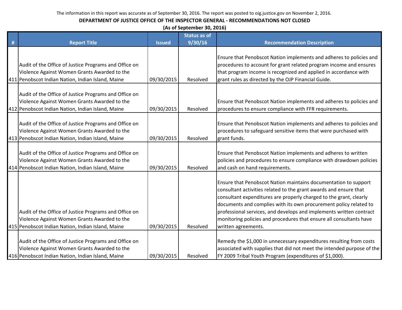|   | (As of September 30, 2016)                                                                                                                                 |               |                     |                                                                                                                                                                                                                                                                                                                                                                                                                                                      |  |  |  |
|---|------------------------------------------------------------------------------------------------------------------------------------------------------------|---------------|---------------------|------------------------------------------------------------------------------------------------------------------------------------------------------------------------------------------------------------------------------------------------------------------------------------------------------------------------------------------------------------------------------------------------------------------------------------------------------|--|--|--|
|   |                                                                                                                                                            |               | <b>Status as of</b> |                                                                                                                                                                                                                                                                                                                                                                                                                                                      |  |  |  |
| # | <b>Report Title</b>                                                                                                                                        | <b>Issued</b> | 9/30/16             | <b>Recommendation Description</b>                                                                                                                                                                                                                                                                                                                                                                                                                    |  |  |  |
|   | Audit of the Office of Justice Programs and Office on<br>Violence Against Women Grants Awarded to the<br>411 Penobscot Indian Nation, Indian Island, Maine | 09/30/2015    | Resolved            | Ensure that Penobscot Nation implements and adheres to policies and<br>procedures to account for grant related program income and ensures<br>that program income is recognized and applied in accordance with<br>grant rules as directed by the OJP Financial Guide.                                                                                                                                                                                 |  |  |  |
|   | Audit of the Office of Justice Programs and Office on<br>Violence Against Women Grants Awarded to the<br>412 Penobscot Indian Nation, Indian Island, Maine | 09/30/2015    | Resolved            | Ensure that Penobscot Nation implements and adheres to policies and<br>procedures to ensure compliance with FFR requirements.                                                                                                                                                                                                                                                                                                                        |  |  |  |
|   | Audit of the Office of Justice Programs and Office on<br>Violence Against Women Grants Awarded to the<br>413 Penobscot Indian Nation, Indian Island, Maine | 09/30/2015    | Resolved            | Ensure that Penobscot Nation implements and adheres to policies and<br>procedures to safeguard sensitive items that were purchased with<br>grant funds.                                                                                                                                                                                                                                                                                              |  |  |  |
|   | Audit of the Office of Justice Programs and Office on<br>Violence Against Women Grants Awarded to the<br>414 Penobscot Indian Nation, Indian Island, Maine | 09/30/2015    | Resolved            | Ensure that Penobscot Nation implements and adheres to written<br>policies and procedures to ensure compliance with drawdown policies<br>and cash on hand requirements.                                                                                                                                                                                                                                                                              |  |  |  |
|   | Audit of the Office of Justice Programs and Office on<br>Violence Against Women Grants Awarded to the<br>415 Penobscot Indian Nation, Indian Island, Maine | 09/30/2015    | Resolved            | Ensure that Penobscot Nation maintains documentation to support<br>consultant activities related to the grant awards and ensure that<br>consultant expenditures are properly charged to the grant, clearly<br>documents and complies with its own procurement policy related to<br>professional services, and develops and implements written contract<br>monitoring policies and procedures that ensure all consultants have<br>written agreements. |  |  |  |
|   | Audit of the Office of Justice Programs and Office on<br>Violence Against Women Grants Awarded to the<br>416 Penobscot Indian Nation, Indian Island, Maine | 09/30/2015    | Resolved            | Remedy the \$1,000 in unnecessary expenditures resulting from costs<br>associated with supplies that did not meet the intended purpose of the<br>FY 2009 Tribal Youth Program (expenditures of \$1,000).                                                                                                                                                                                                                                             |  |  |  |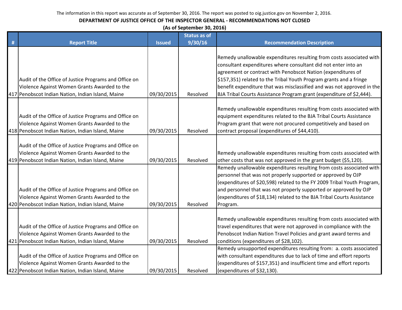|   | (As of September 30, 2016)                            |               |                     |                                                                         |  |  |
|---|-------------------------------------------------------|---------------|---------------------|-------------------------------------------------------------------------|--|--|
|   |                                                       |               | <b>Status as of</b> |                                                                         |  |  |
| Ħ | <b>Report Title</b>                                   | <b>Issued</b> | 9/30/16             | <b>Recommendation Description</b>                                       |  |  |
|   |                                                       |               |                     |                                                                         |  |  |
|   |                                                       |               |                     | Remedy unallowable expenditures resulting from costs associated with    |  |  |
|   |                                                       |               |                     | consultant expenditures where consultant did not enter into an          |  |  |
|   |                                                       |               |                     | agreement or contract with Penobscot Nation (expenditures of            |  |  |
|   | Audit of the Office of Justice Programs and Office on |               |                     | \$157,351) related to the Tribal Youth Program grants and a fringe      |  |  |
|   | Violence Against Women Grants Awarded to the          |               |                     | benefit expenditure that was misclassified and was not approved in the  |  |  |
|   | 417 Penobscot Indian Nation, Indian Island, Maine     | 09/30/2015    | Resolved            | BJA Tribal Courts Assistance Program grant (expenditure of \$2,444).    |  |  |
|   |                                                       |               |                     | Remedy unallowable expenditures resulting from costs associated with    |  |  |
|   | Audit of the Office of Justice Programs and Office on |               |                     | equipment expenditures related to the BJA Tribal Courts Assistance      |  |  |
|   | Violence Against Women Grants Awarded to the          |               |                     | Program grant that were not procured competitively and based on         |  |  |
|   | 418 Penobscot Indian Nation, Indian Island, Maine     | 09/30/2015    | Resolved            | contract proposal (expenditures of \$44,410).                           |  |  |
|   |                                                       |               |                     |                                                                         |  |  |
|   | Audit of the Office of Justice Programs and Office on |               |                     |                                                                         |  |  |
|   | Violence Against Women Grants Awarded to the          |               |                     | Remedy unallowable expenditures resulting from costs associated with    |  |  |
|   | 419 Penobscot Indian Nation, Indian Island, Maine     | 09/30/2015    | Resolved            | other costs that was not approved in the grant budget (\$5,120).        |  |  |
|   |                                                       |               |                     | Remedy unallowable expenditures resulting from costs associated with    |  |  |
|   |                                                       |               |                     | personnel that was not properly supported or approved by OJP            |  |  |
|   |                                                       |               |                     | (expenditures of \$20,598) related to the FY 2009 Tribal Youth Program, |  |  |
|   | Audit of the Office of Justice Programs and Office on |               |                     | and personnel that was not properly supported or approved by OJP        |  |  |
|   | Violence Against Women Grants Awarded to the          |               |                     | (expenditures of \$18,134) related to the BJA Tribal Courts Assistance  |  |  |
|   | 420 Penobscot Indian Nation, Indian Island, Maine     | 09/30/2015    | Resolved            | Program.                                                                |  |  |
|   |                                                       |               |                     |                                                                         |  |  |
|   |                                                       |               |                     | Remedy unallowable expenditures resulting from costs associated with    |  |  |
|   | Audit of the Office of Justice Programs and Office on |               |                     | travel expenditures that were not approved in compliance with the       |  |  |
|   | Violence Against Women Grants Awarded to the          |               |                     | Penobscot Indian Nation Travel Policies and grant award terms and       |  |  |
|   | 421 Penobscot Indian Nation, Indian Island, Maine     | 09/30/2015    | Resolved            | conditions (expenditures of \$28,102).                                  |  |  |
|   |                                                       |               |                     | Remedy unsupported expenditures resulting from: a. costs associated     |  |  |
|   | Audit of the Office of Justice Programs and Office on |               |                     | with consultant expenditures due to lack of time and effort reports     |  |  |
|   | Violence Against Women Grants Awarded to the          |               |                     | (expenditures of \$157,351) and insufficient time and effort reports    |  |  |
|   | 422 Penobscot Indian Nation, Indian Island, Maine     | 09/30/2015    | Resolved            | (expenditures of \$32,130).                                             |  |  |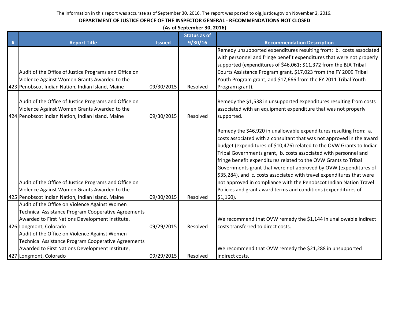| (As of September 30, 2016) |  |
|----------------------------|--|
|----------------------------|--|

|   |                                                                                                                                                            |               | <b>Status as of</b> |                                                                                                                                                                                                                                                                                                                                                                                                                                                                                                                                                                                                                                                                 |
|---|------------------------------------------------------------------------------------------------------------------------------------------------------------|---------------|---------------------|-----------------------------------------------------------------------------------------------------------------------------------------------------------------------------------------------------------------------------------------------------------------------------------------------------------------------------------------------------------------------------------------------------------------------------------------------------------------------------------------------------------------------------------------------------------------------------------------------------------------------------------------------------------------|
| # | <b>Report Title</b>                                                                                                                                        | <b>Issued</b> | 9/30/16             | <b>Recommendation Description</b>                                                                                                                                                                                                                                                                                                                                                                                                                                                                                                                                                                                                                               |
|   | Audit of the Office of Justice Programs and Office on<br>Violence Against Women Grants Awarded to the<br>423 Penobscot Indian Nation, Indian Island, Maine | 09/30/2015    | Resolved            | Remedy unsupported expenditures resulting from: b. costs associated<br>with personnel and fringe benefit expenditures that were not properly<br>supported (expenditures of \$46,061; \$11,372 from the BJA Tribal<br>Courts Assistance Program grant, \$17,023 from the FY 2009 Tribal<br>Youth Program grant, and \$17,666 from the FY 2011 Tribal Youth<br>Program grant).                                                                                                                                                                                                                                                                                    |
|   | Audit of the Office of Justice Programs and Office on<br>Violence Against Women Grants Awarded to the<br>424 Penobscot Indian Nation, Indian Island, Maine | 09/30/2015    | Resolved            | Remedy the \$1,538 in unsupported expenditures resulting from costs<br>associated with an equipment expenditure that was not properly<br>supported.                                                                                                                                                                                                                                                                                                                                                                                                                                                                                                             |
|   | Audit of the Office of Justice Programs and Office on<br>Violence Against Women Grants Awarded to the<br>425 Penobscot Indian Nation, Indian Island, Maine | 09/30/2015    | Resolved            | Remedy the \$46,920 in unallowable expenditures resulting from: a.<br>costs associated with a consultant that was not approved in the award<br>budget (expenditures of \$10,476) related to the OVW Grants to Indian<br>Tribal Governments grant, b. costs associated with personnel and<br>fringe benefit expenditures related to the OVW Grants to Tribal<br>Governments grant that were not approved by OVW (expenditures of<br>\$35,284), and c. costs associated with travel expenditures that were<br>not approved in compliance with the Penobscot Indian Nation Travel<br>Policies and grant award terms and conditions (expenditures of<br>$$1,160$ ). |
|   | Audit of the Office on Violence Against Women<br>Technical Assistance Program Cooperative Agreements<br>Awarded to First Nations Development Institute,    |               |                     | We recommend that OVW remedy the \$1,144 in unallowable indirect                                                                                                                                                                                                                                                                                                                                                                                                                                                                                                                                                                                                |
|   | 426 Longmont, Colorado                                                                                                                                     | 09/29/2015    | Resolved            | costs transferred to direct costs.                                                                                                                                                                                                                                                                                                                                                                                                                                                                                                                                                                                                                              |
|   | Audit of the Office on Violence Against Women                                                                                                              |               |                     |                                                                                                                                                                                                                                                                                                                                                                                                                                                                                                                                                                                                                                                                 |
|   | Technical Assistance Program Cooperative Agreements                                                                                                        |               |                     |                                                                                                                                                                                                                                                                                                                                                                                                                                                                                                                                                                                                                                                                 |
|   | Awarded to First Nations Development Institute,                                                                                                            |               |                     | We recommend that OVW remedy the \$21,288 in unsupported                                                                                                                                                                                                                                                                                                                                                                                                                                                                                                                                                                                                        |
|   | 427 Longmont, Colorado                                                                                                                                     | 09/29/2015    | Resolved            | indirect costs.                                                                                                                                                                                                                                                                                                                                                                                                                                                                                                                                                                                                                                                 |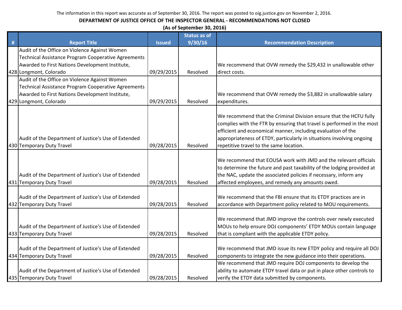|   | (As of September 30, 2016)                                                        |               |                     |                                                                                                                                                                                                                                                                                                                                  |  |
|---|-----------------------------------------------------------------------------------|---------------|---------------------|----------------------------------------------------------------------------------------------------------------------------------------------------------------------------------------------------------------------------------------------------------------------------------------------------------------------------------|--|
|   |                                                                                   |               | <b>Status as of</b> |                                                                                                                                                                                                                                                                                                                                  |  |
| # | <b>Report Title</b>                                                               | <b>Issued</b> | 9/30/16             | <b>Recommendation Description</b>                                                                                                                                                                                                                                                                                                |  |
|   | Audit of the Office on Violence Against Women                                     |               |                     |                                                                                                                                                                                                                                                                                                                                  |  |
|   | Technical Assistance Program Cooperative Agreements                               |               |                     |                                                                                                                                                                                                                                                                                                                                  |  |
|   | Awarded to First Nations Development Institute,                                   |               |                     | We recommend that OVW remedy the \$29,432 in unallowable other                                                                                                                                                                                                                                                                   |  |
|   | 428 Longmont, Colorado                                                            | 09/29/2015    | Resolved            | direct costs.                                                                                                                                                                                                                                                                                                                    |  |
|   | Audit of the Office on Violence Against Women                                     |               |                     |                                                                                                                                                                                                                                                                                                                                  |  |
|   | <b>Technical Assistance Program Cooperative Agreements</b>                        |               |                     |                                                                                                                                                                                                                                                                                                                                  |  |
|   | Awarded to First Nations Development Institute,                                   |               |                     | We recommend that OVW remedy the \$3,882 in unallowable salary                                                                                                                                                                                                                                                                   |  |
|   | 429 Longmont, Colorado                                                            | 09/29/2015    | Resolved            | expenditures.                                                                                                                                                                                                                                                                                                                    |  |
|   | Audit of the Department of Justice's Use of Extended<br>430 Temporary Duty Travel | 09/28/2015    | Resolved            | We recommend that the Criminal Division ensure that the HCFU fully<br>complies with the FTR by ensuring that travel is performed in the most<br>efficient and economical manner, including evaluation of the<br>appropriateness of ETDY, particularly in situations involving ongoing<br>repetitive travel to the same location. |  |
|   | Audit of the Department of Justice's Use of Extended<br>431 Temporary Duty Travel | 09/28/2015    | Resolved            | We recommend that EOUSA work with JMD and the relevant officials<br>to determine the future and past taxability of the lodging provided at<br>the NAC, update the associated policies if necessary, inform any<br>affected employees, and remedy any amounts owed.                                                               |  |
|   |                                                                                   |               |                     |                                                                                                                                                                                                                                                                                                                                  |  |
|   | Audit of the Department of Justice's Use of Extended                              |               |                     | We recommend that the FBI ensure that its ETDY practices are in                                                                                                                                                                                                                                                                  |  |
|   | 432 Temporary Duty Travel                                                         | 09/28/2015    | Resolved            | accordance with Department policy related to MOU requirements.                                                                                                                                                                                                                                                                   |  |
|   | Audit of the Department of Justice's Use of Extended<br>433 Temporary Duty Travel | 09/28/2015    | Resolved            | We recommend that JMD improve the controls over newly executed<br>MOUs to help ensure DOJ components' ETDY MOUs contain language<br>that is compliant with the applicable ETDY policy.                                                                                                                                           |  |
|   |                                                                                   |               |                     |                                                                                                                                                                                                                                                                                                                                  |  |
|   | Audit of the Department of Justice's Use of Extended                              |               |                     | We recommend that JMD issue its new ETDY policy and require all DOJ                                                                                                                                                                                                                                                              |  |
|   | 434 Temporary Duty Travel                                                         | 09/28/2015    | Resolved            | components to integrate the new guidance into their operations.                                                                                                                                                                                                                                                                  |  |
|   |                                                                                   |               |                     | We recommend that JMD require DOJ components to develop the                                                                                                                                                                                                                                                                      |  |
|   | Audit of the Department of Justice's Use of Extended                              |               |                     | ability to automate ETDY travel data or put in place other controls to                                                                                                                                                                                                                                                           |  |
|   | 435 Temporary Duty Travel                                                         | 09/28/2015    | Resolved            | verify the ETDY data submitted by components.                                                                                                                                                                                                                                                                                    |  |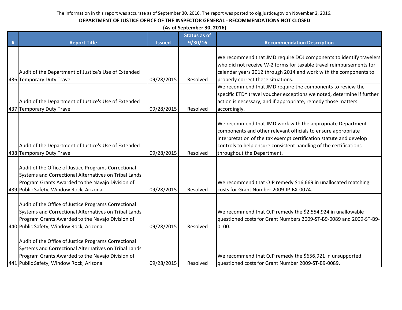|   | (As of September 30, 2016)                                                                                                                                                                                   |               |                     |                                                                                                                                                                                                                                                                                                      |  |  |
|---|--------------------------------------------------------------------------------------------------------------------------------------------------------------------------------------------------------------|---------------|---------------------|------------------------------------------------------------------------------------------------------------------------------------------------------------------------------------------------------------------------------------------------------------------------------------------------------|--|--|
|   |                                                                                                                                                                                                              |               | <b>Status as of</b> |                                                                                                                                                                                                                                                                                                      |  |  |
| # | <b>Report Title</b>                                                                                                                                                                                          | <b>Issued</b> | 9/30/16             | <b>Recommendation Description</b>                                                                                                                                                                                                                                                                    |  |  |
|   | Audit of the Department of Justice's Use of Extended<br>436 Temporary Duty Travel                                                                                                                            | 09/28/2015    | Resolved            | We recommend that JMD require DOJ components to identify travelers<br>who did not receive W-2 forms for taxable travel reimbursements for<br>calendar years 2012 through 2014 and work with the components to<br>properly correct these situations.                                                  |  |  |
|   | Audit of the Department of Justice's Use of Extended<br>437 Temporary Duty Travel                                                                                                                            | 09/28/2015    | Resolved            | We recommend that JMD require the components to review the<br>specific ETDY travel voucher exceptions we noted, determine if further<br>action is necessary, and if appropriate, remedy those matters<br>accordingly.                                                                                |  |  |
|   | Audit of the Department of Justice's Use of Extended<br>438 Temporary Duty Travel                                                                                                                            | 09/28/2015    | Resolved            | We recommend that JMD work with the appropriate Department<br>components and other relevant officials to ensure appropriate<br>interpretation of the tax exempt certification statute and develop<br>controls to help ensure consistent handling of the certifications<br>throughout the Department. |  |  |
|   | Audit of the Office of Justice Programs Correctional<br>Systems and Correctional Alternatives on Tribal Lands<br>Program Grants Awarded to the Navajo Division of<br>439 Public Safety, Window Rock, Arizona | 09/28/2015    | Resolved            | We recommend that OJP remedy \$16,669 in unallocated matching<br>costs for Grant Number 2009-IP-BX-0074.                                                                                                                                                                                             |  |  |
|   | Audit of the Office of Justice Programs Correctional<br>Systems and Correctional Alternatives on Tribal Lands<br>Program Grants Awarded to the Navajo Division of<br>440 Public Safety, Window Rock, Arizona | 09/28/2015    | Resolved            | We recommend that OJP remedy the \$2,554,924 in unallowable<br>questioned costs for Grant Numbers 2009-ST-B9-0089 and 2009-ST-B9-<br>0100.                                                                                                                                                           |  |  |
|   | Audit of the Office of Justice Programs Correctional<br>Systems and Correctional Alternatives on Tribal Lands<br>Program Grants Awarded to the Navajo Division of<br>441 Public Safety, Window Rock, Arizona | 09/28/2015    | Resolved            | We recommend that OJP remedy the \$656,921 in unsupported<br>questioned costs for Grant Number 2009-ST-B9-0089.                                                                                                                                                                                      |  |  |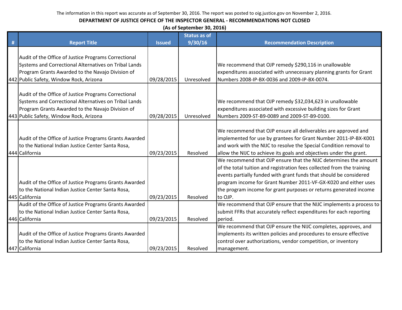|   | (As of September 30, 2016)                             |               |                     |                                                                        |  |  |
|---|--------------------------------------------------------|---------------|---------------------|------------------------------------------------------------------------|--|--|
|   |                                                        |               | <b>Status as of</b> |                                                                        |  |  |
| # | <b>Report Title</b>                                    | <b>Issued</b> | 9/30/16             | <b>Recommendation Description</b>                                      |  |  |
|   |                                                        |               |                     |                                                                        |  |  |
|   | Audit of the Office of Justice Programs Correctional   |               |                     |                                                                        |  |  |
|   | Systems and Correctional Alternatives on Tribal Lands  |               |                     | We recommend that OJP remedy \$290,116 in unallowable                  |  |  |
|   | Program Grants Awarded to the Navajo Division of       |               |                     | expenditures associated with unnecessary planning grants for Grant     |  |  |
|   | 442 Public Safety, Window Rock, Arizona                | 09/28/2015    | Unresolved          | Numbers 2008-IP-BX-0036 and 2009-IP-BX-0074.                           |  |  |
|   |                                                        |               |                     |                                                                        |  |  |
|   | Audit of the Office of Justice Programs Correctional   |               |                     |                                                                        |  |  |
|   | Systems and Correctional Alternatives on Tribal Lands  |               |                     | We recommend that OJP remedy \$32,034,623 in unallowable               |  |  |
|   | Program Grants Awarded to the Navajo Division of       |               |                     | expenditures associated with excessive building sizes for Grant        |  |  |
|   | 443 Public Safety, Window Rock, Arizona                | 09/28/2015    | Unresolved          | Numbers 2009-ST-B9-0089 and 2009-ST-B9-0100.                           |  |  |
|   |                                                        |               |                     |                                                                        |  |  |
|   |                                                        |               |                     | We recommend that OJP ensure all deliverables are approved and         |  |  |
|   | Audit of the Office of Justice Programs Grants Awarded |               |                     | implemented for use by grantees for Grant Number 2011-IP-BX-K001       |  |  |
|   | to the National Indian Justice Center Santa Rosa,      |               |                     | and work with the NIJC to resolve the Special Condition removal to     |  |  |
|   | 444 California                                         | 09/23/2015    | Resolved            | allow the NIJC to achieve its goals and objectives under the grant.    |  |  |
|   |                                                        |               |                     | We recommend that OJP ensure that the NIJC determines the amount       |  |  |
|   |                                                        |               |                     | of the total tuition and registration fees collected from the training |  |  |
|   |                                                        |               |                     | events partially funded with grant funds that should be considered     |  |  |
|   | Audit of the Office of Justice Programs Grants Awarded |               |                     | program income for Grant Number 2011-VF-GX-K020 and either uses        |  |  |
|   | to the National Indian Justice Center Santa Rosa,      |               |                     | the program income for grant purposes or returns generated income      |  |  |
|   | 445 California                                         | 09/23/2015    | Resolved            | to OJP.                                                                |  |  |
|   | Audit of the Office of Justice Programs Grants Awarded |               |                     | We recommend that OJP ensure that the NIJC implements a process to     |  |  |
|   | to the National Indian Justice Center Santa Rosa,      |               |                     | submit FFRs that accurately reflect expenditures for each reporting    |  |  |
|   | 446 California                                         | 09/23/2015    | Resolved            | period.                                                                |  |  |
|   |                                                        |               |                     | We recommend that OJP ensure the NIJC completes, approves, and         |  |  |
|   | Audit of the Office of Justice Programs Grants Awarded |               |                     | implements its written policies and procedures to ensure effective     |  |  |
|   | to the National Indian Justice Center Santa Rosa,      |               |                     | control over authorizations, vendor competition, or inventory          |  |  |
|   | 447 California                                         | 09/23/2015    | Resolved            | management.                                                            |  |  |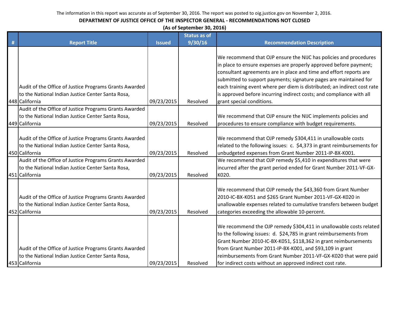#### **DEPARTMENT OF JUSTICE OFFICE OF THE INSPECTOR GENERAL - RECOMMENDATIONS NOT CLOSED**

**(As of September 30, 2016)**

|   |                                                                                                                               |               | <b>Status as of</b> |                                                                                                                                                                                                                                                                                                                                                                                                                                                                    |
|---|-------------------------------------------------------------------------------------------------------------------------------|---------------|---------------------|--------------------------------------------------------------------------------------------------------------------------------------------------------------------------------------------------------------------------------------------------------------------------------------------------------------------------------------------------------------------------------------------------------------------------------------------------------------------|
| # | <b>Report Title</b>                                                                                                           | <b>Issued</b> | 9/30/16             | <b>Recommendation Description</b>                                                                                                                                                                                                                                                                                                                                                                                                                                  |
|   | Audit of the Office of Justice Programs Grants Awarded<br>to the National Indian Justice Center Santa Rosa,<br>448 California | 09/23/2015    | Resolved            | We recommend that OJP ensure the NIJC has policies and procedures<br>in place to ensure expenses are properly approved before payment;<br>consultant agreements are in place and time and effort reports are<br>submitted to support payments; signature pages are maintained for<br>each training event where per diem is distributed; an indirect cost rate<br>is approved before incurring indirect costs; and compliance with all<br>grant special conditions. |
|   | Audit of the Office of Justice Programs Grants Awarded<br>to the National Indian Justice Center Santa Rosa,<br>449 California | 09/23/2015    | Resolved            | We recommend that OJP ensure the NIJC implements policies and<br>procedures to ensure compliance with budget requirements.                                                                                                                                                                                                                                                                                                                                         |
|   | Audit of the Office of Justice Programs Grants Awarded<br>to the National Indian Justice Center Santa Rosa,<br>450 California | 09/23/2015    | Resolved            | We recommend that OJP remedy \$304,411 in unallowable costs<br>related to the following issues: c. \$4,373 in grant reimbursements for<br>unbudgeted expenses from Grant Number 2011-IP-BX-K001.                                                                                                                                                                                                                                                                   |
|   | Audit of the Office of Justice Programs Grants Awarded<br>to the National Indian Justice Center Santa Rosa,<br>451 California | 09/23/2015    | Resolved            | We recommend that OJP remedy \$5,410 in expenditures that were<br>incurred after the grant period ended for Grant Number 2011-VF-GX-<br>K020.                                                                                                                                                                                                                                                                                                                      |
|   | Audit of the Office of Justice Programs Grants Awarded<br>to the National Indian Justice Center Santa Rosa,<br>452 California | 09/23/2015    | Resolved            | We recommend that OJP remedy the \$43,360 from Grant Number<br>2010-IC-BX-K051 and \$265 Grant Number 2011-VF-GX-K020 in<br>unallowable expenses related to cumulative transfers between budget<br>categories exceeding the allowable 10-percent.                                                                                                                                                                                                                  |
|   | Audit of the Office of Justice Programs Grants Awarded<br>to the National Indian Justice Center Santa Rosa,<br>453 California | 09/23/2015    | Resolved            | We recommend the OJP remedy \$304,411 in unallowable costs related<br>to the following issues: d. \$24,785 in grant reimbursements from<br>Grant Number 2010-IC-BX-K051, \$118,362 in grant reimbursements<br>from Grant Number 2011-IP-BX-K001, and \$93,109 in grant<br>reimbursements from Grant Number 2011-VF-GX-K020 that were paid<br>for indirect costs without an approved indirect cost rate.                                                            |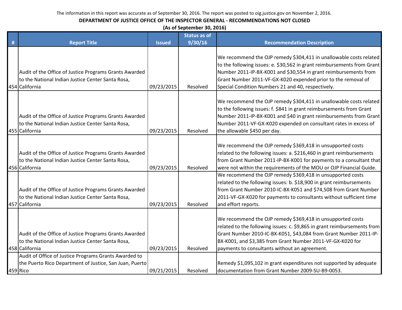|   | (As of September 30, 2016)                                                                                                    |               |          |                                                                                                                                                                                                                                                                                                                            |  |
|---|-------------------------------------------------------------------------------------------------------------------------------|---------------|----------|----------------------------------------------------------------------------------------------------------------------------------------------------------------------------------------------------------------------------------------------------------------------------------------------------------------------------|--|
|   | <b>Status as of</b>                                                                                                           |               |          |                                                                                                                                                                                                                                                                                                                            |  |
| # | <b>Report Title</b>                                                                                                           | <b>Issued</b> | 9/30/16  | <b>Recommendation Description</b>                                                                                                                                                                                                                                                                                          |  |
|   | Audit of the Office of Justice Programs Grants Awarded<br>to the National Indian Justice Center Santa Rosa,                   |               |          | We recommend the OJP remedy \$304,411 in unallowable costs related<br>to the following issues: e. \$30,562 in grant reimbursements from Grant<br>Number 2011-IP-BX-K001 and \$30,554 in grant reimbursements from<br>Grant Number 2011-VF-GX-K020 expended prior to the removal of                                         |  |
|   | 454 California                                                                                                                | 09/23/2015    | Resolved | Special Condition Numbers 21 and 40, respectively.                                                                                                                                                                                                                                                                         |  |
|   | Audit of the Office of Justice Programs Grants Awarded<br>to the National Indian Justice Center Santa Rosa,<br>455 California | 09/23/2015    | Resolved | We recommend the OJP remedy \$304,411 in unallowable costs related<br>to the following issues: f. \$841 in grant reimbursements from Grant<br>Number 2011-IP-BX-K001 and \$40 in grant reimbursements from Grant<br>Number 2011-VF-GX-K020 expended on consultant rates in excess of<br>the allowable \$450 per day.       |  |
|   | Audit of the Office of Justice Programs Grants Awarded<br>to the National Indian Justice Center Santa Rosa,<br>456 California | 09/23/2015    | Resolved | We recommend the OJP remedy \$369,418 in unsupported costs<br>related to the following issues: a. \$216,460 in grant reimbursements<br>from Grant Number 2011-IP-BX-K001 for payments to a consultant that<br>were not within the requirements of the MOU or OJP Financial Guide.                                          |  |
|   | Audit of the Office of Justice Programs Grants Awarded<br>to the National Indian Justice Center Santa Rosa,<br>457 California | 09/23/2015    | Resolved | We recommend the OJP remedy \$369,418 in unsupported costs<br>related to the following issues: b. \$18,900 in grant reimbursements<br>from Grant Number 2010-IC-BX-K051 and \$74,508 from Grant Number<br>2011-VF-GX-K020 for payments to consultants without sufficient time<br>and effort reports.                       |  |
|   | Audit of the Office of Justice Programs Grants Awarded<br>to the National Indian Justice Center Santa Rosa,<br>458 California | 09/23/2015    | Resolved | We recommend the OJP remedy \$369,418 in unsupported costs<br>related to the following issues: c. \$9,865 in grant reimbursements from<br>Grant Number 2010-IC-BX-K051, \$43,084 from Grant Number 2011-IP-<br>BX-K001, and \$3,385 from Grant Number 2011-VF-GX-K020 for<br>payments to consultants without an agreement. |  |
|   | Audit of Office of Justice Programs Grants Awarded to                                                                         |               |          |                                                                                                                                                                                                                                                                                                                            |  |
|   | the Puerto Rico Department of Justice, San Juan, Puerto                                                                       |               |          | Remedy \$1,095,102 in grant expenditures not supported by adequate                                                                                                                                                                                                                                                         |  |
|   | 459 Rico                                                                                                                      | 09/21/2015    | Resolved | documentation from Grant Number 2009-SU-B9-0053.                                                                                                                                                                                                                                                                           |  |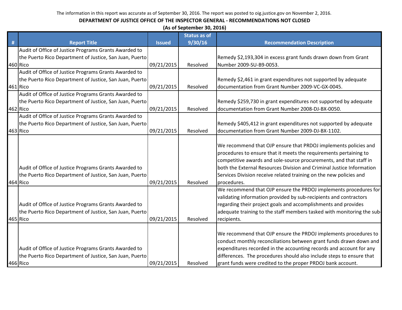|   | (As of September 30, 2016)                                                                                                   |               |                     |                                                                                                                                                                                                                                                                                                                                                           |  |
|---|------------------------------------------------------------------------------------------------------------------------------|---------------|---------------------|-----------------------------------------------------------------------------------------------------------------------------------------------------------------------------------------------------------------------------------------------------------------------------------------------------------------------------------------------------------|--|
|   |                                                                                                                              |               | <b>Status as of</b> |                                                                                                                                                                                                                                                                                                                                                           |  |
| # | <b>Report Title</b>                                                                                                          | <b>Issued</b> | 9/30/16             | <b>Recommendation Description</b>                                                                                                                                                                                                                                                                                                                         |  |
|   | Audit of Office of Justice Programs Grants Awarded to                                                                        |               |                     |                                                                                                                                                                                                                                                                                                                                                           |  |
|   | the Puerto Rico Department of Justice, San Juan, Puerto                                                                      |               |                     | Remedy \$2,193,304 in excess grant funds drawn down from Grant                                                                                                                                                                                                                                                                                            |  |
|   | 460 Rico                                                                                                                     | 09/21/2015    | Resolved            | Number 2009-SU-B9-0053.                                                                                                                                                                                                                                                                                                                                   |  |
|   | Audit of Office of Justice Programs Grants Awarded to                                                                        |               |                     |                                                                                                                                                                                                                                                                                                                                                           |  |
|   | the Puerto Rico Department of Justice, San Juan, Puerto                                                                      |               |                     | Remedy \$2,461 in grant expenditures not supported by adequate                                                                                                                                                                                                                                                                                            |  |
|   | 461 Rico                                                                                                                     | 09/21/2015    | Resolved            | documentation from Grant Number 2009-VC-GX-0045.                                                                                                                                                                                                                                                                                                          |  |
|   | Audit of Office of Justice Programs Grants Awarded to                                                                        |               |                     |                                                                                                                                                                                                                                                                                                                                                           |  |
|   | the Puerto Rico Department of Justice, San Juan, Puerto                                                                      |               |                     | Remedy \$259,730 in grant expenditures not supported by adequate                                                                                                                                                                                                                                                                                          |  |
|   | 462 Rico                                                                                                                     | 09/21/2015    | Resolved            | documentation from Grant Number 2008-DJ-BX-0050.                                                                                                                                                                                                                                                                                                          |  |
|   | Audit of Office of Justice Programs Grants Awarded to                                                                        |               |                     |                                                                                                                                                                                                                                                                                                                                                           |  |
|   | the Puerto Rico Department of Justice, San Juan, Puerto                                                                      |               |                     | Remedy \$405,412 in grant expenditures not supported by adequate                                                                                                                                                                                                                                                                                          |  |
|   | 463 Rico                                                                                                                     | 09/21/2015    | Resolved            | documentation from Grant Number 2009-DJ-BX-1102.                                                                                                                                                                                                                                                                                                          |  |
|   | Audit of Office of Justice Programs Grants Awarded to<br>the Puerto Rico Department of Justice, San Juan, Puerto             |               |                     | We recommend that OJP ensure that PRDOJ implements policies and<br>procedures to ensure that it meets the requirements pertaining to<br>competitive awards and sole-source procurements, and that staff in<br>both the External Resources Division and Criminal Justice Information<br>Services Division receive related training on the new policies and |  |
|   | 464 Rico                                                                                                                     | 09/21/2015    | Resolved            | procedures.                                                                                                                                                                                                                                                                                                                                               |  |
|   | Audit of Office of Justice Programs Grants Awarded to<br>the Puerto Rico Department of Justice, San Juan, Puerto<br>465 Rico | 09/21/2015    | Resolved            | We recommend that OJP ensure the PRDOJ implements procedures for<br>validating information provided by sub-recipients and contractors<br>regarding their project goals and accomplishments and provides<br>adequate training to the staff members tasked with monitoring the sub-<br>recipients.                                                          |  |
|   | Audit of Office of Justice Programs Grants Awarded to<br>the Puerto Rico Department of Justice, San Juan, Puerto<br>466 Rico | 09/21/2015    | Resolved            | We recommend that OJP ensure the PRDOJ implements procedures to<br>conduct monthly reconciliations between grant funds drawn down and<br>expenditures recorded in the accounting records and account for any<br>differences. The procedures should also include steps to ensure that<br>grant funds were credited to the proper PRDOJ bank account.       |  |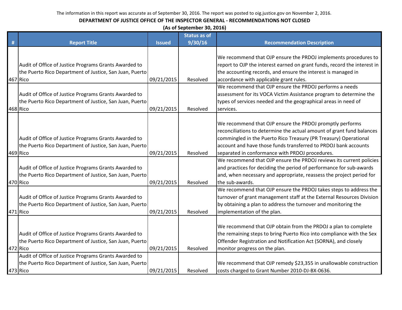|   | (As of September 30, 2016)                                                                                                   |               |                     |                                                                                                                                                                                                                                                                                                                             |  |  |
|---|------------------------------------------------------------------------------------------------------------------------------|---------------|---------------------|-----------------------------------------------------------------------------------------------------------------------------------------------------------------------------------------------------------------------------------------------------------------------------------------------------------------------------|--|--|
|   |                                                                                                                              |               | <b>Status as of</b> |                                                                                                                                                                                                                                                                                                                             |  |  |
| # | <b>Report Title</b>                                                                                                          | <b>Issued</b> | 9/30/16             | <b>Recommendation Description</b>                                                                                                                                                                                                                                                                                           |  |  |
|   | Audit of Office of Justice Programs Grants Awarded to<br>the Puerto Rico Department of Justice, San Juan, Puerto<br>467 Rico | 09/21/2015    | Resolved            | We recommend that OJP ensure the PRDOJ implements procedures to<br>report to OJP the interest earned on grant funds, record the interest in<br>the accounting records, and ensure the interest is managed in<br>accordance with applicable grant rules.                                                                     |  |  |
|   | Audit of Office of Justice Programs Grants Awarded to<br>the Puerto Rico Department of Justice, San Juan, Puerto<br>468 Rico | 09/21/2015    | Resolved            | We recommend that OJP ensure the PRDOJ performs a needs<br>assessment for its VOCA Victim Assistance program to determine the<br>types of services needed and the geographical areas in need of<br>services.                                                                                                                |  |  |
|   | Audit of Office of Justice Programs Grants Awarded to<br>the Puerto Rico Department of Justice, San Juan, Puerto<br>469 Rico | 09/21/2015    | Resolved            | We recommend that OJP ensure the PRDOJ promptly performs<br>reconciliations to determine the actual amount of grant fund balances<br>commingled in the Puerto Rico Treasury (PR Treasury) Operational<br>account and have those funds transferred to PRDOJ bank accounts<br>separated in conformance with PRDOJ procedures. |  |  |
|   | Audit of Office of Justice Programs Grants Awarded to<br>the Puerto Rico Department of Justice, San Juan, Puerto<br>470 Rico | 09/21/2015    | Resolved            | We recommend that OJP ensure the PRDOJ reviews its current policies<br>and practices for deciding the period of performance for sub-awards<br>and, when necessary and appropriate, reassess the project period for<br>the sub-awards.                                                                                       |  |  |
|   | Audit of Office of Justice Programs Grants Awarded to<br>the Puerto Rico Department of Justice, San Juan, Puerto<br>471 Rico | 09/21/2015    | Resolved            | We recommend that OJP ensure the PRDOJ takes steps to address the<br>turnover of grant management staff at the External Resources Division<br>by obtaining a plan to address the turnover and monitoring the<br>implementation of the plan.                                                                                 |  |  |
|   | Audit of Office of Justice Programs Grants Awarded to<br>the Puerto Rico Department of Justice, San Juan, Puerto<br>472 Rico | 09/21/2015    | Resolved            | We recommend that OJP obtain from the PRDOJ a plan to complete<br>the remaining steps to bring Puerto Rico into compliance with the Sex<br>Offender Registration and Notification Act (SORNA), and closely<br>monitor progress on the plan.                                                                                 |  |  |
|   | Audit of Office of Justice Programs Grants Awarded to<br>the Puerto Rico Department of Justice, San Juan, Puerto<br>473 Rico | 09/21/2015    | Resolved            | We recommend that OJP remedy \$23,355 in unallowable construction<br>costs charged to Grant Number 2010-DJ-BX-0636.                                                                                                                                                                                                         |  |  |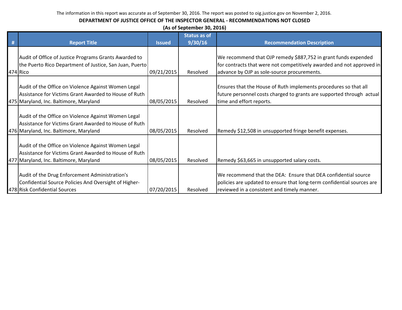| (As of September 30, 2016)                                                                                                                             |               |                     |                                                                                                                                                                                         |  |  |
|--------------------------------------------------------------------------------------------------------------------------------------------------------|---------------|---------------------|-----------------------------------------------------------------------------------------------------------------------------------------------------------------------------------------|--|--|
|                                                                                                                                                        | <b>Issued</b> | <b>Status as of</b> | <b>Recommendation Description</b>                                                                                                                                                       |  |  |
| <b>Report Title</b>                                                                                                                                    |               | 9/30/16             |                                                                                                                                                                                         |  |  |
| Audit of Office of Justice Programs Grants Awarded to<br>the Puerto Rico Department of Justice, San Juan, Puerto<br>474 Rico                           | 09/21/2015    | Resolved            | We recommend that OJP remedy \$887,752 in grant funds expended<br>for contracts that were not competitively awarded and not approved in<br>advance by OJP as sole-source procurements.  |  |  |
| Audit of the Office on Violence Against Women Legal<br>Assistance for Victims Grant Awarded to House of Ruth<br>475 Maryland, Inc. Baltimore, Maryland | 08/05/2015    | Resolved            | Ensures that the House of Ruth implements procedures so that all<br>future personnel costs charged to grants are supported through actual<br>time and effort reports.                   |  |  |
| Audit of the Office on Violence Against Women Legal<br>Assistance for Victims Grant Awarded to House of Ruth<br>476 Maryland, Inc. Baltimore, Maryland | 08/05/2015    | Resolved            | Remedy \$12,508 in unsupported fringe benefit expenses.                                                                                                                                 |  |  |
| Audit of the Office on Violence Against Women Legal<br>Assistance for Victims Grant Awarded to House of Ruth<br>477 Maryland, Inc. Baltimore, Maryland | 08/05/2015    | Resolved            | Remedy \$63,665 in unsupported salary costs.                                                                                                                                            |  |  |
| Audit of the Drug Enforcement Administration's<br>Confidential Source Policies And Oversight of Higher-<br>478 Risk Confidential Sources               | 07/20/2015    | Resolved            | We recommend that the DEA: Ensure that DEA confidential source<br>policies are updated to ensure that long-term confidential sources are<br>reviewed in a consistent and timely manner. |  |  |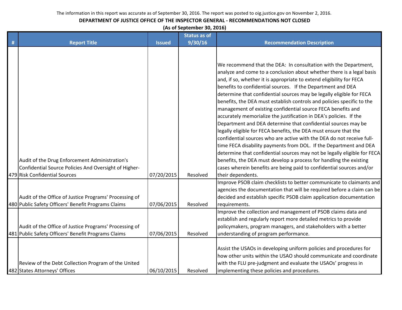#### **DEPARTMENT OF JUSTICE OFFICE OF THE INSPECTOR GENERAL - RECOMMENDATIONS NOT CLOSED**

**(As of September 30, 2016)**

|   |                                                                                                                                          |               | <b>Status as of</b> |                                                                                                                                                                                                                                                                                                                                                                                                                                                                                                                                                                                                                                                                                                                                                                                                                                                                                                                                                                                                                                                                                                           |
|---|------------------------------------------------------------------------------------------------------------------------------------------|---------------|---------------------|-----------------------------------------------------------------------------------------------------------------------------------------------------------------------------------------------------------------------------------------------------------------------------------------------------------------------------------------------------------------------------------------------------------------------------------------------------------------------------------------------------------------------------------------------------------------------------------------------------------------------------------------------------------------------------------------------------------------------------------------------------------------------------------------------------------------------------------------------------------------------------------------------------------------------------------------------------------------------------------------------------------------------------------------------------------------------------------------------------------|
| # | <b>Report Title</b>                                                                                                                      | <b>Issued</b> | 9/30/16             | <b>Recommendation Description</b>                                                                                                                                                                                                                                                                                                                                                                                                                                                                                                                                                                                                                                                                                                                                                                                                                                                                                                                                                                                                                                                                         |
|   | Audit of the Drug Enforcement Administration's<br>Confidential Source Policies And Oversight of Higher-<br>479 Risk Confidential Sources | 07/20/2015    | Resolved            | We recommend that the DEA: In consultation with the Department,<br>analyze and come to a conclusion about whether there is a legal basis<br>and, if so, whether it is appropriate to extend eligibility for FECA<br>benefits to confidential sources. If the Department and DEA<br>determine that confidential sources may be legally eligible for FECA<br>benefits, the DEA must establish controls and policies specific to the<br>management of existing confidential source FECA benefits and<br>accurately memorialize the justification in DEA's policies. If the<br>Department and DEA determine that confidential sources may be<br>legally eligible for FECA benefits, the DEA must ensure that the<br>confidential sources who are active with the DEA do not receive full-<br>time FECA disability payments from DOL. If the Department and DEA<br>determine that confidential sources may not be legally eligible for FECA<br>benefits, the DEA must develop a process for handling the existing<br>cases wherein benefits are being paid to confidential sources and/or<br>their dependents. |
|   | Audit of the Office of Justice Programs' Processing of<br>480 Public Safety Officers' Benefit Programs Claims                            | 07/06/2015    | Resolved            | Improve PSOB claim checklists to better communicate to claimants and<br>agencies the documentation that will be required before a claim can be<br>decided and establish specific PSOB claim application documentation<br>requirements.                                                                                                                                                                                                                                                                                                                                                                                                                                                                                                                                                                                                                                                                                                                                                                                                                                                                    |
|   | Audit of the Office of Justice Programs' Processing of<br>481 Public Safety Officers' Benefit Programs Claims                            | 07/06/2015    | Resolved            | Improve the collection and management of PSOB claims data and<br>establish and regularly report more detailed metrics to provide<br>policymakers, program managers, and stakeholders with a better<br>understanding of program performance.                                                                                                                                                                                                                                                                                                                                                                                                                                                                                                                                                                                                                                                                                                                                                                                                                                                               |
|   | Review of the Debt Collection Program of the United<br>482 States Attorneys' Offices                                                     | 06/10/2015    | Resolved            | Assist the USAOs in developing uniform policies and procedures for<br>how other units within the USAO should communicate and coordinate<br>with the FLU pre-judgment and evaluate the USAOs' progress in<br>implementing these policies and procedures.                                                                                                                                                                                                                                                                                                                                                                                                                                                                                                                                                                                                                                                                                                                                                                                                                                                   |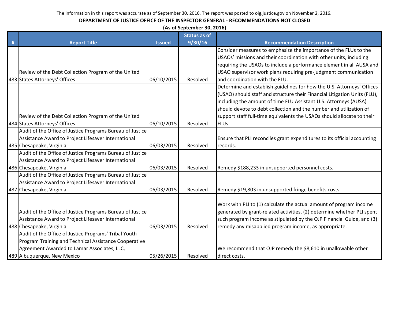|   | (As of September 30, 2016)                                |               |                     |                                                                           |  |  |
|---|-----------------------------------------------------------|---------------|---------------------|---------------------------------------------------------------------------|--|--|
|   |                                                           |               | <b>Status as of</b> |                                                                           |  |  |
| # | <b>Report Title</b>                                       | <b>Issued</b> | 9/30/16             | <b>Recommendation Description</b>                                         |  |  |
|   |                                                           |               |                     | Consider measures to emphasize the importance of the FLUs to the          |  |  |
|   |                                                           |               |                     | USAOs' missions and their coordination with other units, including        |  |  |
|   |                                                           |               |                     | requiring the USAOs to include a performance element in all AUSA and      |  |  |
|   | Review of the Debt Collection Program of the United       |               |                     | USAO supervisor work plans requiring pre-judgment communication           |  |  |
|   | 483 States Attorneys' Offices                             | 06/10/2015    | Resolved            | and coordination with the FLU.                                            |  |  |
|   |                                                           |               |                     | Determine and establish guidelines for how the U.S. Attorneys' Offices    |  |  |
|   |                                                           |               |                     | (USAO) should staff and structure their Financial Litigation Units (FLU), |  |  |
|   |                                                           |               |                     | including the amount of time FLU Assistant U.S. Attorneys (AUSA)          |  |  |
|   |                                                           |               |                     | should devote to debt collection and the number and utilization of        |  |  |
|   | Review of the Debt Collection Program of the United       |               |                     | support staff full-time equivalents the USAOs should allocate to their    |  |  |
|   | 484 States Attorneys' Offices                             | 06/10/2015    | Resolved            | FLU <sub>S</sub> .                                                        |  |  |
|   | Audit of the Office of Justice Programs Bureau of Justice |               |                     |                                                                           |  |  |
|   | Assistance Award to Project Lifesaver International       |               |                     | Ensure that PLI reconciles grant expenditures to its official accounting  |  |  |
|   | 485 Chesapeake, Virginia                                  | 06/03/2015    | Resolved            | records.                                                                  |  |  |
|   | Audit of the Office of Justice Programs Bureau of Justice |               |                     |                                                                           |  |  |
|   | Assistance Award to Project Lifesaver International       |               |                     |                                                                           |  |  |
|   | 486 Chesapeake, Virginia                                  | 06/03/2015    | Resolved            | Remedy \$188,233 in unsupported personnel costs.                          |  |  |
|   | Audit of the Office of Justice Programs Bureau of Justice |               |                     |                                                                           |  |  |
|   | Assistance Award to Project Lifesaver International       |               |                     |                                                                           |  |  |
|   | 487 Chesapeake, Virginia                                  | 06/03/2015    | Resolved            | Remedy \$19,803 in unsupported fringe benefits costs.                     |  |  |
|   |                                                           |               |                     |                                                                           |  |  |
|   |                                                           |               |                     | Work with PLI to (1) calculate the actual amount of program income        |  |  |
|   | Audit of the Office of Justice Programs Bureau of Justice |               |                     | generated by grant-related activities, (2) determine whether PLI spent    |  |  |
|   | Assistance Award to Project Lifesaver International       |               |                     | such program income as stipulated by the OJP Financial Guide, and (3)     |  |  |
|   | 488 Chesapeake, Virginia                                  | 06/03/2015    | Resolved            | remedy any misapplied program income, as appropriate.                     |  |  |
|   | Audit of the Office of Justice Programs' Tribal Youth     |               |                     |                                                                           |  |  |
|   | Program Training and Technical Assistance Cooperative     |               |                     |                                                                           |  |  |
|   | Agreement Awarded to Lamar Associates, LLC,               |               |                     | We recommend that OJP remedy the \$8,610 in unallowable other             |  |  |
|   | 489 Albuquerque, New Mexico                               | 05/26/2015    | Resolved            | direct costs.                                                             |  |  |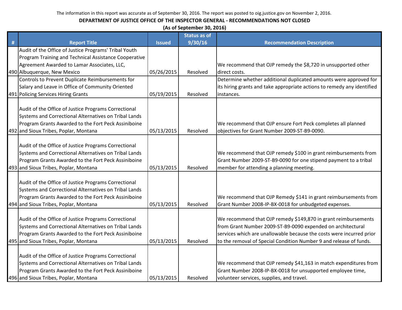|   | (As of September 30, 2016)                                                                                                                                                                                    |               |                     |                                                                                                                                                                                                                                                                             |  |
|---|---------------------------------------------------------------------------------------------------------------------------------------------------------------------------------------------------------------|---------------|---------------------|-----------------------------------------------------------------------------------------------------------------------------------------------------------------------------------------------------------------------------------------------------------------------------|--|
|   |                                                                                                                                                                                                               |               | <b>Status as of</b> |                                                                                                                                                                                                                                                                             |  |
| # | <b>Report Title</b>                                                                                                                                                                                           | <b>Issued</b> | 9/30/16             | <b>Recommendation Description</b>                                                                                                                                                                                                                                           |  |
|   | Audit of the Office of Justice Programs' Tribal Youth                                                                                                                                                         |               |                     |                                                                                                                                                                                                                                                                             |  |
|   | Program Training and Technical Assistance Cooperative                                                                                                                                                         |               |                     |                                                                                                                                                                                                                                                                             |  |
|   | Agreement Awarded to Lamar Associates, LLC,                                                                                                                                                                   |               |                     | We recommend that OJP remedy the \$8,720 in unsupported other                                                                                                                                                                                                               |  |
|   | 490 Albuquerque, New Mexico                                                                                                                                                                                   | 05/26/2015    | Resolved            | direct costs.                                                                                                                                                                                                                                                               |  |
|   | Controls to Prevent Duplicate Reimbursements for                                                                                                                                                              |               |                     | Determine whether additional duplicated amounts were approved for                                                                                                                                                                                                           |  |
|   | Salary and Leave in Office of Community Oriented                                                                                                                                                              |               |                     | its hiring grants and take appropriate actions to remedy any identified                                                                                                                                                                                                     |  |
|   | 491 Policing Services Hiring Grants                                                                                                                                                                           | 05/19/2015    | Resolved            | instances.                                                                                                                                                                                                                                                                  |  |
|   | Audit of the Office of Justice Programs Correctional<br>Systems and Correctional Alternatives on Tribal Lands<br>Program Grants Awarded to the Fort Peck Assiniboine<br>492 and Sioux Tribes, Poplar, Montana | 05/13/2015    | Resolved            | We recommend that OJP ensure Fort Peck completes all planned<br>objectives for Grant Number 2009-ST-B9-0090.                                                                                                                                                                |  |
|   | Audit of the Office of Justice Programs Correctional<br>Systems and Correctional Alternatives on Tribal Lands<br>Program Grants Awarded to the Fort Peck Assiniboine<br>493 and Sioux Tribes, Poplar, Montana | 05/13/2015    | Resolved            | We recommend that OJP remedy \$100 in grant reimbursements from<br>Grant Number 2009-ST-B9-0090 for one stipend payment to a tribal<br>member for attending a planning meeting.                                                                                             |  |
|   | Audit of the Office of Justice Programs Correctional<br>Systems and Correctional Alternatives on Tribal Lands<br>Program Grants Awarded to the Fort Peck Assiniboine<br>494 and Sioux Tribes, Poplar, Montana | 05/13/2015    | Resolved            | We recommend that OJP Remedy \$141 in grant reimbursements from<br>Grant Number 2008-IP-BX-0018 for unbudgeted expenses.                                                                                                                                                    |  |
|   | Audit of the Office of Justice Programs Correctional<br>Systems and Correctional Alternatives on Tribal Lands<br>Program Grants Awarded to the Fort Peck Assiniboine<br>495 and Sioux Tribes, Poplar, Montana | 05/13/2015    | Resolved            | We recommend that OJP remedy \$149,870 in grant reimbursements<br>from Grant Number 2009-ST-B9-0090 expended on architectural<br>services which are unallowable because the costs were incurred prior<br>to the removal of Special Condition Number 9 and release of funds. |  |
|   | Audit of the Office of Justice Programs Correctional<br>Systems and Correctional Alternatives on Tribal Lands<br>Program Grants Awarded to the Fort Peck Assiniboine<br>496 and Sioux Tribes, Poplar, Montana | 05/13/2015    | Resolved            | We recommend that OJP remedy \$41,163 in match expenditures from<br>Grant Number 2008-IP-BX-0018 for unsupported employee time,<br>volunteer services, supplies, and travel.                                                                                                |  |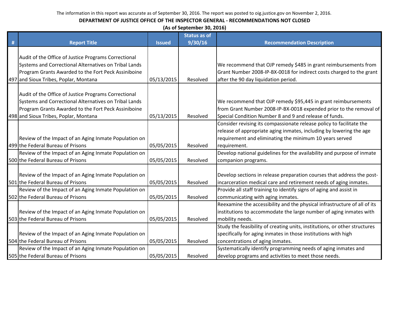|   | (As of September 30, 2016)                            |               |                     |                                                                            |  |  |
|---|-------------------------------------------------------|---------------|---------------------|----------------------------------------------------------------------------|--|--|
|   |                                                       |               | <b>Status as of</b> |                                                                            |  |  |
| # | <b>Report Title</b>                                   | <b>Issued</b> | 9/30/16             | <b>Recommendation Description</b>                                          |  |  |
|   |                                                       |               |                     |                                                                            |  |  |
|   | Audit of the Office of Justice Programs Correctional  |               |                     |                                                                            |  |  |
|   | Systems and Correctional Alternatives on Tribal Lands |               |                     | We recommend that OJP remedy \$485 in grant reimbursements from            |  |  |
|   | Program Grants Awarded to the Fort Peck Assiniboine   |               |                     | Grant Number 2008-IP-BX-0018 for indirect costs charged to the grant       |  |  |
|   | 497 and Sioux Tribes, Poplar, Montana                 | 05/13/2015    | Resolved            | after the 90 day liquidation period.                                       |  |  |
|   |                                                       |               |                     |                                                                            |  |  |
|   | Audit of the Office of Justice Programs Correctional  |               |                     |                                                                            |  |  |
|   | Systems and Correctional Alternatives on Tribal Lands |               |                     | We recommend that OJP remedy \$95,445 in grant reimbursements              |  |  |
|   | Program Grants Awarded to the Fort Peck Assiniboine   |               |                     | from Grant Number 2008-IP-BX-0018 expended prior to the removal of         |  |  |
|   | 498 and Sioux Tribes, Poplar, Montana                 | 05/13/2015    | Resolved            | Special Condition Number 8 and 9 and release of funds.                     |  |  |
|   |                                                       |               |                     | Consider revising its compassionate release policy to facilitate the       |  |  |
|   |                                                       |               |                     | release of appropriate aging inmates, including by lowering the age        |  |  |
|   | Review of the Impact of an Aging Inmate Population on |               |                     | requirement and eliminating the minimum 10 years served                    |  |  |
|   | 499 the Federal Bureau of Prisons                     | 05/05/2015    | Resolved            | requirement.                                                               |  |  |
|   | Review of the Impact of an Aging Inmate Population on |               |                     | Develop national guidelines for the availability and purpose of inmate     |  |  |
|   | 500 the Federal Bureau of Prisons                     | 05/05/2015    | Resolved            | companion programs.                                                        |  |  |
|   |                                                       |               |                     |                                                                            |  |  |
|   | Review of the Impact of an Aging Inmate Population on |               |                     | Develop sections in release preparation courses that address the post-     |  |  |
|   | 501 the Federal Bureau of Prisons                     | 05/05/2015    | Resolved            | incarceration medical care and retirement needs of aging inmates.          |  |  |
|   | Review of the Impact of an Aging Inmate Population on |               |                     | Provide all staff training to identify signs of aging and assist in        |  |  |
|   | 502 the Federal Bureau of Prisons                     | 05/05/2015    | Resolved            | communicating with aging inmates.                                          |  |  |
|   |                                                       |               |                     | Reexamine the accessibility and the physical infrastructure of all of its  |  |  |
|   | Review of the Impact of an Aging Inmate Population on |               |                     | institutions to accommodate the large number of aging inmates with         |  |  |
|   | 503 the Federal Bureau of Prisons                     | 05/05/2015    | Resolved            | mobility needs.                                                            |  |  |
|   |                                                       |               |                     | Study the feasibility of creating units, institutions, or other structures |  |  |
|   | Review of the Impact of an Aging Inmate Population on |               |                     | specifically for aging inmates in those institutions with high             |  |  |
|   | 504 the Federal Bureau of Prisons                     | 05/05/2015    | Resolved            | concentrations of aging inmates.                                           |  |  |
|   | Review of the Impact of an Aging Inmate Population on |               |                     | Systematically identify programming needs of aging inmates and             |  |  |
|   | 505 the Federal Bureau of Prisons                     | 05/05/2015    | Resolved            | develop programs and activities to meet those needs.                       |  |  |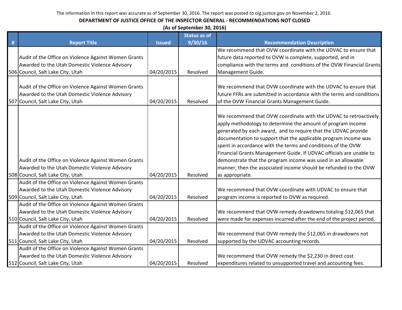|      |                                                      |               | (As of September 30, 2016) |                                                                       |
|------|------------------------------------------------------|---------------|----------------------------|-----------------------------------------------------------------------|
|      |                                                      |               | <b>Status as of</b>        |                                                                       |
| $\#$ | <b>Report Title</b>                                  | <b>Issued</b> | 9/30/16                    | <b>Recommendation Description</b>                                     |
|      |                                                      |               |                            | We recommend that OVW coordinate with the UDVAC to ensure that        |
|      | Audit of the Office on Violence Against Women Grants |               |                            | future data reported to OVW is complete, supported, and in            |
|      | Awarded to the Utah Domestic Violence Advisory       |               |                            | compliance with the terms and conditions of the OVW Financial Grants  |
|      | 506 Council, Salt Lake City, Utah                    | 04/20/2015    | Resolved                   | Management Guide.                                                     |
|      |                                                      |               |                            |                                                                       |
|      | Audit of the Office on Violence Against Women Grants |               |                            | We recommend that OVW coordinate with the UDVAC to ensure that        |
|      | Awarded to the Utah Domestic Violence Advisory       |               |                            | future FFRs are submitted in accordance with the terms and conditions |
|      | 507 Council, Salt Lake City, Utah                    | 04/20/2015    | Resolved                   | of the OVW Financial Grants Management Guide.                         |
|      |                                                      |               |                            | We recommend that OVW coordinate with the UDVAC to retroactively      |
|      |                                                      |               |                            | apply methodology to determine the amount of program income           |
|      |                                                      |               |                            | generated by each award, and to require that the UDVAC provide        |
|      |                                                      |               |                            | documentation to support that the applicable program income was       |
|      |                                                      |               |                            | spent in accordance with the terms and conditions of the OVW          |
|      |                                                      |               |                            | Financial Grants Management Guide. If UDVAC officials are unable to   |
|      | Audit of the Office on Violence Against Women Grants |               |                            | demonstrate that the program income was used in an allowable          |
|      | Awarded to the Utah Domestic Violence Advisory       |               |                            | manner, then the associated income should be refunded to the OVW      |
|      | 508 Council, Salt Lake City, Utah                    | 04/20/2015    | Resolved                   | as appropriate.                                                       |
|      | Audit of the Office on Violence Against Women Grants |               |                            |                                                                       |
|      | Awarded to the Utah Domestic Violence Advisory       |               |                            | We recommend that OVW coordinate with UDVAC to ensure that            |
|      | 509 Council, Salt Lake City, Utah                    | 04/20/2015    | Resolved                   | program income is reported to OVW as required.                        |
|      | Audit of the Office on Violence Against Women Grants |               |                            |                                                                       |
|      | Awarded to the Utah Domestic Violence Advisory       |               |                            | We recommend that OVW remedy drawdowns totaling \$12,065 that         |
|      | 510 Council, Salt Lake City, Utah                    | 04/20/2015    | Resolved                   | were made for expenses incurred after the end of the project period.  |
|      | Audit of the Office on Violence Against Women Grants |               |                            |                                                                       |
|      | Awarded to the Utah Domestic Violence Advisory       |               |                            | We recommend that OVW remedy the \$12,065 in drawdowns not            |
|      | 511 Council, Salt Lake City, Utah                    | 04/20/2015    | Resolved                   | supported by the UDVAC accounting records.                            |
|      | Audit of the Office on Violence Against Women Grants |               |                            |                                                                       |
|      | Awarded to the Utah Domestic Violence Advisory       |               |                            | We recommend that OVW remedy the \$2,230 in direct cost               |
|      | 512 Council, Salt Lake City, Utah                    | 04/20/2015    | Resolved                   | expenditures related to unsupported travel and accounting fees.       |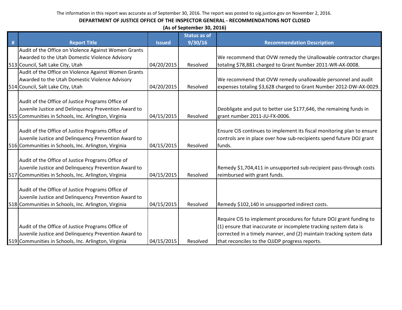|   | (As of September 30, 2016)                           |               |                     |                                                                        |  |  |
|---|------------------------------------------------------|---------------|---------------------|------------------------------------------------------------------------|--|--|
|   |                                                      |               | <b>Status as of</b> |                                                                        |  |  |
| # | <b>Report Title</b>                                  | <b>Issued</b> | 9/30/16             | <b>Recommendation Description</b>                                      |  |  |
|   | Audit of the Office on Violence Against Women Grants |               |                     |                                                                        |  |  |
|   | Awarded to the Utah Domestic Violence Advisory       |               |                     | We recommend that OVW remedy the Unallowable contractor charges        |  |  |
|   | 513 Council, Salt Lake City, Utah                    | 04/20/2015    | Resolved            | totaling \$78,881 charged to Grant Number 2011-WR-AX-0008.             |  |  |
|   | Audit of the Office on Violence Against Women Grants |               |                     |                                                                        |  |  |
|   | Awarded to the Utah Domestic Violence Advisory       |               |                     | We recommend that OVW remedy unallowable personnel and audit           |  |  |
|   | 514 Council, Salt Lake City, Utah                    | 04/20/2015    | Resolved            | expenses totaling \$3,628 charged to Grant Number 2012-DW-AX-0029.     |  |  |
|   |                                                      |               |                     |                                                                        |  |  |
|   | Audit of the Office of Justice Programs Office of    |               |                     |                                                                        |  |  |
|   | Juvenile Justice and Delinquency Prevention Award to |               |                     | Deobligate and put to better use \$177,646, the remaining funds in     |  |  |
|   | 515 Communities in Schools, Inc. Arlington, Virginia | 04/15/2015    | Resolved            | grant number 2011-JU-FX-0006.                                          |  |  |
|   | Audit of the Office of Justice Programs Office of    |               |                     | Ensure CIS continues to implement its fiscal monitoring plan to ensure |  |  |
|   | Juvenile Justice and Delinquency Prevention Award to |               |                     | controls are in place over how sub-recipients spend future DOJ grant   |  |  |
|   | 516 Communities in Schools, Inc. Arlington, Virginia | 04/15/2015    | Resolved            | lfunds.                                                                |  |  |
|   |                                                      |               |                     |                                                                        |  |  |
|   | Audit of the Office of Justice Programs Office of    |               |                     |                                                                        |  |  |
|   | Juvenile Justice and Delinquency Prevention Award to |               |                     | Remedy \$1,704,411 in unsupported sub-recipient pass-through costs     |  |  |
|   | 517 Communities in Schools, Inc. Arlington, Virginia | 04/15/2015    | Resolved            | reimbursed with grant funds.                                           |  |  |
|   |                                                      |               |                     |                                                                        |  |  |
|   | Audit of the Office of Justice Programs Office of    |               |                     |                                                                        |  |  |
|   | Juvenile Justice and Delinquency Prevention Award to |               |                     |                                                                        |  |  |
|   | 518 Communities in Schools, Inc. Arlington, Virginia | 04/15/2015    | Resolved            | Remedy \$102,140 in unsupported indirect costs.                        |  |  |
|   |                                                      |               |                     |                                                                        |  |  |
|   |                                                      |               |                     | Require CIS to implement procedures for future DOJ grant funding to    |  |  |
|   | Audit of the Office of Justice Programs Office of    |               |                     | (1) ensure that inaccurate or incomplete tracking system data is       |  |  |
|   | Juvenile Justice and Delinquency Prevention Award to |               |                     | corrected in a timely manner, and (2) maintain tracking system data    |  |  |
|   | 519 Communities in Schools, Inc. Arlington, Virginia | 04/15/2015    | Resolved            | that reconciles to the OJJDP progress reports.                         |  |  |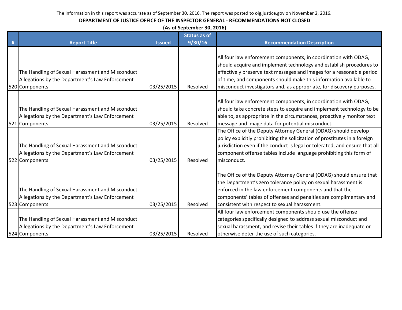|   | (As of September 30, 2016)                                                                                            |               |                     |                                                                                                                                                                                                                                                                                                                                                               |  |
|---|-----------------------------------------------------------------------------------------------------------------------|---------------|---------------------|---------------------------------------------------------------------------------------------------------------------------------------------------------------------------------------------------------------------------------------------------------------------------------------------------------------------------------------------------------------|--|
|   |                                                                                                                       |               | <b>Status as of</b> |                                                                                                                                                                                                                                                                                                                                                               |  |
| # | <b>Report Title</b>                                                                                                   | <b>Issued</b> | 9/30/16             | <b>Recommendation Description</b>                                                                                                                                                                                                                                                                                                                             |  |
|   | The Handling of Sexual Harassment and Misconduct<br>Allegations by the Department's Law Enforcement<br>520 Components | 03/25/2015    | Resolved            | All four law enforcement components, in coordination with ODAG,<br>should acquire and implement technology and establish procedures to<br>effectively preserve text messages and images for a reasonable period<br>of time, and components should make this information available to<br>misconduct investigators and, as appropriate, for discovery purposes. |  |
|   | The Handling of Sexual Harassment and Misconduct<br>Allegations by the Department's Law Enforcement<br>521 Components | 03/25/2015    | Resolved            | All four law enforcement components, in coordination with ODAG,<br>should take concrete steps to acquire and implement technology to be<br>able to, as appropriate in the circumstances, proactively monitor text<br>message and image data for potential misconduct.                                                                                         |  |
|   | The Handling of Sexual Harassment and Misconduct<br>Allegations by the Department's Law Enforcement<br>522 Components | 03/25/2015    | Resolved            | The Office of the Deputy Attorney General (ODAG) should develop<br>policy explicitly prohibiting the solicitation of prostitutes in a foreign<br>jurisdiction even if the conduct is legal or tolerated, and ensure that all<br>component offense tables include language prohibiting this form of<br>misconduct.                                             |  |
|   | The Handling of Sexual Harassment and Misconduct<br>Allegations by the Department's Law Enforcement<br>523 Components | 03/25/2015    | Resolved            | The Office of the Deputy Attorney General (ODAG) should ensure that<br>the Department's zero tolerance policy on sexual harassment is<br>enforced in the law enforcement components and that the<br>components' tables of offenses and penalties are complimentary and<br>consistent with respect to sexual harassment.                                       |  |
|   | The Handling of Sexual Harassment and Misconduct<br>Allegations by the Department's Law Enforcement<br>524 Components | 03/25/2015    | Resolved            | All four law enforcement components should use the offense<br>categories specifically designed to address sexual misconduct and<br>sexual harassment, and revise their tables if they are inadequate or<br>otherwise deter the use of such categories.                                                                                                        |  |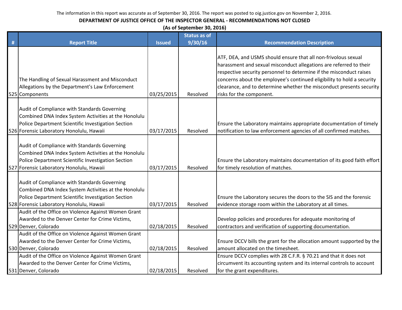|   | (As of September 30, 2016)                                                                                                                                                                             |               |                     |                                                                                                                                                                                                                                                                                                                                                                                           |  |  |
|---|--------------------------------------------------------------------------------------------------------------------------------------------------------------------------------------------------------|---------------|---------------------|-------------------------------------------------------------------------------------------------------------------------------------------------------------------------------------------------------------------------------------------------------------------------------------------------------------------------------------------------------------------------------------------|--|--|
|   |                                                                                                                                                                                                        |               | <b>Status as of</b> |                                                                                                                                                                                                                                                                                                                                                                                           |  |  |
| # | <b>Report Title</b>                                                                                                                                                                                    | <b>Issued</b> | 9/30/16             | <b>Recommendation Description</b>                                                                                                                                                                                                                                                                                                                                                         |  |  |
|   | The Handling of Sexual Harassment and Misconduct<br>Allegations by the Department's Law Enforcement<br>525 Components                                                                                  | 03/25/2015    | Resolved            | ATF, DEA, and USMS should ensure that all non-frivolous sexual<br>harassment and sexual misconduct allegations are referred to their<br>respective security personnel to determine if the misconduct raises<br>concerns about the employee's continued eligibility to hold a security<br>clearance, and to determine whether the misconduct presents security<br>risks for the component. |  |  |
|   | Audit of Compliance with Standards Governing<br>Combined DNA Index System Activities at the Honolulu<br>Police Department Scientific Investigation Section<br>526 Forensic Laboratory Honolulu, Hawaii | 03/17/2015    | Resolved            | Ensure the Laboratory maintains appropriate documentation of timely<br>notification to law enforcement agencies of all confirmed matches.                                                                                                                                                                                                                                                 |  |  |
|   | Audit of Compliance with Standards Governing<br>Combined DNA Index System Activities at the Honolulu<br>Police Department Scientific Investigation Section<br>527 Forensic Laboratory Honolulu, Hawaii | 03/17/2015    | Resolved            | Ensure the Laboratory maintains documentation of its good faith effort<br>for timely resolution of matches.                                                                                                                                                                                                                                                                               |  |  |
|   | Audit of Compliance with Standards Governing<br>Combined DNA Index System Activities at the Honolulu<br>Police Department Scientific Investigation Section<br>528 Forensic Laboratory Honolulu, Hawaii | 03/17/2015    | Resolved            | Ensure the Laboratory secures the doors to the SIS and the forensic<br>evidence storage room within the Laboratory at all times.                                                                                                                                                                                                                                                          |  |  |
|   | Audit of the Office on Violence Against Women Grant<br>Awarded to the Denver Center for Crime Victims,<br>529 Denver, Colorado                                                                         | 02/18/2015    | Resolved            | Develop policies and procedures for adequate monitoring of<br>contractors and verification of supporting documentation.                                                                                                                                                                                                                                                                   |  |  |
|   | Audit of the Office on Violence Against Women Grant<br>Awarded to the Denver Center for Crime Victims,<br>530 Denver, Colorado                                                                         | 02/18/2015    | Resolved            | Ensure DCCV bills the grant for the allocation amount supported by the<br>amount allocated on the timesheet.                                                                                                                                                                                                                                                                              |  |  |
|   | Audit of the Office on Violence Against Women Grant<br>Awarded to the Denver Center for Crime Victims,                                                                                                 |               |                     | Ensure DCCV complies with 28 C.F.R. § 70.21 and that it does not<br>circumvent its accounting system and its internal controls to account                                                                                                                                                                                                                                                 |  |  |
|   | 531 Denver, Colorado                                                                                                                                                                                   | 02/18/2015    | Resolved            | for the grant expenditures.                                                                                                                                                                                                                                                                                                                                                               |  |  |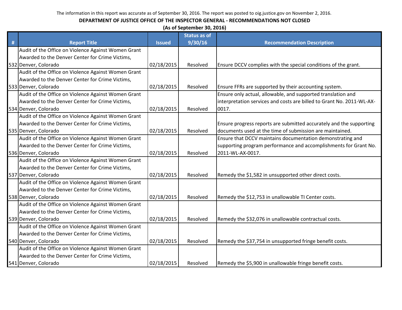|   | (As of September 30, 2016)                          |               |                     |                                                                       |  |
|---|-----------------------------------------------------|---------------|---------------------|-----------------------------------------------------------------------|--|
|   |                                                     |               | <b>Status as of</b> |                                                                       |  |
| # | <b>Report Title</b>                                 | <b>Issued</b> | 9/30/16             | <b>Recommendation Description</b>                                     |  |
|   | Audit of the Office on Violence Against Women Grant |               |                     |                                                                       |  |
|   | Awarded to the Denver Center for Crime Victims,     |               |                     |                                                                       |  |
|   | 532 Denver, Colorado                                | 02/18/2015    | Resolved            | Ensure DCCV complies with the special conditions of the grant.        |  |
|   | Audit of the Office on Violence Against Women Grant |               |                     |                                                                       |  |
|   | Awarded to the Denver Center for Crime Victims,     |               |                     |                                                                       |  |
|   | 533 Denver, Colorado                                | 02/18/2015    | Resolved            | Ensure FFRs are supported by their accounting system.                 |  |
|   | Audit of the Office on Violence Against Women Grant |               |                     | Ensure only actual, allowable, and supported translation and          |  |
|   | Awarded to the Denver Center for Crime Victims,     |               |                     | interpretation services and costs are billed to Grant No. 2011-WL-AX- |  |
|   | 534 Denver, Colorado                                | 02/18/2015    | Resolved            | 0017.                                                                 |  |
|   | Audit of the Office on Violence Against Women Grant |               |                     |                                                                       |  |
|   | Awarded to the Denver Center for Crime Victims,     |               |                     | Ensure progress reports are submitted accurately and the supporting   |  |
|   | 535 Denver, Colorado                                | 02/18/2015    | Resolved            | documents used at the time of submission are maintained.              |  |
|   | Audit of the Office on Violence Against Women Grant |               |                     | Ensure that DCCV maintains documentation demonstrating and            |  |
|   | Awarded to the Denver Center for Crime Victims,     |               |                     | supporting program performance and accomplishments for Grant No.      |  |
|   | 536 Denver, Colorado                                | 02/18/2015    | Resolved            | 2011-WL-AX-0017.                                                      |  |
|   | Audit of the Office on Violence Against Women Grant |               |                     |                                                                       |  |
|   | Awarded to the Denver Center for Crime Victims,     |               |                     |                                                                       |  |
|   | 537 Denver, Colorado                                | 02/18/2015    | Resolved            | Remedy the \$1,582 in unsupported other direct costs.                 |  |
|   | Audit of the Office on Violence Against Women Grant |               |                     |                                                                       |  |
|   | Awarded to the Denver Center for Crime Victims,     |               |                     |                                                                       |  |
|   | 538 Denver, Colorado                                | 02/18/2015    | Resolved            | Remedy the \$12,753 in unallowable TI Center costs.                   |  |
|   | Audit of the Office on Violence Against Women Grant |               |                     |                                                                       |  |
|   | Awarded to the Denver Center for Crime Victims,     |               |                     |                                                                       |  |
|   | 539 Denver, Colorado                                | 02/18/2015    | Resolved            | Remedy the \$32,076 in unallowable contractual costs.                 |  |
|   | Audit of the Office on Violence Against Women Grant |               |                     |                                                                       |  |
|   | Awarded to the Denver Center for Crime Victims,     |               |                     |                                                                       |  |
|   | 540 Denver, Colorado                                | 02/18/2015    | Resolved            | Remedy the \$37,754 in unsupported fringe benefit costs.              |  |
|   | Audit of the Office on Violence Against Women Grant |               |                     |                                                                       |  |
|   | Awarded to the Denver Center for Crime Victims,     |               |                     |                                                                       |  |
|   | 541 Denver, Colorado                                | 02/18/2015    | Resolved            | Remedy the \$5,900 in unallowable fringe benefit costs.               |  |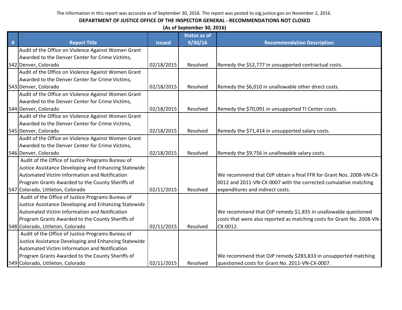|      | (As of September 30, 2016)                            |               |                     |                                                                        |  |  |  |
|------|-------------------------------------------------------|---------------|---------------------|------------------------------------------------------------------------|--|--|--|
|      |                                                       |               | <b>Status as of</b> |                                                                        |  |  |  |
| $\#$ | <b>Report Title</b>                                   | <b>Issued</b> | 9/30/16             | <b>Recommendation Description</b>                                      |  |  |  |
|      | Audit of the Office on Violence Against Women Grant   |               |                     |                                                                        |  |  |  |
|      | Awarded to the Denver Center for Crime Victims,       |               |                     |                                                                        |  |  |  |
|      | 542 Denver, Colorado                                  | 02/18/2015    | Resolved            | Remedy the \$52,777 in unsupported contractual costs.                  |  |  |  |
|      | Audit of the Office on Violence Against Women Grant   |               |                     |                                                                        |  |  |  |
|      | Awarded to the Denver Center for Crime Victims,       |               |                     |                                                                        |  |  |  |
|      | 543 Denver, Colorado                                  | 02/18/2015    | Resolved            | Remedy the \$6,010 in unallowable other direct costs.                  |  |  |  |
|      | Audit of the Office on Violence Against Women Grant   |               |                     |                                                                        |  |  |  |
|      | Awarded to the Denver Center for Crime Victims,       |               |                     |                                                                        |  |  |  |
|      | 544 Denver, Colorado                                  | 02/18/2015    | Resolved            | Remedy the \$70,091 in unsupported TI Center costs.                    |  |  |  |
|      | Audit of the Office on Violence Against Women Grant   |               |                     |                                                                        |  |  |  |
|      | Awarded to the Denver Center for Crime Victims,       |               |                     |                                                                        |  |  |  |
|      | 545 Denver, Colorado                                  | 02/18/2015    | Resolved            | Remedy the \$71,414 in unsupported salary costs.                       |  |  |  |
|      | Audit of the Office on Violence Against Women Grant   |               |                     |                                                                        |  |  |  |
|      | Awarded to the Denver Center for Crime Victims,       |               |                     |                                                                        |  |  |  |
|      | 546 Denver, Colorado                                  | 02/18/2015    | Resolved            | Remedy the \$9,756 in unallowable salary costs.                        |  |  |  |
|      | Audit of the Office of Justice Programs Bureau of     |               |                     |                                                                        |  |  |  |
|      | Justice Assistance Developing and Enhancing Statewide |               |                     |                                                                        |  |  |  |
|      | Automated Victim Information and Notification         |               |                     | We recommend that OJP obtain a final FFR for Grant Nos. 2008-VN-CX-    |  |  |  |
|      | Program Grants Awarded to the County Sheriffs of      |               |                     | 0012 and 2011-VN-CX-0007 with the corrected cumulative matching        |  |  |  |
|      | 547 Colorado, Littleton, Colorado                     | 02/11/2015    | Resolved            | expenditures and indirect costs.                                       |  |  |  |
|      | Audit of the Office of Justice Programs Bureau of     |               |                     |                                                                        |  |  |  |
|      | Justice Assistance Developing and Enhancing Statewide |               |                     |                                                                        |  |  |  |
|      | Automated Victim Information and Notification         |               |                     | We recommend that OJP remedy \$1,835 in unallowable questioned         |  |  |  |
|      | Program Grants Awarded to the County Sheriffs of      |               |                     | costs that were also reported as matching costs for Grant No. 2008-VN- |  |  |  |
|      | 548 Colorado, Littleton, Colorado                     | 02/11/2015    | Resolved            | CX-0012.                                                               |  |  |  |
|      | Audit of the Office of Justice Programs Bureau of     |               |                     |                                                                        |  |  |  |
|      | Justice Assistance Developing and Enhancing Statewide |               |                     |                                                                        |  |  |  |
|      | Automated Victim Information and Notification         |               |                     |                                                                        |  |  |  |
|      | Program Grants Awarded to the County Sheriffs of      |               |                     | We recommend that OJP remedy \$283,833 in unsupported matching         |  |  |  |
|      | 549 Colorado, Littleton, Colorado                     | 02/11/2015    | Resolved            | questioned costs for Grant No. 2011-VN-CX-0007.                        |  |  |  |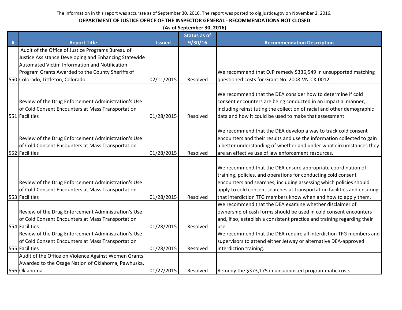|   | (As of September 30, 2016)                            |               |                     |                                                                          |  |  |  |
|---|-------------------------------------------------------|---------------|---------------------|--------------------------------------------------------------------------|--|--|--|
|   |                                                       |               | <b>Status as of</b> |                                                                          |  |  |  |
| # | <b>Report Title</b>                                   | <b>Issued</b> | 9/30/16             | <b>Recommendation Description</b>                                        |  |  |  |
|   | Audit of the Office of Justice Programs Bureau of     |               |                     |                                                                          |  |  |  |
|   | Justice Assistance Developing and Enhancing Statewide |               |                     |                                                                          |  |  |  |
|   | Automated Victim Information and Notification         |               |                     |                                                                          |  |  |  |
|   | Program Grants Awarded to the County Sheriffs of      |               |                     | We recommend that OJP remedy \$336,549 in unsupported matching           |  |  |  |
|   | 550 Colorado, Littleton, Colorado                     | 02/11/2015    | Resolved            | questioned costs for Grant No. 2008-VN-CX-0012.                          |  |  |  |
|   |                                                       |               |                     | We recommend that the DEA consider how to determine if cold              |  |  |  |
|   | Review of the Drug Enforcement Administration's Use   |               |                     | consent encounters are being conducted in an impartial manner,           |  |  |  |
|   | of Cold Consent Encounters at Mass Transportation     |               |                     | including reinstituting the collection of racial and other demographic   |  |  |  |
|   | 551 Facilities                                        | 01/28/2015    | Resolved            | data and how it could be used to make that assessment.                   |  |  |  |
|   |                                                       |               |                     |                                                                          |  |  |  |
|   |                                                       |               |                     | We recommend that the DEA develop a way to track cold consent            |  |  |  |
|   | Review of the Drug Enforcement Administration's Use   |               |                     | encounters and their results and use the information collected to gain   |  |  |  |
|   | of Cold Consent Encounters at Mass Transportation     |               |                     | a better understanding of whether and under what circumstances they      |  |  |  |
|   | 552 Facilities                                        | 01/28/2015    | Resolved            | are an effective use of law enforcement resources.                       |  |  |  |
|   |                                                       |               |                     |                                                                          |  |  |  |
|   |                                                       |               |                     | We recommend that the DEA ensure appropriate coordination of             |  |  |  |
|   |                                                       |               |                     | training, policies, and operations for conducting cold consent           |  |  |  |
|   | Review of the Drug Enforcement Administration's Use   |               |                     | encounters and searches, including assessing which policies should       |  |  |  |
|   | of Cold Consent Encounters at Mass Transportation     |               |                     | apply to cold consent searches at transportation facilities and ensuring |  |  |  |
|   | 553 Facilities                                        | 01/28/2015    | Resolved            | that interdiction TFG members know when and how to apply them.           |  |  |  |
|   |                                                       |               |                     | We recommend that the DEA examine whether disclaimer of                  |  |  |  |
|   | Review of the Drug Enforcement Administration's Use   |               |                     | ownership of cash forms should be used in cold consent encounters        |  |  |  |
|   | of Cold Consent Encounters at Mass Transportation     |               |                     | and, if so, establish a consistent practice and training regarding their |  |  |  |
|   | 554 Facilities                                        | 01/28/2015    | Resolved            | use.                                                                     |  |  |  |
|   | Review of the Drug Enforcement Administration's Use   |               |                     | We recommend that the DEA require all interdiction TFG members and       |  |  |  |
|   | of Cold Consent Encounters at Mass Transportation     |               |                     | supervisors to attend either Jetway or alternative DEA-approved          |  |  |  |
|   | 555 Facilities                                        | 01/28/2015    | Resolved            | interdiction training.                                                   |  |  |  |
|   | Audit of the Office on Violence Against Women Grants  |               |                     |                                                                          |  |  |  |
|   | Awarded to the Osage Nation of Oklahoma, Pawhuska,    |               |                     |                                                                          |  |  |  |
|   | 556 Oklahoma                                          | 01/27/2015    | Resolved            | Remedy the \$373,175 in unsupported programmatic costs.                  |  |  |  |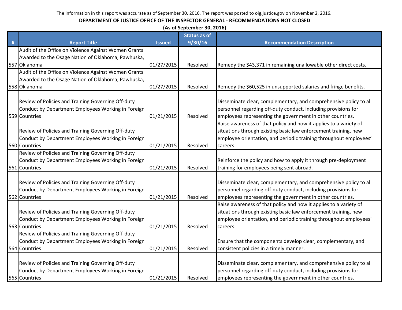|   | (As of September 30, 2016)                           |               |                     |                                                                   |  |  |  |
|---|------------------------------------------------------|---------------|---------------------|-------------------------------------------------------------------|--|--|--|
|   |                                                      |               | <b>Status as of</b> |                                                                   |  |  |  |
| # | <b>Report Title</b>                                  | <b>Issued</b> | 9/30/16             | <b>Recommendation Description</b>                                 |  |  |  |
|   | Audit of the Office on Violence Against Women Grants |               |                     |                                                                   |  |  |  |
|   | Awarded to the Osage Nation of Oklahoma, Pawhuska,   |               |                     |                                                                   |  |  |  |
|   | 557 Oklahoma                                         | 01/27/2015    | Resolved            | Remedy the \$43,371 in remaining unallowable other direct costs.  |  |  |  |
|   | Audit of the Office on Violence Against Women Grants |               |                     |                                                                   |  |  |  |
|   | Awarded to the Osage Nation of Oklahoma, Pawhuska,   |               |                     |                                                                   |  |  |  |
|   | 558 Oklahoma                                         | 01/27/2015    | Resolved            | Remedy the \$60,525 in unsupported salaries and fringe benefits.  |  |  |  |
|   | Review of Policies and Training Governing Off-duty   |               |                     | Disseminate clear, complementary, and comprehensive policy to all |  |  |  |
|   | Conduct by Department Employees Working in Foreign   |               |                     | personnel regarding off-duty conduct, including provisions for    |  |  |  |
|   | 559 Countries                                        | 01/21/2015    | Resolved            | employees representing the government in other countries.         |  |  |  |
|   |                                                      |               |                     | Raise awareness of that policy and how it applies to a variety of |  |  |  |
|   | Review of Policies and Training Governing Off-duty   |               |                     | situations through existing basic law enforcement training, new   |  |  |  |
|   | Conduct by Department Employees Working in Foreign   |               |                     | employee orientation, and periodic training throughout employees' |  |  |  |
|   | 560 Countries                                        | 01/21/2015    | Resolved            | careers.                                                          |  |  |  |
|   | Review of Policies and Training Governing Off-duty   |               |                     |                                                                   |  |  |  |
|   | Conduct by Department Employees Working in Foreign   |               |                     | Reinforce the policy and how to apply it through pre-deployment   |  |  |  |
|   | 561 Countries                                        | 01/21/2015    | Resolved            | training for employees being sent abroad.                         |  |  |  |
|   |                                                      |               |                     |                                                                   |  |  |  |
|   | Review of Policies and Training Governing Off-duty   |               |                     | Disseminate clear, complementary, and comprehensive policy to all |  |  |  |
|   | Conduct by Department Employees Working in Foreign   |               |                     | personnel regarding off-duty conduct, including provisions for    |  |  |  |
|   | 562 Countries                                        | 01/21/2015    | Resolved            | employees representing the government in other countries.         |  |  |  |
|   |                                                      |               |                     | Raise awareness of that policy and how it applies to a variety of |  |  |  |
|   | Review of Policies and Training Governing Off-duty   |               |                     | situations through existing basic law enforcement training, new   |  |  |  |
|   | Conduct by Department Employees Working in Foreign   |               |                     | employee orientation, and periodic training throughout employees' |  |  |  |
|   | 563 Countries                                        | 01/21/2015    | Resolved            | careers.                                                          |  |  |  |
|   | Review of Policies and Training Governing Off-duty   |               |                     |                                                                   |  |  |  |
|   | Conduct by Department Employees Working in Foreign   |               |                     | Ensure that the components develop clear, complementary, and      |  |  |  |
|   | 564 Countries                                        | 01/21/2015    | Resolved            | consistent policies in a timely manner.                           |  |  |  |
|   |                                                      |               |                     |                                                                   |  |  |  |
|   | Review of Policies and Training Governing Off-duty   |               |                     | Disseminate clear, complementary, and comprehensive policy to all |  |  |  |
|   | Conduct by Department Employees Working in Foreign   |               |                     | personnel regarding off-duty conduct, including provisions for    |  |  |  |
|   | 565 Countries                                        | 01/21/2015    | Resolved            | employees representing the government in other countries.         |  |  |  |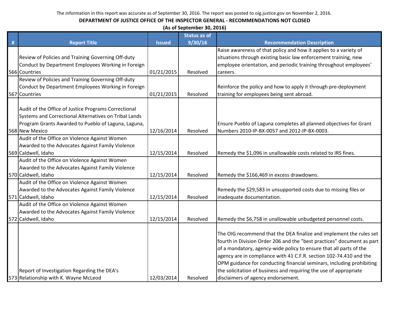| (As of September 30, 2016) |  |
|----------------------------|--|
|----------------------------|--|

|   |                                                       |               | <b>Status as of</b> |                                                                        |
|---|-------------------------------------------------------|---------------|---------------------|------------------------------------------------------------------------|
| # | <b>Report Title</b>                                   | <b>Issued</b> | 9/30/16             | <b>Recommendation Description</b>                                      |
|   |                                                       |               |                     | Raise awareness of that policy and how it applies to a variety of      |
|   | Review of Policies and Training Governing Off-duty    |               |                     | situations through existing basic law enforcement training, new        |
|   | Conduct by Department Employees Working in Foreign    |               |                     | employee orientation, and periodic training throughout employees'      |
|   | 566 Countries                                         | 01/21/2015    | Resolved            | careers.                                                               |
|   | Review of Policies and Training Governing Off-duty    |               |                     |                                                                        |
|   | Conduct by Department Employees Working in Foreign    |               |                     | Reinforce the policy and how to apply it through pre-deployment        |
|   | 567 Countries                                         | 01/21/2015    | Resolved            | training for employees being sent abroad.                              |
|   |                                                       |               |                     |                                                                        |
|   | Audit of the Office of Justice Programs Correctional  |               |                     |                                                                        |
|   | Systems and Correctional Alternatives on Tribal Lands |               |                     |                                                                        |
|   | Program Grants Awarded to Pueblo of Laguna, Laguna,   |               |                     | Ensure Pueblo of Laguna completes all planned objectives for Grant     |
|   | 568 New Mexico                                        | 12/16/2014    | Resolved            | Numbers 2010-IP-BX-0057 and 2012-IP-BX-0003.                           |
|   | Audit of the Office on Violence Against Women         |               |                     |                                                                        |
|   | Awarded to the Advocates Against Family Violence      |               |                     |                                                                        |
|   | 569 Caldwell, Idaho                                   | 12/15/2014    | Resolved            | Remedy the \$1,096 in unallowable costs related to IRS fines.          |
|   | Audit of the Office on Violence Against Women         |               |                     |                                                                        |
|   | Awarded to the Advocates Against Family Violence      |               |                     |                                                                        |
|   | 570 Caldwell, Idaho                                   | 12/15/2014    | Resolved            | Remedy the \$166,469 in excess drawdowns.                              |
|   | Audit of the Office on Violence Against Women         |               |                     |                                                                        |
|   | Awarded to the Advocates Against Family Violence      |               |                     | Remedy the \$29,583 in unsupported costs due to missing files or       |
|   | 571 Caldwell, Idaho                                   | 12/15/2014    | Resolved            | inadequate documentation.                                              |
|   | Audit of the Office on Violence Against Women         |               |                     |                                                                        |
|   | Awarded to the Advocates Against Family Violence      |               |                     |                                                                        |
|   | 572 Caldwell, Idaho                                   | 12/15/2014    | Resolved            | Remedy the \$6,758 in unallowable unbudgeted personnel costs.          |
|   |                                                       |               |                     |                                                                        |
|   |                                                       |               |                     | The OIG recommend that the DEA finalize and implement the rules set    |
|   |                                                       |               |                     | fourth in Division Order 206 and the "best practices" document as part |
|   |                                                       |               |                     | of a mandatory, agency-wide policy to ensure that all parts of the     |
|   |                                                       |               |                     | agency are in compliance with 41 C.F.R. section 102-74.410 and the     |
|   |                                                       |               |                     | OPM guidance for conducting financial seminars, including prohibiting  |
|   | Report of Investigation Regarding the DEA's           |               |                     | the solicitation of business and requiring the use of appropriate      |
|   | 573 Relationship with K. Wayne McLeod                 | 12/03/2014    | Resolved            | disclaimers of agency endorsement.                                     |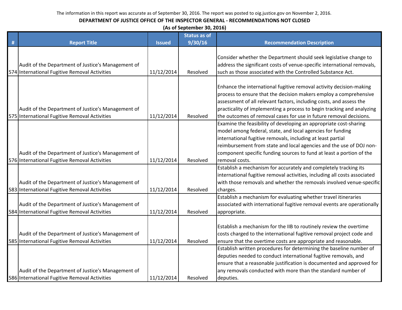|      |                                                                                                     |               | (As of September 30, 2016) |                                                                                                                                                                                                                                                                                                                                                                 |
|------|-----------------------------------------------------------------------------------------------------|---------------|----------------------------|-----------------------------------------------------------------------------------------------------------------------------------------------------------------------------------------------------------------------------------------------------------------------------------------------------------------------------------------------------------------|
|      |                                                                                                     |               | <b>Status as of</b>        |                                                                                                                                                                                                                                                                                                                                                                 |
| $\#$ | <b>Report Title</b>                                                                                 | <b>Issued</b> | 9/30/16                    | <b>Recommendation Description</b>                                                                                                                                                                                                                                                                                                                               |
|      | Audit of the Department of Justice's Management of<br>574 International Fugitive Removal Activities | 11/12/2014    | Resolved                   | Consider whether the Department should seek legislative change to<br>address the significant costs of venue-specific international removals,<br>such as those associated with the Controlled Substance Act.                                                                                                                                                     |
|      | Audit of the Department of Justice's Management of<br>575 International Fugitive Removal Activities | 11/12/2014    | Resolved                   | Enhance the international fugitive removal activity decision-making<br>process to ensure that the decision makers employ a comprehensive<br>assessment of all relevant factors, including costs, and assess the<br>practicality of implementing a process to begin tracking and analyzing<br>the outcomes of removal cases for use in future removal decisions. |
|      | Audit of the Department of Justice's Management of<br>576 International Fugitive Removal Activities | 11/12/2014    | Resolved                   | Examine the feasibility of developing an appropriate cost-sharing<br>model among federal, state, and local agencies for funding<br>international fugitive removals, including at least partial<br>reimbursement from state and local agencies and the use of DOJ non-<br>component specific funding sources to fund at least a portion of the<br>removal costs. |
|      |                                                                                                     |               |                            | Establish a mechanism for accurately and completely tracking its                                                                                                                                                                                                                                                                                                |
|      | Audit of the Department of Justice's Management of<br>583 International Fugitive Removal Activities | 11/12/2014    | Resolved                   | international fugitive removal activities, including all costs associated<br>with those removals and whether the removals involved venue-specific<br>charges.                                                                                                                                                                                                   |
|      | Audit of the Department of Justice's Management of<br>584 International Fugitive Removal Activities | 11/12/2014    | Resolved                   | Establish a mechanism for evaluating whether travel itineraries<br>associated with international fugitive removal events are operationally<br>appropriate.                                                                                                                                                                                                      |
|      | Audit of the Department of Justice's Management of<br>585 International Fugitive Removal Activities | 11/12/2014    | Resolved                   | Establish a mechanism for the IIB to routinely review the overtime<br>costs charged to the international fugitive removal project code and<br>ensure that the overtime costs are appropriate and reasonable.<br>Establish written procedures for determining the baseline number of                                                                             |
|      | Audit of the Department of Justice's Management of<br>586 International Fugitive Removal Activities | 11/12/2014    | Resolved                   | deputies needed to conduct international fugitive removals, and<br>ensure that a reasonable justification is documented and approved for<br>any removals conducted with more than the standard number of<br>deputies.                                                                                                                                           |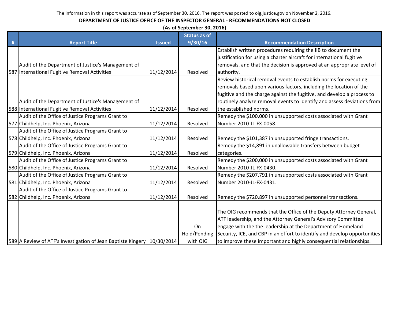|   | (As of September 30, 2016)                                                |               |                     |                                                                           |  |  |  |
|---|---------------------------------------------------------------------------|---------------|---------------------|---------------------------------------------------------------------------|--|--|--|
|   |                                                                           |               | <b>Status as of</b> |                                                                           |  |  |  |
| # | <b>Report Title</b>                                                       | <b>Issued</b> | 9/30/16             | <b>Recommendation Description</b>                                         |  |  |  |
|   |                                                                           |               |                     | Establish written procedures requiring the IIB to document the            |  |  |  |
|   |                                                                           |               |                     | justification for using a charter aircraft for international fugitive     |  |  |  |
|   | Audit of the Department of Justice's Management of                        |               |                     | removals, and that the decision is approved at an appropriate level of    |  |  |  |
|   | 587 International Fugitive Removal Activities                             | 11/12/2014    | Resolved            | authority.                                                                |  |  |  |
|   |                                                                           |               |                     | Review historical removal events to establish norms for executing         |  |  |  |
|   |                                                                           |               |                     | removals based upon various factors, including the location of the        |  |  |  |
|   |                                                                           |               |                     | fugitive and the charge against the fugitive, and develop a process to    |  |  |  |
|   | Audit of the Department of Justice's Management of                        |               |                     | routinely analyze removal events to identify and assess deviations from   |  |  |  |
|   | 588 International Fugitive Removal Activities                             | 11/12/2014    | Resolved            | the established norms.                                                    |  |  |  |
|   | Audit of the Office of Justice Programs Grant to                          |               |                     | Remedy the \$100,000 in unsupported costs associated with Grant           |  |  |  |
|   | 577 Childhelp, Inc. Phoenix, Arizona                                      | 11/12/2014    | Resolved            | Number 2010-JL-FX-0058.                                                   |  |  |  |
|   | Audit of the Office of Justice Programs Grant to                          |               |                     |                                                                           |  |  |  |
|   | 578 Childhelp, Inc. Phoenix, Arizona                                      | 11/12/2014    | Resolved            | Remedy the \$101,387 in unsupported fringe transactions.                  |  |  |  |
|   | Audit of the Office of Justice Programs Grant to                          |               |                     | Remedy the \$14,891 in unallowable transfers between budget               |  |  |  |
|   | 579 Childhelp, Inc. Phoenix, Arizona                                      | 11/12/2014    | Resolved            | categories.                                                               |  |  |  |
|   | Audit of the Office of Justice Programs Grant to                          |               |                     | Remedy the \$200,000 in unsupported costs associated with Grant           |  |  |  |
|   | 580 Childhelp, Inc. Phoenix, Arizona                                      | 11/12/2014    | Resolved            | Number 2010-JL-FX-0430.                                                   |  |  |  |
|   | Audit of the Office of Justice Programs Grant to                          |               |                     | Remedy the \$207,791 in unsupported costs associated with Grant           |  |  |  |
|   | 581 Childhelp, Inc. Phoenix, Arizona                                      | 11/12/2014    | Resolved            | Number 2010-JL-FX-0431.                                                   |  |  |  |
|   | Audit of the Office of Justice Programs Grant to                          |               |                     |                                                                           |  |  |  |
|   | 582 Childhelp, Inc. Phoenix, Arizona                                      | 11/12/2014    | Resolved            | Remedy the \$720,897 in unsupported personnel transactions.               |  |  |  |
|   |                                                                           |               |                     |                                                                           |  |  |  |
|   |                                                                           |               |                     | The OIG recommends that the Office of the Deputy Attorney General,        |  |  |  |
|   |                                                                           |               |                     | ATF leadership, and the Attorney General's Advisory Committee             |  |  |  |
|   |                                                                           |               | On                  | engage with the the leadership at the Department of Homeland              |  |  |  |
|   |                                                                           |               | Hold/Pending        | Security, ICE, and CBP in an effort to identify and develop opportunities |  |  |  |
|   | 589 A Review of ATF's Investigation of Jean Baptiste Kingery   10/30/2014 |               | with OIG            | to improve these important and highly consequential relationships.        |  |  |  |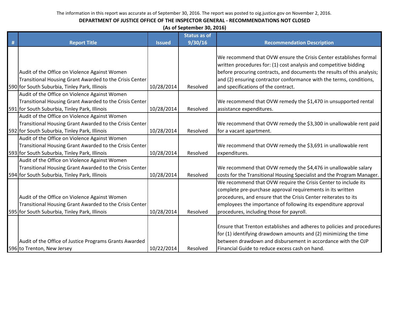# **DEPARTMENT OF JUSTICE OFFICE OF THE INSPECTOR GENERAL - RECOMMENDATIONS NOT CLOSED**

**(As of September 30, 2016)**

|   |                                                         |               | <b>Status as of</b> |                                                                         |
|---|---------------------------------------------------------|---------------|---------------------|-------------------------------------------------------------------------|
| # | <b>Report Title</b>                                     | <b>Issued</b> | 9/30/16             | <b>Recommendation Description</b>                                       |
|   |                                                         |               |                     |                                                                         |
|   |                                                         |               |                     | We recommend that OVW ensure the Crisis Center establishes formal       |
|   |                                                         |               |                     | written procedures for: (1) cost analysis and competitive bidding       |
|   | Audit of the Office on Violence Against Women           |               |                     | before procuring contracts, and documents the results of this analysis; |
|   | Transitional Housing Grant Awarded to the Crisis Center |               |                     | and (2) ensuring contractor conformance with the terms, conditions,     |
|   | 590 for South Suburbia, Tinley Park, Illinois           | 10/28/2014    | Resolved            | and specifications of the contract.                                     |
|   | Audit of the Office on Violence Against Women           |               |                     |                                                                         |
|   | Transitional Housing Grant Awarded to the Crisis Center |               |                     | We recommend that OVW remedy the \$1,470 in unsupported rental          |
|   | 591 for South Suburbia, Tinley Park, Illinois           | 10/28/2014    | Resolved            | assistance expenditures.                                                |
|   | Audit of the Office on Violence Against Women           |               |                     |                                                                         |
|   | Transitional Housing Grant Awarded to the Crisis Center |               |                     | We recommend that OVW remedy the \$3,300 in unallowable rent paid       |
|   | 592 for South Suburbia, Tinley Park, Illinois           | 10/28/2014    | Resolved            | for a vacant apartment.                                                 |
|   | Audit of the Office on Violence Against Women           |               |                     |                                                                         |
|   | Transitional Housing Grant Awarded to the Crisis Center |               |                     | We recommend that OVW remedy the \$3,691 in unallowable rent            |
|   | 593 for South Suburbia, Tinley Park, Illinois           | 10/28/2014    | Resolved            | expenditures.                                                           |
|   | Audit of the Office on Violence Against Women           |               |                     |                                                                         |
|   | Transitional Housing Grant Awarded to the Crisis Center |               |                     | We recommend that OVW remedy the \$4,476 in unallowable salary          |
|   | 594 for South Suburbia, Tinley Park, Illinois           | 10/28/2014    | Resolved            | costs for the Transitional Housing Specialist and the Program Manager.  |
|   |                                                         |               |                     | We recommend that OVW require the Crisis Center to include its          |
|   |                                                         |               |                     | complete pre-purchase approval requirements in its written              |
|   | Audit of the Office on Violence Against Women           |               |                     | procedures, and ensure that the Crisis Center reiterates to its         |
|   | Transitional Housing Grant Awarded to the Crisis Center |               |                     | employees the importance of following its expenditure approval          |
|   | 595 for South Suburbia, Tinley Park, Illinois           | 10/28/2014    | Resolved            | procedures, including those for payroll.                                |
|   |                                                         |               |                     |                                                                         |
|   |                                                         |               |                     | Ensure that Trenton establishes and adheres to policies and procedures  |
|   |                                                         |               |                     | for (1) identifying drawdown amounts and (2) minimizing the time        |
|   | Audit of the Office of Justice Programs Grants Awarded  |               |                     | between drawdown and disbursement in accordance with the OJP            |
|   | 596 to Trenton, New Jersey                              | 10/22/2014    | Resolved            | Financial Guide to reduce excess cash on hand.                          |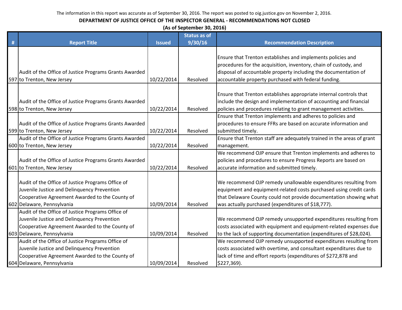|   | (As of September 30, 2016)                                                                    |               |                     |                                                                                                                                      |  |  |  |
|---|-----------------------------------------------------------------------------------------------|---------------|---------------------|--------------------------------------------------------------------------------------------------------------------------------------|--|--|--|
|   |                                                                                               |               | <b>Status as of</b> |                                                                                                                                      |  |  |  |
| # | <b>Report Title</b>                                                                           | <b>Issued</b> | 9/30/16             | <b>Recommendation Description</b>                                                                                                    |  |  |  |
|   |                                                                                               |               |                     |                                                                                                                                      |  |  |  |
|   |                                                                                               |               |                     | Ensure that Trenton establishes and implements policies and                                                                          |  |  |  |
|   |                                                                                               |               |                     | procedures for the acquisition, inventory, chain of custody, and                                                                     |  |  |  |
|   | Audit of the Office of Justice Programs Grants Awarded                                        |               |                     | disposal of accountable property including the documentation of                                                                      |  |  |  |
|   | 597 to Trenton, New Jersey                                                                    | 10/22/2014    | Resolved            | accountable property purchased with federal funding.                                                                                 |  |  |  |
|   |                                                                                               |               |                     |                                                                                                                                      |  |  |  |
|   |                                                                                               |               |                     | Ensure that Trenton establishes appropriate internal controls that                                                                   |  |  |  |
|   | Audit of the Office of Justice Programs Grants Awarded                                        |               |                     | include the design and implementation of accounting and financial                                                                    |  |  |  |
|   | 598 to Trenton, New Jersey                                                                    | 10/22/2014    | Resolved            | policies and procedures relating to grant management activities.                                                                     |  |  |  |
|   |                                                                                               |               |                     | Ensure that Trenton implements and adheres to policies and                                                                           |  |  |  |
|   | Audit of the Office of Justice Programs Grants Awarded                                        |               |                     | procedures to ensure FFRs are based on accurate information and                                                                      |  |  |  |
|   | 599 to Trenton, New Jersey                                                                    | 10/22/2014    | Resolved            | submitted timely.                                                                                                                    |  |  |  |
|   | Audit of the Office of Justice Programs Grants Awarded                                        |               |                     | Ensure that Trenton staff are adequately trained in the areas of grant                                                               |  |  |  |
|   | 600 to Trenton, New Jersey                                                                    | 10/22/2014    | Resolved            | management.                                                                                                                          |  |  |  |
|   |                                                                                               |               |                     | We recommend OJP ensure that Trenton implements and adheres to                                                                       |  |  |  |
|   | Audit of the Office of Justice Programs Grants Awarded                                        |               |                     | policies and procedures to ensure Progress Reports are based on                                                                      |  |  |  |
|   | 601 to Trenton, New Jersey                                                                    | 10/22/2014    | Resolved            | accurate information and submitted timely.                                                                                           |  |  |  |
|   |                                                                                               |               |                     |                                                                                                                                      |  |  |  |
|   | Audit of the Office of Justice Programs Office of                                             |               |                     | We recommend OJP remedy unallowable expenditures resulting from                                                                      |  |  |  |
|   | Juvenile Justice and Delinquency Prevention                                                   |               |                     | equipment and equipment-related costs purchased using credit cards                                                                   |  |  |  |
|   | Cooperative Agreement Awarded to the County of                                                |               |                     | that Delaware County could not provide documentation showing what                                                                    |  |  |  |
|   | 602 Delaware, Pennsylvania                                                                    | 10/09/2014    | Resolved            | was actually purchased (expenditures of \$18,777).                                                                                   |  |  |  |
|   | Audit of the Office of Justice Programs Office of                                             |               |                     |                                                                                                                                      |  |  |  |
|   | Juvenile Justice and Delinquency Prevention                                                   |               |                     | We recommend OJP remedy unsupported expenditures resulting from                                                                      |  |  |  |
|   | Cooperative Agreement Awarded to the County of                                                |               |                     | costs associated with equipment and equipment-related expenses due                                                                   |  |  |  |
|   | 603 Delaware, Pennsylvania                                                                    | 10/09/2014    | Resolved            | to the lack of supporting documentation (expenditures of \$28,024).                                                                  |  |  |  |
|   | Audit of the Office of Justice Programs Office of                                             |               |                     | We recommend OJP remedy unsupported expenditures resulting from                                                                      |  |  |  |
|   | Juvenile Justice and Delinquency Prevention<br>Cooperative Agreement Awarded to the County of |               |                     | costs associated with overtime, and consultant expenditures due to<br>lack of time and effort reports (expenditures of \$272,878 and |  |  |  |
|   |                                                                                               | 10/09/2014    |                     |                                                                                                                                      |  |  |  |
|   | 604 Delaware, Pennsylvania                                                                    |               | Resolved            | \$227,369).                                                                                                                          |  |  |  |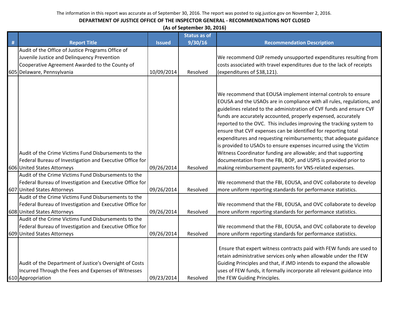|   | (As of September 30, 2016)                                                                                                                      |               |                     |                                                                                                                                                                                                                                                                                                                                                                                                                                                                                                                                                                                                                                                                                                                                                                      |  |  |
|---|-------------------------------------------------------------------------------------------------------------------------------------------------|---------------|---------------------|----------------------------------------------------------------------------------------------------------------------------------------------------------------------------------------------------------------------------------------------------------------------------------------------------------------------------------------------------------------------------------------------------------------------------------------------------------------------------------------------------------------------------------------------------------------------------------------------------------------------------------------------------------------------------------------------------------------------------------------------------------------------|--|--|
|   |                                                                                                                                                 |               | <b>Status as of</b> |                                                                                                                                                                                                                                                                                                                                                                                                                                                                                                                                                                                                                                                                                                                                                                      |  |  |
| # | <b>Report Title</b>                                                                                                                             | <b>Issued</b> | 9/30/16             | <b>Recommendation Description</b>                                                                                                                                                                                                                                                                                                                                                                                                                                                                                                                                                                                                                                                                                                                                    |  |  |
|   | Audit of the Office of Justice Programs Office of                                                                                               |               |                     |                                                                                                                                                                                                                                                                                                                                                                                                                                                                                                                                                                                                                                                                                                                                                                      |  |  |
|   | Juvenile Justice and Delinquency Prevention                                                                                                     |               |                     | We recommend OJP remedy unsupported expenditures resulting from                                                                                                                                                                                                                                                                                                                                                                                                                                                                                                                                                                                                                                                                                                      |  |  |
|   | Cooperative Agreement Awarded to the County of                                                                                                  |               |                     | costs associated with travel expenditures due to the lack of receipts                                                                                                                                                                                                                                                                                                                                                                                                                                                                                                                                                                                                                                                                                                |  |  |
|   | 605 Delaware, Pennsylvania                                                                                                                      | 10/09/2014    | Resolved            | (expenditures of \$38,121).                                                                                                                                                                                                                                                                                                                                                                                                                                                                                                                                                                                                                                                                                                                                          |  |  |
|   |                                                                                                                                                 |               |                     |                                                                                                                                                                                                                                                                                                                                                                                                                                                                                                                                                                                                                                                                                                                                                                      |  |  |
|   | Audit of the Crime Victims Fund Disbursements to the<br>Federal Bureau of Investigation and Executive Office for<br>606 United States Attorneys | 09/26/2014    | Resolved            | We recommend that EOUSA implement internal controls to ensure<br>EOUSA and the USAOs are in compliance with all rules, regulations, and<br>guidelines related to the administration of CVF funds and ensure CVF<br>funds are accurately accounted, properly expensed, accurately<br>reported to the OVC. This includes improving the tracking system to<br>ensure that CVF expenses can be identified for reporting total<br>expenditures and requesting reimbursements; that adequate guidance<br>is provided to USAOs to ensure expenses incurred using the Victim<br>Witness Coordinator funding are allowable; and that supporting<br>documentation from the FBI, BOP, and USPIS is provided prior to<br>making reimbursement payments for VNS-related expenses. |  |  |
|   | Audit of the Crime Victims Fund Disbursements to the                                                                                            |               |                     |                                                                                                                                                                                                                                                                                                                                                                                                                                                                                                                                                                                                                                                                                                                                                                      |  |  |
|   | Federal Bureau of Investigation and Executive Office for                                                                                        |               |                     | We recommend that the FBI, EOUSA, and OVC collaborate to develop                                                                                                                                                                                                                                                                                                                                                                                                                                                                                                                                                                                                                                                                                                     |  |  |
|   | 607 United States Attorneys                                                                                                                     | 09/26/2014    | Resolved            | more uniform reporting standards for performance statistics.                                                                                                                                                                                                                                                                                                                                                                                                                                                                                                                                                                                                                                                                                                         |  |  |
|   | Audit of the Crime Victims Fund Disbursements to the                                                                                            |               |                     |                                                                                                                                                                                                                                                                                                                                                                                                                                                                                                                                                                                                                                                                                                                                                                      |  |  |
|   | Federal Bureau of Investigation and Executive Office for                                                                                        |               |                     | We recommend that the FBI, EOUSA, and OVC collaborate to develop                                                                                                                                                                                                                                                                                                                                                                                                                                                                                                                                                                                                                                                                                                     |  |  |
|   | 608 United States Attorneys                                                                                                                     | 09/26/2014    | Resolved            | more uniform reporting standards for performance statistics.                                                                                                                                                                                                                                                                                                                                                                                                                                                                                                                                                                                                                                                                                                         |  |  |
|   | Audit of the Crime Victims Fund Disbursements to the                                                                                            |               |                     |                                                                                                                                                                                                                                                                                                                                                                                                                                                                                                                                                                                                                                                                                                                                                                      |  |  |
|   | Federal Bureau of Investigation and Executive Office for                                                                                        |               |                     | We recommend that the FBI, EOUSA, and OVC collaborate to develop                                                                                                                                                                                                                                                                                                                                                                                                                                                                                                                                                                                                                                                                                                     |  |  |
|   | 609 United States Attorneys                                                                                                                     | 09/26/2014    | Resolved            | more uniform reporting standards for performance statistics.                                                                                                                                                                                                                                                                                                                                                                                                                                                                                                                                                                                                                                                                                                         |  |  |
|   | Audit of the Department of Justice's Oversight of Costs<br>Incurred Through the Fees and Expenses of Witnesses<br>610 Appropriation             | 09/23/2014    | Resolved            | Ensure that expert witness contracts paid with FEW funds are used to<br>retain administrative services only when allowable under the FEW<br>Guiding Principles and that, if JMD intends to expand the allowable<br>uses of FEW funds, it formally incorporate all relevant guidance into<br>the FEW Guiding Principles.                                                                                                                                                                                                                                                                                                                                                                                                                                              |  |  |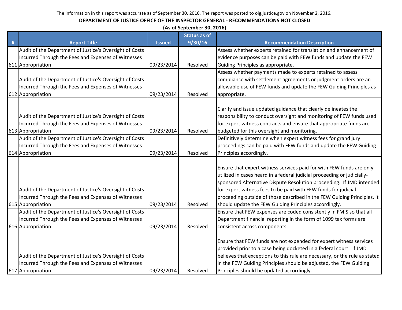|   | (As of September 30, 2016)                              |               |                     |                                                                            |  |  |  |
|---|---------------------------------------------------------|---------------|---------------------|----------------------------------------------------------------------------|--|--|--|
|   |                                                         |               | <b>Status as of</b> |                                                                            |  |  |  |
| # | <b>Report Title</b>                                     | <b>Issued</b> | 9/30/16             | <b>Recommendation Description</b>                                          |  |  |  |
|   | Audit of the Department of Justice's Oversight of Costs |               |                     | Assess whether experts retained for translation and enhancement of         |  |  |  |
|   | Incurred Through the Fees and Expenses of Witnesses     |               |                     | evidence purposes can be paid with FEW funds and update the FEW            |  |  |  |
|   | 611 Appropriation                                       | 09/23/2014    | Resolved            | Guiding Principles as appropriate.                                         |  |  |  |
|   |                                                         |               |                     | Assess whether payments made to experts retained to assess                 |  |  |  |
|   | Audit of the Department of Justice's Oversight of Costs |               |                     | compliance with settlement agreements or judgment orders are an            |  |  |  |
|   | Incurred Through the Fees and Expenses of Witnesses     |               |                     | allowable use of FEW funds and update the FEW Guiding Principles as        |  |  |  |
|   | 612 Appropriation                                       | 09/23/2014    | Resolved            | appropriate.                                                               |  |  |  |
|   |                                                         |               |                     |                                                                            |  |  |  |
|   |                                                         |               |                     | Clarify and issue updated guidance that clearly delineates the             |  |  |  |
|   | Audit of the Department of Justice's Oversight of Costs |               |                     | responsibility to conduct oversight and monitoring of FEW funds used       |  |  |  |
|   | Incurred Through the Fees and Expenses of Witnesses     |               |                     | for expert witness contracts and ensure that appropriate funds are         |  |  |  |
|   | 613 Appropriation                                       | 09/23/2014    | Resolved            | budgeted for this oversight and monitoring.                                |  |  |  |
|   | Audit of the Department of Justice's Oversight of Costs |               |                     | Definitively determine when expert witness fees for grand jury             |  |  |  |
|   | Incurred Through the Fees and Expenses of Witnesses     |               |                     | proceedings can be paid with FEW funds and update the FEW Guiding          |  |  |  |
|   | 614 Appropriation                                       | 09/23/2014    | Resolved            | Principles accordingly.                                                    |  |  |  |
|   |                                                         |               |                     |                                                                            |  |  |  |
|   |                                                         |               |                     | Ensure that expert witness services paid for with FEW funds are only       |  |  |  |
|   |                                                         |               |                     | utilized in cases heard in a federal judicial proceeding or judicially-    |  |  |  |
|   |                                                         |               |                     | sponsored Alternative Dispute Resolution proceeding. If JMD intended       |  |  |  |
|   | Audit of the Department of Justice's Oversight of Costs |               |                     | for expert witness fees to be paid with FEW funds for judicial             |  |  |  |
|   | Incurred Through the Fees and Expenses of Witnesses     |               |                     | proceeding outside of those described in the FEW Guiding Principles, it    |  |  |  |
|   | 615 Appropriation                                       | 09/23/2014    | Resolved            | should update the FEW Guiding Principles accordingly.                      |  |  |  |
|   | Audit of the Department of Justice's Oversight of Costs |               |                     | Ensure that FEW expenses are coded consistently in FMIS so that all        |  |  |  |
|   | Incurred Through the Fees and Expenses of Witnesses     |               |                     | Department financial reporting in the form of 1099 tax forms are           |  |  |  |
|   | 616 Appropriation                                       | 09/23/2014    | Resolved            | consistent across components.                                              |  |  |  |
|   |                                                         |               |                     |                                                                            |  |  |  |
|   |                                                         |               |                     | Ensure that FEW funds are not expended for expert witness services         |  |  |  |
|   |                                                         |               |                     | provided prior to a case being docketed in a federal court. If JMD         |  |  |  |
|   | Audit of the Department of Justice's Oversight of Costs |               |                     | believes that exceptions to this rule are necessary, or the rule as stated |  |  |  |
|   | Incurred Through the Fees and Expenses of Witnesses     |               |                     | in the FEW Guiding Principles should be adjusted, the FEW Guiding          |  |  |  |
|   | 617 Appropriation                                       | 09/23/2014    | Resolved            | Principles should be updated accordingly.                                  |  |  |  |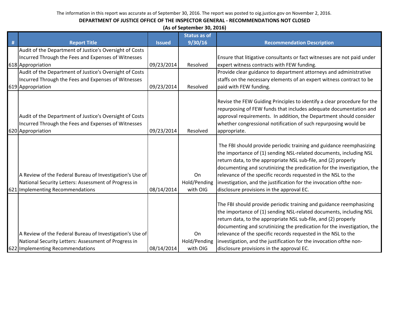|   | (As of September 30, 2016)                                                                                                                           |               |                                |                                                                                                                                                                                                                                                                                                                                                                                                                                                                            |  |  |
|---|------------------------------------------------------------------------------------------------------------------------------------------------------|---------------|--------------------------------|----------------------------------------------------------------------------------------------------------------------------------------------------------------------------------------------------------------------------------------------------------------------------------------------------------------------------------------------------------------------------------------------------------------------------------------------------------------------------|--|--|
| # | <b>Report Title</b>                                                                                                                                  | <b>Issued</b> | <b>Status as of</b><br>9/30/16 | <b>Recommendation Description</b>                                                                                                                                                                                                                                                                                                                                                                                                                                          |  |  |
|   | Audit of the Department of Justice's Oversight of Costs                                                                                              |               |                                |                                                                                                                                                                                                                                                                                                                                                                                                                                                                            |  |  |
|   | Incurred Through the Fees and Expenses of Witnesses                                                                                                  |               |                                | Ensure that litigative consultants or fact witnesses are not paid under                                                                                                                                                                                                                                                                                                                                                                                                    |  |  |
|   | 618 Appropriation                                                                                                                                    | 09/23/2014    | Resolved                       | expert witness contracts with FEW funding.                                                                                                                                                                                                                                                                                                                                                                                                                                 |  |  |
|   | Audit of the Department of Justice's Oversight of Costs                                                                                              |               |                                | Provide clear guidance to department attorneys and administrative                                                                                                                                                                                                                                                                                                                                                                                                          |  |  |
|   | Incurred Through the Fees and Expenses of Witnesses                                                                                                  |               |                                | staffs on the necessary elements of an expert witness contract to be                                                                                                                                                                                                                                                                                                                                                                                                       |  |  |
|   | 619 Appropriation                                                                                                                                    | 09/23/2014    | Resolved                       | paid with FEW funding.                                                                                                                                                                                                                                                                                                                                                                                                                                                     |  |  |
|   | Audit of the Department of Justice's Oversight of Costs<br>Incurred Through the Fees and Expenses of Witnesses<br>620 Appropriation                  | 09/23/2014    | Resolved                       | Revise the FEW Guiding Principles to identify a clear procedure for the<br>repurposing of FEW funds that includes adequate documentation and<br>approval requirements. In addition, the Department should consider<br>whether congressional notification of such repurposing would be<br>appropriate.                                                                                                                                                                      |  |  |
|   | A Review of the Federal Bureau of Investigation's Use of<br>National Security Letters: Assessment of Progress in<br>621 Implementing Recommendations | 08/14/2014    | On<br>Hold/Pending<br>with OIG | The FBI should provide periodic training and guidance reemphasizing<br>the importance of (1) sending NSL-related documents, including NSL<br>return data, to the appropriate NSL sub-file, and (2) properly<br>documenting and scrutinizing the predication for the investigation, the<br>relevance of the specific records requested in the NSL to the<br>investigation, and the justification for the invocation ofthe non-<br>disclosure provisions in the approval EC. |  |  |
|   | A Review of the Federal Bureau of Investigation's Use of<br>National Security Letters: Assessment of Progress in<br>622 Implementing Recommendations | 08/14/2014    | On<br>Hold/Pending<br>with OIG | The FBI should provide periodic training and guidance reemphasizing<br>the importance of (1) sending NSL-related documents, including NSL<br>return data, to the appropriate NSL sub-file, and (2) properly<br>documenting and scrutinizing the predication for the investigation, the<br>relevance of the specific records requested in the NSL to the<br>investigation, and the justification for the invocation ofthe non-<br>disclosure provisions in the approval EC. |  |  |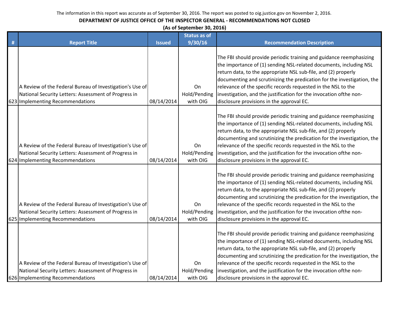| (As of September 30, 2016) |  |
|----------------------------|--|
|----------------------------|--|

|   |                                                                                                                                                      |               | <b>Status as of</b>                   |                                                                                                                                                                                                                                                                                                                                                                                                                                                                            |
|---|------------------------------------------------------------------------------------------------------------------------------------------------------|---------------|---------------------------------------|----------------------------------------------------------------------------------------------------------------------------------------------------------------------------------------------------------------------------------------------------------------------------------------------------------------------------------------------------------------------------------------------------------------------------------------------------------------------------|
| Ħ | <b>Report Title</b>                                                                                                                                  | <b>Issued</b> | 9/30/16                               | <b>Recommendation Description</b>                                                                                                                                                                                                                                                                                                                                                                                                                                          |
|   | A Review of the Federal Bureau of Investigation's Use of<br>National Security Letters: Assessment of Progress in<br>623 Implementing Recommendations | 08/14/2014    | On<br>Hold/Pending<br>with OIG        | The FBI should provide periodic training and guidance reemphasizing<br>the importance of (1) sending NSL-related documents, including NSL<br>return data, to the appropriate NSL sub-file, and (2) properly<br>documenting and scrutinizing the predication for the investigation, the<br>relevance of the specific records requested in the NSL to the<br>investigation, and the justification for the invocation ofthe non-<br>disclosure provisions in the approval EC. |
|   | A Review of the Federal Bureau of Investigation's Use of<br>National Security Letters: Assessment of Progress in<br>624 Implementing Recommendations | 08/14/2014    | On<br>Hold/Pending<br>with OIG        | The FBI should provide periodic training and guidance reemphasizing<br>the importance of (1) sending NSL-related documents, including NSL<br>return data, to the appropriate NSL sub-file, and (2) properly<br>documenting and scrutinizing the predication for the investigation, the<br>relevance of the specific records requested in the NSL to the<br>investigation, and the justification for the invocation ofthe non-<br>disclosure provisions in the approval EC. |
|   | A Review of the Federal Bureau of Investigation's Use of<br>National Security Letters: Assessment of Progress in<br>625 Implementing Recommendations | 08/14/2014    | On<br>Hold/Pending<br>with OIG        | The FBI should provide periodic training and guidance reemphasizing<br>the importance of (1) sending NSL-related documents, including NSL<br>return data, to the appropriate NSL sub-file, and (2) properly<br>documenting and scrutinizing the predication for the investigation, the<br>relevance of the specific records requested in the NSL to the<br>investigation, and the justification for the invocation ofthe non-<br>disclosure provisions in the approval EC. |
|   | A Review of the Federal Bureau of Investigation's Use of<br>National Security Letters: Assessment of Progress in<br>626 Implementing Recommendations | 08/14/2014    | <b>On</b><br>Hold/Pending<br>with OIG | The FBI should provide periodic training and guidance reemphasizing<br>the importance of (1) sending NSL-related documents, including NSL<br>return data, to the appropriate NSL sub-file, and (2) properly<br>documenting and scrutinizing the predication for the investigation, the<br>relevance of the specific records requested in the NSL to the<br>investigation, and the justification for the invocation ofthe non-<br>disclosure provisions in the approval EC. |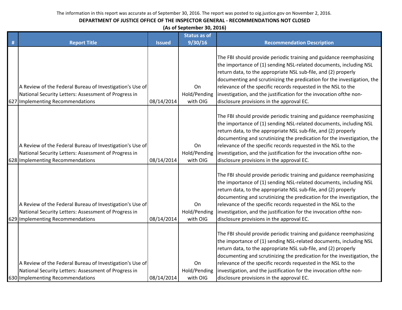| (As of September 30, 2016) |  |
|----------------------------|--|
|----------------------------|--|

|   |                                                                                                                                                      |               | <b>Status as of</b>                   |                                                                                                                                                                                                                                                                                                                                                                                                                                                                            |
|---|------------------------------------------------------------------------------------------------------------------------------------------------------|---------------|---------------------------------------|----------------------------------------------------------------------------------------------------------------------------------------------------------------------------------------------------------------------------------------------------------------------------------------------------------------------------------------------------------------------------------------------------------------------------------------------------------------------------|
| # | <b>Report Title</b>                                                                                                                                  | <b>Issued</b> | 9/30/16                               | <b>Recommendation Description</b>                                                                                                                                                                                                                                                                                                                                                                                                                                          |
|   | A Review of the Federal Bureau of Investigation's Use of<br>National Security Letters: Assessment of Progress in<br>627 Implementing Recommendations | 08/14/2014    | On<br>Hold/Pending<br>with OIG        | The FBI should provide periodic training and guidance reemphasizing<br>the importance of (1) sending NSL-related documents, including NSL<br>return data, to the appropriate NSL sub-file, and (2) properly<br>documenting and scrutinizing the predication for the investigation, the<br>relevance of the specific records requested in the NSL to the<br>investigation, and the justification for the invocation ofthe non-<br>disclosure provisions in the approval EC. |
|   | A Review of the Federal Bureau of Investigation's Use of<br>National Security Letters: Assessment of Progress in<br>628 Implementing Recommendations | 08/14/2014    | On<br>Hold/Pending<br>with OIG        | The FBI should provide periodic training and guidance reemphasizing<br>the importance of (1) sending NSL-related documents, including NSL<br>return data, to the appropriate NSL sub-file, and (2) properly<br>documenting and scrutinizing the predication for the investigation, the<br>relevance of the specific records requested in the NSL to the<br>investigation, and the justification for the invocation ofthe non-<br>disclosure provisions in the approval EC. |
|   | A Review of the Federal Bureau of Investigation's Use of<br>National Security Letters: Assessment of Progress in<br>629 Implementing Recommendations | 08/14/2014    | On<br>Hold/Pending<br>with OIG        | The FBI should provide periodic training and guidance reemphasizing<br>the importance of (1) sending NSL-related documents, including NSL<br>return data, to the appropriate NSL sub-file, and (2) properly<br>documenting and scrutinizing the predication for the investigation, the<br>relevance of the specific records requested in the NSL to the<br>investigation, and the justification for the invocation ofthe non-<br>disclosure provisions in the approval EC. |
|   | A Review of the Federal Bureau of Investigation's Use of<br>National Security Letters: Assessment of Progress in<br>630 Implementing Recommendations | 08/14/2014    | <b>On</b><br>Hold/Pending<br>with OIG | The FBI should provide periodic training and guidance reemphasizing<br>the importance of (1) sending NSL-related documents, including NSL<br>return data, to the appropriate NSL sub-file, and (2) properly<br>documenting and scrutinizing the predication for the investigation, the<br>relevance of the specific records requested in the NSL to the<br>investigation, and the justification for the invocation ofthe non-<br>disclosure provisions in the approval EC. |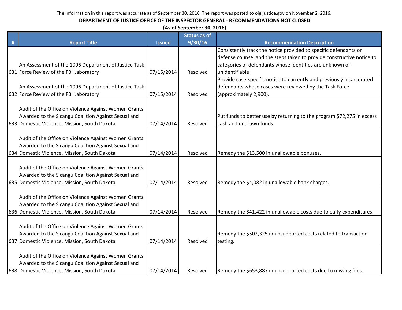|   | (As of September 30, 2016)                           |               |                     |                                                                        |  |  |
|---|------------------------------------------------------|---------------|---------------------|------------------------------------------------------------------------|--|--|
|   |                                                      |               | <b>Status as of</b> |                                                                        |  |  |
| # | <b>Report Title</b>                                  | <b>Issued</b> | 9/30/16             | <b>Recommendation Description</b>                                      |  |  |
|   |                                                      |               |                     | Consistently track the notice provided to specific defendants or       |  |  |
|   |                                                      |               |                     | defense counsel and the steps taken to provide constructive notice to  |  |  |
|   | An Assessment of the 1996 Department of Justice Task |               |                     | categories of defendants whose identities are unknown or               |  |  |
|   | 631 Force Review of the FBI Laboratory               | 07/15/2014    | Resolved            | unidentifiable.                                                        |  |  |
|   |                                                      |               |                     | Provide case-specific notice to currently and previously incarcerated  |  |  |
|   | An Assessment of the 1996 Department of Justice Task |               |                     | defendants whose cases were reviewed by the Task Force                 |  |  |
|   | 632 Force Review of the FBI Laboratory               | 07/15/2014    | Resolved            | (approximately 2,900).                                                 |  |  |
|   |                                                      |               |                     |                                                                        |  |  |
|   | Audit of the Office on Violence Against Women Grants |               |                     |                                                                        |  |  |
|   | Awarded to the Sicangu Coalition Against Sexual and  |               |                     | Put funds to better use by returning to the program \$72,275 in excess |  |  |
|   | 633 Domestic Violence, Mission, South Dakota         | 07/14/2014    | Resolved            | cash and undrawn funds.                                                |  |  |
|   |                                                      |               |                     |                                                                        |  |  |
|   | Audit of the Office on Violence Against Women Grants |               |                     |                                                                        |  |  |
|   | Awarded to the Sicangu Coalition Against Sexual and  |               |                     |                                                                        |  |  |
|   | 634 Domestic Violence, Mission, South Dakota         | 07/14/2014    | Resolved            | Remedy the \$13,500 in unallowable bonuses.                            |  |  |
|   |                                                      |               |                     |                                                                        |  |  |
|   | Audit of the Office on Violence Against Women Grants |               |                     |                                                                        |  |  |
|   | Awarded to the Sicangu Coalition Against Sexual and  |               |                     |                                                                        |  |  |
|   | 635 Domestic Violence, Mission, South Dakota         | 07/14/2014    | Resolved            | Remedy the \$4,082 in unallowable bank charges.                        |  |  |
|   | Audit of the Office on Violence Against Women Grants |               |                     |                                                                        |  |  |
|   | Awarded to the Sicangu Coalition Against Sexual and  |               |                     |                                                                        |  |  |
|   | 636 Domestic Violence, Mission, South Dakota         | 07/14/2014    | Resolved            | Remedy the \$41,422 in unallowable costs due to early expenditures.    |  |  |
|   |                                                      |               |                     |                                                                        |  |  |
|   | Audit of the Office on Violence Against Women Grants |               |                     |                                                                        |  |  |
|   | Awarded to the Sicangu Coalition Against Sexual and  |               |                     | Remedy the \$502,325 in unsupported costs related to transaction       |  |  |
|   | 637 Domestic Violence, Mission, South Dakota         | 07/14/2014    | Resolved            | testing.                                                               |  |  |
|   |                                                      |               |                     |                                                                        |  |  |
|   | Audit of the Office on Violence Against Women Grants |               |                     |                                                                        |  |  |
|   | Awarded to the Sicangu Coalition Against Sexual and  |               |                     |                                                                        |  |  |
|   | 638 Domestic Violence, Mission, South Dakota         | 07/14/2014    | Resolved            | Remedy the \$653,887 in unsupported costs due to missing files.        |  |  |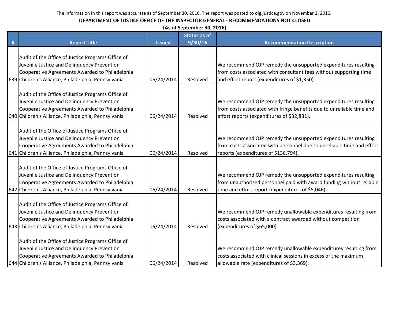|   | (As of September 30, 2016)                                                                            |               |                     |                                                                        |  |  |  |
|---|-------------------------------------------------------------------------------------------------------|---------------|---------------------|------------------------------------------------------------------------|--|--|--|
|   |                                                                                                       |               | <b>Status as of</b> |                                                                        |  |  |  |
| # | <b>Report Title</b>                                                                                   | <b>Issued</b> | 9/30/16             | <b>Recommendation Description</b>                                      |  |  |  |
|   | Audit of the Office of Justice Programs Office of                                                     |               |                     |                                                                        |  |  |  |
|   | Juvenile Justice and Delinquency Prevention                                                           |               |                     | We recommend OJP remedy the unsupported expenditures resulting         |  |  |  |
|   | Cooperative Agreements Awarded to Philadelphia                                                        |               |                     | from costs associated with consultant fees without supporting time     |  |  |  |
|   | 639 Children's Alliance, Philadelphia, Pennsylvania                                                   | 06/24/2014    | Resolved            | and effort report (expenditures of \$1,350).                           |  |  |  |
|   |                                                                                                       |               |                     |                                                                        |  |  |  |
|   | Audit of the Office of Justice Programs Office of                                                     |               |                     |                                                                        |  |  |  |
|   | Juvenile Justice and Delinquency Prevention                                                           |               |                     | We recommend OJP remedy the unsupported expenditures resulting         |  |  |  |
|   | Cooperative Agreements Awarded to Philadelphia                                                        |               |                     | from costs associated with fringe benefits due to unreliable time and  |  |  |  |
|   | 640 Children's Alliance, Philadelphia, Pennsylvania                                                   | 06/24/2014    | Resolved            | effort reports (expenditures of \$32,831).                             |  |  |  |
|   |                                                                                                       |               |                     |                                                                        |  |  |  |
|   | Audit of the Office of Justice Programs Office of                                                     |               |                     |                                                                        |  |  |  |
|   | Juvenile Justice and Delinquency Prevention                                                           |               |                     | We recommend OJP remedy the unsupported expenditures resulting         |  |  |  |
|   | Cooperative Agreements Awarded to Philadelphia                                                        |               |                     | from costs associated with personnel due to unreliable time and effort |  |  |  |
|   | 641 Children's Alliance, Philadelphia, Pennsylvania                                                   | 06/24/2014    | Resolved            | reports (expenditures of \$136,794).                                   |  |  |  |
|   |                                                                                                       |               |                     |                                                                        |  |  |  |
|   | Audit of the Office of Justice Programs Office of                                                     |               |                     |                                                                        |  |  |  |
|   | Juvenile Justice and Delinquency Prevention                                                           |               |                     | We recommend OJP remedy the unsupported expenditures resulting         |  |  |  |
|   | Cooperative Agreements Awarded to Philadelphia<br>642 Children's Alliance, Philadelphia, Pennsylvania | 06/24/2014    | Resolved            | from unauthorized personnel paid with award funding without reliable   |  |  |  |
|   |                                                                                                       |               |                     | time and effort report (expenditures of \$5,046).                      |  |  |  |
|   | Audit of the Office of Justice Programs Office of                                                     |               |                     |                                                                        |  |  |  |
|   | Juvenile Justice and Delinquency Prevention                                                           |               |                     | We recommend OJP remedy unallowable expenditures resulting from        |  |  |  |
|   | Cooperative Agreements Awarded to Philadelphia                                                        |               |                     | costs associated with a contract awarded without competition           |  |  |  |
|   | 643 Children's Alliance, Philadelphia, Pennsylvania                                                   | 06/24/2014    | Resolved            | (expenditures of \$65,000).                                            |  |  |  |
|   |                                                                                                       |               |                     |                                                                        |  |  |  |
|   | Audit of the Office of Justice Programs Office of                                                     |               |                     |                                                                        |  |  |  |
|   | Juvenile Justice and Delinquency Prevention                                                           |               |                     | We recommend OJP remedy unallowable expenditures resulting from        |  |  |  |
|   | Cooperative Agreements Awarded to Philadelphia                                                        |               |                     | costs associated with clinical sessions in excess of the maximum       |  |  |  |
|   | 644 Children's Alliance, Philadelphia, Pennsylvania                                                   | 06/24/2014    | Resolved            | allowable rate (expenditures of \$3,369).                              |  |  |  |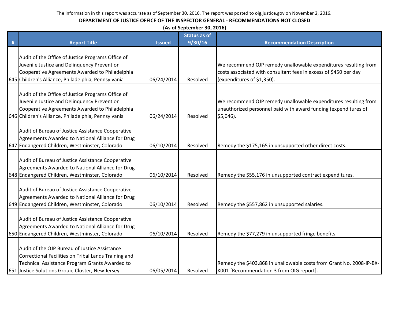|   | (As of September 30, 2016)                                                                                                                                                                                  |               |                                |                                                                                                                                                                   |  |  |
|---|-------------------------------------------------------------------------------------------------------------------------------------------------------------------------------------------------------------|---------------|--------------------------------|-------------------------------------------------------------------------------------------------------------------------------------------------------------------|--|--|
| # | <b>Report Title</b>                                                                                                                                                                                         | <b>Issued</b> | <b>Status as of</b><br>9/30/16 | <b>Recommendation Description</b>                                                                                                                                 |  |  |
|   | Audit of the Office of Justice Programs Office of<br>Juvenile Justice and Delinquency Prevention<br>Cooperative Agreements Awarded to Philadelphia<br>645 Children's Alliance, Philadelphia, Pennsylvania   | 06/24/2014    | Resolved                       | We recommend OJP remedy unallowable expenditures resulting from<br>costs associated with consultant fees in excess of \$450 per day<br>(expenditures of \$1,350). |  |  |
|   | Audit of the Office of Justice Programs Office of<br>Juvenile Justice and Delinquency Prevention<br>Cooperative Agreements Awarded to Philadelphia<br>646 Children's Alliance, Philadelphia, Pennsylvania   | 06/24/2014    | Resolved                       | We recommend OJP remedy unallowable expenditures resulting from<br>unauthorized personnel paid with award funding (expenditures of<br>\$5,046).                   |  |  |
|   | Audit of Bureau of Justice Assistance Cooperative<br>Agreements Awarded to National Alliance for Drug<br>647 Endangered Children, Westminster, Colorado                                                     | 06/10/2014    | Resolved                       | Remedy the \$175,165 in unsupported other direct costs.                                                                                                           |  |  |
|   | Audit of Bureau of Justice Assistance Cooperative<br>Agreements Awarded to National Alliance for Drug<br>648 Endangered Children, Westminster, Colorado                                                     | 06/10/2014    | Resolved                       | Remedy the \$55,176 in unsupported contract expenditures.                                                                                                         |  |  |
|   | Audit of Bureau of Justice Assistance Cooperative<br>Agreements Awarded to National Alliance for Drug<br>649 Endangered Children, Westminster, Colorado                                                     | 06/10/2014    | Resolved                       | Remedy the \$557,862 in unsupported salaries.                                                                                                                     |  |  |
|   | Audit of Bureau of Justice Assistance Cooperative<br>Agreements Awarded to National Alliance for Drug<br>650 Endangered Children, Westminster, Colorado                                                     | 06/10/2014    | Resolved                       | Remedy the \$77,279 in unsupported fringe benefits.                                                                                                               |  |  |
|   | Audit of the OJP Bureau of Justice Assistance<br>Correctional Facilities on Tribal Lands Training and<br>Technical Assistance Program Grants Awarded to<br>651 Justice Solutions Group, Closter, New Jersey | 06/05/2014    | Resolved                       | Remedy the \$403,868 in unallowable costs from Grant No. 2008-IP-BX-<br>K001 [Recommendation 3 from OIG report].                                                  |  |  |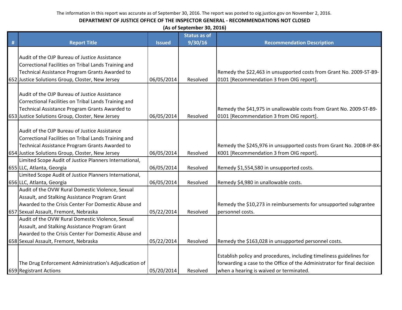|   | (As of September 30, 2016)                                                                                                                                                                                  |               |                     |                                                                                                                                                                                            |  |  |
|---|-------------------------------------------------------------------------------------------------------------------------------------------------------------------------------------------------------------|---------------|---------------------|--------------------------------------------------------------------------------------------------------------------------------------------------------------------------------------------|--|--|
|   |                                                                                                                                                                                                             |               | <b>Status as of</b> |                                                                                                                                                                                            |  |  |
| # | <b>Report Title</b>                                                                                                                                                                                         | <b>Issued</b> | 9/30/16             | <b>Recommendation Description</b>                                                                                                                                                          |  |  |
|   | Audit of the OJP Bureau of Justice Assistance<br>Correctional Facilities on Tribal Lands Training and<br>Technical Assistance Program Grants Awarded to<br>652 Justice Solutions Group, Closter, New Jersey | 06/05/2014    | Resolved            | Remedy the \$22,463 in unsupported costs from Grant No. 2009-ST-B9-<br>0101 [Recommendation 3 from OIG report].                                                                            |  |  |
|   | Audit of the OJP Bureau of Justice Assistance<br>Correctional Facilities on Tribal Lands Training and<br>Technical Assistance Program Grants Awarded to<br>653 Justice Solutions Group, Closter, New Jersey | 06/05/2014    | Resolved            | Remedy the \$41,975 in unallowable costs from Grant No. 2009-ST-B9-<br>0101 [Recommendation 3 from OIG report].                                                                            |  |  |
|   | Audit of the OJP Bureau of Justice Assistance<br>Correctional Facilities on Tribal Lands Training and<br>Technical Assistance Program Grants Awarded to<br>654 Justice Solutions Group, Closter, New Jersey | 06/05/2014    | Resolved            | Remedy the \$245,976 in unsupported costs from Grant No. 2008-IP-BX-<br>K001 [Recommendation 3 from OIG report].                                                                           |  |  |
|   | Limited Scope Audit of Justice Planners International,                                                                                                                                                      |               |                     |                                                                                                                                                                                            |  |  |
|   | 655 LLC, Atlanta, Georgia                                                                                                                                                                                   | 06/05/2014    | Resolved            | Remedy \$1,554,580 in unsupported costs.                                                                                                                                                   |  |  |
|   | Limited Scope Audit of Justice Planners International,<br>656 LLC, Atlanta, Georgia                                                                                                                         | 06/05/2014    | Resolved            | Remedy \$4,980 in unallowable costs.                                                                                                                                                       |  |  |
|   | Audit of the OVW Rural Domestic Violence, Sexual<br>Assault, and Stalking Assistance Program Grant<br>Awarded to the Crisis Center For Domestic Abuse and<br>657 Sexual Assault, Fremont, Nebraska          | 05/22/2014    | Resolved            | Remedy the \$10,273 in reimbursements for unsupported subgrantee<br>personnel costs.                                                                                                       |  |  |
|   | Audit of the OVW Rural Domestic Violence, Sexual<br>Assault, and Stalking Assistance Program Grant<br>Awarded to the Crisis Center For Domestic Abuse and                                                   |               |                     |                                                                                                                                                                                            |  |  |
|   | 658 Sexual Assault, Fremont, Nebraska                                                                                                                                                                       | 05/22/2014    | Resolved            | Remedy the \$163,028 in unsupported personnel costs.                                                                                                                                       |  |  |
|   | The Drug Enforcement Administration's Adjudication of<br>659 Registrant Actions                                                                                                                             | 05/20/2014    | Resolved            | Establish policy and procedures, including timeliness guidelines for<br>forwarding a case to the Office of the Administrator for final decision<br>when a hearing is waived or terminated. |  |  |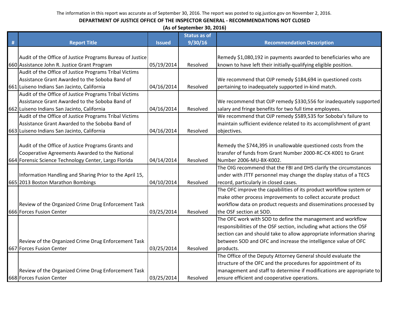|   | (As of September 30, 2016)                                |               |                     |                                                                       |  |  |
|---|-----------------------------------------------------------|---------------|---------------------|-----------------------------------------------------------------------|--|--|
|   |                                                           |               | <b>Status as of</b> |                                                                       |  |  |
| # | <b>Report Title</b>                                       | <b>Issued</b> | 9/30/16             | <b>Recommendation Description</b>                                     |  |  |
|   |                                                           |               |                     |                                                                       |  |  |
|   | Audit of the Office of Justice Programs Bureau of Justice |               |                     | Remedy \$1,080,192 in payments awarded to beneficiaries who are       |  |  |
|   | 660 Assistance John R. Justice Grant Program              | 05/19/2014    | Resolved            | known to have left their initially-qualifying eligible position.      |  |  |
|   | Audit of the Office of Justice Programs Tribal Victims    |               |                     |                                                                       |  |  |
|   | Assistance Grant Awarded to the Soboba Band of            |               |                     | We recommend that OJP remedy \$184,694 in questioned costs            |  |  |
|   | 661 Luiseno Indians San Jacinto, California               | 04/16/2014    | Resolved            | pertaining to inadequately supported in-kind match.                   |  |  |
|   | Audit of the Office of Justice Programs Tribal Victims    |               |                     |                                                                       |  |  |
|   | Assistance Grant Awarded to the Soboba Band of            |               |                     | We recommend that OJP remedy \$330,556 for inadequately supported     |  |  |
|   | 662 Luiseno Indians San Jacinto, California               | 04/16/2014    | Resolved            | salary and fringe benefits for two full time employees.               |  |  |
|   | Audit of the Office of Justice Programs Tribal Victims    |               |                     | We recommend that OJP remedy \$589,535 for Soboba's failure to        |  |  |
|   | Assistance Grant Awarded to the Soboba Band of            |               |                     | maintain sufficient evidence related to its accomplishment of grant   |  |  |
|   | 663 Luiseno Indians San Jacinto, California               | 04/16/2014    | Resolved            | objectives.                                                           |  |  |
|   |                                                           |               |                     |                                                                       |  |  |
|   | Audit of the Office of Justice Programs Grants and        |               |                     | Remedy the \$744,395 in unallowable questioned costs from the         |  |  |
|   | Cooperative Agreements Awarded to the National            |               |                     | transfer of funds from Grant Number 2000-RC-CX-K001 to Grant          |  |  |
|   | 664 Forensic Science Technology Center, Largo Florida     | 04/14/2014    | Resolved            | Number 2006-MU-BX-K002.                                               |  |  |
|   |                                                           |               |                     | The OIG recommend that the FBI and DHS clarify the circumstances      |  |  |
|   | Information Handling and Sharing Prior to the April 15,   |               |                     | under with JTTF personnel may change the display status of a TECS     |  |  |
|   | 665 2013 Boston Marathon Bombings                         | 04/10/2014    | Resolved            | record, particularly in closed cases.                                 |  |  |
|   |                                                           |               |                     | The OFC improve the capabilities of its product workflow system or    |  |  |
|   |                                                           |               |                     | make other process improvements to collect accurate product           |  |  |
|   | Review of the Organized Crime Drug Enforcement Task       |               |                     | workflow data on product requests and disseminations processed by     |  |  |
|   | 666 Forces Fusion Center                                  | 03/25/2014    | Resolved            | the OSF section at SOD.                                               |  |  |
|   |                                                           |               |                     | The OFC work with SOD to define the management and workflow           |  |  |
|   |                                                           |               |                     | responsibilities of the OSF section, including what actions the OSF   |  |  |
|   |                                                           |               |                     | section can and should take to allow appropriate information sharing  |  |  |
|   | Review of the Organized Crime Drug Enforcement Task       |               |                     | between SOD and OFC and increase the intelligence value of OFC        |  |  |
|   | 667 Forces Fusion Center                                  | 03/25/2014    | Resolved            | products.                                                             |  |  |
|   |                                                           |               |                     | The Office of the Deputy Attorney General should evaluate the         |  |  |
|   |                                                           |               |                     | structure of the OFC and the procedures for appointment of its        |  |  |
|   | Review of the Organized Crime Drug Enforcement Task       |               |                     | management and staff to determine if modifications are appropriate to |  |  |
|   | 668 Forces Fusion Center                                  | 03/25/2014    | Resolved            | ensure efficient and cooperative operations.                          |  |  |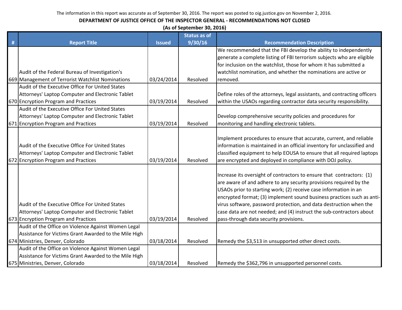| (As of September 30, 2016) |  |
|----------------------------|--|
|----------------------------|--|

|   |                                                                                                                                                  |               | <b>Status as of</b> |                                                                                                                                                                                                                                                                                                                                                                                                                                                                                   |
|---|--------------------------------------------------------------------------------------------------------------------------------------------------|---------------|---------------------|-----------------------------------------------------------------------------------------------------------------------------------------------------------------------------------------------------------------------------------------------------------------------------------------------------------------------------------------------------------------------------------------------------------------------------------------------------------------------------------|
| # | <b>Report Title</b>                                                                                                                              | <b>Issued</b> | 9/30/16             | <b>Recommendation Description</b>                                                                                                                                                                                                                                                                                                                                                                                                                                                 |
|   |                                                                                                                                                  |               |                     | We recommended that the FBI develop the ability to independently                                                                                                                                                                                                                                                                                                                                                                                                                  |
|   |                                                                                                                                                  |               |                     | generate a complete listing of FBI terrorism subjects who are eligible                                                                                                                                                                                                                                                                                                                                                                                                            |
|   |                                                                                                                                                  |               |                     | for inclusion on the watchlist, those for whom it has submitted a                                                                                                                                                                                                                                                                                                                                                                                                                 |
|   | Audit of the Federal Bureau of Investigation's                                                                                                   |               |                     | watchlist nomination, and whether the nominations are active or                                                                                                                                                                                                                                                                                                                                                                                                                   |
|   | 669 Management of Terrorist Watchlist Nominations                                                                                                | 03/24/2014    | Resolved            | removed.                                                                                                                                                                                                                                                                                                                                                                                                                                                                          |
|   | Audit of the Executive Office For United States                                                                                                  |               |                     |                                                                                                                                                                                                                                                                                                                                                                                                                                                                                   |
|   | Attorneys' Laptop Computer and Electronic Tablet                                                                                                 |               |                     | Define roles of the attorneys, legal assistants, and contracting officers                                                                                                                                                                                                                                                                                                                                                                                                         |
|   | 670 Encryption Program and Practices                                                                                                             | 03/19/2014    | Resolved            | within the USAOs regarding contractor data security responsibility.                                                                                                                                                                                                                                                                                                                                                                                                               |
|   | Audit of the Executive Office For United States                                                                                                  |               |                     |                                                                                                                                                                                                                                                                                                                                                                                                                                                                                   |
|   | Attorneys' Laptop Computer and Electronic Tablet                                                                                                 |               |                     | Develop comprehensive security policies and procedures for                                                                                                                                                                                                                                                                                                                                                                                                                        |
|   | 671 Encryption Program and Practices                                                                                                             | 03/19/2014    | Resolved            | monitoring and handling electronic tablets.                                                                                                                                                                                                                                                                                                                                                                                                                                       |
|   | Audit of the Executive Office For United States<br>Attorneys' Laptop Computer and Electronic Tablet<br>672 Encryption Program and Practices      | 03/19/2014    | Resolved            | Implement procedures to ensure that accurate, current, and reliable<br>information is maintained in an official inventory for unclassified and<br>classified equipment to help EOUSA to ensure that all required laptops<br>are encrypted and deployed in compliance with DOJ policy.                                                                                                                                                                                             |
|   |                                                                                                                                                  |               |                     |                                                                                                                                                                                                                                                                                                                                                                                                                                                                                   |
|   | Audit of the Executive Office For United States<br>Attorneys' Laptop Computer and Electronic Tablet<br>673 Encryption Program and Practices      | 03/19/2014    | Resolved            | Increase its oversight of contractors to ensure that contractors: (1)<br>are aware of and adhere to any security provisions required by the<br>USAOs prior to starting work; (2) receive case information in an<br>encrypted format; (3) implement sound business practices such as anti-<br>virus software, password protection, and data destruction when the<br>case data are not needed; and (4) instruct the sub-contractors about<br>pass-through data security provisions. |
|   | Audit of the Office on Violence Against Women Legal                                                                                              |               |                     |                                                                                                                                                                                                                                                                                                                                                                                                                                                                                   |
|   | Assistance for Victims Grant Awarded to the Mile High                                                                                            |               |                     |                                                                                                                                                                                                                                                                                                                                                                                                                                                                                   |
|   | 674 Ministries, Denver, Colorado                                                                                                                 | 03/18/2014    | Resolved            | Remedy the \$3,513 in unsupported other direct costs.                                                                                                                                                                                                                                                                                                                                                                                                                             |
|   | Audit of the Office on Violence Against Women Legal<br>Assistance for Victims Grant Awarded to the Mile High<br>675 Ministries, Denver, Colorado | 03/18/2014    | Resolved            | Remedy the \$362,796 in unsupported personnel costs.                                                                                                                                                                                                                                                                                                                                                                                                                              |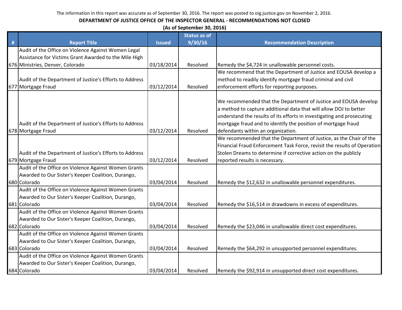|      | (As of September 30, 2016)                              |               |                     |                                                                          |  |  |
|------|---------------------------------------------------------|---------------|---------------------|--------------------------------------------------------------------------|--|--|
|      |                                                         |               | <b>Status as of</b> |                                                                          |  |  |
| $\#$ | <b>Report Title</b>                                     | <b>Issued</b> | 9/30/16             | <b>Recommendation Description</b>                                        |  |  |
|      | Audit of the Office on Violence Against Women Legal     |               |                     |                                                                          |  |  |
|      | Assistance for Victims Grant Awarded to the Mile High   |               |                     |                                                                          |  |  |
|      | 676 Ministries, Denver, Colorado                        | 03/18/2014    | Resolved            | Remedy the \$4,724 in unallowable personnel costs.                       |  |  |
|      |                                                         |               |                     | We recommend that the Department of Justice and EOUSA develop a          |  |  |
|      | Audit of the Department of Justice's Efforts to Address |               |                     | method to readily identify mortgage fraud criminal and civil             |  |  |
|      | 677 Mortgage Fraud                                      | 03/12/2014    | Resolved            | enforcement efforts for reporting purposes.                              |  |  |
|      |                                                         |               |                     |                                                                          |  |  |
|      |                                                         |               |                     | We recommended that the Department of Justice and EOUSA develop          |  |  |
|      |                                                         |               |                     | a method to capture additional data that will allow DOJ to better        |  |  |
|      |                                                         |               |                     | understand the results of its efforts in investigating and prosecuting   |  |  |
|      | Audit of the Department of Justice's Efforts to Address |               |                     | mortgage fraud and to identify the position of mortgage fraud            |  |  |
|      | 678 Mortgage Fraud                                      | 03/12/2014    | Resolved            | defendants within an organization.                                       |  |  |
|      |                                                         |               |                     | We recommended that the Department of Justice, as the Chair of the       |  |  |
|      |                                                         |               |                     | Financial Fraud Enforcement Task Force, revisit the results of Operation |  |  |
|      | Audit of the Department of Justice's Efforts to Address |               |                     | Stolen Dreams to determine if corrective action on the publicly          |  |  |
|      | 679 Mortgage Fraud                                      | 03/12/2014    | Resolved            | reported results is necessary.                                           |  |  |
|      | Audit of the Office on Violence Against Women Grants    |               |                     |                                                                          |  |  |
|      | Awarded to Our Sister's Keeper Coalition, Durango,      |               |                     |                                                                          |  |  |
|      | 680 Colorado                                            | 03/04/2014    | Resolved            | Remedy the \$12,632 in unallowable personnel expenditures.               |  |  |
|      | Audit of the Office on Violence Against Women Grants    |               |                     |                                                                          |  |  |
|      | Awarded to Our Sister's Keeper Coalition, Durango,      |               |                     |                                                                          |  |  |
|      | 681 Colorado                                            | 03/04/2014    | Resolved            | Remedy the \$16,514 in drawdowns in excess of expenditures.              |  |  |
|      | Audit of the Office on Violence Against Women Grants    |               |                     |                                                                          |  |  |
|      | Awarded to Our Sister's Keeper Coalition, Durango,      |               |                     |                                                                          |  |  |
|      | 682 Colorado                                            | 03/04/2014    | Resolved            | Remedy the \$23,046 in unallowable direct cost expenditures.             |  |  |
|      | Audit of the Office on Violence Against Women Grants    |               |                     |                                                                          |  |  |
|      | Awarded to Our Sister's Keeper Coalition, Durango,      |               |                     |                                                                          |  |  |
|      | 683 Colorado                                            | 03/04/2014    | Resolved            | Remedy the \$64,292 in unsupported personnel expenditures.               |  |  |
|      | Audit of the Office on Violence Against Women Grants    |               |                     |                                                                          |  |  |
|      | Awarded to Our Sister's Keeper Coalition, Durango,      |               |                     |                                                                          |  |  |
|      | 684 Colorado                                            | 03/04/2014    | Resolved            | Remedy the \$92,914 in unsupported direct cost expenditures.             |  |  |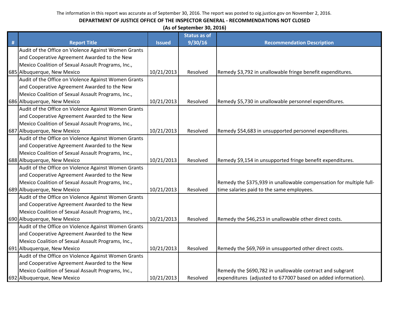|   | (As of September 30, 2016)                           |               |                     |                                                                     |  |  |
|---|------------------------------------------------------|---------------|---------------------|---------------------------------------------------------------------|--|--|
|   |                                                      |               | <b>Status as of</b> |                                                                     |  |  |
| # | <b>Report Title</b>                                  | <b>Issued</b> | 9/30/16             | <b>Recommendation Description</b>                                   |  |  |
|   | Audit of the Office on Violence Against Women Grants |               |                     |                                                                     |  |  |
|   | and Cooperative Agreement Awarded to the New         |               |                     |                                                                     |  |  |
|   | Mexico Coalition of Sexual Assault Programs, Inc.,   |               |                     |                                                                     |  |  |
|   | 685 Albuquerque, New Mexico                          | 10/21/2013    | Resolved            | Remedy \$3,792 in unallowable fringe benefit expenditures.          |  |  |
|   | Audit of the Office on Violence Against Women Grants |               |                     |                                                                     |  |  |
|   | and Cooperative Agreement Awarded to the New         |               |                     |                                                                     |  |  |
|   | Mexico Coalition of Sexual Assault Programs, Inc.,   |               |                     |                                                                     |  |  |
|   | 686 Albuquerque, New Mexico                          | 10/21/2013    | Resolved            | Remedy \$5,730 in unallowable personnel expenditures.               |  |  |
|   | Audit of the Office on Violence Against Women Grants |               |                     |                                                                     |  |  |
|   | and Cooperative Agreement Awarded to the New         |               |                     |                                                                     |  |  |
|   | Mexico Coalition of Sexual Assault Programs, Inc.,   |               |                     |                                                                     |  |  |
|   | 687 Albuquerque, New Mexico                          | 10/21/2013    | Resolved            | Remedy \$54,683 in unsupported personnel expenditures.              |  |  |
|   | Audit of the Office on Violence Against Women Grants |               |                     |                                                                     |  |  |
|   | and Cooperative Agreement Awarded to the New         |               |                     |                                                                     |  |  |
|   | Mexico Coalition of Sexual Assault Programs, Inc.,   |               |                     |                                                                     |  |  |
|   | 688 Albuquerque, New Mexico                          | 10/21/2013    | Resolved            | Remedy \$9,154 in unsupported fringe benefit expenditures.          |  |  |
|   | Audit of the Office on Violence Against Women Grants |               |                     |                                                                     |  |  |
|   | and Cooperative Agreement Awarded to the New         |               |                     |                                                                     |  |  |
|   | Mexico Coalition of Sexual Assault Programs, Inc.,   |               |                     | Remedy the \$375,939 in unallowable compensation for multiple full- |  |  |
|   | 689 Albuquerque, New Mexico                          | 10/21/2013    | Resolved            | time salaries paid to the same employees.                           |  |  |
|   | Audit of the Office on Violence Against Women Grants |               |                     |                                                                     |  |  |
|   | and Cooperative Agreement Awarded to the New         |               |                     |                                                                     |  |  |
|   | Mexico Coalition of Sexual Assault Programs, Inc.,   |               |                     |                                                                     |  |  |
|   | 690 Albuquerque, New Mexico                          | 10/21/2013    | Resolved            | Remedy the \$46,253 in unallowable other direct costs.              |  |  |
|   | Audit of the Office on Violence Against Women Grants |               |                     |                                                                     |  |  |
|   | and Cooperative Agreement Awarded to the New         |               |                     |                                                                     |  |  |
|   | Mexico Coalition of Sexual Assault Programs, Inc.,   |               |                     |                                                                     |  |  |
|   | 691 Albuquerque, New Mexico                          | 10/21/2013    | Resolved            | Remedy the \$69,769 in unsupported other direct costs.              |  |  |
|   | Audit of the Office on Violence Against Women Grants |               |                     |                                                                     |  |  |
|   | and Cooperative Agreement Awarded to the New         |               |                     |                                                                     |  |  |
|   | Mexico Coalition of Sexual Assault Programs, Inc.,   |               |                     | Remedy the \$690,782 in unallowable contract and subgrant           |  |  |
|   | 692 Albuquerque, New Mexico                          | 10/21/2013    | Resolved            | expenditures (adjusted to 677007 based on added information).       |  |  |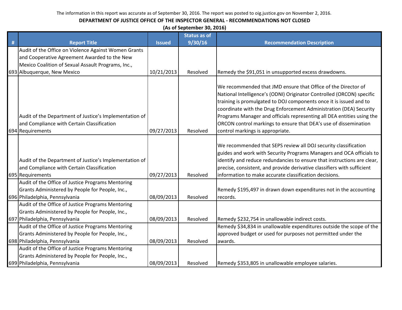|   | (As of September 30, 2016)                                                                                               |               |                     |                                                                                                                                                                                                                                                                                                                                                                                                                                                                      |  |  |
|---|--------------------------------------------------------------------------------------------------------------------------|---------------|---------------------|----------------------------------------------------------------------------------------------------------------------------------------------------------------------------------------------------------------------------------------------------------------------------------------------------------------------------------------------------------------------------------------------------------------------------------------------------------------------|--|--|
|   |                                                                                                                          |               | <b>Status as of</b> |                                                                                                                                                                                                                                                                                                                                                                                                                                                                      |  |  |
| # | <b>Report Title</b>                                                                                                      | <b>Issued</b> | 9/30/16             | <b>Recommendation Description</b>                                                                                                                                                                                                                                                                                                                                                                                                                                    |  |  |
|   | Audit of the Office on Violence Against Women Grants                                                                     |               |                     |                                                                                                                                                                                                                                                                                                                                                                                                                                                                      |  |  |
|   | and Cooperative Agreement Awarded to the New                                                                             |               |                     |                                                                                                                                                                                                                                                                                                                                                                                                                                                                      |  |  |
|   | Mexico Coalition of Sexual Assault Programs, Inc.,                                                                       |               |                     |                                                                                                                                                                                                                                                                                                                                                                                                                                                                      |  |  |
|   | 693 Albuquerque, New Mexico                                                                                              | 10/21/2013    | Resolved            | Remedy the \$91,051 in unsupported excess drawdowns.                                                                                                                                                                                                                                                                                                                                                                                                                 |  |  |
|   | Audit of the Department of Justice's Implementation of<br>and Compliance with Certain Classification<br>694 Requirements | 09/27/2013    | Resolved            | We recommended that JMD ensure that Office of the Director of<br>National Intelligence's (ODNI) Originator Controlled (ORCON) specific<br>training is promulgated to DOJ components once it is issued and to<br>coordinate with the Drug Enforcement Administration (DEA) Security<br>Programs Manager and officials representing all DEA entities using the<br>ORCON control markings to ensure that DEA's use of dissemination<br>control markings is appropriate. |  |  |
|   |                                                                                                                          |               |                     |                                                                                                                                                                                                                                                                                                                                                                                                                                                                      |  |  |
|   | Audit of the Department of Justice's Implementation of<br>and Compliance with Certain Classification                     |               |                     | We recommended that SEPS review all DOJ security classification<br>guides and work with Security Programs Managers and OCA officials to<br>identify and reduce redundancies to ensure that instructions are clear,<br>precise, consistent, and provide derivative classifiers with sufficient                                                                                                                                                                        |  |  |
|   | 695 Requirements                                                                                                         | 09/27/2013    | Resolved            | information to make accurate classification decisions.                                                                                                                                                                                                                                                                                                                                                                                                               |  |  |
|   | Audit of the Office of Justice Programs Mentoring                                                                        |               |                     |                                                                                                                                                                                                                                                                                                                                                                                                                                                                      |  |  |
|   | Grants Administered by People for People, Inc.,                                                                          |               |                     | Remedy \$195,497 in drawn down expenditures not in the accounting                                                                                                                                                                                                                                                                                                                                                                                                    |  |  |
|   | 696 Philadelphia, Pennsylvania                                                                                           | 08/09/2013    | Resolved            | records.                                                                                                                                                                                                                                                                                                                                                                                                                                                             |  |  |
|   | Audit of the Office of Justice Programs Mentoring<br>Grants Administered by People for People, Inc.,                     |               |                     |                                                                                                                                                                                                                                                                                                                                                                                                                                                                      |  |  |
|   | 697 Philadelphia, Pennsylvania                                                                                           | 08/09/2013    | Resolved            | Remedy \$232,754 in unallowable indirect costs.                                                                                                                                                                                                                                                                                                                                                                                                                      |  |  |
|   | Audit of the Office of Justice Programs Mentoring                                                                        |               |                     | Remedy \$34,834 in unallowable expenditures outside the scope of the                                                                                                                                                                                                                                                                                                                                                                                                 |  |  |
|   | Grants Administered by People for People, Inc.,                                                                          |               |                     | approved budget or used for purposes not permitted under the                                                                                                                                                                                                                                                                                                                                                                                                         |  |  |
|   | 698 Philadelphia, Pennsylvania                                                                                           | 08/09/2013    | Resolved            | awards.                                                                                                                                                                                                                                                                                                                                                                                                                                                              |  |  |
|   | Audit of the Office of Justice Programs Mentoring                                                                        |               |                     |                                                                                                                                                                                                                                                                                                                                                                                                                                                                      |  |  |
|   | Grants Administered by People for People, Inc.,                                                                          |               |                     |                                                                                                                                                                                                                                                                                                                                                                                                                                                                      |  |  |
|   | 699 Philadelphia, Pennsylvania                                                                                           | 08/09/2013    | Resolved            | Remedy \$353,805 in unallowable employee salaries.                                                                                                                                                                                                                                                                                                                                                                                                                   |  |  |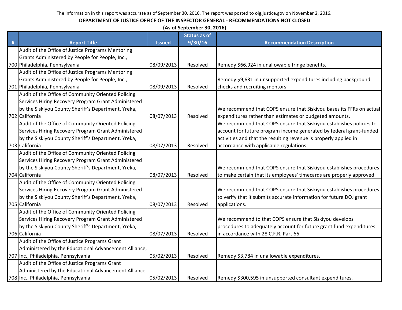|   | (As of September 30, 2016)                            |               |                     |                                                                      |  |  |
|---|-------------------------------------------------------|---------------|---------------------|----------------------------------------------------------------------|--|--|
|   |                                                       |               | <b>Status as of</b> |                                                                      |  |  |
| # | <b>Report Title</b>                                   | <b>Issued</b> | 9/30/16             | <b>Recommendation Description</b>                                    |  |  |
|   | Audit of the Office of Justice Programs Mentoring     |               |                     |                                                                      |  |  |
|   | Grants Administered by People for People, Inc.,       |               |                     |                                                                      |  |  |
|   | 700 Philadelphia, Pennsylvania                        | 08/09/2013    | Resolved            | Remedy \$66,924 in unallowable fringe benefits.                      |  |  |
|   | Audit of the Office of Justice Programs Mentoring     |               |                     |                                                                      |  |  |
|   | Grants Administered by People for People, Inc.,       |               |                     | Remedy \$9,631 in unsupported expenditures including background      |  |  |
|   | 701 Philadelphia, Pennsylvania                        | 08/09/2013    | Resolved            | checks and recruiting mentors.                                       |  |  |
|   | Audit of the Office of Community Oriented Policing    |               |                     |                                                                      |  |  |
|   | Services Hiring Recovery Program Grant Administered   |               |                     |                                                                      |  |  |
|   | by the Siskiyou County Sheriff's Department, Yreka,   |               |                     | We recommend that COPS ensure that Siskiyou bases its FFRs on actual |  |  |
|   | 702 California                                        | 08/07/2013    | Resolved            | expenditures rather than estimates or budgeted amounts.              |  |  |
|   | Audit of the Office of Community Oriented Policing    |               |                     | We recommend that COPS ensure that Siskiyou establishes policies to  |  |  |
|   | Services Hiring Recovery Program Grant Administered   |               |                     | account for future program income generated by federal grant-funded  |  |  |
|   | by the Siskiyou County Sheriff's Department, Yreka,   |               |                     | activities and that the resulting revenue is properly applied in     |  |  |
|   | 703 California                                        | 08/07/2013    | Resolved            | accordance with applicable regulations.                              |  |  |
|   | Audit of the Office of Community Oriented Policing    |               |                     |                                                                      |  |  |
|   | Services Hiring Recovery Program Grant Administered   |               |                     |                                                                      |  |  |
|   | by the Siskiyou County Sheriff's Department, Yreka,   |               |                     | We recommend that COPS ensure that Siskiyou establishes procedures   |  |  |
|   | 704 California                                        | 08/07/2013    | Resolved            | to make certain that its employees' timecards are properly approved. |  |  |
|   | Audit of the Office of Community Oriented Policing    |               |                     |                                                                      |  |  |
|   | Services Hiring Recovery Program Grant Administered   |               |                     | We recommend that COPS ensure that Siskiyou establishes procedures   |  |  |
|   | by the Siskiyou County Sheriff's Department, Yreka,   |               |                     | to verify that it submits accurate information for future DOJ grant  |  |  |
|   | 705 California                                        | 08/07/2013    | Resolved            | applications.                                                        |  |  |
|   | Audit of the Office of Community Oriented Policing    |               |                     |                                                                      |  |  |
|   | Services Hiring Recovery Program Grant Administered   |               |                     | We recommend to that COPS ensure that Siskiyou develops              |  |  |
|   | by the Siskiyou County Sheriff's Department, Yreka,   |               |                     | procedures to adequately account for future grant fund expenditures  |  |  |
|   | 706 California                                        | 08/07/2013    | Resolved            | in accordance with 28 C.F.R. Part 66.                                |  |  |
|   | Audit of the Office of Justice Programs Grant         |               |                     |                                                                      |  |  |
|   | Administered by the Educational Advancement Alliance, |               |                     |                                                                      |  |  |
|   | 707 Inc., Philadelphia, Pennsylvania                  | 05/02/2013    | Resolved            | Remedy \$3,784 in unallowable expenditures.                          |  |  |
|   | Audit of the Office of Justice Programs Grant         |               |                     |                                                                      |  |  |
|   | Administered by the Educational Advancement Alliance, |               |                     |                                                                      |  |  |
|   | 708 Inc., Philadelphia, Pennsylvania                  | 05/02/2013    | Resolved            | Remedy \$300,595 in unsupported consultant expenditures.             |  |  |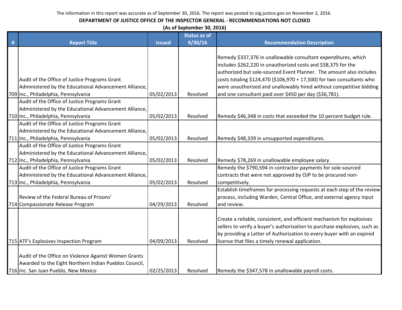| (As of September 30, 2016) |  |
|----------------------------|--|
|----------------------------|--|

| <b>Recommendation Description</b>                                                                                                                                                                                                                                                                                                                                                                                |
|------------------------------------------------------------------------------------------------------------------------------------------------------------------------------------------------------------------------------------------------------------------------------------------------------------------------------------------------------------------------------------------------------------------|
|                                                                                                                                                                                                                                                                                                                                                                                                                  |
| Remedy \$337,376 in unallowable consultant expenditures, which<br>includes \$262,220 in unauthorized costs and \$38,375 for the<br>authorized but sole-sourced Event Planner. The amount also includes<br>costs totaling \$124,470 (\$106,970 + 17,500) for two consultants who<br>were unauthorized and unallowably hired without competitive bidding<br>and one consultant paid over \$450 per day (\$36,781). |
|                                                                                                                                                                                                                                                                                                                                                                                                                  |
|                                                                                                                                                                                                                                                                                                                                                                                                                  |
| Remedy \$46,348 in costs that exceeded the 10 percent budget rule.                                                                                                                                                                                                                                                                                                                                               |
| Remedy \$48,339 in unsupported expenditures.                                                                                                                                                                                                                                                                                                                                                                     |
|                                                                                                                                                                                                                                                                                                                                                                                                                  |
| Remedy \$78,269 in unallowable employee salary.                                                                                                                                                                                                                                                                                                                                                                  |
| Remedy the \$790,594 in contractor payments for sole-sourced                                                                                                                                                                                                                                                                                                                                                     |
| contracts that were not approved by OJP to be procured non-                                                                                                                                                                                                                                                                                                                                                      |
| Establish timeframes for processing requests at each step of the review<br>process, including Warden, Central Office, and external agency input                                                                                                                                                                                                                                                                  |
| Create a reliable, consistent, and efficient mechanism for explosives<br>sellers to verify a buyer's authorization to purchase explosives, such as<br>by providing a Letter of Authorization to every buyer with an expired<br>license that files a timely renewal application.                                                                                                                                  |
| Remedy the \$347,578 in unallowable payroll costs.                                                                                                                                                                                                                                                                                                                                                               |
|                                                                                                                                                                                                                                                                                                                                                                                                                  |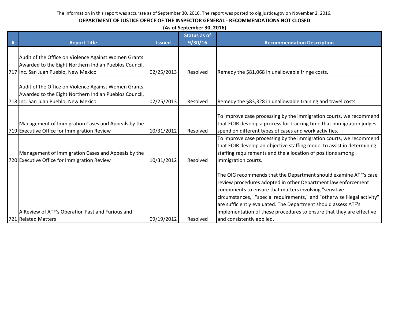|   | (As of September 30, 2016)                                                                                                                                                                             |                          |                      |                                                                                                                                                                                                                                                                                                                                                                                                                                                |  |  |  |  |
|---|--------------------------------------------------------------------------------------------------------------------------------------------------------------------------------------------------------|--------------------------|----------------------|------------------------------------------------------------------------------------------------------------------------------------------------------------------------------------------------------------------------------------------------------------------------------------------------------------------------------------------------------------------------------------------------------------------------------------------------|--|--|--|--|
|   |                                                                                                                                                                                                        |                          | <b>Status as of</b>  |                                                                                                                                                                                                                                                                                                                                                                                                                                                |  |  |  |  |
| # | <b>Report Title</b>                                                                                                                                                                                    | <b>Issued</b>            | 9/30/16              | <b>Recommendation Description</b>                                                                                                                                                                                                                                                                                                                                                                                                              |  |  |  |  |
|   |                                                                                                                                                                                                        |                          |                      |                                                                                                                                                                                                                                                                                                                                                                                                                                                |  |  |  |  |
|   | Audit of the Office on Violence Against Women Grants                                                                                                                                                   |                          |                      |                                                                                                                                                                                                                                                                                                                                                                                                                                                |  |  |  |  |
|   | Awarded to the Eight Northern Indian Pueblos Council,                                                                                                                                                  |                          |                      |                                                                                                                                                                                                                                                                                                                                                                                                                                                |  |  |  |  |
|   | 717 Inc. San Juan Pueblo, New Mexico                                                                                                                                                                   | 02/25/2013               | Resolved             | Remedy the \$81,068 in unallowable fringe costs.                                                                                                                                                                                                                                                                                                                                                                                               |  |  |  |  |
|   | Audit of the Office on Violence Against Women Grants<br>Awarded to the Eight Northern Indian Pueblos Council,                                                                                          |                          |                      |                                                                                                                                                                                                                                                                                                                                                                                                                                                |  |  |  |  |
|   | 718 Inc. San Juan Pueblo, New Mexico                                                                                                                                                                   | 02/25/2013               | Resolved             | Remedy the \$83,328 in unallowable training and travel costs.                                                                                                                                                                                                                                                                                                                                                                                  |  |  |  |  |
|   | Management of Immigration Cases and Appeals by the<br>719 Executive Office for Immigration Review<br>Management of Immigration Cases and Appeals by the<br>720 Executive Office for Immigration Review | 10/31/2012<br>10/31/2012 | Resolved<br>Resolved | To improve case processing by the immigration courts, we recommend<br>that EOIR develop a process for tracking time that immigration judges<br>spend on different types of cases and work activities.<br>To improve case processing by the immigration courts, we recommend<br>that EOIR develop an objective staffing model to assist in determining<br>staffing requirements and the allocation of positions among<br>immigration courts.    |  |  |  |  |
|   | A Review of ATF's Operation Fast and Furious and<br>721 Related Matters                                                                                                                                | 09/19/2012               | Resolved             | The OIG recommends that the Department should examine ATF's case<br>review procedures adopted in other Department law enforcement<br>components to ensure that matters involving "sensitive<br>circumstances," "special requirements," and "otherwise illegal activity"<br>are sufficiently evaluated. The Department should assess ATF's<br>implementation of these procedures to ensure that they are effective<br>and consistently applied. |  |  |  |  |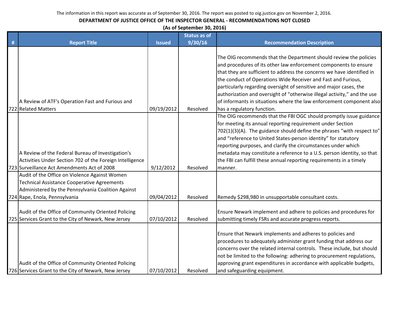#### **DEPARTMENT OF JUSTICE OFFICE OF THE INSPECTOR GENERAL - RECOMMENDATIONS NOT CLOSED**

**(As of September 30, 2016)**

|   |                                                                                                                                                                                     |               | <b>Status as of</b> |                                                                                                                                                                                                                                                                                                                                                                                                                                                                                                                              |
|---|-------------------------------------------------------------------------------------------------------------------------------------------------------------------------------------|---------------|---------------------|------------------------------------------------------------------------------------------------------------------------------------------------------------------------------------------------------------------------------------------------------------------------------------------------------------------------------------------------------------------------------------------------------------------------------------------------------------------------------------------------------------------------------|
| # | <b>Report Title</b>                                                                                                                                                                 | <b>Issued</b> | 9/30/16             | <b>Recommendation Description</b>                                                                                                                                                                                                                                                                                                                                                                                                                                                                                            |
|   | A Review of ATF's Operation Fast and Furious and                                                                                                                                    | 09/19/2012    |                     | The OIG recommends that the Department should review the policies<br>and procedures of its other law enforcement components to ensure<br>that they are sufficient to address the concerns we have identified in<br>the conduct of Operations Wide Receiver and Fast and Furious,<br>particularly regarding oversight of sensitive and major cases, the<br>authorization and oversight of "otherwise illegal activity," and the use<br>of informants in situations where the law enforcement component also                   |
|   | 722 Related Matters<br>A Review of the Federal Bureau of Investigation's<br>Activities Under Section 702 of the Foreign Intelligence                                                |               | Resolved            | has a regulatory function.<br>The OIG recommends that the FBI OGC should promptly issue guidance<br>for meeting its annual reporting requirement under Section<br>702(1)(3)(A). The guidance should define the phrases "with respect to"<br>and "reference to United States-person identity" for statutory<br>reporting purposes, and clarify the circumstances under which<br>metadata may constitute a reference to a U.S. person identity, so that<br>the FBI can fulfill these annual reporting requirements in a timely |
|   | 723 Surveillance Act Amendments Act of 2008                                                                                                                                         | 9/12/2012     | Resolved            | manner.                                                                                                                                                                                                                                                                                                                                                                                                                                                                                                                      |
|   | Audit of the Office on Violence Against Women<br>Technical Assistance Cooperative Agreements<br>Administered by the Pennsylvania Coalition Against<br>724 Rape, Enola, Pennsylvania | 09/04/2012    | Resolved            | Remedy \$298,980 in unsupportable consultant costs.                                                                                                                                                                                                                                                                                                                                                                                                                                                                          |
|   | Audit of the Office of Community Oriented Policing<br>725 Services Grant to the City of Newark, New Jersey                                                                          | 07/10/2012    | Resolved            | Ensure Newark implement and adhere to policies and procedures for<br>submitting timely FSRs and accurate progress reports.                                                                                                                                                                                                                                                                                                                                                                                                   |
|   | Audit of the Office of Community Oriented Policing<br>726 Services Grant to the City of Newark, New Jersey                                                                          | 07/10/2012    | Resolved            | Ensure that Newark implements and adheres to policies and<br>procedures to adequately administer grant funding that address our<br>concerns over the related internal controls. These include, but should<br>not be limited to the following: adhering to procurement regulations,<br>approving grant expenditures in accordance with applicable budgets,<br>and safeguarding equipment.                                                                                                                                     |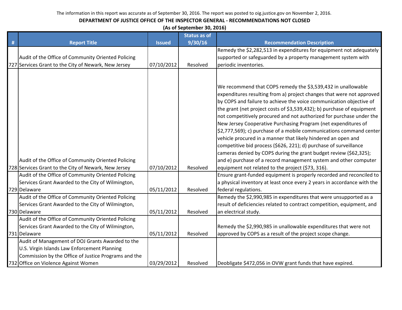|   |                                                      |               | (As of September 30, 2016) |                                                                             |
|---|------------------------------------------------------|---------------|----------------------------|-----------------------------------------------------------------------------|
|   |                                                      |               | <b>Status as of</b>        |                                                                             |
| # | <b>Report Title</b>                                  | <b>Issued</b> | 9/30/16                    | <b>Recommendation Description</b>                                           |
|   |                                                      |               |                            | Remedy the \$2,282,513 in expenditures for equipment not adequately         |
|   | Audit of the Office of Community Oriented Policing   |               |                            | supported or safeguarded by a property management system with               |
|   | 727 Services Grant to the City of Newark, New Jersey | 07/10/2012    | Resolved                   | periodic inventories.                                                       |
|   |                                                      |               |                            |                                                                             |
|   |                                                      |               |                            |                                                                             |
|   |                                                      |               |                            | We recommend that COPS remedy the \$3,539,432 in unallowable                |
|   |                                                      |               |                            | expenditures resulting from a) project changes that were not approved       |
|   |                                                      |               |                            | by COPS and failure to achieve the voice communication objective of         |
|   |                                                      |               |                            | the grant (net project costs of \$3,539,432); b) purchase of equipment      |
|   |                                                      |               |                            | not competitively procured and not authorized for purchase under the        |
|   |                                                      |               |                            | New Jersey Cooperative Purchasing Program (net expenditures of              |
|   |                                                      |               |                            | $\vert$ \$2,777,569); c) purchase of a mobile communications command center |
|   |                                                      |               |                            | vehicle procured in a manner that likely hindered an open and               |
|   |                                                      |               |                            | competitive bid process (\$626, 221); d) purchase of surveillance           |
|   |                                                      |               |                            | cameras denied by COPS during the grant budget review (\$62,325);           |
|   | Audit of the Office of Community Oriented Policing   |               |                            | and e) purchase of a record management system and other computer            |
|   | 728 Services Grant to the City of Newark, New Jersey | 07/10/2012    | Resolved                   | equipment not related to the project (\$73, 316).                           |
|   | Audit of the Office of Community Oriented Policing   |               |                            | Ensure grant-funded equipment is properly recorded and reconciled to        |
|   | Services Grant Awarded to the City of Wilmington,    |               |                            | a physical inventory at least once every 2 years in accordance with the     |
|   | 729 Delaware                                         | 05/11/2012    | Resolved                   | federal regulations.                                                        |
|   | Audit of the Office of Community Oriented Policing   |               |                            | Remedy the \$2,990,985 in expenditures that were unsupported as a           |
|   | Services Grant Awarded to the City of Wilmington,    |               |                            | result of deficiencies related to contract competition, equipment, and      |
|   | 730 Delaware                                         | 05/11/2012    | Resolved                   | an electrical study.                                                        |
|   | Audit of the Office of Community Oriented Policing   |               |                            |                                                                             |
|   | Services Grant Awarded to the City of Wilmington,    |               |                            | Remedy the \$2,990,985 in unallowable expenditures that were not            |
|   | 731 Delaware                                         | 05/11/2012    | Resolved                   | approved by COPS as a result of the project scope change.                   |
|   | Audit of Management of DOJ Grants Awarded to the     |               |                            |                                                                             |
|   | U.S. Virgin Islands Law Enforcement Planning         |               |                            |                                                                             |
|   | Commission by the Office of Justice Programs and the |               |                            |                                                                             |
|   | 732 Office on Violence Against Women                 | 03/29/2012    | Resolved                   | Deobligate \$472,056 in OVW grant funds that have expired.                  |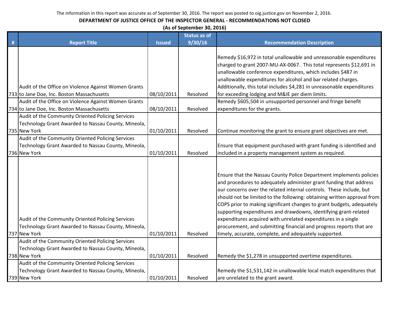| (As of September 30, 2016) |  |
|----------------------------|--|
|----------------------------|--|

|   |                                                                                                                          |               | <b>Status as of</b> |                                                                                                                                                                                                                                                                                                                                                                                                                                                                                                                                                                                                                                           |
|---|--------------------------------------------------------------------------------------------------------------------------|---------------|---------------------|-------------------------------------------------------------------------------------------------------------------------------------------------------------------------------------------------------------------------------------------------------------------------------------------------------------------------------------------------------------------------------------------------------------------------------------------------------------------------------------------------------------------------------------------------------------------------------------------------------------------------------------------|
| # | <b>Report Title</b>                                                                                                      | <b>Issued</b> | 9/30/16             | <b>Recommendation Description</b>                                                                                                                                                                                                                                                                                                                                                                                                                                                                                                                                                                                                         |
|   |                                                                                                                          |               |                     | Remedy \$16,972 in total unallowable and unreasonable expenditures<br>charged to grant 2007-MU-AX-0067. This total represents \$12,691 in<br>unallowable conference expenditures, which includes \$487 in                                                                                                                                                                                                                                                                                                                                                                                                                                 |
|   |                                                                                                                          |               |                     | unallowable expenditures for alcohol and bar related charges.                                                                                                                                                                                                                                                                                                                                                                                                                                                                                                                                                                             |
|   | Audit of the Office on Violence Against Women Grants                                                                     |               |                     | Additionally, this total includes \$4,281 in unreasonable expenditures                                                                                                                                                                                                                                                                                                                                                                                                                                                                                                                                                                    |
|   | 733 to Jane Doe, Inc. Boston Massachusetts                                                                               | 08/10/2011    | Resolved            | for exceeding lodging and M&IE per diem limits.                                                                                                                                                                                                                                                                                                                                                                                                                                                                                                                                                                                           |
|   | Audit of the Office on Violence Against Women Grants                                                                     |               | Resolved            | Remedy \$605,504 in unsupported personnel and fringe benefit                                                                                                                                                                                                                                                                                                                                                                                                                                                                                                                                                                              |
|   | 734 to Jane Doe, Inc. Boston Massachusetts<br>Audit of the Community Oriented Policing Services                          | 08/10/2011    |                     | expenditures for the grants.                                                                                                                                                                                                                                                                                                                                                                                                                                                                                                                                                                                                              |
|   | Technology Grant Awarded to Nassau County, Mineola,                                                                      |               |                     |                                                                                                                                                                                                                                                                                                                                                                                                                                                                                                                                                                                                                                           |
|   | 735 New York                                                                                                             | 01/10/2011    | Resolved            | Continue monitoring the grant to ensure grant objectives are met.                                                                                                                                                                                                                                                                                                                                                                                                                                                                                                                                                                         |
|   | Audit of the Community Oriented Policing Services                                                                        |               |                     |                                                                                                                                                                                                                                                                                                                                                                                                                                                                                                                                                                                                                                           |
|   | Technology Grant Awarded to Nassau County, Mineola,                                                                      |               |                     | Ensure that equipment purchased with grant funding is identified and                                                                                                                                                                                                                                                                                                                                                                                                                                                                                                                                                                      |
|   | 736 New York                                                                                                             | 01/10/2011    | Resolved            | included in a property management system as required.                                                                                                                                                                                                                                                                                                                                                                                                                                                                                                                                                                                     |
|   | Audit of the Community Oriented Policing Services<br>Technology Grant Awarded to Nassau County, Mineola,<br>737 New York | 01/10/2011    | Resolved            | Ensure that the Nassau County Police Department implements policies<br>and procedures to adequately administer grant funding that address<br>our concerns over the related internal controls. These include, but<br>should not be limited to the following: obtaining written approval from<br>COPS prior to making significant changes to grant budgets, adequately<br>supporting expenditures and drawdowns, identifying grant-related<br>expenditures acquired with unrelated expenditures in a single<br>procurement, and submitting financial and progress reports that are<br>timely, accurate, complete, and adequately supported. |
|   | Audit of the Community Oriented Policing Services<br>Technology Grant Awarded to Nassau County, Mineola,                 |               |                     |                                                                                                                                                                                                                                                                                                                                                                                                                                                                                                                                                                                                                                           |
|   | 738 New York                                                                                                             | 01/10/2011    | Resolved            | Remedy the \$1,278 in unsupported overtime expenditures.                                                                                                                                                                                                                                                                                                                                                                                                                                                                                                                                                                                  |
|   | Audit of the Community Oriented Policing Services<br>Technology Grant Awarded to Nassau County, Mineola,<br>739 New York | 01/10/2011    | Resolved            | Remedy the \$1,531,142 in unallowable local match expenditures that<br>are unrelated to the grant award.                                                                                                                                                                                                                                                                                                                                                                                                                                                                                                                                  |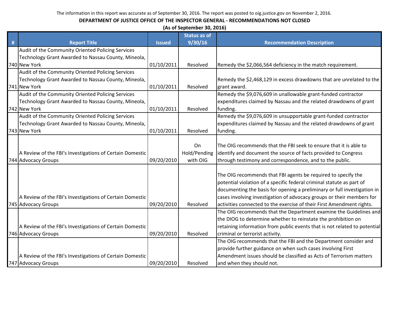|   | (As of September 30, 2016)                               |               |                     |                                                                           |  |  |
|---|----------------------------------------------------------|---------------|---------------------|---------------------------------------------------------------------------|--|--|
|   |                                                          |               | <b>Status as of</b> |                                                                           |  |  |
| # | <b>Report Title</b>                                      | <b>Issued</b> | 9/30/16             | <b>Recommendation Description</b>                                         |  |  |
|   | Audit of the Community Oriented Policing Services        |               |                     |                                                                           |  |  |
|   | Technology Grant Awarded to Nassau County, Mineola,      |               |                     |                                                                           |  |  |
|   | 740 New York                                             | 01/10/2011    | Resolved            | Remedy the \$2,066,564 deficiency in the match requirement.               |  |  |
|   | Audit of the Community Oriented Policing Services        |               |                     |                                                                           |  |  |
|   | Technology Grant Awarded to Nassau County, Mineola,      |               |                     | Remedy the \$2,468,129 in excess drawdowns that are unrelated to the      |  |  |
|   | 741 New York                                             | 01/10/2011    | Resolved            | grant award.                                                              |  |  |
|   | Audit of the Community Oriented Policing Services        |               |                     | Remedy the \$9,076,609 in unallowable grant-funded contractor             |  |  |
|   | Technology Grant Awarded to Nassau County, Mineola,      |               |                     | expenditures claimed by Nassau and the related drawdowns of grant         |  |  |
|   | 742 New York                                             | 01/10/2011    | Resolved            | funding.                                                                  |  |  |
|   | Audit of the Community Oriented Policing Services        |               |                     | Remedy the \$9,076,609 in unsupportable grant-funded contractor           |  |  |
|   | Technology Grant Awarded to Nassau County, Mineola,      |               |                     | expenditures claimed by Nassau and the related drawdowns of grant         |  |  |
|   | 743 New York                                             | 01/10/2011    | Resolved            | funding.                                                                  |  |  |
|   |                                                          |               |                     |                                                                           |  |  |
|   |                                                          |               | On                  | The OIG recommends that the FBI seek to ensure that it is able to         |  |  |
|   | A Review of the FBI's Investigations of Certain Domestic |               | Hold/Pending        | identify and document the source of facts provided to Congress            |  |  |
|   | 744 Advocacy Groups                                      | 09/20/2010    | with OIG            | through testimony and correspondence, and to the public.                  |  |  |
|   |                                                          |               |                     |                                                                           |  |  |
|   |                                                          |               |                     | The OIG recommends that FBI agents be required to specify the             |  |  |
|   |                                                          |               |                     | potential violation of a specific federal criminal statute as part of     |  |  |
|   |                                                          |               |                     | documenting the basis for opening a preliminary or full investigation in  |  |  |
|   | A Review of the FBI's Investigations of Certain Domestic |               |                     | cases involving investigation of advocacy groups or their members for     |  |  |
|   | 745 Advocacy Groups                                      | 09/20/2010    | Resolved            | activities connected to the exercise of their First Amendment rights.     |  |  |
|   |                                                          |               |                     | The OIG recommends that the Department examine the Guidelines and         |  |  |
|   |                                                          |               |                     | the DIOG to determine whether to reinstate the prohibition on             |  |  |
|   | A Review of the FBI's Investigations of Certain Domestic |               |                     | retaining information from public events that is not related to potential |  |  |
|   | 746 Advocacy Groups                                      | 09/20/2010    | Resolved            | criminal or terrorist activity.                                           |  |  |
|   |                                                          |               |                     | The OIG recommends that the FBI and the Department consider and           |  |  |
|   |                                                          |               |                     | provide further guidance on when such cases involving First               |  |  |
|   | A Review of the FBI's Investigations of Certain Domestic |               |                     | Amendment issues should be classified as Acts of Terrorism matters        |  |  |
|   | 747 Advocacy Groups                                      | 09/20/2010    | Resolved            | and when they should not.                                                 |  |  |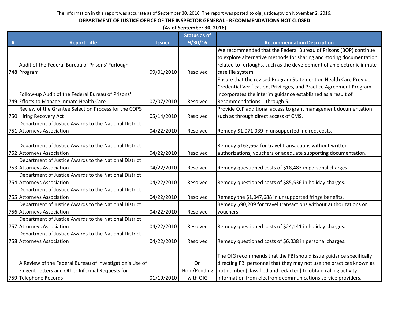|   | (As of September 30, 2016)                               |               |                     |                                                                       |  |  |  |
|---|----------------------------------------------------------|---------------|---------------------|-----------------------------------------------------------------------|--|--|--|
|   |                                                          |               | <b>Status as of</b> |                                                                       |  |  |  |
| # | <b>Report Title</b>                                      | <b>Issued</b> | 9/30/16             | <b>Recommendation Description</b>                                     |  |  |  |
|   |                                                          |               |                     | We recommended that the Federal Bureau of Prisons (BOP) continue      |  |  |  |
|   |                                                          |               |                     | to explore alternative methods for sharing and storing documentation  |  |  |  |
|   | Audit of the Federal Bureau of Prisons' Furlough         |               |                     | related to furloughs, such as the development of an electronic inmate |  |  |  |
|   | 748 Program                                              | 09/01/2010    | Resolved            | case file system.                                                     |  |  |  |
|   |                                                          |               |                     | Ensure that the revised Program Statement on Health Care Provider     |  |  |  |
|   |                                                          |               |                     | Credential Verification, Privileges, and Practice Agreement Program   |  |  |  |
|   | Follow-up Audit of the Federal Bureau of Prisons'        |               |                     | incorporates the interim guidance established as a result of          |  |  |  |
|   | 749 Efforts to Manage Inmate Health Care                 | 07/07/2010    | Resolved            | Recommendations 1 through 5.                                          |  |  |  |
|   | Review of the Grantee Selection Process for the COPS     |               |                     | Provide OJP additional access to grant management documentation,      |  |  |  |
|   | 750 Hiring Recovery Act                                  | 05/14/2010    | Resolved            | such as through direct access of CMS.                                 |  |  |  |
|   | Department of Justice Awards to the National District    |               |                     |                                                                       |  |  |  |
|   | 751 Attorneys Association                                | 04/22/2010    | Resolved            | Remedy \$1,071,039 in unsupported indirect costs.                     |  |  |  |
|   |                                                          |               |                     |                                                                       |  |  |  |
|   | Department of Justice Awards to the National District    |               |                     | Remedy \$163,662 for travel transactions without written              |  |  |  |
|   | 752 Attorneys Association                                | 04/22/2010    | Resolved            | authorizations, vouchers or adequate supporting documentation.        |  |  |  |
|   | Department of Justice Awards to the National District    |               |                     |                                                                       |  |  |  |
|   | 753 Attorneys Association                                | 04/22/2010    | Resolved            | Remedy questioned costs of \$18,483 in personal charges.              |  |  |  |
|   | Department of Justice Awards to the National District    |               |                     |                                                                       |  |  |  |
|   | 754 Attorneys Association                                | 04/22/2010    | Resolved            | Remedy questioned costs of \$85,536 in holiday charges.               |  |  |  |
|   | Department of Justice Awards to the National District    |               |                     |                                                                       |  |  |  |
|   | 755 Attorneys Association                                | 04/22/2010    | Resolved            | Remedy the \$1,047,688 in unsupported fringe benefits.                |  |  |  |
|   | Department of Justice Awards to the National District    |               |                     | Remedy \$90,209 for travel transactions without authorizations or     |  |  |  |
|   | 756 Attorneys Association                                | 04/22/2010    | Resolved            | vouchers.                                                             |  |  |  |
|   | Department of Justice Awards to the National District    |               |                     |                                                                       |  |  |  |
|   | 757 Attorneys Association                                | 04/22/2010    | Resolved            | Remedy questioned costs of \$24,141 in holiday charges.               |  |  |  |
|   | Department of Justice Awards to the National District    |               |                     |                                                                       |  |  |  |
|   | 758 Attorneys Association                                | 04/22/2010    | Resolved            | Remedy questioned costs of \$6,038 in personal charges.               |  |  |  |
|   |                                                          |               |                     |                                                                       |  |  |  |
|   |                                                          |               |                     | The OIG recommends that the FBI should issue guidance specifically    |  |  |  |
|   | A Review of the Federal Bureau of Investigation's Use of |               | On                  | directing FBI personnel that they may not use the practices known as  |  |  |  |
|   | Exigent Letters and Other Informal Requests for          |               | Hold/Pending        | hot number [classified and redacted] to obtain calling activity       |  |  |  |
|   | 759 Telephone Records                                    | 01/19/2010    | with OIG            | information from electronic communications service providers.         |  |  |  |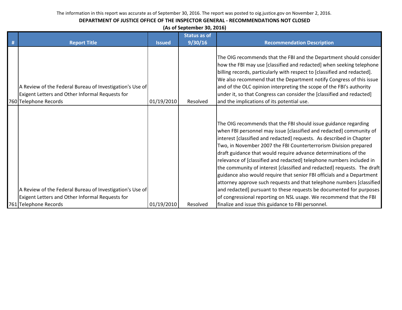| (As of September 30, 2016) |  |
|----------------------------|--|
|----------------------------|--|

|                                                                                                             |               | <b>Status as of</b> |                                                                                                                                                                                                                                                                                                                                                                                                                                                                                                                                                                                                                                                                                                                                                                                                           |
|-------------------------------------------------------------------------------------------------------------|---------------|---------------------|-----------------------------------------------------------------------------------------------------------------------------------------------------------------------------------------------------------------------------------------------------------------------------------------------------------------------------------------------------------------------------------------------------------------------------------------------------------------------------------------------------------------------------------------------------------------------------------------------------------------------------------------------------------------------------------------------------------------------------------------------------------------------------------------------------------|
| <b>Report Title</b>                                                                                         | <b>Issued</b> | 9/30/16             | <b>Recommendation Description</b>                                                                                                                                                                                                                                                                                                                                                                                                                                                                                                                                                                                                                                                                                                                                                                         |
| A Review of the Federal Bureau of Investigation's Use of<br>Exigent Letters and Other Informal Requests for |               |                     | The OIG recommends that the FBI and the Department should consider<br>how the FBI may use [classified and redacted] when seeking telephone<br>billing records, particularly with respect to [classified and redacted].<br>We also recommend that the Department notify Congress of this issue<br>and of the OLC opinion interpreting the scope of the FBI's authority<br>under it, so that Congress can consider the [classified and redacted]                                                                                                                                                                                                                                                                                                                                                            |
| 760 Telephone Records                                                                                       | 01/19/2010    | Resolved            | and the implications of its potential use.                                                                                                                                                                                                                                                                                                                                                                                                                                                                                                                                                                                                                                                                                                                                                                |
| A Review of the Federal Bureau of Investigation's Use of<br>Exigent Letters and Other Informal Requests for |               |                     | The OIG recommends that the FBI should issue guidance regarding<br>when FBI personnel may issue [classified and redacted] community of<br>interest [classified and redacted] requests. As described in Chapter<br>Two, in November 2007 the FBI Counterterrorism Division prepared<br>draft guidance that would require advance determinations of the<br>relevance of [classified and redacted] telephone numbers included in<br>the community of interest [classified and redacted] requests. The draft<br>guidance also would require that senior FBI officials and a Department<br>attorney approve such requests and that telephone numbers [classified]<br>and redacted] pursuant to these requests be documented for purposes<br>of congressional reporting on NSL usage. We recommend that the FBI |
| 761 Telephone Records                                                                                       | 01/19/2010    | Resolved            | finalize and issue this guidance to FBI personnel.                                                                                                                                                                                                                                                                                                                                                                                                                                                                                                                                                                                                                                                                                                                                                        |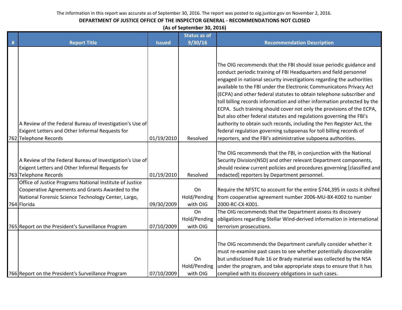#### **DEPARTMENT OF JUSTICE OFFICE OF THE INSPECTOR GENERAL - RECOMMENDATIONS NOT CLOSED**

**(As of September 30, 2016)**

|   |                                                                                                                                                                                    |               | <b>Status as of</b>            |                                                                                                                                                                                                                                                                                                                                                                                                                                                                                                                                                                                                                                                                                                                                           |
|---|------------------------------------------------------------------------------------------------------------------------------------------------------------------------------------|---------------|--------------------------------|-------------------------------------------------------------------------------------------------------------------------------------------------------------------------------------------------------------------------------------------------------------------------------------------------------------------------------------------------------------------------------------------------------------------------------------------------------------------------------------------------------------------------------------------------------------------------------------------------------------------------------------------------------------------------------------------------------------------------------------------|
| # | <b>Report Title</b>                                                                                                                                                                | <b>Issued</b> | 9/30/16                        | <b>Recommendation Description</b>                                                                                                                                                                                                                                                                                                                                                                                                                                                                                                                                                                                                                                                                                                         |
|   | A Review of the Federal Bureau of Investigation's Use of<br>Exigent Letters and Other Informal Requests for                                                                        |               |                                | The OIG recommends that the FBI should issue periodic guidance and<br>conduct periodic training of FBI Headquarters and field personnel<br>engaged in national security investigations regarding the authorities<br>available to the FBI under the Electronic Communicatons Privacy Act<br>(ECPA) and other federal statutes to obtain telephone subscriber and<br>toll billing records information and other information protected by the<br>ECPA. Such training should cover not only the provisions of the ECPA,<br>but also other federal statutes and regulations governing the FBI's<br>authority to obtain such records, including the Pen Register Act, the<br>federal regulation governing subpoenas for toll billing records of |
|   | 762 Telephone Records                                                                                                                                                              | 01/19/2010    | Resolved                       | reporters, and the FBI's administrative subpoena authorities.                                                                                                                                                                                                                                                                                                                                                                                                                                                                                                                                                                                                                                                                             |
|   | A Review of the Federal Bureau of Investigation's Use of<br>Exigent Letters and Other Informal Requests for<br>763 Telephone Records                                               | 01/19/2010    | Resolved                       | The OIG recommends that the FBI, in conjunction with the National<br>Security Division(NSD) and other relevant Department components,<br>should review current policies and procedures governing [classified and<br>redacted] reporters by Department personnel.                                                                                                                                                                                                                                                                                                                                                                                                                                                                          |
|   | Office of Justice Programs National Institute of Justice<br>Cooperative Agreements and Grants Awarded to the<br>National Forensic Science Technology Center, Largo,<br>764 Florida | 09/30/2009    | On<br>Hold/Pending<br>with OIG | Require the NFSTC to account for the entire \$744,395 in costs it shifted<br>from cooperative agreement number 2006-MU-BX-K002 to number<br>2000-RC-CX-K001.                                                                                                                                                                                                                                                                                                                                                                                                                                                                                                                                                                              |
|   | 765 Report on the President's Surveillance Program                                                                                                                                 | 07/10/2009    | On<br>Hold/Pending<br>with OIG | The OIG recommends that the Department assess its discovery<br>obligations regarding Stellar Wind-derived information in international<br>terrorism prosecutions.                                                                                                                                                                                                                                                                                                                                                                                                                                                                                                                                                                         |
|   | 766 Report on the President's Surveillance Program                                                                                                                                 | 07/10/2009    | On<br>Hold/Pending<br>with OIG | The OIG recommends the Department carefully consider whether it<br>must re-examine past cases to see whether potentially discoverable<br>but undisclosed Rule 16 or Brady material was collected by the NSA<br>under the program, and take appropriate steps to ensure that it has<br>complied with its discovery obligations in such cases.                                                                                                                                                                                                                                                                                                                                                                                              |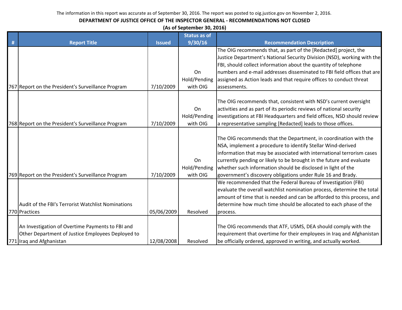|   |                                                    |               | (As of September 30, 2016) |                                                                         |
|---|----------------------------------------------------|---------------|----------------------------|-------------------------------------------------------------------------|
|   |                                                    |               | <b>Status as of</b>        |                                                                         |
| # | <b>Report Title</b>                                | <b>Issued</b> | 9/30/16                    | <b>Recommendation Description</b>                                       |
|   |                                                    |               |                            | The OIG recommends that, as part of the [Redacted] project, the         |
|   |                                                    |               |                            | Justice Department's National Security Division (NSD), working with the |
|   |                                                    |               |                            | FBI, should collect information about the quantity of telephone         |
|   |                                                    |               | On                         | numbers and e-mail addresses disseminated to FBI field offices that are |
|   |                                                    |               | Hold/Pending               | assigned as Action leads and that require offices to conduct threat     |
|   | 767 Report on the President's Surveillance Program | 7/10/2009     | with OIG                   | assessments.                                                            |
|   |                                                    |               |                            |                                                                         |
|   |                                                    |               |                            | The OIG recommends that, consistent with NSD's current oversight        |
|   |                                                    |               | On                         | activities and as part of its periodic reviews of national security     |
|   |                                                    |               | Hold/Pending               | investigations at FBI Headquarters and field offices, NSD should review |
|   | 768 Report on the President's Surveillance Program | 7/10/2009     | with OIG                   | a representative sampling [Redacted] leads to those offices.            |
|   |                                                    |               |                            |                                                                         |
|   |                                                    |               |                            | The OIG recommends that the Department, in coordination with the        |
|   |                                                    |               |                            | NSA, implement a procedure to identify Stellar Wind-derived             |
|   |                                                    |               |                            | information that may be associated with international terrorism cases   |
|   |                                                    |               | On                         | currently pending or likely to be brought in the future and evaluate    |
|   |                                                    |               | Hold/Pending               | whether such information should be disclosed in light of the            |
|   | 769 Report on the President's Surveillance Program | 7/10/2009     | with OIG                   | government's discovery obligations under Rule 16 and Brady.             |
|   |                                                    |               |                            | We recommended that the Federal Bureau of Investigation (FBI)           |
|   |                                                    |               |                            | evaluate the overall watchlist nomination process, determine the total  |
|   |                                                    |               |                            | amount of time that is needed and can be afforded to this process, and  |
|   | Audit of the FBI's Terrorist Watchlist Nominations |               |                            | determine how much time should be allocated to each phase of the        |
|   | 770 Practices                                      | 05/06/2009    | Resolved                   | process.                                                                |
|   |                                                    |               |                            |                                                                         |
|   | An Investigation of Overtime Payments to FBI and   |               |                            | The OIG recommends that ATF, USMS, DEA should comply with the           |
|   | Other Department of Justice Employees Deployed to  |               |                            | requirement that overtime for their employees in Iraq and Afghanistan   |
|   | 771 Iraq and Afghanistan                           | 12/08/2008    | Resolved                   | be officially ordered, approved in writing, and actually worked.        |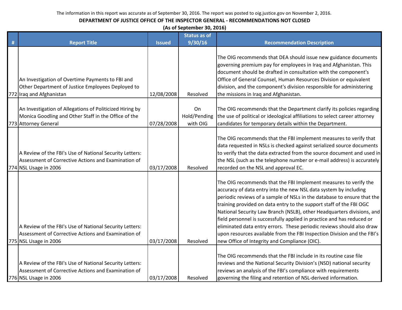| (As of September 30, 2016) |  |  |
|----------------------------|--|--|
|----------------------------|--|--|

|   |                                                                                                                                          |               | <b>Status as of</b>            |                                                                                                                                                                                                                                                                                                                                                                                                                                                                                                                                                                                                                                                 |
|---|------------------------------------------------------------------------------------------------------------------------------------------|---------------|--------------------------------|-------------------------------------------------------------------------------------------------------------------------------------------------------------------------------------------------------------------------------------------------------------------------------------------------------------------------------------------------------------------------------------------------------------------------------------------------------------------------------------------------------------------------------------------------------------------------------------------------------------------------------------------------|
| # | <b>Report Title</b>                                                                                                                      | <b>Issued</b> | 9/30/16                        | <b>Recommendation Description</b>                                                                                                                                                                                                                                                                                                                                                                                                                                                                                                                                                                                                               |
|   | An Investigation of Overtime Payments to FBI and<br>Other Department of Justice Employees Deployed to<br>772 Iraq and Afghanistan        | 12/08/2008    | Resolved                       | The OIG recommends that DEA should issue new guidance documents<br>governing premium pay for employees in Iraq and Afghanistan. This<br>document should be drafted in consultation with the component's<br>Office of General Counsel, Human Resources Division or equivalent<br>division, and the component's division responsible for administering<br>the missions in Iraq and Afghanistan.                                                                                                                                                                                                                                                   |
|   | An Investigation of Allegations of Politicized Hiring by<br>Monica Goodling and Other Staff in the Office of the<br>773 Attorney General | 07/28/2008    | On<br>Hold/Pending<br>with OIG | The OIG recommends that the Department clarify its policies regarding<br>the use of political or ideological affiliations to select career attorney<br>candidates for temporary details within the Department.                                                                                                                                                                                                                                                                                                                                                                                                                                  |
|   | A Review of the FBI's Use of National Security Letters:<br>Assessment of Corrective Actions and Examination of<br>774 NSL Usage in 2006  | 03/17/2008    | Resolved                       | The OIG recommends that the FBI implement measures to verify that<br>data requested in NSLs is checked against serialized source documents<br>to verify that the data extracted from the source document and used in<br>the NSL (such as the telephone number or e-mail address) is accurately<br>recorded on the NSL and approval EC.                                                                                                                                                                                                                                                                                                          |
|   | A Review of the FBI's Use of National Security Letters:<br>Assessment of Corrective Actions and Examination of<br>775 NSL Usage in 2006  | 03/17/2008    | Resolved                       | The OIG recommends that the FBI Implement measures to verify the<br>accuracy of data entry into the new NSL data system by including<br>periodic reviews of a sample of NSLs in the database to ensure that the<br>training provided on data entry to the support staff of the FBI OGC<br>National Security Law Branch (NSLB), other Headquarters divisions, and<br>field personnel is successfully applied in practice and has reduced or<br>eliminated data entry errors. These periodic reviews should also draw<br>upon resources available from the FBI Inspection Division and the FBI's<br>new Office of Integrity and Compliance (OIC). |
|   | A Review of the FBI's Use of National Security Letters:<br>Assessment of Corrective Actions and Examination of<br>776 NSL Usage in 2006  | 03/17/2008    | Resolved                       | The OIG recommends that the FBI include in its routine case file<br>reviews and the National Security Division's (NSD) national security<br>reviews an analysis of the FBI's compliance with requirements<br>governing the filing and retention of NSL-derived information.                                                                                                                                                                                                                                                                                                                                                                     |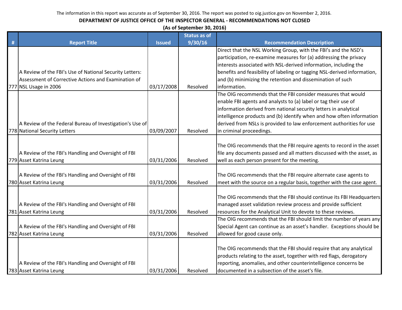|   | (As of September 30, 2016)                                                     |               |                     |                                                                                                                                            |  |  |  |  |
|---|--------------------------------------------------------------------------------|---------------|---------------------|--------------------------------------------------------------------------------------------------------------------------------------------|--|--|--|--|
|   |                                                                                |               | <b>Status as of</b> |                                                                                                                                            |  |  |  |  |
| # | <b>Report Title</b>                                                            | <b>Issued</b> | 9/30/16             | <b>Recommendation Description</b>                                                                                                          |  |  |  |  |
|   |                                                                                |               |                     | Direct that the NSL Working Group, with the FBI's and the NSD's                                                                            |  |  |  |  |
|   |                                                                                |               |                     | participation, re-examine measures for (a) addressing the privacy                                                                          |  |  |  |  |
|   |                                                                                |               |                     | interests associated with NSL-derived information, including the                                                                           |  |  |  |  |
|   | A Review of the FBI's Use of National Security Letters:                        |               |                     | benefits and feasibility of labeling or tagging NSL-derived information,                                                                   |  |  |  |  |
|   | Assessment of Corrective Actions and Examination of                            |               |                     | and (b) minimizing the retention and dissemination of such                                                                                 |  |  |  |  |
|   | 777 NSL Usage in 2006                                                          | 03/17/2008    | Resolved            | information.                                                                                                                               |  |  |  |  |
|   |                                                                                |               |                     | The OIG recommends that the FBI consider measures that would                                                                               |  |  |  |  |
|   |                                                                                |               |                     | enable FBI agents and analysts to (a) label or tag their use of                                                                            |  |  |  |  |
|   |                                                                                |               |                     | information derived from national security letters in analytical                                                                           |  |  |  |  |
|   |                                                                                |               |                     | intelligence products and (b) identify when and how often information                                                                      |  |  |  |  |
|   | A Review of the Federal Bureau of Investigation's Use of                       |               |                     | derived from NSLs is provided to law enforcement authorities for use                                                                       |  |  |  |  |
|   | 778 National Security Letters                                                  | 03/09/2007    | Resolved            | in criminal proceedings.                                                                                                                   |  |  |  |  |
|   |                                                                                |               |                     |                                                                                                                                            |  |  |  |  |
|   |                                                                                |               |                     | The OIG recommends that the FBI require agents to record in the asset                                                                      |  |  |  |  |
|   | A Review of the FBI's Handling and Oversight of FBI                            |               |                     | file any documents passed and all matters discussed with the asset, as                                                                     |  |  |  |  |
|   | 779 Asset Katrina Leung                                                        | 03/31/2006    | Resolved            | well as each person present for the meeting.                                                                                               |  |  |  |  |
|   |                                                                                |               |                     |                                                                                                                                            |  |  |  |  |
|   | A Review of the FBI's Handling and Oversight of FBI<br>780 Asset Katrina Leung | 03/31/2006    | Resolved            | The OIG recommends that the FBI require alternate case agents to<br>meet with the source on a regular basis, together with the case agent. |  |  |  |  |
|   |                                                                                |               |                     |                                                                                                                                            |  |  |  |  |
|   |                                                                                |               |                     | The OIG recommends that the FBI should continue its FBI Headquarters                                                                       |  |  |  |  |
|   | A Review of the FBI's Handling and Oversight of FBI                            |               |                     | managed asset validation review process and provide sufficient                                                                             |  |  |  |  |
|   | 781 Asset Katrina Leung                                                        | 03/31/2006    | Resolved            | resources for the Analytical Unit to devote to these reviews.                                                                              |  |  |  |  |
|   |                                                                                |               |                     | The OIG recommends that the FBI should limit the number of years any                                                                       |  |  |  |  |
|   | A Review of the FBI's Handling and Oversight of FBI                            |               |                     | Special Agent can continue as an asset's handler. Exceptions should be                                                                     |  |  |  |  |
|   | 782 Asset Katrina Leung                                                        | 03/31/2006    | Resolved            | allowed for good cause only.                                                                                                               |  |  |  |  |
|   |                                                                                |               |                     |                                                                                                                                            |  |  |  |  |
|   |                                                                                |               |                     | The OIG recommends that the FBI should require that any analytical                                                                         |  |  |  |  |
|   |                                                                                |               |                     | products relating to the asset, together with red flags, derogatory                                                                        |  |  |  |  |
|   | A Review of the FBI's Handling and Oversight of FBI                            |               |                     | reporting, anomalies, and other counterintelligence concerns be                                                                            |  |  |  |  |
|   | 783 Asset Katrina Leung                                                        | 03/31/2006    | Resolved            | documented in a subsection of the asset's file.                                                                                            |  |  |  |  |